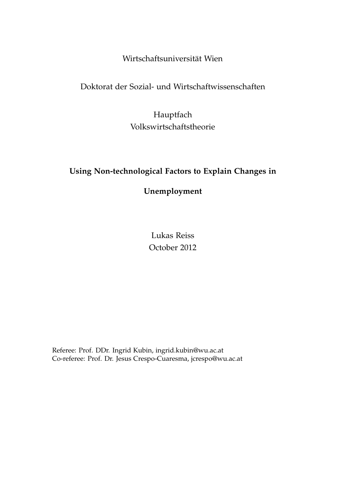# Wirtschaftsuniversität Wien

# Doktorat der Sozial- und Wirtschaftwissenschaften

Hauptfach Volkswirtschaftstheorie

# **Using Non-technological Factors to Explain Changes in**

**Unemployment**

Lukas Reiss October 2012

Referee: Prof. DDr. Ingrid Kubin, ingrid.kubin@wu.ac.at Co-referee: Prof. Dr. Jesus Crespo-Cuaresma, jcrespo@wu.ac.at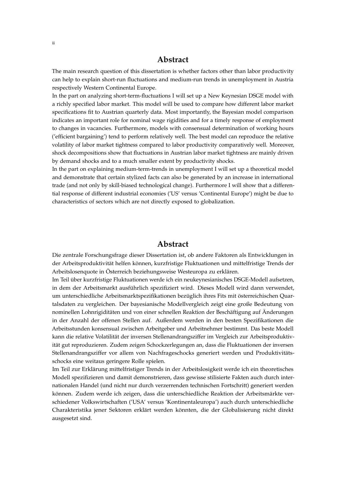# **Abstract**

The main research question of this dissertation is whether factors other than labor productivity can help to explain short-run fluctuations and medium-run trends in unemployment in Austria respectively Western Continental Europe.

In the part on analyzing short-term-fluctuations I will set up a New Keynesian DSGE model with a richly specified labor market. This model will be used to compare how different labor market specifications fit to Austrian quarterly data. Most importantly, the Bayesian model comparison indicates an important role for nominal wage rigidities and for a timely response of employment to changes in vacancies. Furthermore, models with consensual determination of working hours ('efficient bargaining') tend to perform relatively well. The best model can reproduce the relative volatility of labor market tightness compared to labor productivity comparatively well. Moreover, shock decompositions show that fluctuations in Austrian labor market tightness are mainly driven by demand shocks and to a much smaller extent by productivity shocks.

In the part on explaining medium-term-trends in unemployment I will set up a theoretical model and demonstrate that certain stylized facts can also be generated by an increase in international trade (and not only by skill-biased technological change). Furthermore I will show that a differential response of different industrial economies ('US' versus 'Continental Europe') might be due to characteristics of sectors which are not directly exposed to globalization.

# **Abstract**

Die zentrale Forschungsfrage dieser Dissertation ist, ob andere Faktoren als Entwicklungen in der Arbeitsproduktivität helfen können, kurzfristige Fluktuationen und mittelfristige Trends der Arbeitslosenquote in Österreich beziehungsweise Westeuropa zu erklären.

Im Teil über kurzfristige Fluktuationen werde ich ein neukeynesianisches DSGE-Modell aufsetzen, in dem der Arbeitsmarkt ausführlich spezifiziert wird. Dieses Modell wird dann verwendet, um unterschiedliche Arbeitsmarktspezifikationen bezüglich ihres Fits mit österreichischen Quartalsdaten zu vergleichen. Der bayesianische Modellvergleich zeigt eine große Bedeutung von nominellen Lohnrigiditäten und von einer schnellen Reaktion der Beschäftigung auf Änderungen in der Anzahl der offenen Stellen auf. Außerdem werden in den besten Spezifikationen die Arbeitsstunden konsensual zwischen Arbeitgeber und Arbeitnehmer bestimmt. Das beste Modell kann die relative Volatilität der inversen Stellenandrangsziffer im Vergleich zur Arbeitsproduktivität gut reproduzieren. Zudem zeigen Schockzerlegungen an, dass die Fluktuationen der inversen Stellenandrangsziffer vor allem von Nachfrageschocks generiert werden und Produktivitätsschocks eine weitaus geringere Rolle spielen.

Im Teil zur Erklärung mittelfristiger Trends in der Arbeitslosigkeit werde ich ein theoretisches Modell spezifizieren und damit demonstrieren, dass gewisse stilisierte Fakten auch durch internationalen Handel (und nicht nur durch verzerrenden technischen Fortschritt) generiert werden können. Zudem werde ich zeigen, dass die unterschiedliche Reaktion der Arbeitsmärkte verschiedener Volkswirtschaften ('USA' versus 'Kontinentaleuropa') auch durch unterschiedliche Charakteristika jener Sektoren erklärt werden könnten, die der Globalisierung nicht direkt ausgesetzt sind.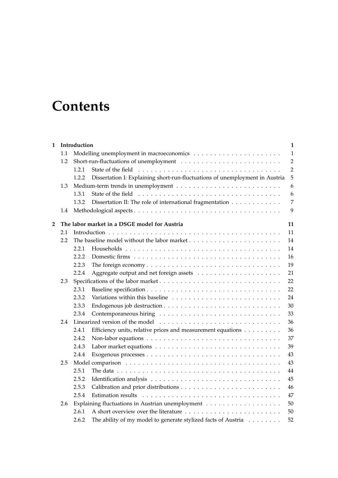# **Contents**

| 1              | Introduction |                                                                                                                |  | $\mathbf{1}$   |
|----------------|--------------|----------------------------------------------------------------------------------------------------------------|--|----------------|
|                | 1.1          |                                                                                                                |  | $\mathbf{1}$   |
|                | 1.2          |                                                                                                                |  | $\overline{2}$ |
|                |              | 1.2.1                                                                                                          |  | $\overline{2}$ |
|                |              | Dissertation I: Explaining short-run-fluctuations of unemployment in Austria<br>1.2.2                          |  | 5              |
|                | 1.3          |                                                                                                                |  | 6              |
|                |              | 1.3.1                                                                                                          |  | 6              |
|                |              | Dissertation II: The role of international fragmentation<br>1.3.2                                              |  | $\overline{7}$ |
|                | 1.4          |                                                                                                                |  | 9              |
| $\overline{2}$ |              | The labor market in a DSGE model for Austria                                                                   |  | 11             |
|                | 2.1          |                                                                                                                |  | 11             |
|                | 2.2          |                                                                                                                |  | 14             |
|                |              | 2.2.1                                                                                                          |  | 14             |
|                |              | 2.2.2                                                                                                          |  | 16             |
|                |              | The foreign economy $\dots \dots \dots \dots \dots \dots \dots \dots \dots \dots \dots \dots$<br>2.2.3         |  | 19             |
|                |              | 2.2.4                                                                                                          |  | 21             |
|                | 2.3          |                                                                                                                |  | 22             |
|                |              | 2.3.1                                                                                                          |  | 22             |
|                |              | 2.3.2                                                                                                          |  | 24             |
|                |              | 2.3.3                                                                                                          |  | 30             |
|                |              | 2.3.4                                                                                                          |  | 33             |
|                | 2.4          |                                                                                                                |  | 36             |
|                |              | 2.4.1<br>Efficiency units, relative prices and measurement equations                                           |  | 36             |
|                |              | 2.4.2                                                                                                          |  | 37             |
|                |              | 2.4.3                                                                                                          |  | 39             |
|                |              | 2.4.4                                                                                                          |  | 43             |
|                | 2.5          |                                                                                                                |  | 43             |
|                |              | 2.5.1<br>The data $\ldots \ldots \ldots \ldots \ldots \ldots \ldots \ldots \ldots \ldots \ldots \ldots \ldots$ |  | 44             |
|                |              | 2.5.2                                                                                                          |  | 45             |
|                |              | 2.5.3                                                                                                          |  | 46             |
|                |              | 2.5.4                                                                                                          |  | 47             |
|                | 2.6          |                                                                                                                |  | 50             |
|                |              | 2.6.1                                                                                                          |  | 50             |
|                |              | The ability of my model to generate stylized facts of Austria<br>2.6.2                                         |  | 52             |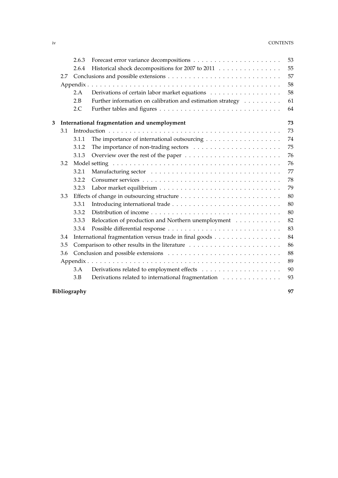## iv CONTENTS

|   |     | 2.6.3        |                                                            | 53 |
|---|-----|--------------|------------------------------------------------------------|----|
|   |     | 2.6.4        | Historical shock decompositions for 2007 to 2011           | 55 |
|   | 2.7 |              |                                                            | 57 |
|   |     |              |                                                            | 58 |
|   |     | 2.A          | Derivations of certain labor market equations              | 58 |
|   |     | 2.B          | Further information on calibration and estimation strategy | 61 |
|   |     | 2.C          |                                                            | 64 |
| 3 |     |              | International fragmentation and unemployment               | 73 |
|   | 3.1 |              |                                                            | 73 |
|   |     | 3.1.1        |                                                            | 74 |
|   |     | 3.1.2        |                                                            | 75 |
|   |     | 3.1.3        |                                                            | 76 |
|   | 3.2 |              |                                                            | 76 |
|   |     | 3.2.1        |                                                            | 77 |
|   |     | 3.2.2        |                                                            | 78 |
|   |     | 3.2.3        |                                                            | 79 |
|   | 3.3 |              |                                                            | 80 |
|   |     | 3.3.1        |                                                            | 80 |
|   |     | 3.3.2        |                                                            | 80 |
|   |     | 3.3.3        | Relocation of production and Northern unemployment         | 82 |
|   |     | 3.3.4        |                                                            | 83 |
|   | 3.4 |              | International fragmentation versus trade in final goods    | 84 |
|   | 3.5 |              |                                                            | 86 |
|   | 3.6 |              |                                                            | 88 |
|   |     |              |                                                            | 89 |
|   |     | 3.A          |                                                            | 90 |
|   |     | 3.B          | Derivations related to international fragmentation         | 93 |
|   |     | Bibliography |                                                            | 97 |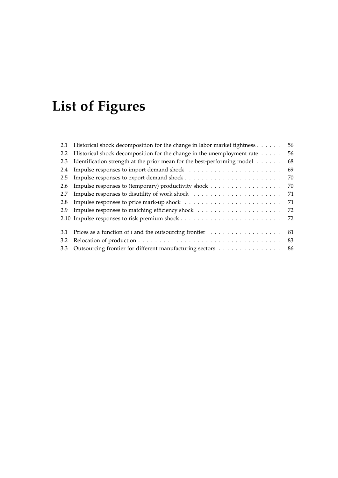# **List of Figures**

| Historical shock decomposition for the change in labor market tightness | 56 |
|-------------------------------------------------------------------------|----|
| Historical shock decomposition for the change in the unemployment rate  | 56 |
| Identification strength at the prior mean for the best-performing model | 68 |
|                                                                         | 69 |
|                                                                         | 70 |
| Impulse responses to (temporary) productivity shock                     | 70 |
|                                                                         | 71 |
|                                                                         | 71 |
|                                                                         | 72 |
|                                                                         | 72 |
| Prices as a function of <i>i</i> and the outsourcing frontier           | 81 |
|                                                                         | 83 |
| Outsourcing frontier for different manufacturing sectors                | 86 |
|                                                                         |    |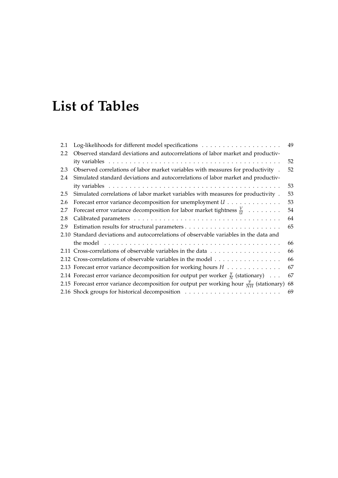# **List of Tables**

| 2.1 |                                                                                                                              | 49 |
|-----|------------------------------------------------------------------------------------------------------------------------------|----|
| 2.2 | Observed standard deviations and autocorrelations of labor market and productiv-                                             |    |
|     |                                                                                                                              | 52 |
| 2.3 | Observed correlations of labor market variables with measures for productivity .                                             | 52 |
| 2.4 | Simulated standard deviations and autocorrelations of labor market and productiv-                                            |    |
|     |                                                                                                                              | 53 |
| 2.5 | Simulated correlations of labor market variables with measures for productivity.                                             | 53 |
| 2.6 | Forecast error variance decomposition for unemployment $U \cdot \cdot \cdot \cdot \cdot \cdot \cdot \cdot \cdot \cdot \cdot$ | 53 |
| 2.7 | Forecast error variance decomposition for labor market tightness $\frac{V}{U}$                                               | 54 |
| 2.8 |                                                                                                                              | 64 |
| 2.9 |                                                                                                                              | 65 |
|     | 2.10 Standard deviations and autocorrelations of observable variables in the data and                                        |    |
|     |                                                                                                                              | 66 |
|     | 2.11 Cross-correlations of observable variables in the data                                                                  | 66 |
|     | 2.12 Cross-correlations of observable variables in the model                                                                 | 66 |
|     | 2.13 Forecast error variance decomposition for working hours $H$                                                             | 67 |
|     | 2.14 Forecast error variance decomposition for output per worker $\frac{y}{N}$ (stationary)                                  | 67 |
|     | 2.15 Forecast error variance decomposition for output per working hour $\frac{y}{NH}$ (stationary)                           | 68 |
|     |                                                                                                                              | 69 |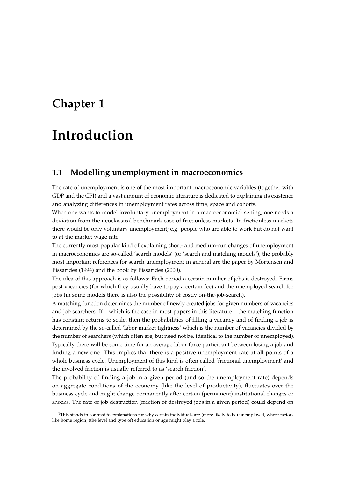# **Chapter 1**

# **Introduction**

# **1.1 Modelling unemployment in macroeconomics**

The rate of unemployment is one of the most important macroeconomic variables (together with GDP and the CPI) and a vast amount of economic literature is dedicated to explaining its existence and analyzing differences in unemployment rates across time, space and cohorts.

When one wants to model involuntary unemployment in a macroeconomic $^1$  setting, one needs a deviation from the neoclassical benchmark case of frictionless markets. In frictionless markets there would be only voluntary unemployment; e.g. people who are able to work but do not want to at the market wage rate.

The currently most popular kind of explaining short- and medium-run changes of unemployment in macroeconomics are so-called 'search models' (or 'search and matching models'); the probably most important references for search unemployment in general are the paper by Mortensen and Pissarides (1994) and the book by Pissarides (2000).

The idea of this approach is as follows: Each period a certain number of jobs is destroyed. Firms post vacancies (for which they usually have to pay a certain fee) and the unemployed search for jobs (in some models there is also the possibility of costly on-the-job-search).

A matching function determines the number of newly created jobs for given numbers of vacancies and job searchers. If – which is the case in most papers in this literature – the matching function has constant returns to scale, then the probabilities of filling a vacancy and of finding a job is determined by the so-called 'labor market tightness' which is the number of vacancies divided by the number of searchers (which often are, but need not be, identical to the number of unemployed). Typically there will be some time for an average labor force participant between losing a job and finding a new one. This implies that there is a positive unemployment rate at all points of a whole business cycle. Unemployment of this kind is often called 'frictional unemployment' and the involved friction is usually referred to as 'search friction'.

The probability of finding a job in a given period (and so the unemployment rate) depends on aggregate conditions of the economy (like the level of productivity), fluctuates over the business cycle and might change permanently after certain (permanent) institutional changes or shocks. The rate of job destruction (fraction of destroyed jobs in a given period) could depend on

 $1$ This stands in contrast to explanations for why certain individuals are (more likely to be) unemployed, where factors like home region, (the level and type of) education or age might play a role.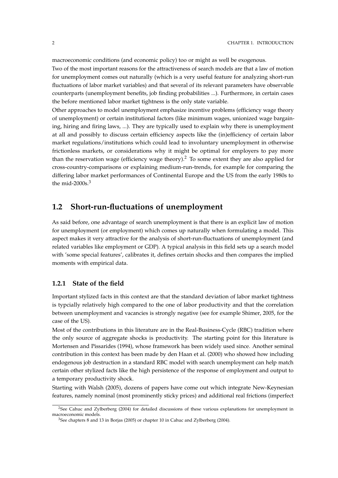macroeconomic conditions (and economic policy) too or might as well be exogenous.

Two of the most important reasons for the attractiveness of search models are that a law of motion for unemployment comes out naturally (which is a very useful feature for analyzing short-run fluctuations of labor market variables) and that several of its relevant parameters have observable counterparts (unemployment benefits, job finding probabilities ...). Furthermore, in certain cases the before mentioned labor market tightness is the only state variable.

Other approaches to model unemployment emphasize incentive problems (efficiency wage theory of unemployment) or certain institutional factors (like minimum wages, unionized wage bargaining, hiring and firing laws, ...). They are typically used to explain why there is unemployment at all and possibly to discuss certain efficiency aspects like the (in)efficiency of certain labor market regulations/institutions which could lead to involuntary unemployment in otherwise frictionless markets, or considerations why it might be optimal for employers to pay more than the reservation wage (efficiency wage theory).<sup>2</sup> To some extent they are also applied for cross-country-comparisons or explaining medium-run-trends, for example for comparing the differing labor market performances of Continental Europe and the US from the early 1980s to the mid-2000s. $3$ 

# **1.2 Short-run-fluctuations of unemployment**

As said before, one advantage of search unemployment is that there is an explicit law of motion for unemployment (or employment) which comes up naturally when formulating a model. This aspect makes it very attractive for the analysis of short-run-fluctuations of unemployment (and related variables like employment or GDP). A typical analysis in this field sets up a search model with 'some special features', calibrates it, defines certain shocks and then compares the implied moments with empirical data.

# **1.2.1 State of the field**

Important stylized facts in this context are that the standard deviation of labor market tightness is typcially relatively high compared to the one of labor productivity and that the correlation between unemployment and vacancies is strongly negative (see for example Shimer, 2005, for the case of the US).

Most of the contributions in this literature are in the Real-Business-Cycle (RBC) tradition where the only source of aggregate shocks is productivity. The starting point for this literature is Mortensen and Pissarides (1994), whose framework has been widely used since. Another seminal contribution in this context has been made by den Haan et al. (2000) who showed how including endogenous job destruction in a standard RBC model with search unemployment can help match certain other stylized facts like the high persistence of the response of employment and output to a temporary productivity shock.

Starting with Walsh (2005), dozens of papers have come out which integrate New-Keynesian features, namely nominal (most prominently sticky prices) and additional real frictions (imperfect

<sup>&</sup>lt;sup>2</sup>See Cahuc and Zylberberg (2004) for detailed discussions of these various explanations for unemployment in macroeconomic models.

<sup>3</sup>See chapters 8 and 13 in Borjas (2005) or chapter 10 in Cahuc and Zylberberg (2004).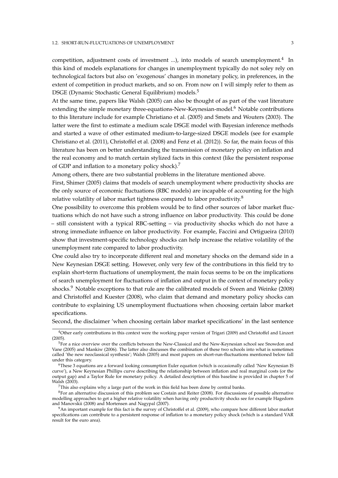#### 1.2. SHORT-RUN-FLUCTUATIONS OF UNEMPLOYMENT **3**

competition, adjustment costs of investment ...), into models of search unemployment.<sup>4</sup> In this kind of models explanations for changes in unemployment typically do not soley rely on technological factors but also on 'exogenous' changes in monetary policy, in preferences, in the extent of competition in product markets, and so on. From now on I will simply refer to them as DSGE (Dynamic Stochastic General Equilibrium) models.<sup>5</sup>

At the same time, papers like Walsh (2005) can also be thought of as part of the vast literature extending the simple monetary three-equations-New-Keynesian-model.<sup>6</sup> Notable contributions to this literature include for example Christiano et al. (2005) and Smets and Wouters (2003). The latter were the first to estimate a medium scale DSGE model with Bayesian inference methods and started a wave of other estimated medium-to-large-sized DSGE models (see for example Christiano et al. (2011), Christoffel et al. (2008) and Fenz et al. (2012)). So far, the main focus of this literature has been on better understanding the transmission of monetary policy on inflation and the real economy and to match certain stylized facts in this context (like the persistent response of GDP and inflation to a monetary policy shock).<sup>7</sup>

Among others, there are two substantial problems in the literature mentioned above.

First, Shimer (2005) claims that models of search unemployment where productivity shocks are the only source of economic fluctuations (RBC models) are incapable of accounting for the high relative volatility of labor market tightness compared to labor productivity.<sup>8</sup>

One possibility to overcome this problem would be to find other sources of labor market fluctuations which do not have such a strong influence on labor productivity. This could be done – still consistent with a typical RBC-setting – via productivity shocks which do not have a strong immediate influence on labor productivity. For example, Faccini and Ortigueira (2010) show that investment-specific technology shocks can help increase the relative volatility of the unemployment rate compared to labor productivity.

One could also try to incorporate different real and monetary shocks on the demand side in a New Keynesian DSGE setting. However, only very few of the contributions in this field try to explain short-term fluctuations of unemployment, the main focus seems to be on the implications of search unemployment for fluctuations of inflation and output in the context of monetary policy shocks.<sup>9</sup> Notable exceptions to that rule are the calibrated models of Sveen and Weinke (2008) and Christoffel and Kuester (2008), who claim that demand and monetary policy shocks can contribute to explaining US unemployment fluctuations when choosing certain labor market specifications.

Second, the disclaimer 'when choosing certain labor market specifications' in the last sentence

 $7$ This also explains why a large part of the work in this field has been done by central banks.

<sup>4</sup>Other early contributions in this context were the working paper version of Trigari (2009) and Christoffel and Linzert (2005).

<sup>&</sup>lt;sup>5</sup>For a nice overview over the conflicts between the New-Classical and the New-Keynesian school see Snowdon and Vane (2005) and Mankiw (2006). The latter also discusses the combination of these two schools into what is sometimes called 'the new neoclassical synthesis'; Walsh (2005) and most papers on short-run-fluctuations mentioned below fall under this category.

<sup>6</sup>These 3 equations are a forward looking consumption Euler equation (which is occasionally called 'New Keynesian IS curve'), a New Keynesian Phillips curve describing the relationship between inflation and real marginal costs (or the output gap) and a Taylor Rule for monetary policy. A detailed description of this baseline is provided in chapter 5 of Walsh (2003).

 $8$ For an alternative discussion of this problem see Costain and Reiter (2008). For discussions of possible alternative modelling approaches to get a higher relative volatility when having only productivity shocks see for example Hagedorn and Manovskii (2008) and Mortensen and Nagypal (2007).

<sup>9</sup>An important example for this fact is the survey of Christoffel et al. (2009), who compare how different labor market specifications can contribute to a persistent response of inflation to a monetary policy shock (which is a standard VAR result for the euro area).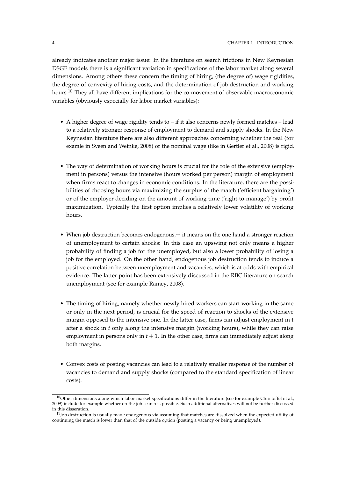already indicates another major issue: In the literature on search frictions in New Keynesian DSGE models there is a significant variation in specifications of the labor market along several dimensions. Among others these concern the timing of hiring, (the degree of) wage rigidities, the degree of convexity of hiring costs, and the determination of job destruction and working hours.<sup>10</sup> They all have different implications for the co-movement of observable macroeconomic variables (obviously especially for labor market variables):

- A higher degree of wage rigidity tends to if it also concerns newly formed matches lead to a relatively stronger response of employment to demand and supply shocks. In the New Keynesian literature there are also different approaches concerning whether the real (for examle in Sveen and Weinke, 2008) or the nominal wage (like in Gertler et al., 2008) is rigid.
- The way of determination of working hours is crucial for the role of the extensive (employment in persons) versus the intensive (hours worked per person) margin of employment when firms react to changes in economic conditions. In the literature, there are the possibilities of choosing hours via maximizing the surplus of the match ('efficient bargaining') or of the employer deciding on the amount of working time ('right-to-manage') by profit maximization. Typically the first option implies a relatively lower volatility of working hours.
- When job destruction becomes endogenous, $11$  it means on the one hand a stronger reaction of unemployment to certain shocks: In this case an upswing not only means a higher probability of finding a job for the unemployed, but also a lower probability of losing a job for the employed. On the other hand, endogenous job destruction tends to induce a positive correlation between unemployment and vacancies, which is at odds with empirical evidence. The latter point has been extensively discussed in the RBC literature on search unemployment (see for example Ramey, 2008).
- The timing of hiring, namely whether newly hired workers can start working in the same or only in the next period, is crucial for the speed of reaction to shocks of the extensive margin opposed to the intensive one. In the latter case, firms can adjust employment in t after a shock in *t* only along the intensive margin (working hours), while they can raise employment in persons only in  $t + 1$ . In the other case, firms can immediately adjust along both margins.
- Convex costs of posting vacancies can lead to a relatively smaller response of the number of vacancies to demand and supply shocks (compared to the standard specification of linear costs).

 $10$ Other dimensions along which labor market specifications differ in the literature (see for example Christoffel et al., 2009) include for example whether on-the-job-search is possible. Such additional alternatives will not be further discussed in this disseration.

 $11$ Job destruction is usually made endogenous via assuming that matches are dissolved when the expected utility of continuing the match is lower than that of the outside option (posting a vacancy or being unemployed).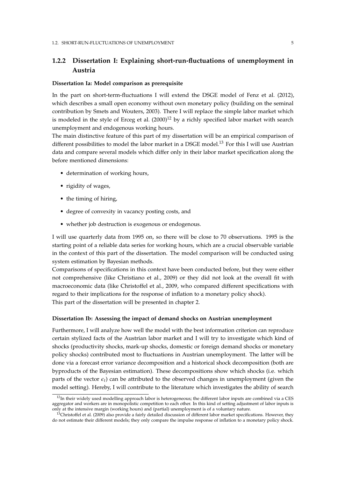# **1.2.2 Dissertation I: Explaining short-run-fluctuations of unemployment in Austria**

### **Dissertation Ia: Model comparison as prerequisite**

In the part on short-term-fluctuations I will extend the DSGE model of Fenz et al. (2012), which describes a small open economy without own monetary policy (building on the seminal contribution by Smets and Wouters, 2003). There I will replace the simple labor market which is modeled in the style of Erceg et al.  $(2000)^{12}$  by a richly specified labor market with search unemployment and endogenous working hours.

The main distinctive feature of this part of my dissertation will be an empirical comparison of different possibilities to model the labor market in a DSGE model.<sup>13</sup> For this I will use Austrian data and compare several models which differ only in their labor market specification along the before mentioned dimensions:

- determination of working hours,
- rigidity of wages,
- the timing of hiring,
- degree of convexity in vacancy posting costs, and
- whether job destruction is exogenous or endogenous.

I will use quarterly data from 1995 on, so there will be close to 70 observations. 1995 is the starting point of a reliable data series for working hours, which are a crucial observable variable in the context of this part of the dissertation. The model comparison will be conducted using system estimation by Bayesian methods.

Comparisons of specifications in this context have been conducted before, but they were either not comprehensive (like Christiano et al., 2009) or they did not look at the overall fit with macroeconomic data (like Christoffel et al., 2009, who compared different specifications with regard to their implications for the response of inflation to a monetary policy shock). This part of the dissertation will be presented in chapter 2.

#### **Dissertation Ib: Assessing the impact of demand shocks on Austrian unemployment**

Furthermore, I will analyze how well the model with the best information criterion can reproduce certain stylized facts of the Austrian labor market and I will try to investigate which kind of shocks (productivity shocks, mark-up shocks, domestic or foreign demand shocks or monetary policy shocks) contributed most to fluctuations in Austrian unemployment. The latter will be done via a forecast error variance decomposition and a historical shock decomposition (both are byproducts of the Bayesian estimation). These decompositions show which shocks (i.e. which parts of the vector  $\epsilon_t$ ) can be attributed to the observed changes in unemployment (given the model setting). Hereby, I will contribute to the literature which investigates the ability of search

 $12$ In their widely used modelling approach labor is heterogeneous; the different labor inputs are combined via a CES aggregator and workers are in monopolistic competition to each other. In this kind of setting adjustment of labor inputs is only at the intensive margin (working hours) and (partial) unemployment is of a voluntary nature.

 $13$ Christoffel et al. (2009) also provide a fairly detailed discussion of different labor market specifications. However, they do not estimate their different models; they only compare the impulse response of inflation to a monetary policy shock.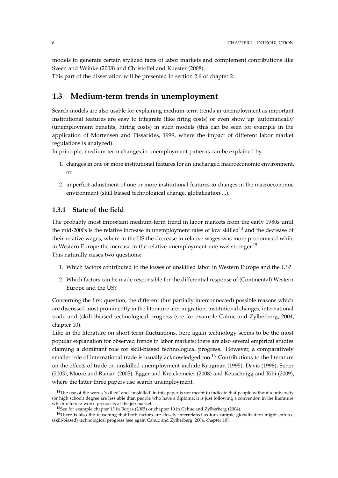models to generate certain stylized facts of labor markets and complement contributions like Sveen and Weinke (2008) and Christoffel and Kuester (2008).

This part of the dissertation will be presented in section 2.6 of chapter 2.

# **1.3 Medium-term trends in unemployment**

Search models are also usable for explaining medium-term trends in unemployment as important institutional features are easy to integrate (like firing costs) or even show up 'automatically' (unemployment benefits, hiring costs) in such models (this can be seen for example in the application of Mortensen and Pissarides, 1999, where the impact of different labor market regulations is analyzed).

In principle, medium term changes in unemployment patterns can be explained by

- 1. changes in one or more institutional features for an unchanged macroeconomic environment, or
- 2. imperfect adjustment of one or more institutional features to changes in the macroeconomic environment (skill biased technological change, globalization ...).

# **1.3.1 State of the field**

The probably most important medium-term trend in labor markets from the early 1980s until the mid-2000s is the relative increase in unemployment rates of low skilled<sup>14</sup> and the decrease of their relative wages, where in the US the decrease in relative wages was more pronounced while in Western Europe the increase in the relative unemployment rate was stronger.<sup>15</sup> This naturally raises two questions:

- 1. Which factors contributed to the losses of unskilled labor in Western Europe and the US?
- 2. Which factors can be made responsible for the differential response of (Continental) Western Europe and the US?

Concerning the first question, the different (but partially interconnected) possible reasons which are discussed most prominently in the literature are: migration, institutional changes, international trade and (skill-)biased technological progress (see for example Cahuc and Zylberberg, 2004, chapter 10).

Like in the literature on short-term-fluctuations, here again technology seems to be the most popular explanation for observed trends in labor markets; there are also several empirical studies claiming a dominant role for skill-biased technological progress. However, a comparatively smaller role of international trade is usually acknowledged too.<sup>16</sup> Contributions to the literature on the effects of trade on unskilled unemployment include Krugman (1995), Davis (1998), Sener (2003), Moore and Ranjan (2005), Egger and Kreickemeier (2008) and Keuschnigg and Ribi (2009), where the latter three papers use search unemployment.

 $14$ The use of the words 'skilled' and 'unskilled' in this paper is not meant to indicate that people without a university (or high school) degree are less able than people who have a diploma; it is just following a convention in the literature which refers to worse prospects at the job market.

<sup>&</sup>lt;sup>15</sup>See for example chapter 13 in Borjas (2005) or chapter 10 in Cahuc and Zylberberg (2004).

<sup>&</sup>lt;sup>16</sup>There is also the reasoning that both factors are closely interrelated as for example globalization might enforce (skill-biased) technological progress (see again Cahuc and Zylberberg, 2004, chapter 10).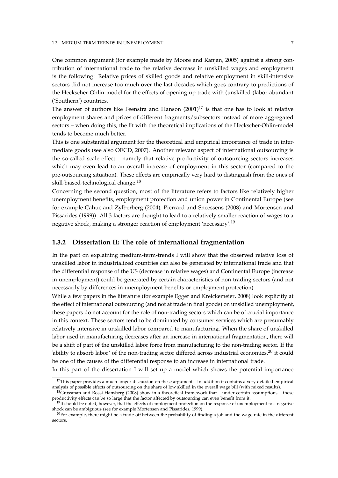One common argument (for example made by Moore and Ranjan, 2005) against a strong contribution of international trade to the relative decrease in unskilled wages and employment is the following: Relative prices of skilled goods and relative employment in skill-intensive sectors did not increase too much over the last decades which goes contrary to predictions of the Heckscher-Ohlin-model for the effects of opening up trade with (unskilled-)labor-abundant ('Southern') countries.

The answer of authors like Feenstra and Hanson  $(2001)^{17}$  is that one has to look at relative employment shares and prices of different fragments/subsectors instead of more aggregated sectors – when doing this, the fit with the theoretical implications of the Heckscher-Ohlin-model tends to become much better.

This is one substantial argument for the theoretical and empirical importance of trade in intermediate goods (see also OECD, 2007). Another relevant aspect of international outsourcing is the so-called scale effect – namely that relative productivity of outsourcing sectors increases which may even lead to an overall increase of employment in this sector (compared to the pre-outsourcing situation). These effects are empirically very hard to distinguish from the ones of skill-biased-technological change.<sup>18</sup>

Concerning the second question, most of the literature refers to factors like relatively higher unemployment benefits, employment protection and union power in Continental Europe (see for example Cahuc and Zylberberg (2004), Pierrard and Sneessens (2008) and Mortensen and Pissarides (1999)). All 3 factors are thought to lead to a relatively smaller reaction of wages to a negative shock, making a stronger reaction of employment 'necessary'.<sup>19</sup>

### **1.3.2 Dissertation II: The role of international fragmentation**

In the part on explaining medium-term-trends I will show that the observed relative loss of unskilled labor in industrialized countries can also be generated by international trade and that the differential response of the US (decrease in relative wages) and Continental Europe (increase in unemployment) could be generated by certain characteristics of non-trading sectors (and not necessarily by differences in unemployment benefits or employment protection).

While a few papers in the literature (for example Egger and Kreickemeier, 2008) look explicitly at the effect of international outsourcing (and not at trade in final goods) on unskilled unemployment, these papers do not account for the role of non-trading sectors which can be of crucial importance in this context. These sectors tend to be dominated by consumer services which are presumably relatively intensive in unskilled labor compared to manufacturing. When the share of unskilled labor used in manufacturing decreases after an increase in international fragmentation, there will be a shift of part of the unskilled labor force from manufacturing to the non-trading sector. If the 'ability to absorb labor' of the non-trading sector differed across industrial economies, $^{20}$  it could be one of the causes of the differential response to an increase in international trade.

In this part of the dissertation I will set up a model which shows the potential importance

<sup>&</sup>lt;sup>17</sup>This paper provides a much longer discussion on these arguments. In addition it contains a very detailed empirical analysis of possible effects of outsourcing on the share of low skilled in the overall wage bill (with mixed results).

 $18G$ rossman and Rossi-Hansberg (2008) show in a theoretical framework that – under certain assumptions – these productivity effects can be so large that the factor affected by outsourcing can even benefit from it.

<sup>&</sup>lt;sup>19</sup>It should be noted, however, that the effects of employment protection on the response of unemployment to a negative shock can be ambiguous (see for example Mortensen and Pissarides, 1999).

 $^{20}$ For example, there might be a trade-off between the probability of finding a job and the wage rate in the different sectors.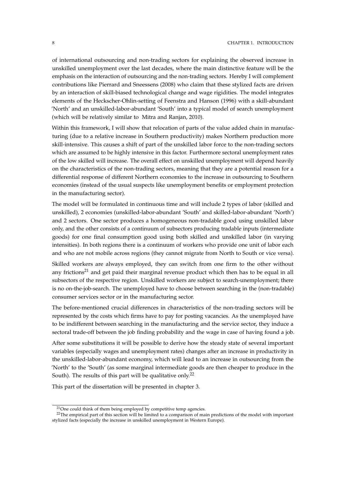of international outsourcing and non-trading sectors for explaining the observed increase in unskilled unemployment over the last decades, where the main distinctive feature will be the emphasis on the interaction of outsourcing and the non-trading sectors. Hereby I will complement contributions like Pierrard and Sneessens (2008) who claim that these stylized facts are driven by an interaction of skill-biased technological change and wage rigidities. The model integrates elements of the Heckscher-Ohlin-setting of Feenstra and Hanson (1996) with a skill-abundant 'North' and an unskilled-labor-abundant 'South' into a typical model of search unemployment (which will be relatively similar to Mitra and Ranjan, 2010).

Within this framework, I will show that relocation of parts of the value added chain in manufacturing (due to a relative increase in Southern productivity) makes Northern production more skill-intensive. This causes a shift of part of the unskilled labor force to the non-trading sectors which are assumed to be highly intensive in this factor. Furthermore sectoral unemployment rates of the low skilled will increase. The overall effect on unskilled unemployment will depend heavily on the characteristics of the non-trading sectors, meaning that they are a potential reason for a differential response of different Northern economies to the increase in outsourcing to Southern economies (instead of the usual suspects like unemployment benefits or employment protection in the manufacturing sector).

The model will be formulated in continuous time and will include 2 types of labor (skilled and unskilled), 2 economies (unskilled-labor-abundant 'South' and skilled-labor-abundant 'North') and 2 sectors. One sector produces a homogeneous non-tradable good using unskilled labor only, and the other consists of a continuum of subsectors producing tradable inputs (intermediate goods) for one final consumption good using both skilled and unskilled labor (in varying intensities). In both regions there is a continuum of workers who provide one unit of labor each and who are not mobile across regions (they cannot migrate from North to South or vice versa).

Skilled workers are always employed, they can switch from one firm to the other without any frictions<sup>21</sup> and get paid their marginal revenue product which then has to be equal in all subsectors of the respective region. Unskilled workers are subject to search-unemployment; there is no on-the-job-search. The unemployed have to choose between searching in the (non-tradable) consumer services sector or in the manufacturing sector.

The before-mentioned crucial differences in characteristics of the non-trading sectors will be represented by the costs which firms have to pay for posting vacancies. As the unemployed have to be indifferent between searching in the manufacturing and the service sector, they induce a sectoral trade-off between the job finding probability and the wage in case of having found a job.

After some substitutions it will be possible to derive how the steady state of several important variables (especially wages and unemployment rates) changes after an increase in productivity in the unskilled-labor-abundant economy, which will lead to an increase in outsourcing from the 'North' to the 'South' (as some marginal intermediate goods are then cheaper to produce in the South). The results of this part will be qualitative only.<sup>22</sup>

This part of the dissertation will be presented in chapter 3.

<sup>&</sup>lt;sup>21</sup>One could think of them being employed by competitive temp agencies.

<sup>&</sup>lt;sup>22</sup>The empirical part of this section will be limited to a comparison of main predictions of the model with important stylized facts (especially the increase in unskilled unemployment in Western Europe).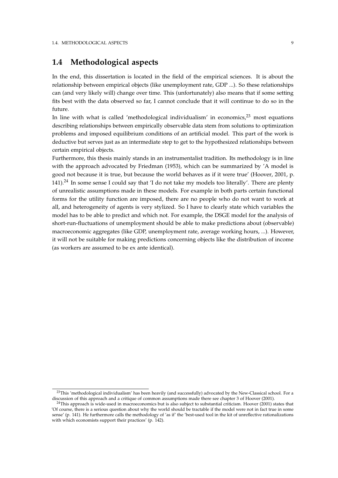# **1.4 Methodological aspects**

In the end, this dissertation is located in the field of the empirical sciences. It is about the relationship between empirical objects (like unemployment rate, GDP ...). So these relationships can (and very likely will) change over time. This (unfortunately) also means that if some setting fits best with the data observed so far, I cannot conclude that it will continue to do so in the future.

In line with what is called 'methodological individualism' in economics, $2^3$  most equations describing relationships between empirically observable data stem from solutions to optimization problems and imposed equilibrium conditions of an artificial model. This part of the work is deductive but serves just as an intermediate step to get to the hypothesized relationships between certain empirical objects.

Furthermore, this thesis mainly stands in an instrumentalist tradition. Its methodology is in line with the approach advocated by Friedman (1953), which can be summarized by 'A model is good not because it is true, but because the world behaves as if it were true' (Hoover, 2001, p. 141).<sup>24</sup> In some sense I could say that  $\prime$ I do not take my models too literally'. There are plenty of unrealistic assumptions made in these models. For example in both parts certain functional forms for the utility function are imposed, there are no people who do not want to work at all, and heterogeneity of agents is very stylized. So I have to clearly state which variables the model has to be able to predict and which not. For example, the DSGE model for the analysis of short-run-fluctuations of unemployment should be able to make predictions about (observable) macroeconomic aggregates (like GDP, unemployment rate, average working hours, ...). However, it will not be suitable for making predictions concerning objects like the distribution of income (as workers are assumed to be ex ante identical).

<sup>&</sup>lt;sup>23</sup>This 'methodological individualism' has been heavily (and successfully) advocated by the New-Classical school. For a discussion of this approach and a critique of common assumptions made there see chapter 3 of Hoover (2001).

 $24$ This approach is wide-used in macroeconomics but is also subject to substantial criticism. Hoover (2001) states that 'Of course, there is a serious question about why the world should be tractable if the model were not in fact true in some sense' (p. 141). He furthermore calls the methodology of 'as if' the 'best-used tool in the kit of unreflective rationalizations with which economists support their practices' (p. 142).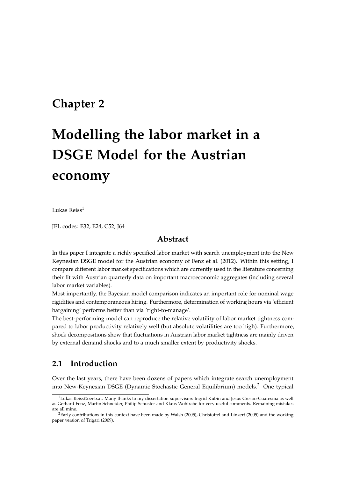# **Chapter 2**

# **Modelling the labor market in a DSGE Model for the Austrian economy**

Lukas Reiss<sup>1</sup>

JEL codes: E32, E24, C52, J64

# **Abstract**

In this paper I integrate a richly specified labor market with search unemployment into the New Keynesian DSGE model for the Austrian economy of Fenz et al. (2012). Within this setting, I compare different labor market specifications which are currently used in the literature concerning their fit with Austrian quarterly data on important macroeconomic aggregates (including several labor market variables).

Most importantly, the Bayesian model comparison indicates an important role for nominal wage rigidities and contemporaneous hiring. Furthermore, determination of working hours via 'efficient bargaining' performs better than via 'right-to-manage'.

The best-performing model can reproduce the relative volatility of labor market tightness compared to labor productivity relatively well (but absolute volatilities are too high). Furthermore, shock decompositions show that fluctuations in Austrian labor market tightness are mainly driven by external demand shocks and to a much smaller extent by productivity shocks.

# **2.1 Introduction**

Over the last years, there have been dozens of papers which integrate search unemployment into New-Keynesian DSGE (Dynamic Stochastic General Equilibrium) models.<sup>2</sup> One typical

 $1$ Lukas.Reiss@oenb.at. Many thanks to my dissertation supervisors Ingrid Kubin and Jesus Crespo-Cuaresma as well as Gerhard Fenz, Martin Schneider, Philip Schuster and Klaus Wohlrabe for very useful comments. Remaining mistakes are all mine.

<sup>&</sup>lt;sup>2</sup>Early contributions in this context have been made by Walsh (2005), Christoffel and Linzert (2005) and the working paper version of Trigari (2009).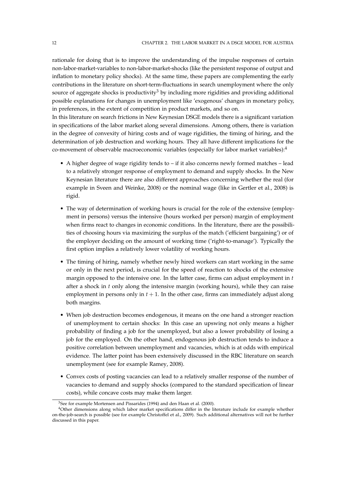rationale for doing that is to improve the understanding of the impulse responses of certain non-labor-market-variables to non-labor-market-shocks (like the persistent response of output and inflation to monetary policy shocks). At the same time, these papers are complementing the early contributions in the literature on short-term-fluctuations in search unemployment where the only source of aggregate shocks is productivity<sup>3</sup> by including more rigidities and providing additional possible explanations for changes in unemployment like 'exogenous' changes in monetary policy, in preferences, in the extent of competition in product markets, and so on.

In this literature on search frictions in New Keynesian DSGE models there is a significant variation in specifications of the labor market along several dimensions. Among others, there is variation in the degree of convexity of hiring costs and of wage rigidities, the timing of hiring, and the determination of job destruction and working hours. They all have different implications for the co-movement of observable macroeconomic variables (especially for labor market variables):<sup>4</sup>

- A higher degree of wage rigidity tends to if it also concerns newly formed matches lead to a relatively stronger response of employment to demand and supply shocks. In the New Keynesian literature there are also different approaches concerning whether the real (for example in Sveen and Weinke, 2008) or the nominal wage (like in Gertler et al., 2008) is rigid.
- The way of determination of working hours is crucial for the role of the extensive (employment in persons) versus the intensive (hours worked per person) margin of employment when firms react to changes in economic conditions. In the literature, there are the possibilities of choosing hours via maximizing the surplus of the match ('efficient bargaining') or of the employer deciding on the amount of working time ('right-to-manage'). Typically the first option implies a relatively lower volatility of working hours.
- The timing of hiring, namely whether newly hired workers can start working in the same or only in the next period, is crucial for the speed of reaction to shocks of the extensive margin opposed to the intensive one. In the latter case, firms can adjust employment in *t* after a shock in *t* only along the intensive margin (working hours), while they can raise employment in persons only in  $t + 1$ . In the other case, firms can immediately adjust along both margins.
- When job destruction becomes endogenous, it means on the one hand a stronger reaction of unemployment to certain shocks: In this case an upswing not only means a higher probability of finding a job for the unemployed, but also a lower probability of losing a job for the employed. On the other hand, endogenous job destruction tends to induce a positive correlation between unemployment and vacancies, which is at odds with empirical evidence. The latter point has been extensively discussed in the RBC literature on search unemployment (see for example Ramey, 2008).
- Convex costs of posting vacancies can lead to a relatively smaller response of the number of vacancies to demand and supply shocks (compared to the standard specification of linear costs), while concave costs may make them larger.

<sup>3</sup>See for example Mortensen and Pissarides (1994) and den Haan et al. (2000).

<sup>4</sup>Other dimensions along which labor market specifications differ in the literature include for example whether on-the-job-search is possible (see for example Christoffel et al., 2009). Such additional alternatives will not be further discussed in this paper.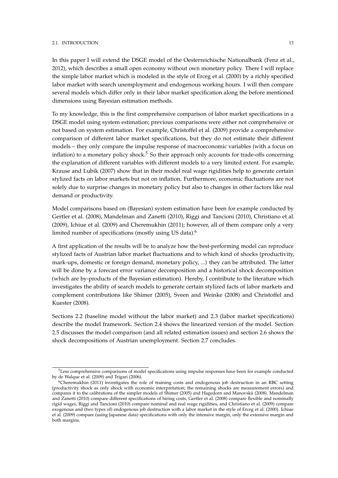#### 2.1. INTRODUCTION 13

In this paper I will extend the DSGE model of the Oesterreichische Nationalbank (Fenz et al., 2012), which describes a small open economy without own monetary policy. There I will replace the simple labor market which is modeled in the style of Erceg et al. (2000) by a richly specified labor market with search unemployment and endogenous working hours. I will then compare several models which differ only in their labor market specification along the before mentioned dimensions using Bayesian estimation methods.

To my knowledge, this is the first comprehensive comparison of labor market specifications in a DSGE model using system estimation; previous comparisons were either not comprehensive or not based on system estimation. For example, Christoffel et al. (2009) provide a comprehensive comparison of different labor market specifications, but they do not estimate their different models – they only compare the impulse response of macroeconomic variables (with a focus on inflation) to a monetary policy shock.<sup>5</sup> So their approach only accounts for trade-offs concerning the explanation of different variables with different models to a very limited extent. For example, Krause and Lubik (2007) show that in their model real wage rigidities help to generate certain stylized facts on labor markets but not on inflation. Furthermore, economic fluctuations are not solely due to surprise changes in monetary policy but also to changes in other factors like real demand or productivity.

Model comparisons based on (Bayesian) system estimation have been for example conducted by Gertler et al. (2008), Mandelman and Zanetti (2010), Riggi and Tancioni (2010), Christiano et al. (2009), Ichiue et al. (2009) and Cheremukhin (2011); however, all of them compare only a very limited number of specifications (mostly using US data).<sup>6</sup>

A first application of the results will be to analyze how the best-performing model can reproduce stylized facts of Austrian labor market fluctuations and to which kind of shocks (productivity, mark-ups, domestic or foreign demand, monetary policy, ...) they can be attributed. The latter will be done by a forecast error variance decomposition and a historical shock decomposition (which are by-products of the Bayesian estimation). Hereby, I contribute to the literature which investigates the ability of search models to generate certain stylized facts of labor markets and complement contributions like Shimer (2005), Sveen and Weinke (2008) and Christoffel and Kuester (2008).

Sections 2.2 (baseline model without the labor market) and 2.3 (labor market specifications) describe the model framework. Section 2.4 shows the linearized version of the model. Section 2.5 discusses the model comparison (and all related estimation issues) and section 2.6 shows the shock decompositions of Austrian unemployment. Section 2.7 concludes.

<sup>&</sup>lt;sup>5</sup>Less comprehensive comparisons of model specifications using impulse responses have been for example conducted by de Walque et al. (2009) and Trigari (2006).

 $6$ Cheremukhin (2011) investigates the role of training costs and endogenous job destruction in an RBC setting (productivity shock as only shock with economic interpretation; the remaining shocks are measurement errors) and compares it to the calibrations of the simpler models of Shimer (2005) and Hagedorn and Manovskii (2008). Mandelman and Zanetti (2010) compare different specifications of hiring costs, Gertler et al. (2008) compare flexible and nominally rigid wages, Riggi and Tancioni (2010) compare nominal and real wage rigidities, and Christiano et al. (2009) compare exogenous and (two types of) endogenous job destruction with a labor market in the style of Erceg et al. (2000). Ichiue et al. (2009) compare (using Japanese data) specifications with only the intensive margin, only the extensive margin and both margins.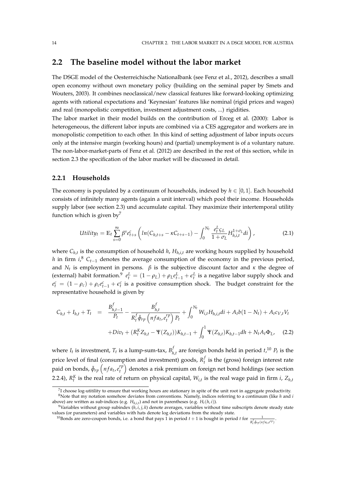# **2.2 The baseline model without the labor market**

The DSGE model of the Oesterreichische Nationalbank (see Fenz et al., 2012), describes a small open economy without own monetary policy (building on the seminal paper by Smets and Wouters, 2003). It combines neoclassical/new classical features like forward-looking optimizing agents with rational expectations and 'Keynesian' features like nominal (rigid prices and wages) and real (monopolistic competition, investment adjustment costs, ...) rigidities.

The labor market in their model builds on the contribution of Erceg et al. (2000): Labor is heterogeneous, the different labor inputs are combined via a CES aggregator and workers are in monopolistic competition to each other. In this kind of setting adjustment of labor inputs occurs only at the intensive margin (working hours) and (partial) unemployment is of a voluntary nature. The non-labor-market-parts of Fenz et al. (2012) are described in the rest of this section, while in section 2.3 the specification of the labor market will be discussed in detail.

#### **2.2.1 Households**

The economy is populated by a continuum of households, indexed by  $h \in [0,1]$ . Each household consists of infinitely many agents (again a unit interval) which pool their income. Households supply labor (see section 2.3) und accumulate capital. They maximize their intertemporal utility function which is given by<sup>7</sup>

$$
Utility_t = \mathbb{E}_t \sum_{s=0}^{\infty} \beta^s e_{t+s}^c \left( ln(C_{h,t+s} - \kappa C_{t+s-1}) - \int_0^{N_t} \frac{e_t^L \zeta_L}{1 + \sigma_L} H_{h,i,t}^{1 + \sigma_L} di \right),
$$
 (2.1)

where *Ch*,*<sup>t</sup>* is the consumption of household *h*, *Hh*,*i*,*<sup>t</sup>* are working hours supplied by household *h* in firm *i*,<sup>8</sup>  $C$ <sup>*t*−1</sup> denotes the average consumption of the economy in the previous period, and *N<sup>t</sup>* is employment in persons. *β* is the subjective discount factor and *κ* the degree of (external) habit formation.<sup>9</sup>  $e_t^L = (1 - \rho_L) + \rho_L e_{t-1}^L + \epsilon_t^L$  is a negative labor supply shock and  $e_t^c = (1 - \rho_c) + \rho_c e_{t-1}^c + \epsilon_t^c$  is a positive consumption shock. The budget constraint for the representative household is given by

$$
C_{h,t} + I_{h,t} + T_t = \frac{B_{h,t-1}^f}{P_t} - \frac{B_{h,t}^f}{R_t^f \tilde{\phi}_{rp} \left(nfa_t, e_t^{rp}\right) P_t} + \int_0^{N_t} W_{i,t} H_{h,i,t} dt + A_t b(1 - N_t) + A_t c_{V,t} V_t
$$

$$
+ Div_t + (R_t^K Z_{h,t} - \Psi(Z_{h,t})) K_{h,t-1} + \int_0^1 \Psi(Z_{h,t}) K_{h,t-1} dh + N_t A_t \Phi_L, \quad (2.2)
$$

where  $I_t$  is investment,  $T_t$  is a lump-sum-tax,  $B_h^f$  $\int_{h,t}^{f}$  are foreign bonds held in period  $t,^{10}$   $P_t$  is the price level of final (consumption and investment) goods, *R f*  $t<sub>t</sub><sup>*t*</sup>$  is the (gross) foreign interest rate paid on bonds,  $\tilde{\phi}_{rp}\left(nfa_t, e^{rp}_t\right)$  $\left(\begin{smallmatrix}rp\ t\end{smallmatrix}\right)$  denotes a risk premium on foreign net bond holdings (see section 2.2.4),  $R_t^K$  is the real rate of return on physical capital,  $W_{i,t}$  is the real wage paid in firm *i*,  $Z_{h,t}$ 

<sup>&</sup>lt;sup>7</sup>I choose log-utitility to ensure that working hours are stationary in spite of the unit root in aggregate productivity. <sup>8</sup>Note that my notation somehow deviates from conventions. Namely, indices referring to a continuum (like *h* and *i*

above) are written as sub-indices (e.g. *Hh*,*i*,*<sup>t</sup>* ) and not in parentheses (e.g. *Ht*(*h*, *i*)). <sup>9</sup>Variables without group subindex  $(h, i, j, k)$  denote averages, variables without time subscripts denote steady state values (or parameters) and variables with hats denote log deviations from the steady state.

<sup>&</sup>lt;sup>10</sup>Bonds are zero-coupon bonds, i.e. a bond that pays 1 in period  $t + 1$  is bought in period  $t$  for  $\frac{1}{R_t^f \bar{\phi}_{rp}(nfa_t,e^{rp})}$ .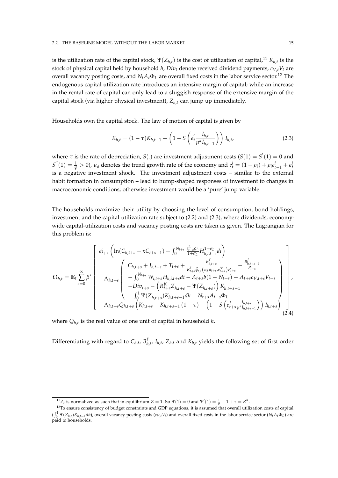is the utilization rate of the capital stock,  $\Psi(Z_{h,t})$  is the cost of utilization of capital,<sup>11</sup>  $K_{h,t}$  is the stock of physical capital held by household *h*, *Div<sup>t</sup>* denote received dividend payments, *cV*,*tV<sup>t</sup>* are overall vacancy posting costs, and  $N_t A_t \Phi_L$  are overall fixed costs in the labor service sector.<sup>12</sup> The endogenous capital utilization rate introduces an intensive margin of capital; while an increase in the rental rate of capital can only lead to a sluggish response of the extensive margin of the capital stock (via higher physical investment), *Zh*,*<sup>t</sup>* can jump up immediately.

Households own the capital stock. The law of motion of capital is given by

$$
K_{h,t} = (1 - \tau)K_{h,t-1} + \left(1 - S\left(e_t^i \frac{I_{h,t}}{\mu^a I_{h,t-1}}\right)\right)I_{h,t},
$$
\n(2.3)

where  $\tau$  is the rate of depreciation,  $S(.)$  are investment adjustment costs  $(S(1) = S^{'}(1) = 0$  and  $S''(1) = \frac{1}{\varphi} > 0$ ),  $\mu_a$  denotes the trend growth rate of the economy and  $e_t^i = (1 - \rho_i) + \rho_i e_{t-1}^i + \epsilon_t^i$ is a negative investment shock. The investment adjustment costs – similar to the external habit formation in consumption – lead to hump-shaped responses of investment to changes in macroeconomic conditions; otherwise investment would be a 'pure' jump variable.

The households maximize their utility by choosing the level of consumption, bond holdings, investment and the capital utilization rate subject to (2.2) and (2.3), where dividends, economywide capital-utilization costs and vacancy posting costs are taken as given. The Lagrangian for this problem is:

$$
\Omega_{h,t} = \mathbb{E}_{t} \sum_{s=0}^{\infty} \beta^{s} \begin{bmatrix} e_{t+s}^{c} \left( \ln(C_{h,t+s} - \kappa C_{t+s-1}) - \int_{0}^{N_{t+s}} \frac{e_{t+s}^{L} \zeta_{L}}{1+\sigma_{L}} H_{h,i,t+s}^{1+\sigma_{L}} dt \right) \\ \left( \begin{array}{c} C_{h,t+s} + I_{h,t+s} + T_{t+s} + \frac{B_{h,t+s}^{f}}{R_{t+s}^{f} \zeta_{r} \gamma_{r} (nfa_{t+s}e_{t+s}^{rp}) P_{t+s}} - \frac{B_{h,t+s}^{f}}{P_{t+s}} \\ - \int_{0}^{N_{t+s}} W_{i,t+s} H_{h,i,t+s} dt - A_{t+s} b (1 - N_{t+s}) - A_{t+s} c_{V,t+s} V_{t+s} \\ - Div_{t+s} - \left( R_{t+s}^{K} Z_{h,t+s} - \Psi(Z_{h,t+s}) \right) K_{h,t+s-1} \\ - \int_{0}^{1} \Psi(Z_{h,t+s}) K_{h,t+s-1} dh - N_{t+s} A_{t+s} \Phi_{L} \\ - \Lambda_{h,t+s} Q_{h,t+s} \left( K_{h,t+s} - K_{h,t+s-1} (1 - \tau) - \left( 1 - S \left( e_{t+s}^{I} \frac{I_{h,t+s}}{\mu^{a} I_{h,t+s-1}} \right) \right) I_{h,t+s} \right) \end{bmatrix}, \tag{2.4}
$$

where *Qh*,*<sup>t</sup>* is the real value of one unit of capital in household *h*.

Differentiating with regard to  $C_{h,t}$ ,  $B_h^f$  $\mathcal{H}_{h,t}$ ,  $I_{h,t}$ ,  $Z_{h,t}$  and  $K_{h,t}$  yields the following set of first order

<sup>&</sup>lt;sup>11</sup> $Z_t$  is normalized as such that in equilibrium  $Z = 1$ . So Ψ(1) = 0 and Ψ'(1) =  $\frac{1}{\beta} - 1 + \tau = R^K$ .

 $12$ To ensure consistency of budget constraints and GDP equations, it is assumed that overall utilization costs of capital  $(\int_0^1 \Psi(Z_{h,t}) K_{h,t-1} dh)$ , overall vacancy posting costs  $(c_{V,t} V_t)$  and overall fixed costs in the labor service sector  $(N_t A_t \Phi_L)$  are paid to households.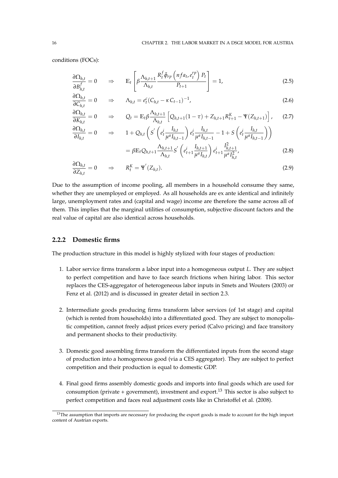conditions (FOCs):

*∂Ih*,*<sup>t</sup>*

$$
\frac{\partial \Omega_{h,t}}{\partial B_{h,t}^f} = 0 \qquad \Rightarrow \qquad \mathbb{E}_t \left[ \beta \frac{\Lambda_{h,t+1}}{\Lambda_{h,t}} \frac{R_t^f \tilde{\phi}_{rp} \left( nf a_t, e_t^{rp} \right) P_t}{P_{t+1}} \right] = 1, \tag{2.5}
$$

$$
\frac{\partial \Omega_{h,t}}{\partial C_{h,t}} = 0 \qquad \Rightarrow \qquad \Lambda_{h,t} = e_t^c (C_{h,t} - \kappa C_{t-1})^{-1}, \tag{2.6}
$$

$$
\frac{\partial \Omega_{h,t}}{\partial K_{h,t}} = 0 \quad \Rightarrow \quad Q_t = \mathbb{E}_t \beta \frac{\Lambda_{h,t+1}}{\Lambda_{h,t}} \left[ Q_{h,t+1} (1-\tau) + Z_{h,t+1} R_{t+1}^K - \Psi(Z_{h,t+1}) \right], \quad (2.7)
$$

$$
\frac{\partial \Omega_{h,t}}{\partial I_{h,t}} = 0 \quad \Rightarrow \quad 1 + Q_{h,t} \left( S' \left( e_t^i \frac{I_{h,t}}{\mu^a I_{h,t-1}} \right) e_t^i \frac{I_{h,t}}{\mu^a I_{h,t-1}} - 1 + S \left( e_t^i \frac{I_{h,t}}{\mu^a I_{h,t-1}} \right) \right)
$$
\n
$$
= \beta \mathbb{E}_t Q_{h,t+1} \frac{\Lambda_{h,t+1}}{\Lambda_{h,t}} S' \left( e_{t+1}^i \frac{I_{h,t+1}}{\mu^a I_{h,t}} \right) e_{t+1}^i \frac{I_{h,t+1}^2}{\mu^a I_{h,t}^2}, \tag{2.8}
$$

$$
\frac{\partial \Omega_{h,t}}{\partial Z_{h,t}} = 0 \qquad \Rightarrow \qquad R_t^K = \Psi'(Z_{h,t}). \tag{2.9}
$$

Due to the assumption of income pooling, all members in a household consume they same, whether they are unemployed or employed. As all households are ex ante identical and infinitely large, unemployment rates and (capital and wage) income are therefore the same across all of them. This implies that the marginal utilities of consumption, subjective discount factors and the real value of capital are also identical across households.

# **2.2.2 Domestic firms**

The production structure in this model is highly stylized with four stages of production:

- 1. Labor service firms transform a labor input into a homogeneous output *L*. They are subject to perfect competition and have to face search frictions when hiring labor. This sector replaces the CES-aggregator of heterogeneous labor inputs in Smets and Wouters (2003) or Fenz et al. (2012) and is discussed in greater detail in section 2.3.
- 2. Intermediate goods producing firms transform labor services (of 1st stage) and capital (which is rented from households) into a differentiated good. They are subject to monopolistic competition, cannot freely adjust prices every period (Calvo pricing) and face transitory and permanent shocks to their productivity.
- 3. Domestic good assembling firms transform the differentiated inputs from the second stage of production into a homogeneous good (via a CES aggregator). They are subject to perfect competition and their production is equal to domestic GDP.
- 4. Final good firms assembly domestic goods and imports into final goods which are used for consumption (private + government), investment and export.<sup>13</sup> This sector is also subject to perfect competition and faces real adjustment costs like in Christoffel et al. (2008).

<sup>&</sup>lt;sup>13</sup>The assumption that imports are necessary for producing the export goods is made to account for the high import content of Austrian exports.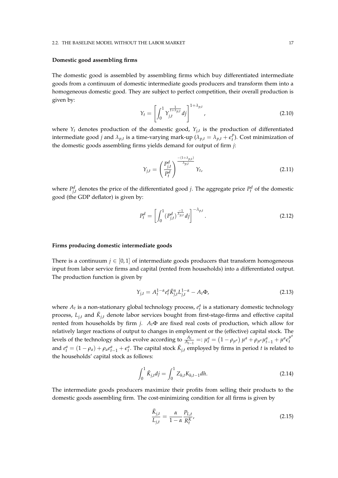#### 2.2. THE BASELINE MODEL WITHOUT THE LABOR MARKET 17

#### **Domestic good assembling firms**

The domestic good is assembled by assembling firms which buy differentiated intermediate goods from a continuum of domestic intermediate goods producers and transform them into a homogeneous domestic good. They are subject to perfect competition, their overall production is given by:

$$
Y_t = \left[ \int_0^1 Y_{j,t}^{\frac{1}{1+\lambda_{p,t}}} df \right]^{1+\lambda_{p,t}}, \tag{2.10}
$$

where *Y<sup>t</sup>* denotes production of the domestic good, *Yj*,*<sup>t</sup>* is the production of differentiated intermediate good *j* and  $\lambda_{p,t}$  is a time-varying mark-up  $(\lambda_{p,t} = \lambda_{p,t} + \epsilon_t^p)$ *t* ). Cost minimization of the domestic goods assembling firms yields demand for output of firm *j*:

$$
Y_{j,t} = \left(\frac{P_{j,t}^d}{P_t^d}\right)^{\frac{-(1+\lambda_{p,t})}{\lambda_{p,t}}} Y_t,
$$
\n(2.11)

where  $P_{j,t}^d$  denotes the price of the differentiated good *j*. The aggregate price  $P_t^d$  of the domestic good (the GDP deflator) is given by:

$$
P_t^d = \left[ \int_0^1 (P_{j,t}^d)^{\frac{-1}{\lambda_{p,t}}} df \right]^{-\lambda_{p,t}}.
$$
\n(2.12)

#### **Firms producing domestic intermediate goods**

There is a continuum  $j \in [0, 1]$  of intermediate goods producers that transform homogeneous input from labor service firms and capital (rented from households) into a differentiated output. The production function is given by

$$
Y_{j,t} = A_t^{1-\alpha} e_t^a \check{K}_{j,t}^{\alpha} L_{j,t}^{1-\alpha} - A_t \Phi,
$$
\n(2.13)

where  $A_t$  is a non-stationary global technology process,  $e_t^a$  is a stationary domestic technology process,  $L_{j,t}$  and  $\check{K}_{j,t}$  denote labor services bought from first-stage-firms and effective capital rented from households by firm *j*. *At*Φ are fixed real costs of production, which allow for relatively larger reactions of output to changes in employment or the (effective) capital stock. The levels of the technology shocks evolve according to  $\frac{A_t}{A_{t-1}} =: \mu_t^a = (1 - \rho_{\mu^a}) \mu^a + \rho_{\mu^a} \mu_{t-1}^a + \mu^a \epsilon_t^{\mu^a}$ *t* and  $e_t^a = (1 - \rho_a) + \rho_a e_{t-1}^a + \epsilon_t^a$ . The capital stock  $\check{K}_{j,t}$  employed by firms in period t is related to the households' capital stock as follows:

$$
\int_0^1 \check{K}_{j,t} dj = \int_0^1 Z_{h,t} K_{h,t-1} dh.
$$
\n(2.14)

The intermediate goods producers maximize their profits from selling their products to the domestic goods assembling firm. The cost-minimizing condition for all firms is given by

$$
\frac{\check{K}_{j,t}}{L_{j,t}} = \frac{\alpha}{1 - \alpha} \frac{P_{L,t}}{R_t^K},
$$
\n(2.15)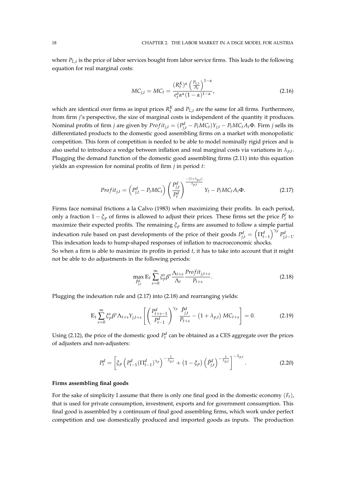where *PL*,*<sup>t</sup>* is the price of labor services bought from labor service firms. This leads to the following equation for real marginal costs:

$$
MC_{j,t} = MC_t = \frac{(R_t^K)^{\alpha} \left(\frac{P_{L,t}}{A_t}\right)^{1-\alpha}}{e_t^a \alpha^{\alpha} (1-\alpha)^{1-\alpha}},
$$
\n(2.16)

which are identical over firms as input prices  $R_t^K$  and  $P_{L,t}$  are the same for all firms. Furthermore, from firm *j*'s perspective, the size of marginal costs is independent of the quantity it produces. Nominal profits of firm *j* are given by  $Profit_{j,t} = (P_{j,t}^d - P_t MC_t)Y_{j,t} - P_t MC_tA_t\Phi$ . Firm *j* sells its differentiated products to the domestic good assembling firms on a market with monopolistic competition. This form of competition is needed to be able to model nominally rigid prices and is also useful to introduce a wedge between inflation and real marginal costs via variations in  $\lambda_{p,t}$ . Plugging the demand function of the domestic good assembling firms (2.11) into this equation yields an expression for nominal profits of firm *j* in period *t*:

$$
Profit_{j,t} = \left(P_{j,t}^d - P_t MC_t\right) \left(\frac{P_{j,t}^d}{P_t^d}\right)^{\frac{-(1+\lambda_{p,t})}{\lambda_{p,t}}} Y_t - P_t MC_t A_t \Phi. \tag{2.17}
$$

Firms face nominal frictions a la Calvo (1983) when maximizing their profits. In each period, only a fraction  $1 - \xi_p$  of firms is allowed to adjust their prices. These firms set the price  $\tilde{P}^j_t$  $t'$ <sub>t</sub> to maximize their expected profits. The remaining  $\xi_p$  firms are assumed to follow a simple partial indexation rule based on past developments of the price of their goods  $P_{j,t}^d = \left(\prod_{t=1}^d\right)^{\gamma_p}P_{j,t-1}^d$ . This indexation leads to hump-shaped responses of inflation to macroeconomic shocks.

So when a firm is able to maximize its profits in period *t*, it has to take into account that it might not be able to do adjustments in the following periods:

$$
\max_{\substack{\beta_{j,t}^d}} \mathbb{E}_t \sum_{s=0}^{\infty} \xi_p^s \beta^s \frac{\Lambda_{t+s}}{\Lambda_t} \frac{Profit_{j,t+s}}{P_{t+s}}.
$$
\n(2.18)

Plugging the indexation rule and (2.17) into (2.18) and rearranging yields:

$$
\mathbb{E}_{t} \sum_{s=0}^{\infty} \zeta_{p}^{s} \beta^{s} \Lambda_{t+s} Y_{j,t+s} \left[ \left( \frac{P_{t+s-1}^{d}}{P_{t-1}^{d}} \right)^{\gamma_{p}} \frac{\tilde{P}_{j,t}^{d}}{P_{t+s}} - (1+\lambda_{p,t}) MC_{t+s} \right] = 0.
$$
 (2.19)

Using (2.12), the price of the domestic good  $P_t^d$  can be obtained as a CES aggregate over the prices of adjusters and non-adjusters:

$$
P_t^d = \left[ \xi_p \left( P_{t-1}^d (\Pi_{t-1}^d)^{\gamma_p} \right)^{-\frac{1}{\lambda_{p,t}}} + \left( 1 - \xi_p \right) \left( \tilde{P}_{j,t}^d \right)^{-\frac{1}{\lambda_{p,t}}} \right]^{-\lambda_{p,t}}.
$$
 (2.20)

#### **Firms assembling final goods**

For the sake of simplicity I assume that there is only one final good in the domestic economy (*Ft*), that is used for private consumption, investment, exports and for government consumption. This final good is assembled by a continuum of final good assembling firms, which work under perfect competition and use domestically produced and imported goods as inputs. The production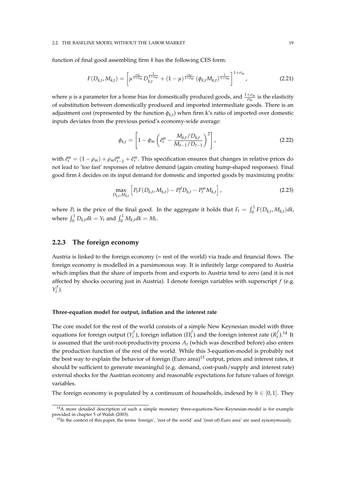#### 2.2. THE BASELINE MODEL WITHOUT THE LABOR MARKET 19

function of final good assembling firm *k* has the following CES form:

$$
F(D_{k,t}, M_{k,t}) = \left[\mu^{\frac{\sigma_m}{1+\sigma_m}} D_{k,t}^{\frac{1}{1+\sigma_m}} + (1-\mu)^{\frac{\sigma_m}{1+\sigma_m}} (\phi_{k,t} M_{k,t})^{\frac{1}{1+\sigma_m}}\right]^{1+\sigma_m},
$$
(2.21)

where  $\mu$  is a parameter for a home bias for domestically produced goods, and  $\frac{1+\sigma_m}{\sigma_m}$  is the elasticity of substitution between domestically produced and imported intermediate goods. There is an adjustment cost (represented by the function *φk*,*<sup>t</sup>* ) when firm k's ratio of imported over domestic inputs deviates from the previous period's economy-wide average:

$$
\phi_{k,t} = \left[1 - \phi_m \left(\tilde{e}_t^m - \frac{M_{k,t}/D_{k,t}}{M_{t-1}/D_{t-1}}\right)^2\right],
$$
\n(2.22)

with  $\tilde{e}^m_t = (1 - \rho_m) + \rho_m \tilde{e}^m_{t-1} + \tilde{e}^m_t$ . This specification ensures that changes in relative prices do not lead to 'too fast' responses of relative demand (again creating hump-shaped responses). Final good firm *k* decides on its input demand for domestic and imported goods by maximizing profits:

$$
\max_{D_{k,t},M_{k,t}} \left[ P_t F(D_{k,t}, M_{k,t}) - P_t^d D_{k,t} - P_t^m M_{k,t} \right],
$$
\n(2.23)

where  $P_t$  is the price of the final good. In the aggregate it holds that  $F_t = \int_0^1 F(D_{k,t}, M_{k,t}) dk$ , where  $\int_0^1 D_{k,t} dk = Y_t$  and  $\int_0^1 M_{k,t} dk = M_t$ .

### **2.2.3 The foreign economy**

Austria is linked to the foreign economy (= rest of the world) via trade and financial flows. The foreign economy is modelled in a parsimonous way. It is infinitely large compared to Austria which implies that the share of imports from and exports to Austria tend to zero (and it is not affected by shocks occuring just in Austria). I denote foreign variables with superscript *f* (e.g. *Y f t* ).

#### **Three-equation model for output, inflation and the interest rate**

The core model for the rest of the world consists of a simple New Keynesian model with three equations for foreign output (*Y f t* ), foreign inflation (Π *f*  $f_t$ ) and the foreign interest rate ( $R_t^f$  $_{t}^{f}$ ).<sup>14</sup> It is assumed that the unit-root-productivity process *A<sup>t</sup>* (which was described before) also enters the production function of the rest of the world. While this 3-equation-model is probably not the best way to explain the behavior of foreign (Euro area)<sup>15</sup> output, prices and interest rates, it should be sufficient to generate meaningful (e.g. demand, cost-push/supply and interest rate) external shocks for the Austrian economy and reasonable expectations for future values of foreign variables.

The foreign economy is populated by a continuum of households, indexed by  $h \in [0,1]$ . They

 $14A$  more detailed description of such a simple monetary three-equations-New-Keynesian-model is for example provided in chapter 5 of Walsh (2003).

<sup>15</sup>In the context of this paper, the terms 'foreign', 'rest of the world' and '(rest of) Euro area' are used synonymously.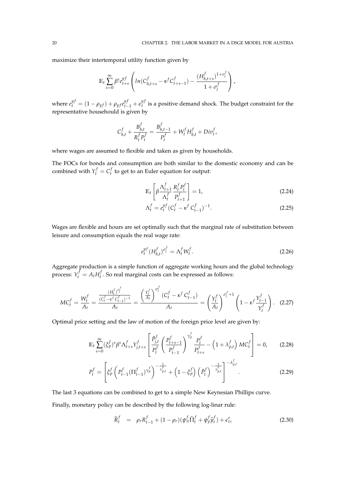maximize their intertemporal utility function given by

$$
\mathbb{E}_{t} \sum_{s=0}^{\infty} \beta^{s} e_{t+s}^{y f} \left( ln(C_{h,t+s}^{f} - \kappa^{f} C_{t+s-1}^{f}) - \frac{(H_{h,t+s}^{f})^{1+\sigma_{l}^{f}}}{1+\sigma_{l}^{f}} \right),
$$

where  $e^{y f}_{t} = (1 - \rho_{y f}) + \rho_{y f} e^{y f}_{t-1} + \epsilon^{y f}_{t}$  $t_t$ <sup>*y*</sup> is a positive demand shock. The budget constraint for the representative househould is given by

$$
C_{h,t}^f + \frac{B_{h,t}^f}{R_t^f P_t^f} = \frac{B_{h,t-1}^f}{P_t^f} + W_t^f H_{h,t}^f + Div_t^f,
$$

where wages are assumed to flexible and taken as given by households.

The FOCs for bonds and consumption are both similar to the domestic economy and can be combined with  $Y_t^f = C_t^f$  $t_t$ <sup>t</sup> to get to an Euler equation for output:

$$
\mathbb{E}_t \left[ \beta \frac{\Lambda_{t+1}^f}{\Lambda_t^f} \frac{R_t^f P_t^f}{P_{t+1}^f} \right] = 1, \tag{2.24}
$$

$$
\Lambda_t^f = e_t^{yf} (C_t^f - \kappa^f C_{t-1}^f)^{-1}.
$$
\n(2.25)

Wages are flexible and hours are set optimally such that the marginal rate of substitution between leisure and consumption equals the real wage rate:

$$
e_t^{y} (H_{h,t}^f)^{\sigma_t^f} = \Lambda_t^f W_t^f. \tag{2.26}
$$

Aggregate production is a simple function of aggregate working hours and the global technology process:  $Y_t^f = A_t H_t^f$ *t* . So real marginal costs can be expressed as follows:

$$
MC_t^f = \frac{W_t^f}{A_t} = \frac{\frac{(H_t^f)^{\sigma_t^f}}{(C_t^f - \kappa^f C_{t-1}^f)^{-1}}}{A_t} = \frac{\left(\frac{Y_t^f}{A_t}\right)^{\sigma_t^f} (C_t^f - \kappa^f C_{t-1}^f)}{A_t} = \left(\frac{Y_t^f}{A_t}\right)^{\sigma_t^f + 1} \left(1 - \kappa^f \frac{Y_{t-1}^f}{Y_t^f}\right). \tag{2.27}
$$

Optimal price setting and the law of motion of the foreign price level are given by:

$$
\mathbb{E}_{t} \sum_{s=0}^{\infty} (\xi_{p}^{f})^{s} \beta^{s} \Lambda_{t+s}^{f} Y_{j,t+s}^{f} \left[ \frac{\tilde{P}_{j,t}^{f}}{P_{t}^{f}} \left( \frac{P_{t+s-1}^{f}}{P_{t-1}^{f}} \right)^{\gamma_{p}^{f}} \frac{P_{t}^{f}}{P_{t+s}^{f}} - \left( 1 + \lambda_{p,t}^{f} \right) MC_{t}^{f} \right] = 0, \quad (2.28)
$$

$$
P_t^f = \left[ \xi_p^f \left( P_{t-1}^f (\Pi_{t-1}^f)^{\gamma_p^f} \right)^{-\frac{1}{\lambda_{p,t}^f}} + \left( 1 - \xi_p^f \right) \left( \tilde{P}_t^f \right)^{-\frac{1}{\lambda_{p,t}^f}} \right]^{-\lambda_{p,t}^f} . \tag{2.29}
$$

The last 3 equations can be combined to get to a simple New Keynesian Phillips curve.

Finally, monetary policy can be described by the following log-linar rule:

$$
\hat{R}_t^f = \rho_r R_{t-1}^f + (1 - \rho_r)(\psi_\pi^f \hat{\Pi}_t^f + \psi_y^f \hat{y}_t^f) + \epsilon_t^r, \tag{2.30}
$$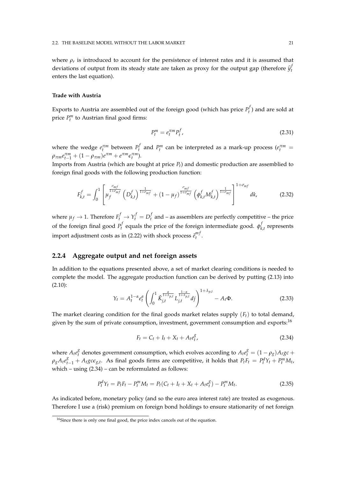where  $\rho_r$  is introduced to account for the persistence of interest rates and it is assumed that deviations of output from its steady state are taken as proxy for the output gap (therefore  $\hat{y}_t^j$ *t* enters the last equation).

#### **Trade with Austria**

Exports to Austria are assembled out of the foreign good (which has price  $P_t^f$  $t<sub>t</sub><sup>y</sup>$ ) and are sold at price  $P_t^m$  to Austrian final good firms:

$$
P_t^m = e_t^{\pi m} P_t^f,\tag{2.31}
$$

where the wedge  $e_t^{\pi m}$  between  $P_t^f$  $P_t^f$  and  $P_t^m$  can be interpreted as a mark-up process ( $e_t^{\pi m}$  =  $\rho_{\pi m} e_{t-1}^{\pi m} + (1 - \rho_{\pi m})e^{\pi m} + e^{\pi m} \epsilon_t^{\pi m}$ ).

Imports from Austria (which are bought at price *Pt*) and domestic production are assemblied to foreign final goods with the following production function:

$$
F_{k,t}^f = \int_0^1 \left[ \mu_f^{\frac{\sigma_{mf}}{1+\sigma_{mf}}} \left( D_{k,t}^f \right)^{\frac{1}{1+\sigma_{mf}}} + (1-\mu_f)^{\frac{\sigma_{mf}}{1+\sigma_{mf}}} \left( \phi_{k,t}^f M_{k,t}^f \right)^{\frac{1}{1+\sigma_{mf}}} \right]^{1+\sigma_{mf}} dk, \tag{2.32}
$$

where  $\mu_f \to 1$ . Therefore  $F_t^f \to Y_t^f = D_t^f$  $t<sub>t</sub><sup>J</sup>$  and – as assemblers are perfectly competitive – the price of the foreign final good *P f*  $\boldsymbol{\phi}_t^f$  equals the price of the foreign intermediate good.  $\boldsymbol{\phi}_k^f$  $\mathbf{r}_{k,t}^{\prime}$  represents import adjustment costs as in (2.22) with shock process  $\tilde{e}^{m \prime}_t$ *t* .

## **2.2.4 Aggregate output and net foreign assets**

In addition to the equations presented above, a set of market clearing conditions is needed to complete the model. The aggregate production function can be derived by putting (2.13) into (2.10):

$$
Y_t = A_t^{1-\alpha} e_t^a \left( \int_0^1 \check{K}_{j,t}^{\frac{\alpha}{1+\lambda_{p,t}}} L_{j,t}^{\frac{1-\alpha}{1+\lambda_{p,t}}} dj \right)^{1+\lambda_{p,t}} - A_t \Phi.
$$
 (2.33)

The market clearing condition for the final goods market relates supply  $(F_t)$  to total demand, given by the sum of private consumption, investment, government consumption and exports:<sup>16</sup>

$$
F_t = C_t + I_t + X_t + A_t e_t^g,
$$
\n(2.34)

where  $A_t e_t^g$  $\frac{g}{t}$  denotes government consumption, which evolves according to  $A_t e_t^g = (1 - \rho_g) A_t g c +$  $\rho_g A_t e_{t-1}^g + A_t g c \epsilon_{g,t}$ . As final goods firms are competitive, it holds that  $P_t F_t = P_t^d Y_t + P_t^m M_t$ , which – using  $(2.34)$  – can be reformulated as follows:

$$
P_t^d Y_t = P_t F_t - P_t^m M_t = P_t (C_t + I_t + X_t + A_t e_t^g) - P_t^m M_t.
$$
\n(2.35)

As indicated before, monetary policy (and so the euro area interest rate) are treated as exogenous. Therefore I use a (risk) premium on foreign bond holdings to ensure stationarity of net foreign

<sup>&</sup>lt;sup>16</sup>Since there is only one final good, the price index cancels out of the equation.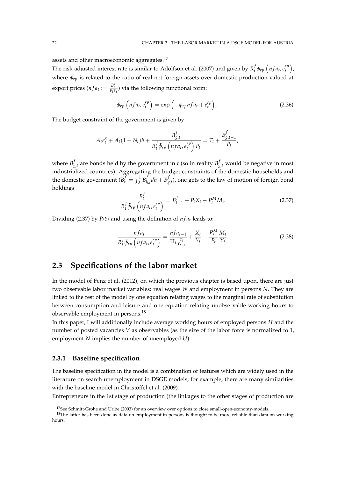assets and other macroeconomic aggregates.<sup>17</sup>

The risk-adjusted interest rate is similar to Adolfson et al. (2007) and given by  $R_t^f$  $\int\limits_t^f \tilde{\phi}_{rp}\left(nfa_t, e_t^{rp}\right)$  $\binom{rp}{t}$ , where  $\tilde{\phi}_{rp}$  is related to the ratio of real net foreign assets over domestic production valued at export prices ( $nfa_t := \frac{B_t^f}{P_tY_t}$ ) via the following functional form:

$$
\tilde{\phi}_{rp} \left( nfa_t, e_t^{rp} \right) = \exp \left( -\phi_{rp} nfa_t + e_t^{rp} \right). \tag{2.36}
$$

The budget constraint of the government is given by

$$
A_t e_t^g + A_t (1 - N_t) b + \frac{B_{g,t}^f}{R_t^f \tilde{\phi}_{rp} \left( n f a_t, e_t^{rp} \right) P_t} = T_t + \frac{B_{g,t-1}^f}{P_t},
$$

where  $B^f_{\varrho}$  $\int_{g,t}^{f}$  are bonds held by the government in *t* (so in reality  $B_{g,t}^f$  would be negative in most industrialized countries). Aggregating the budget constraints of the domestic households and the domestic government ( $B_t^f = \int_0^1 B_h^f$  $\int_{h,t}^{f} dh + B_g^f$  $g_{,t}^{f}$ ), one gets to the law of motion of foreign bond holdings

$$
\frac{B_t^f}{R_t^f \tilde{\phi}_{rp} \left( nfa_t, e_t^{rp} \right)} = B_{t-1}^f + P_t X_t - P_t^M M_t. \tag{2.37}
$$

Dividing (2.37) by  $P_t Y_t$  and using the definition of  $nfa_t$  leads to:

$$
\frac{nfa_t}{R_t^f \tilde{\phi}_{rp} \left(nfa_t, e_t^{rp}\right)} = \frac{nfa_{t-1}}{\prod_t \frac{Y_t}{Y_{t-1}}} + \frac{X_t}{Y_t} - \frac{P_t^M}{P_t} \frac{M_t}{Y_t}.
$$
\n(2.38)

# **2.3 Specifications of the labor market**

In the model of Fenz et al. (2012), on which the previous chapter is based upon, there are just two observable labor market variables: real wages *W* and employment in persons *N*. They are linked to the rest of the model by one equation relating wages to the marginal rate of substitution between consumption and leisure and one equation relating unobservable working hours to observable employment in persons.<sup>18</sup>

In this paper, I will additionally include average working hours of employed persons *H* and the number of posted vacancies *V* as observables (as the size of the labor force is normalized to 1, employment *N* implies the number of unemployed *U*).

## **2.3.1 Baseline specification**

The baseline specification in the model is a combination of features which are widely used in the literature on search unemployment in DSGE models; for example, there are many similarities with the baseline model in Christoffel et al. (2009).

Entrepreneurs in the 1st stage of production (the linkages to the other stages of production are

<sup>&</sup>lt;sup>17</sup>See Schmitt-Grohe and Uribe (2003) for an overview over options to close small-open-economy-models.

<sup>&</sup>lt;sup>18</sup>The latter has been done as data on employment in persons is thought to be more reliable than data on working hours.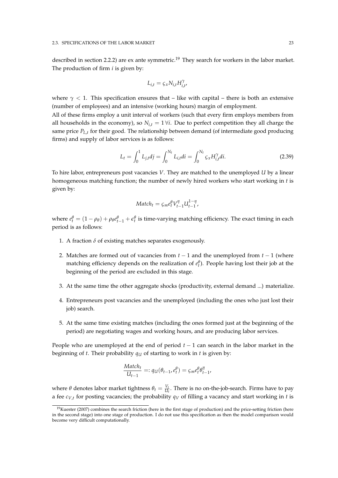described in section 2.2.2) are ex ante symmetric.<sup>19</sup> They search for workers in the labor market. The production of firm *i* is given by:

$$
L_{i,t} = \varsigma_x N_{i,t} H_{i,t}^{\gamma},
$$

where  $\gamma$  < 1. This specification ensures that – like with capital – there is both an extensive (number of employees) and an intensive (working hours) margin of employment.

All of these firms employ a unit interval of workers (such that every firm employs members from all households in the economy), so  $N_{i,t} = 1 \forall i$ . Due to perfect competition they all charge the same price *PL*,*<sup>t</sup>* for their good. The relationship between demand (of intermediate good producing firms) and supply of labor services is as follows:

$$
L_t = \int_0^1 L_{j,t} dj = \int_0^{N_t} L_{i,t} di = \int_0^{N_t} \zeta_x H_{i,t}^\gamma di. \tag{2.39}
$$

To hire labor, entrepreneurs post vacancies *V*. They are matched to the unemployed *U* by a linear homogeneous matching function; the number of newly hired workers who start working in *t* is given by:

$$
Match_t = \varsigma_m e_t^{\theta} V_{t-1}^{\eta} U_{t-1}^{1-\eta},
$$

where  $e_t^{\theta} = (1 - \rho_{\theta}) + \rho_{\theta} e_{t-1}^{\theta} + \epsilon_t^{\theta}$  is time-varying matching efficiency. The exact timing in each period is as follows:

- 1. A fraction  $\delta$  of existing matches separates exogenously.
- 2. Matches are formed out of vacancies from *t* − 1 and the unemployed from *t* − 1 (where matching efficiency depends on the realization of  $e_t^{\theta}$ ). People having lost their job at the beginning of the period are excluded in this stage.
- 3. At the same time the other aggregate shocks (productivity, external demand ...) materialize.
- 4. Entrepreneurs post vacancies and the unemployed (including the ones who just lost their job) search.
- 5. At the same time existing matches (including the ones formed just at the beginning of the period) are negotiating wages and working hours, and are producing labor services.

People who are unemployed at the end of period *t* − 1 can search in the labor market in the beginning of *t*. Their probability  $q_U$  of starting to work in *t* is given by:

$$
\frac{Match_t}{U_{t-1}} =: q_U(\theta_{t-1}, e_t^{\theta}) = \varsigma_m e_t^{\theta} \theta_{t-1}^{\eta},
$$

where  $\theta$  denotes labor market tightness  $\theta_t = \frac{V_t}{U_t}$ . There is no on-the-job-search. Firms have to pay a fee *cV*,*<sup>t</sup>* for posting vacancies; the probability *q<sup>V</sup>* of filling a vacancy and start working in *t* is

 $19$ Kuester (2007) combines the search friction (here in the first stage of production) and the price-setting friction (here in the second stage) into one stage of production. I do not use this specification as then the model comparison would become very difficult computationally.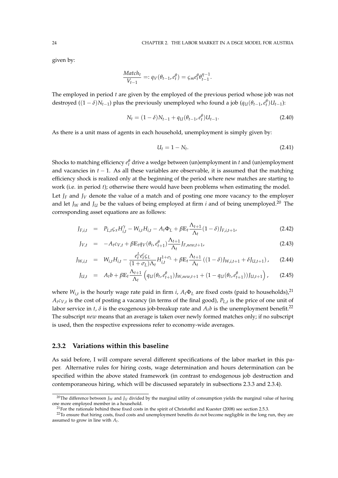given by:

$$
\frac{Match_t}{V_{t-1}} =: q_V(\theta_{t-1}, e_t^{\theta}) = \zeta_m e_t^{\theta} \theta_{t-1}^{\eta-1}.
$$

The employed in period *t* are given by the employed of the previous period whose job was not destroyed ( $(1 - \delta)N_{t-1}$ ) plus the previously unemployed who found a job ( $q_U(\theta_{t-1}, e_t^{\theta})U_{t-1}$ ):

$$
N_t = (1 - \delta)N_{t-1} + q_U(\theta_{t-1}, e_t^{\theta})U_{t-1}.
$$
\n(2.40)

As there is a unit mass of agents in each household, unemployment is simply given by:

$$
U_t = 1 - N_t. \tag{2.41}
$$

Shocks to matching efficiency  $e_t^{\theta}$  drive a wedge between (un)employment in *t* and (un)employment and vacancies in *t* − 1. As all these variables are observable, it is assumed that the matching efficiency shock is realized only at the beginning of the period where new matches are starting to work (i.e. in period *t*); otherwise there would have been problems when estimating the model. Let  $J_F$  and  $J_V$  denote the value of a match and of posting one more vacancy to the employer and let  $J_W$  and  $J_U$  be the values of being employed at firm *i* and of being unemployed.<sup>20</sup> The corresponding asset equations are as follows:

$$
J_{F,i,t} = P_{L,t} \zeta_x H_{i,t}^{\gamma} - W_{i,t} H_{i,t} - A_t \Phi_L + \beta E_t \frac{\Lambda_{t+1}}{\Lambda_t} (1 - \delta) J_{F,i,t+1},
$$
\n(2.42)

$$
J_{V,t} = -A_t c_{V,t} + \beta \mathbb{E}_t q_V(\theta_t, e_{t+1}^{\theta}) \frac{\Lambda_{t+1}}{\Lambda_t} J_{F,new,t+1},
$$
\n(2.43)

$$
J_{W,i,t} = W_{i,t}H_{i,t} - \frac{e_t^L e_t^c \zeta_L}{(1 + \sigma_L)\Lambda_t} H_{i,t}^{1+\sigma_L} + \beta E_t \frac{\Lambda_{t+1}}{\Lambda_t} ((1 - \delta)J_{W,i,t+1} + \delta J_{U,t+1}), \quad (2.44)
$$

$$
J_{U,t} = A_t b + \beta \mathbb{E}_t \frac{\Lambda_{t+1}}{\Lambda_t} \left( q_U(\theta_t, e_{t+1}^{\theta}) J_{W,new,t+1} + (1 - q_U(\theta_t, e_{t+1}^{\theta})) J_{U,t+1} \right), \quad (2.45)
$$

where *Wi*,*<sup>t</sup>* is the hourly wage rate paid in firm *i*, *At*Φ*<sup>L</sup>* are fixed costs (paid to households),<sup>21</sup>  $A_t c_{V,t}$  is the cost of posting a vacancy (in terms of the final good),  $P_{L,t}$  is the price of one unit of labor service in *t*,  $\delta$  is the exogenous job-breakup rate and  $A_t b$  is the unemployment benefit.<sup>22</sup> The subscript *new* means that an average is taken over newly formed matches only; if no subscript is used, then the respective expressions refer to economy-wide averages.

## **2.3.2 Variations within this baseline**

As said before, I will compare several different specifications of the labor market in this paper. Alternative rules for hiring costs, wage determination and hours determination can be specified within the above stated framework (in contrast to endogenous job destruction and contemporaneous hiring, which will be discussed separately in subsections 2.3.3 and 2.3.4).

<sup>&</sup>lt;sup>20</sup>The difference between  $J_W$  and  $J_U$  divided by the marginal utility of consumption yields the marginal value of having one more employed member in a household.

<sup>&</sup>lt;sup>21</sup>For the rationale behind these fixed costs in the spirit of Christoffel and Kuester (2008) see section 2.5.3.

<sup>&</sup>lt;sup>22</sup>To ensure that hiring costs, fixed costs and unemployment benefits do not become negligible in the long run, they are assumed to grow in line with *A<sup>t</sup>* .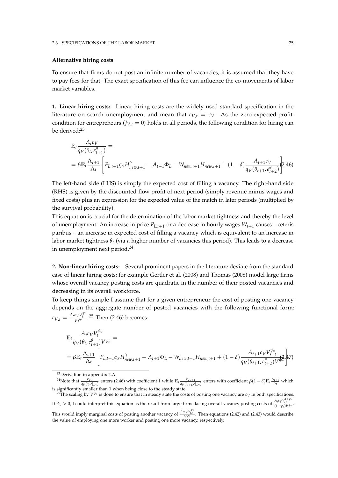#### **Alternative hiring costs**

To ensure that firms do not post an infinite number of vacancies, it is assumed that they have to pay fees for that. The exact specification of this fee can influence the co-movements of labor market variables.

**1. Linear hiring costs:** Linear hiring costs are the widely used standard specification in the literature on search unemployment and mean that  $c_{V,t} = c_V$ . As the zero-expected-profitcondition for entrepreneurs ( $J_{V,t} = 0$ ) holds in all periods, the following condition for hiring can be derived:<sup>23</sup>

$$
\mathbb{E}_{t} \frac{A_{t}c_{V}}{q_{V}(\theta_{t}, e_{t+1}^{\theta})} =
$$
\n
$$
= \beta \mathbb{E}_{t} \frac{\Lambda_{t+1}}{\Lambda_{t}} \left[ P_{L,t+1} \zeta_{x} H_{new,t+1}^{\gamma} - A_{t+1} \Phi_{L} - W_{new,t+1} H_{new,t+1} + (1 - \delta) \frac{A_{t+1}c_{V}}{q_{V}(\theta_{t+1}, e_{t+2}^{\theta})} \right] \tag{2.46}
$$

The left-hand side (LHS) is simply the expected cost of filling a vacancy. The right-hand side (RHS) is given by the discounted flow profit of next period (simply revenue minus wages and fixed costs) plus an expression for the expected value of the match in later periods (multiplied by the survival probability).

This equation is crucial for the determination of the labor market tightness and thereby the level of unemployment: An increase in price  $P_{L,t+1}$  or a decrease in hourly wages  $W_{t+1}$  causes – ceteris paribus – an increase in expected cost of filling a vacancy which is equivalent to an increase in labor market tightness *θt* (via a higher number of vacancies this period). This leads to a decrease in unemployment next period.<sup>24</sup>

**2. Non-linear hiring costs:** Several prominent papers in the literature deviate from the standard case of linear hiring costs; for example Gertler et al. (2008) and Thomas (2008) model large firms whose overall vacancy posting costs are quadratic in the number of their posted vacancies and decreasing in its overall workforce.

To keep things simple I assume that for a given entrepreneur the cost of posting one vacancy depends on the aggregate number of posted vacancies with the following functional form:  $c_{V,t} = \frac{A_t c_V V_t^{\psi_v}}{V^{\psi_v}}$ .<sup>25</sup> Then (2.46) becomes:

$$
\mathbb{E}_{t} \frac{A_{t}c_{V}V_{t}^{\psi_{v}}}{q_{V}(\theta_{t}, e_{t+1}^{a})V^{\psi_{v}}} =
$$
\n
$$
= \beta \mathbb{E}_{t} \frac{\Lambda_{t+1}}{\Lambda_{t}} \left[ P_{L,t+1} \zeta_{x} H_{new,t+1}^{\gamma} - A_{t+1} \Phi_{L} - W_{new,t+1} H_{new,t+1} + (1 - \delta) \frac{A_{t+1}c_{V}V_{t+1}^{\psi_{v}}}{q_{V}(\theta_{t+1}, e_{t+2}^{a})V^{\psi_{v}}} \right] \tag{7}
$$

<sup>23</sup>Derivation in appendix 2.A.

<sup>24</sup>Note that  $\frac{c_{V,t}}{q_V(\theta_t,\epsilon_{t+1}^{\beta})}$  enters (2.46) with coefficient 1 while  $\mathbb{E}_t \frac{c_{V,t+1}}{q_V(\theta_{t+1},\epsilon)}$  $\frac{c_{V,t+1}}{q_V(\theta_{t+1} \varepsilon_{t+2}^{\theta})}$  enters with coefficient *β*(1 − *δ*)E<sub>t</sub><sup> $\frac{\Lambda_{t+1}}{\Lambda_t}$  which</sup> is significantly smaller than 1 when being close to the steady state.

<sup>25</sup>The scaling by *V ψv* is done to ensure that in steady state the costs of posting one vacancy are *c<sup>V</sup>* in both specifications. If  $\psi_v > 0$ , I could interpret this equation as the result from large firms facing overall vacancy posting costs of  $\frac{A_t c_V V_{i,t}^{1+\psi_v}}{(1+\psi_v)V^{\psi_v}}$ . This would imply marginal costs of posting another vacancy of  $\frac{A_f c_V V_V^{\psi v}}{V^{\psi v}}$ . Then equations (2.42) and (2.43) would describe

the value of employing one more worker and posting one more vacancy, respectively.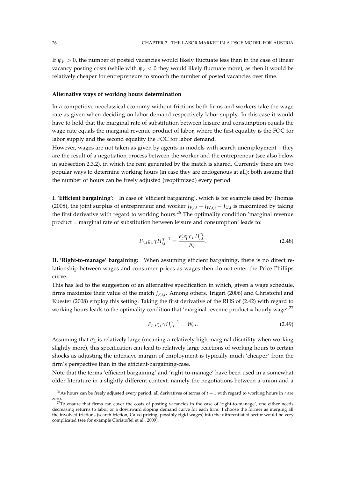If  $\psi_V > 0$ , the number of posted vacancies would likely fluctuate less than in the case of linear vacancy posting costs (while with  $\psi$ <sup>*V*</sup> < 0 they would likely fluctuate more), as then it would be relatively cheaper for entrepreneurs to smooth the number of posted vacancies over time.

#### **Alternative ways of working hours determination**

In a competitive neoclassical economy without frictions both firms and workers take the wage rate as given when deciding on labor demand respectively labor supply. In this case it would have to hold that the marginal rate of substitution between leisure and consumption equals the wage rate equals the marginal revenue product of labor, where the first equality is the FOC for labor supply and the second equality the FOC for labor demand.

However, wages are not taken as given by agents in models with search unemployment – they are the result of a negotiation process between the worker and the entrepreneur (see also below in subsection 2.3.2), in which the rent generated by the match is shared. Currently there are two popular ways to determine working hours (in case they are endogenous at all); both assume that the number of hours can be freely adjusted (reoptimized) every period.

**I. 'Efficient bargaining':** In case of 'efficient bargaining', which is for example used by Thomas (2008), the joint surplus of entrepreneur and worker  $J_{F,i,t} + J_{W,i,t} - J_{U,t}$  is maximized by taking the first derivative with regard to working hours.<sup>26</sup> The optimality condition 'marginal revenue product = marginal rate of substitution between leisure and consumption' leads to:

$$
P_{L,t}\mathcal{G}_x\gamma H_{i,t}^{\gamma-1} = \frac{e_t^c e_t^L \mathcal{G}_L H_{i,t}^{\sigma_L}}{\Lambda_t}.
$$
\n(2.48)

**II. 'Right-to-manage' bargaining:** When assuming efficient bargaining, there is no direct relationship between wages and consumer prices as wages then do not enter the Price Phillips curve.

This has led to the suggestion of an alternative specification in which, given a wage schedule, firms maximize their value of the match *JF*,*i*,*<sup>t</sup>* . Among others, Trigari (2006) and Christoffel and Kuester (2008) employ this setting. Taking the first derivative of the RHS of (2.42) with regard to working hours leads to the optimality condition that 'marginal revenue product = hourly wage': $^{27}$ 

$$
P_{L,t}\mathcal{L}_x\gamma H_{i,t}^{\gamma-1} = W_{i,t}.\tag{2.49}
$$

Assuming that  $\sigma_l$  is relatively large (meaning a relatively high marginal disutility when working slightly more), this specification can lead to relatively large reactions of working hours to certain shocks as adjusting the intensive margin of employment is typically much 'cheaper' from the firm's perspective than in the efficient-bargaining-case.

Note that the terms 'efficient bargaining' and 'right-to-manage' have been used in a somewhat older literature in a slightly different context, namely the negotiations between a union and a

<sup>&</sup>lt;sup>26</sup>As hours can be freely adjusted every period, all derivatives of terms of  $t + 1$  with regard to working hours in  $t$  are zero.

 $^{27}$ To ensure that firms can cover the costs of posting vacancies in the case of 'right-to-manage', one either needs decreasing returns to labor or a downward sloping demand curve for each firm. I choose the former as merging all the involved frictions (search friction, Calvo pricing, possibly rigid wages) into the differentiated sector would be very complicated (see for example Christoffel et al., 2009).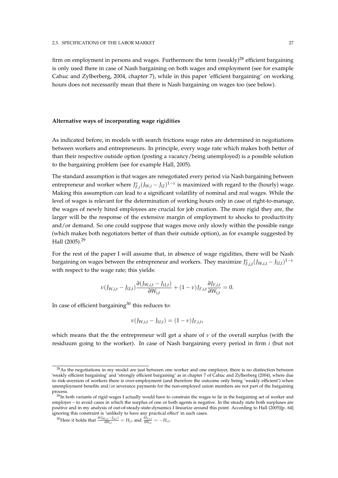firm on employment in persons and wages. Furthermore the term (weakly)<sup>28</sup> efficient bargaining is only used there in case of Nash bargaining on both wages and employment (see for example Cahuc and Zylberberg, 2004, chapter 7), while in this paper 'efficient bargaining' on working hours does not necessarily mean that there is Nash bargaining on wages too (see below).

#### **Alternative ways of incorporating wage rigidities**

As indicated before, in models with search frictions wage rates are determined in negotiations between workers and entrepreneurs. In principle, every wage rate which makes both better of than their respective outside option (posting a vacancy/being unemployed) is a possible solution to the bargaining problem (see for example Hall, 2005).

The standard assumption is that wages are renegotiated every period via Nash bargaining between entrepreneur and worker where  $J_{F,i}^{\nu}(J_{W,i} - J_{U})^{1-\nu}$  is maximized with regard to the (hourly) wage. Making this assumption can lead to a significant volatility of nominal and real wages. While the level of wages is relevant for the determination of working hours only in case of right-to-manage, the wages of newly hired employees are crucial for job creation. The more rigid they are, the larger will be the response of the extensive margin of employment to shocks to productivity and/or demand. So one could suppose that wages move only slowly within the possible range (which makes both negotiators better of than their outside option), as for example suggested by Hall (2005).<sup>29</sup>

For the rest of the paper I will assume that, in absence of wage rigidities, there will be Nash bargaining on wages between the entrepreneur and workers. They maximize  $J_{F,i,t}^{\nu}(J_{W,i,t} - J_{U,t})^{1-\nu}$ with respect to the wage rate; this yields:

$$
\nu(J_{W,i,t}-J_{U,t})\frac{\partial (J_{W,i,t}-J_{U,t})}{\partial W_{i,t}}+(1-\nu)J_{F,i,t}\frac{\partial J_{F,i,t}}{\partial W_{i,t}}=0.
$$

In case of efficient bargaining $30$  this reduces to:

$$
\nu(J_{W,i,t} - J_{U,t}) = (1 - \nu)J_{F,i,t},
$$

which means that the the entrepreneur will get a share of  $\nu$  of the overall surplus (with the residuum going to the worker). In case of Nash bargaining every period in firm *i* (but not

 $^{28}$ As the negotiations in my model are just between one worker and one employer, there is no distinction between 'weakly efficient bargaining' and 'strongly efficient bargaining' as in chapter 7 of Cahuc and Zylberberg (2004), where due to risk-aversion of workers there is over-employment (and therefore the outcome only being 'weakly efficient') when unemployment benefits and/or severance payments for the non-employed union members are not part of the bargaining process.

 $^{29}$ In both variants of rigid wages I actually would have to constrain the wages to lie in the bargaining set of worker and employer – to avoid cases in which the surplus of one or both agents is negative. In the steady state both surpluses are positive and in my analysis of out-of-steady-state-dynamics I linearize around this point. According to Hall (2005)[p. 64] ignoring this constraint is 'unlikely to have any practical effect' in such cases.

 $^{30}$ Here it holds that  $\frac{\partial (J_{W,i,t} - J_{U,t})}{\partial W_{i,t}}$  $\frac{\partial J_{F,i,t}}{\partial W_{i,t}} = H_{i,t}$  and  $\frac{\partial J_{F,i,t}}{\partial W_{i,t}} = -H_{i,t}$ .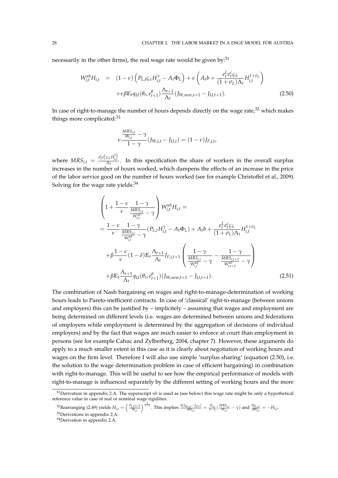necessarily in the other firms), the real wage rate would be given by:<sup>31</sup>

$$
W_{i,t}^{nb}H_{i,t} = (1 - \nu) \left( P_{L,t} \varsigma_x H_{i,t}^{\gamma} - A_t \Phi_L \right) + \nu \left( A_t b + \frac{e_t^L e_f^c \varsigma_L}{(1 + \sigma_L) \Lambda_t} H_{i,t}^{1 + \sigma_L} \right) + \nu \beta \mathbb{E}_t q_U (\theta_t, e_{t+1}^{\theta}) \frac{\Lambda_{t+1}}{\Lambda_t} (J_{W,new,t+1} - J_{U,t+1}). \tag{2.50}
$$

In case of right-to-manage the number of hours depends directly on the wage rate, $32$  which makes things more complicated:<sup>33</sup>

$$
\nu \frac{\frac{MRS_{i,t}}{W_{i,t}} - \gamma}{1 - \gamma} (J_{W,i,t} - J_{U,t}) = (1 - \nu) J_{F,i,t},
$$

where  $MRS_{i,t} = \frac{e_t^c e_t^L \zeta_L H_{i,t}^{\sigma_L}}{\Lambda_t}$ . In this specification the share of workers in the overall surplus increases in the number of hours worked, which dampens the effects of an increase in the price of the labor service good on the number of hours worked (see for example Christoffel et al., 2009). Solving for the wage rate yields: $34$ 

$$
\left(1 + \frac{1 - \nu}{\nu} \frac{1 - \gamma}{\frac{MRS_{i,t}}{W_{i,t}^{nb}}} - \gamma\right) W_{i,t}^{nb} H_{i,t} =
$$
\n
$$
= \frac{1 - \nu}{\nu} \frac{1 - \gamma}{\frac{MRS_{i,t}}{W_{i,t}^{nb}}} - \gamma (P_{L,t} H_{i,t}^{\gamma} - A_t \Phi_L) + A_t b + \frac{e_t^L e_t^c \zeta_L}{(1 + \sigma_L) \Lambda_t} H_{i,t}^{1 + \sigma_L}
$$
\n
$$
+ \beta \frac{1 - \nu}{\nu} (1 - \delta) \mathbb{E}_t \frac{\Lambda_{t+1}}{\Lambda_t} J_{F,i,t+1} \left( \frac{1 - \gamma}{\frac{MRS_{i,t}}{W_{i,t}^{nb}}} - \gamma - \frac{1 - \gamma}{\frac{MRS_{i,t+1}}{W_{i,t+1}^{nb}}} - \gamma \right)
$$
\n
$$
+ \beta \mathbb{E}_t \frac{\Lambda_{t+1}}{\Lambda_t} q_U(\theta_t, e_{t+1}^{\theta})(J_{W,new,t+1} - J_{U,t+1}). \tag{2.51}
$$

The combination of Nash bargaining on wages and right-to-manage-determination of working hours leads to Pareto-inefficient contracts. In case of 'classical' right-to-manage (between unions and employers) this can be justified by – implicitely – assuming that wages and employment are being determined on different levels (i.e. wages are determined between unions and federations of employers while employment is determined by the aggregation of decisions of individual employers) and by the fact that wages are much easier to enforce at court than employment in persons (see for example Cahuc and Zylberberg, 2004, chapter 7). However, these arguments do apply to a much smaller extent in this case as it is clearly about negotiation of working hours and wages on the firm level. Therefore I will also use simple 'surplus sharing' (equation (2.50), i.e. the solution to the wage determination problem in case of efficient bargaining) in combination with right-to-manage. This will be useful to see how the empirical performance of models with right-to-manage is influenced separately by the different setting of working hours and the more

<sup>31</sup>Derivation in appendix 2.A. The superscript *nb* is used as (see below) this wage rate might be only a hypothetical reference value in case of real or nominal wage rigidities.

<sup>&</sup>lt;sup>32</sup>Rearranging (2.49) yields  $H_{i,t} = \left(\frac{P_{L,f} \varsigma_{\mathcal{X}} \gamma}{W_{i,t}}\right)^{\frac{1}{1-\gamma}}$ . This implies  $\frac{\partial (J_{W,i,t} - J_{U,t})}{\partial W_{i,t}}$  $\frac{d_{i,i,t}-f_{i,i,t}}{\partial W_{i,t}}=\frac{H_{i,t}}{1-\gamma}(\frac{MRS_{i,t}}{W_{i,t}}-\gamma)$  and  $\frac{\partial J_{F,i,t}}{\partial W_{i,t}}=-H_{i,t}.$ <sup>33</sup>Derivations in appendix 2.A.

<sup>34</sup>Derivation in appendix 2.A.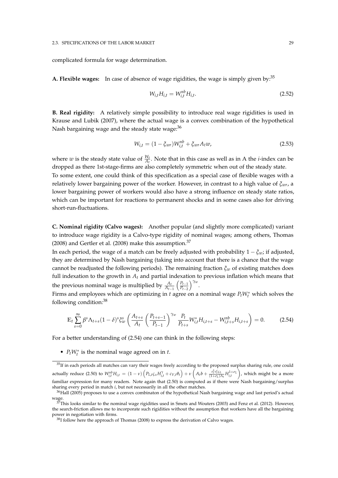complicated formula for wage determination.

**A. Flexible wages:** In case of absence of wage rigidities, the wage is simply given by:<sup>35</sup>

$$
W_{i,t}H_{i,t} = W_{i,t}^{nb}H_{i,t}.
$$
\n(2.52)

**B. Real rigidity:** A relatively simple possibility to introduce real wage rigidities is used in Krause and Lubik (2007), where the actual wage is a convex combination of the hypothetical Nash bargaining wage and the steady state wage:<sup>36</sup>

$$
W_{i,t} = (1 - \xi_{wr})W_{i,t}^{nb} + \xi_{wr}A_t w,
$$
\n(2.53)

where *w* is the steady state value of  $\frac{W_t}{A_t}$ . Note that in this case as well as in A the *i*-index can be dropped as there 1st-stage-firms are also completely symmetric when out of the steady state. To some extent, one could think of this specification as a special case of flexible wages with a relatively lower bargaining power of the worker. However, in contrast to a high value of *ξwr*, a lower bargaining power of workers would also have a strong influence on steady state ratios, which can be important for reactions to permanent shocks and in some cases also for driving short-run-fluctuations.

**C. Nominal rigidity (Calvo wages):** Another popular (and slightly more complicated) variant to introduce wage rigidity is a Calvo-type rigidity of nominal wages; among others, Thomas (2008) and Gertler et al. (2008) make this assumption.<sup>37</sup>

In each period, the wage of a match can be freely adjusted with probability  $1 - \xi_w$ ; if adjusted, they are determined by Nash bargaining (taking into account that there is a chance that the wage cannot be readjusted the following periods). The remaining fraction *ξw* of existing matches does full indexation to the growth in  $A_t$  and partial indexation to previous inflation which means that the previous nominal wage is multiplied by  $\frac{A_t}{A_{t-1}}$  $\frac{P_{t-1}}{P}$ *Pt*−<sup>2</sup> *γ<sup>w</sup>* .

Firms and employees which are optimizing in *t* agree on a nominal wage  $P_t W_t^*$  which solves the following condition:<sup>38</sup>

$$
\mathbb{E}_{t} \sum_{s=0}^{\infty} \beta^{s} \Lambda_{t+s} (1-\delta)^{s} \xi_{w}^{s} \left( \frac{A_{t+s}}{A_{t}} \left( \frac{P_{t+s-1}}{P_{t-1}} \right)^{\gamma_{w}} \frac{P_{t}}{P_{t+s}} W_{i,t}^{*} H_{i,t+s} - W_{i,t+s}^{nb} H_{i,t+s} \right) = 0.
$$
 (2.54)

For a better understanding of (2.54) one can think in the following steps:

•  $P_t W_t^*$  is the nominal wage agreed on in *t*.

<sup>&</sup>lt;sup>35</sup>If in each periods all matches can vary their wages freely according to the proposed surplus sharing rule, one could actually reduce (2.50) to  $W_{i,t}^{nb}H_{i,t} = (1-\nu)\left(P_{L,t}\varsigma_x H_{i,t}^{\gamma} + c_{V,t}\theta_t\right) + \nu\left(A_t b + \frac{e_t^L e_t^c \varsigma_L}{(1+\sigma_L)\Lambda_t} H_{i,t}^{1+\sigma_L} \right)$  , which might be a more familiar expression for many readers. Note again that (2.50) is computed as if there were Nash bargaining/surplus sharing every period in match *i*, but not necessarily in all the other matches.

<sup>36</sup>Hall (2005) proposes to use a convex combinaton of the hypothetical Nash bargaining wage and last period's actual wage.

 $37$ This looks similar to the nominal wage rigidities used in Smets and Wouters (2003) and Fenz et al. (2012). However, the search-friction allows me to incorporate such rigidities without the assumption that workers have all the bargaining power in negotiation with firms.

<sup>&</sup>lt;sup>38</sup>I follow here the approach of Thomas (2008) to express the derivation of Calvo wages.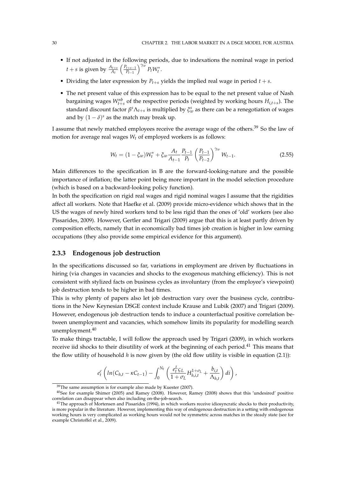- If not adjusted in the following periods, due to indexations the nominal wage in period  $t + s$  is given by  $\frac{A_{t+s}}{A_t}$  $\int$ *P*<sub>t+s−1</sub> *Pt*−<sup>1</sup>  $\int^{\gamma_w} P_t W_t^*$ .
- Dividing the later expression by  $P_{t+s}$  yields the implied real wage in period  $t + s$ .
- The net present value of this expression has to be equal to the net present value of Nash bargaining wages  $W_{t+s}^{nb}$  of the respective periods (weighted by working hours  $H_{i,t+s}$ ). The standard discount factor  $\beta^s \Lambda_{t+s}$  is multiplied by  $\xi_w^s$  as there can be a renegotiation of wages and by  $(1 - \delta)^s$  as the match may break up.

I assume that newly matched employees receive the average wage of the others.<sup>39</sup> So the law of motion for average real wages *W<sup>t</sup>* of employed workers is as follows:

$$
W_t = (1 - \xi_w)W_t^* + \xi_w \frac{A_t}{A_{t-1}} \frac{P_{t-1}}{P_t} \left(\frac{P_{t-1}}{P_{t-2}}\right)^{\gamma_w} W_{t-1}.
$$
\n(2.55)

Main differences to the specification in B are the forward-looking-nature and the possible importance of inflation; the latter point being more important in the model selection procedure (which is based on a backward-looking policy function).

In both the specification on rigid real wages and rigid nominal wages I assume that the rigidities affect all workers. Note that Haefke et al. (2009) provide micro-evidence which shows that in the US the wages of newly hired workers tend to be less rigid than the ones of 'old' workers (see also Pissarides, 2009). However, Gertler and Trigari (2009) argue that this is at least partly driven by composition effects, namely that in economically bad times job creation is higher in low earning occupations (they also provide some empirical evidence for this argument).

### **2.3.3 Endogenous job destruction**

In the specifications discussed so far, variations in employment are driven by fluctuations in hiring (via changes in vacancies and shocks to the exogenous matching efficiency). This is not consistent with stylized facts on business cycles as involuntary (from the employee's viewpoint) job destruction tends to be higher in bad times.

This is why plenty of papers also let job destruction vary over the business cycle, contributions in the New Keynesian DSGE context include Krause and Lubik (2007) and Trigari (2009). However, endogenous job destruction tends to induce a counterfactual positive correlation between unemployment and vacancies, which somehow limits its popularity for modelling search unemployment.<sup>40</sup>

To make things tractable, I will follow the approach used by Trigari (2009), in which workers receive iid shocks to their disutility of work at the beginning of each period.<sup>41</sup> This means that the flow utility of household *h* is now given by (the old flow utility is visible in equation (2.1)):

$$
e_t^c \left( ln(C_{h,t} - \kappa C_{t-1}) - \int_0^{N_t} \left( \frac{e_t^L \zeta_L}{1 + \sigma_L} H_{h,i,t}^{1 + \sigma_L} + \frac{b_{i,t}}{\Lambda_{h,t}} \right) di \right),
$$

 $39$ The same assumption is for example also made by Kuester (2007).

<sup>40</sup>See for example Shimer (2005) and Ramey (2008). However, Ramey (2008) shows that this 'undesired' positive correlation can disappear when also including on-the-job-search.

<sup>&</sup>lt;sup>41</sup>The approach of Mortensen and Pissarides (1994), in which workers receive idiosyncratic shocks to their productivity, is more popular in the literature. However, implementing this way of endogenous destruction in a setting with endogenous working hours is very complicated as working hours would not be symmetric across matches in the steady state (see for example Christoffel et al., 2009).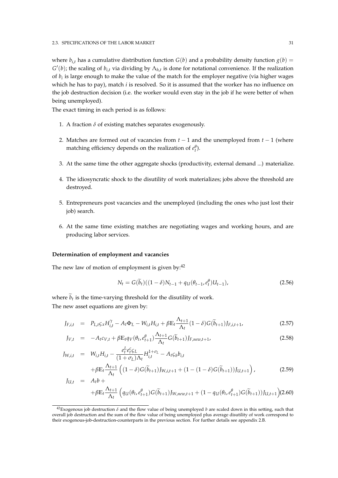where  $b_{i,t}$  has a cumulative distribution function  $G(b)$  and a probability density function  $g(b)$  =  $G'(b)$ ; the scaling of  $b_{i,t}$  via dividing by  $\Lambda_{h,t}$  is done for notational convenience. If the realization of *b<sup>i</sup>* is large enough to make the value of the match for the employer negative (via higher wages which he has to pay), match *i* is resolved. So it is assumed that the worker has no influence on the job destruction decision (i.e. the worker would even stay in the job if he were better of when being unemployed).

The exact timing in each period is as follows:

- 1. A fraction  $\delta$  of existing matches separates exogenously.
- 2. Matches are formed out of vacancies from *t* − 1 and the unemployed from *t* − 1 (where matching efficiency depends on the realization of  $e_t^{\theta}$ ).
- 3. At the same time the other aggregate shocks (productivity, external demand ...) materialize.
- 4. The idiosyncratic shock to the disutility of work materializes; jobs above the threshold are destroyed.
- 5. Entrepreneurs post vacancies and the unemployed (including the ones who just lost their job) search.
- 6. At the same time existing matches are negotiating wages and working hours, and are producing labor services.

#### **Determination of employment and vacancies**

The new law of motion of employment is given by: $42$ 

$$
N_t = G(\tilde{b}_t)((1 - \delta)N_{t-1} + q_U(\theta_{t-1}, e_t^{\theta})U_{t-1}),
$$
\n(2.56)

where  $b_t$  is the time-varying threshold for the disutility of work. The new asset equations are given by:

$$
J_{F,i,t} = P_{L,t} \varsigma_x H_{i,t}^{\gamma} - A_t \Phi_L - W_{i,t} H_{i,t} + \beta E_t \frac{\Lambda_{t+1}}{\Lambda_t} (1 - \delta) G(\tilde{b}_{t+1}) J_{F,i,t+1},
$$
(2.57)

$$
J_{V,t} = -A_t c_{V,t} + \beta \mathbb{E}_t q_V(\theta_t, e_{t+1}^{\theta}) \frac{\Lambda_{t+1}}{\Lambda_t} G(\widetilde{b}_{t+1}) J_{F,new,t+1},
$$
\n(2.58)

$$
J_{W,i,t} = W_{i,t}H_{i,t} - \frac{e_t^L e_t^c \zeta_L}{(1 + \sigma_L)\Lambda_t} H_{i,t}^{1 + \sigma_L} - A_t \zeta_b b_{i,t} + \beta \mathbb{E}_t \frac{\Lambda_{t+1}}{\Lambda_t} \left( (1 - \delta) G(\widetilde{b}_{t+1}) J_{W,i,t+1} + (1 - (1 - \delta) G(\widetilde{b}_{t+1})) J_{U,t+1} \right),
$$
(2.59)

$$
J_{U,t} = A_t b +
$$
  
+ $\beta \mathbb{E}_t \frac{\Lambda_{t+1}}{\Lambda_t} \left( q_U(\theta_t, e_{t+1}^{\theta}) G(\widetilde{b}_{t+1}) J_{W,new,t+1} + (1 - q_U(\theta_t, e_{t+1}^{\theta}) G(\widetilde{b}_{t+1})) J_{U,t+1} \right)$ (2.60)

<sup>&</sup>lt;sup>42</sup>Exogenous job destruction  $\delta$  and the flow value of being unemployed *b* are scaled down in this setting, such that overall job destruction and the sum of the flow value of being unemployed plus average disutility of work correspond to their exogenous-job-destruction-counterparts in the previous section. For further details see appendix 2.B.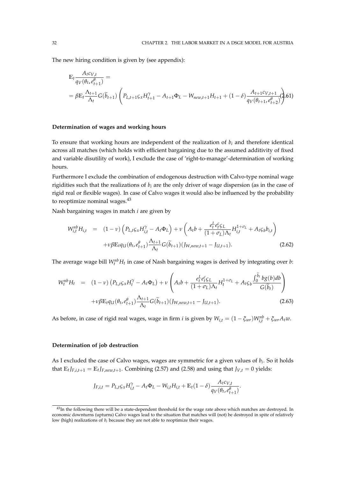The new hiring condition is given by (see appendix):

$$
\mathbb{E}_{t} \frac{A_{t}c_{V,t}}{q_{V}(\theta_{t}, e_{t+1}^{\theta})} =
$$
\n
$$
= \beta \mathbb{E}_{t} \frac{\Lambda_{t+1}}{\Lambda_{t}} G(\widetilde{b}_{t+1}) \left( P_{L,t+1} \varsigma_{x} H_{t+1}^{\gamma} - A_{t+1} \Phi_{L} - W_{new,t+1} H_{t+1} + (1 - \delta) \frac{A_{t+1}c_{V,t+1}}{q_{V}(\theta_{t+1}, e_{t+2}^{\theta})} \right)
$$
\n61

### **Determination of wages and working hours**

To ensure that working hours are independent of the realization of *b<sup>i</sup>* and therefore identical across all matches (which holds with efficient bargaining due to the assumed additivity of fixed and variable disutility of work), I exclude the case of 'right-to-manage'-determination of working hours.

Furthermore I exclude the combination of endogenous destruction with Calvo-type nominal wage rigidities such that the realizations of  $b_i$  are the only driver of wage dispersion (as in the case of rigid real or flexible wages). In case of Calvo wages it would also be influenced by the probability to reoptimize nominal wages.<sup>43</sup>

Nash bargaining wages in match *i* are given by

$$
W_{i,t}^{nb}H_{i,t} = (1 - \nu) \left( P_{L,t} \varsigma_x H_{i,t}^{\gamma} - A_t \Phi_L \right) + \nu \left( A_t b + \frac{e_t^L e_t^c \varsigma_L}{(1 + \sigma_L) \Lambda_t} H_{i,t}^{1 + \sigma_L} + A_t \varsigma_b b_{i,t} \right) + \nu \beta \mathbb{E}_t q_U (\theta_t, e_{t+1}^{\theta}) \frac{\Lambda_{t+1}}{\Lambda_t} G(\widetilde{b}_{t+1}) (J_{W,new,t+1} - J_{U,t+1}). \tag{2.62}
$$

The average wage bill  $W_t^{nb}H_t$  in case of Nash bargaining wages is derived by integrating over  $b$ :

$$
W_{t}^{nb}H_{t} = (1 - v) (P_{L,t}\varsigma_{x}H_{t}^{\gamma} - A_{t}\Phi_{L}) + v \left(A_{t}b + \frac{e_{t}^{L}e_{t}^{c}\varsigma_{L}}{(1 + \sigma_{L})\Lambda_{t}}H_{t}^{1 + \sigma_{L}} + A_{t}\varsigma_{b}\frac{\int_{0}^{\tilde{b}_{t}}bg(b)db}{G(\tilde{b}_{t})}\right) + v\beta \mathbb{E}_{t}q_{U}(\theta_{t}, e_{t+1}^{\theta})\frac{\Lambda_{t+1}}{\Lambda_{t}}G(\tilde{b}_{t+1})(J_{W,new,t+1} - J_{U,t+1}). \tag{2.63}
$$

As before, in case of rigid real wages, wage in firm *i* is given by  $W_{i,t} = (1 - \xi_{wr})W_{i,t}^{nb} + \xi_{wr}A_t w$ .

### **Determination of job destruction**

As I excluded the case of Calvo wages, wages are symmetric for a given values of *b<sup>i</sup>* . So it holds that  $\mathbb{E}_{t} J_{F,i,t+1} = \mathbb{E}_{t} J_{F,new,t+1}$ . Combining (2.57) and (2.58) and using that  $J_{V,t} = 0$  yields:

$$
J_{F,i,t} = P_{L,t} \varsigma_x H_{i,t}^{\gamma} - A_t \Phi_L - W_{i,t} H_{i,t} + \mathbb{E}_t (1 - \delta) \frac{A_t c_{V,t}}{q_V(\theta_t, e_{t+1}^{\theta})}.
$$

 $43$ In the following there will be a state-dependent threshold for the wage rate above which matches are destroyed. In economic downturns (upturns) Calvo wages lead to the situation that matches will (not) be destroyed in spite of relatively low (high) realizations of *b<sup>i</sup>* because they are not able to reoptimize their wages.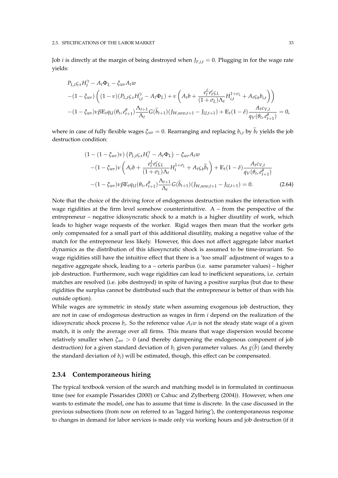Job *i* is directly at the margin of being destroyed when  $J_{F,i,t} = 0$ . Plugging in for the wage rate yields:

$$
P_{L,t} \varsigma_x H_t^{\gamma} - A_t \Phi_L - \xi_{wr} A_t w
$$
  
-(1 -  $\xi_{wr}$ )  $\left( (1 - v)(P_{L,t} \varsigma_x H_{i,t}^{\gamma} - A_t \Phi_L) + v \left( A_t b + \frac{e_t^L e_t^c \varsigma_L}{(1 + \sigma_L) \Lambda_t} H_{i,t}^{1 + \sigma_L} + A_t \varsigma_b b_{i,t} \right) \right)$   
-(1 -  $\xi_{wr}$ )  $\nu \beta \mathbb{E}_t q_U(\theta_t, e_{t+1}^{\theta}) \frac{\Lambda_{t+1}}{\Lambda_t} G(\widetilde{b}_{t+1}) (J_{W,new,t+1} - J_{U,t+1}) + \mathbb{E}_t (1 - \delta) \frac{A_t c_{V,t}}{q_V(\theta_t, e_{t+1}^{\theta})} = 0,$ 

where in case of fully flexible wages  $\xi_{wr} = 0$ . Rearranging and replacing  $b_{i,t}$  by  $\tilde{b}_t$  yields the job destruction condition:

$$
(1 - (1 - \xi_{wr})\nu) (P_{L,t}\varsigma_x H_t^{\gamma} - A_t \Phi_L) - \xi_{wr} A_t w
$$
  
-(1 - \xi\_{wr})\nu  $(A_t b + \frac{e_t^L e_t^c \varsigma_L}{(1 + \sigma_L)\Lambda_t} H_t^{1 + \sigma_L} + A_t \varsigma_b \widetilde{b}_t) + \mathbb{E}_t (1 - \delta) \frac{A_t c_{V,t}}{q_V(\theta_t, e_{t+1}^{\theta})}$   
-(1 - \xi\_{wr})\nu \beta \mathbb{E}\_t q\_U(\theta\_t, e\_{t+1}^{\theta}) \frac{\Lambda\_{t+1}}{\Lambda\_t} G(\widetilde{b}\_{t+1}) (J\_{W,new,t+1} - J\_{U,t+1}) = 0. (2.64)

Note that the choice of the driving force of endogenous destruction makes the interaction with wage rigidities at the firm level somehow counterintuitive. A – from the perspective of the entrepreneur – negative idiosyncratic shock to a match is a higher disutility of work, which leads to higher wage requests of the worker. Rigid wages then mean that the worker gets only compensated for a small part of this additional disutility, making a negative value of the match for the entrepreneur less likely. However, this does not affect aggregate labor market dynamics as the distribution of this idiosyncratic shock is assumed to be time-invariant. So wage rigidities still have the intuitive effect that there is a 'too small' adjustment of wages to a negative aggregate shock, leading to a – ceteris paribus (i.e. same parameter values) – higher job destruction. Furthermore, such wage rigidities can lead to inefficient separations, i.e. certain matches are resolved (i.e. jobs destroyed) in spite of having a positive surplus (but due to these rigidities the surplus cannot be distributed such that the entrepreneur is better of than with his outside option).

While wages are symmetric in steady state when assuming exogenous job destruction, they are not in case of endogenous destruction as wages in firm *i* depend on the realization of the idiosyncratic shock process *b<sup>i</sup>* . So the reference value *Atw* is not the steady state wage of a given match, it is only the average over all firms. This means that wage dispersion would become relatively smaller when *ξwr* > 0 (and thereby dampening the endogenous component of job destruction) for a given standard deviation of  $b_i$  given parameter values. As  $g(b)$  (and thereby the standard deviation of *b<sup>i</sup>* ) will be estimated, though, this effect can be compensated.

### **2.3.4 Contemporaneous hiring**

The typical textbook version of the search and matching model is in formulated in continuous time (see for example Pissarides (2000) or Cahuc and Zylberberg (2004)). However, when one wants to estimate the model, one has to assume that time is discrete. In the case discussed in the previous subsections (from now on referred to as 'lagged hiring'), the contemporaneous response to changes in demand for labor services is made only via working hours and job destruction (if it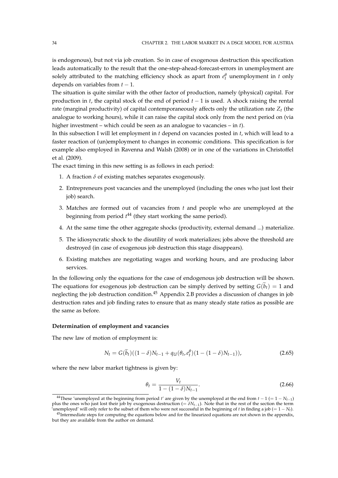is endogenous), but not via job creation. So in case of exogenous destruction this specification leads automatically to the result that the one-step-ahead-forecast-errors in unemployment are solely attributed to the matching efficiency shock as apart from  $e_t^{\theta}$  unemployment in *t* only depends on variables from *t* − 1.

The situation is quite similar with the other factor of production, namely (physical) capital. For production in *t*, the capital stock of the end of period *t* − 1 is used. A shock raising the rental rate (marginal productivity) of capital contemporaneously affects only the utilization rate *Z<sup>t</sup>* (the analogue to working hours), while it can raise the capital stock only from the next period on (via higher investment – which could be seen as an analogue to vacancies – in *t*).

In this subsection I will let employment in *t* depend on vacancies posted in *t*, which will lead to a faster reaction of (un)employment to changes in economic conditions. This specification is for example also employed in Ravenna and Walsh (2008) or in one of the variations in Christoffel et al. (2009).

The exact timing in this new setting is as follows in each period:

- 1. A fraction  $\delta$  of existing matches separates exogenously.
- 2. Entrepreneurs post vacancies and the unemployed (including the ones who just lost their job) search.
- 3. Matches are formed out of vacancies from *t* and people who are unemployed at the beginning from period *t* <sup>44</sup> (they start working the same period).
- 4. At the same time the other aggregate shocks (productivity, external demand ...) materialize.
- 5. The idiosyncratic shock to the disutility of work materializes; jobs above the threshold are destroyed (in case of exogenous job destruction this stage disappears).
- 6. Existing matches are negotiating wages and working hours, and are producing labor services.

In the following only the equations for the case of endogenous job destruction will be shown. The equations for exogenous job destruction can be simply derived by setting  $G(\tilde{b}_t) = 1$  and neglecting the job destruction condition.<sup>45</sup> Appendix 2.B provides a discussion of changes in job destruction rates and job finding rates to ensure that as many steady state ratios as possible are the same as before.

### **Determination of employment and vacancies**

The new law of motion of employment is:

$$
N_t = G(\tilde{b}_t)((1 - \delta)N_{t-1} + q_U(\theta_t, e_t^{\theta})(1 - (1 - \delta)N_{t-1})),
$$
\n(2.65)

where the new labor market tightness is given by:

$$
\theta_t = \frac{V_t}{1 - (1 - \delta)N_{t-1}}.\tag{2.66}
$$

<sup>&</sup>lt;sup>44</sup>These 'unemployed at the beginning from period *t'* are given by the unemployed at the end from  $t - 1 (= 1 - N_{t-1})$ plus the ones who just lost their job by exogenous destruction (=  $\delta N_{t-1}$ ). Note that in the rest of the section the term  $\bar{V}$ unemployed' will only refer to the subset of them who were not successful in the beginning of *t* in finding a job (= 1 − *N*<sup>*t*</sup>).

<sup>&</sup>lt;sup>45</sup>Intermediate steps for computing the equations below and for the linearized equations are not shown in the appendix, but they are available from the author on demand.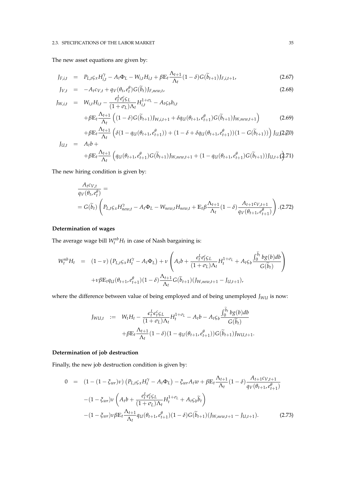### 2.3. SPECIFICATIONS OF THE LABOR MARKET 35

The new asset equations are given by:

$$
J_{F,i,t} = P_{L,t} \zeta_x H_{i,t}^{\gamma} - A_t \Phi_L - W_{i,t} H_{i,t} + \beta E_t \frac{\Lambda_{t+1}}{\Lambda_t} (1 - \delta) G(\tilde{b}_{t+1}) J_{F,i,t+1},
$$
(2.67)

$$
J_{V,t} = -A_t c_{V,t} + q_V(\theta_t, e_t^{\theta}) G(\tilde{b}_t) J_{F,new,t},
$$
\n
$$
(2.68)
$$

$$
J_{W,i,t} = W_{i,t}H_{i,t} - \frac{e_t^L e_t^C \zeta_L}{(1 + \sigma_L)\Lambda_t} H_{i,t}^{1 + \sigma_L} - A_t \zeta_b b_{i,t}
$$
  
+  $\beta \mathbb{E}_t \frac{\Lambda_{t+1}}{\Lambda_t} \left( (1 - \delta)G(\tilde{b}_{t+1}) J_{W,i,t+1} + \delta q_U(\theta_{t+1}, e_{t+1}^{\theta})G(\tilde{b}_{t+1}) J_{W,new,t+1} \right)$  (2.69)  
+  $\beta \mathbb{E}_t \frac{\Lambda_{t+1}}{\Lambda_t} \left( \delta (1 - \sigma_L(\theta - \epsilon_0^{\theta}))) + (1 - \delta + \delta \sigma_L(\theta - \epsilon_0^{\theta}))) (1 - G(\tilde{b}_{t+1})) \right) L_t(2.70)$ 

$$
+\beta \mathbb{E}_{t} \frac{\Lambda_{t+1}}{\Lambda_{t}} \left( \delta (1 - q_{U}(\theta_{t+1}, e_{t+1}^{\theta})) + (1 - \delta + \delta q_{U}(\theta_{t+1}, e_{t+1}^{\theta})) (1 - G(\widetilde{b}_{t+1})) \right) J_{U,t}(2, \mathcal{Z}^{(0)})
$$
  
=  $A_{t}b +$ 

$$
+\beta \mathbb{E}_t \frac{\Lambda_{t+1}}{\Lambda_t} \left( q_U(\theta_{t+1}, e_{t+1}^{\theta}) G(\widetilde{b}_{t+1}) J_{W, new, t+1} + (1 - q_U(\theta_{t+1}, e_{t+1}^{\theta}) G(\widetilde{b}_{t+1})) J_{U, t+1} \right)
$$

The new hiring condition is given by:

$$
\frac{A_t c_{V,t}}{q_V(\theta_t, e_t^{\theta})} =
$$
\n
$$
= G(\widetilde{b}_t) \left( P_{L,t} \varsigma_x H_{new,t}^{\gamma} - A_t \Phi_L - W_{new,t} H_{new,t} + \mathbb{E}_t \beta \frac{\Lambda_{t+1}}{\Lambda_t} (1 - \delta) \frac{A_{t+1} c_{V,t+1}}{q_V(\theta_{t+1}, e_{t+1}^{\theta})} \right). (2.72)
$$

## **Determination of wages**

 $J_{U,t}$ 

The average wage bill  $W_t^{nb}H_t$  in case of Nash bargaining is:

$$
W_t^{nb} H_t = (1 - v) (P_{L,t} \zeta_x H_t^{\gamma} - A_t \Phi_L) + v \left( A_t b + \frac{e_t^L e_t^c \zeta_L}{(1 + \sigma_L) \Lambda_t} H_t^{1 + \sigma_L} + A_t \zeta_b \frac{\int_0^{\tilde{b}_t} b g(b) db}{G(\tilde{b}_t)} \right)
$$
  
+  $v \beta \mathbb{E}_t q_U (\theta_{t+1}, e_{t+1}^{\theta})(1 - \delta) \frac{\Lambda_{t+1}}{\Lambda_t} G(\tilde{b}_{t+1}) (J_{W, new, t+1} - J_{U, t+1}),$ 

where the difference between value of being employed and of being unemployed *J<sub>WU</sub>* is now:

$$
J_{WU,t} := W_t H_t - \frac{\epsilon_t^L \epsilon_t^c \varsigma_L}{(1 + \sigma_L)\Lambda_t} H_t^{1 + \sigma_L} - A_t b - A_t \varsigma_b \frac{\int_0^{b_t} b g(b) db}{G(\tilde{b}_t)}
$$
  
+  $\beta \mathbb{E}_t \frac{\Lambda_{t+1}}{\Lambda_t} (1 - \delta)(1 - q_U(\theta_{t+1}, e_{t+1}^{\theta})) G(\tilde{b}_{t+1}) J_{WU,t+1}.$ 

## **Determination of job destruction**

Finally, the new job destruction condition is given by:

$$
0 = (1 - (1 - \xi_{wr})\nu) \left( P_{L,t}\varsigma_x H_t^{\gamma} - A_t \Phi_L \right) - \xi_{wr} A_t w + \beta E_t \frac{\Lambda_{t+1}}{\Lambda_t} (1 - \delta) \frac{A_{t+1}c_{V,t+1}}{q_V(\theta_{t+1}, e_{t+1}^{\theta})}
$$
  

$$
- (1 - \xi_{wr})\nu \left( A_t b + \frac{e_t^L e_t^c \varsigma_L}{(1 + \sigma_L)\Lambda_t} H_t^{1 + \sigma_L} + A_t \varsigma_b \tilde{b}_t \right)
$$
  

$$
- (1 - \xi_{wr})\nu \beta E_t \frac{\Lambda_{t+1}}{\Lambda_t} q_U(\theta_{t+1}, e_{t+1}^{\theta}) (1 - \delta) G(\tilde{b}_{t+1}) (J_{W,new,t+1} - J_{U,t+1}). \tag{2.73}
$$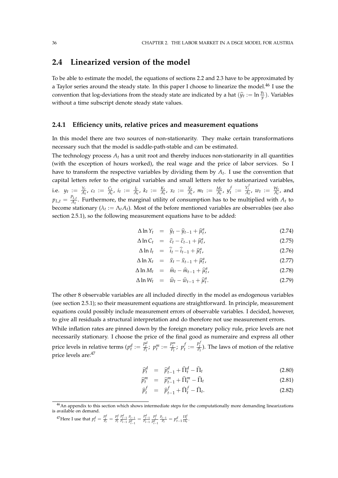# **2.4 Linearized version of the model**

To be able to estimate the model, the equations of sections 2.2 and 2.3 have to be approximated by a Taylor series around the steady state. In this paper I choose to linearize the model.<sup>46</sup> I use the convention that log-deviations from the steady state are indicated by a hat  $(\hat{y}_t := \ln \frac{y_t}{y})$ . Variables without a time subscript denote steady state values.

# **2.4.1 Efficiency units, relative prices and measurement equations**

In this model there are two sources of non-stationarity. They make certain transformations necessary such that the model is saddle-path-stable and can be estimated.

The technology process  $A_t$  has a unit root and thereby induces non-stationarity in all quantities (with the exception of hours worked), the real wage and the price of labor services. So I have to transform the respective variables by dividing them by *A<sup>t</sup>* . I use the convention that capital letters refer to the original variables and small letters refer to stationarized variables, i.e.  $y_t := \frac{Y_t}{A_t}$ ,  $c_t := \frac{C_t}{A_t}$ ,  $i_t := \frac{I_t}{A_t}$ ,  $k_t := \frac{K_t}{A_t}$ ,  $x_t := \frac{X_t}{A_t}$ ,  $m_t := \frac{M_t}{A_t}$ ,  $y_t^t$  $f_t$  :=  $\frac{Y_t^f}{A_t}$ ,  $w_t$  :=  $\frac{W_t}{A_t}$ , and  $p_{L,t} = \frac{P_{L,t}}{A_t}$  $\frac{L_t}{A_t}$ . Furthermore, the marginal utility of consumption has to be multiplied with  $A_t$  to become stationary ( $\lambda_t := \Lambda_t A_t$ ). Most of the before mentioned variables are observables (see also section 2.5.1), so the following measurement equations have to be added:

$$
\Delta \ln Y_t = \hat{y}_t - \hat{y}_{t-1} + \hat{\mu}_t^a, \qquad (2.74)
$$

$$
\Delta \ln C_t = \hat{c}_t - \hat{c}_{t-1} + \hat{\mu}_t^a, \tag{2.75}
$$

$$
\Delta \ln I_t = \hat{i}_t - \hat{i}_{t-1} + \hat{\mu}_t^a, \qquad (2.76)
$$

$$
\Delta \ln X_t = \hat{x}_t - \hat{x}_{t-1} + \hat{\mu}_t^a, \tag{2.77}
$$

$$
\Delta \ln M_t = \widehat{m}_t - \widehat{m}_{t-1} + \widehat{\mu}_t^a, \tag{2.78}
$$

$$
\Delta \ln W_t = \widehat{w}_t - \widehat{w}_{t-1} + \widehat{\mu}_t^a. \tag{2.79}
$$

The other 8 observable variables are all included directly in the model as endogenous variables (see section 2.5.1); so their measurement equations are straightforward. In principle, measurement equations could possibly include measurement errors of observable variables. I decided, however, to give all residuals a structural interpretation and do therefore not use measurement errors.

While inflation rates are pinned down by the foreign monetary policy rule, price levels are not necessarily stationary. I choose the price of the final good as numeraire and express all other price levels in relative terms  $(p_t^d := \frac{P_t^d}{P_t}; p_t^m := \frac{P_t^m}{P_t}; p_t^d$  $f_t := \frac{P_t^f}{P_t}$ ). The laws of motion of the relative price levels are:<sup>47</sup>

$$
\widehat{p}_t^d = \widehat{p}_{t-1}^d + \widehat{\Pi}_t^d - \widehat{\Pi}_t \tag{2.80}
$$

$$
\widehat{p}_t^m = \widehat{p}_{t-1}^m + \widehat{\Pi}_t^m - \widehat{\Pi}_t \tag{2.81}
$$

$$
\widehat{p}_t^f = \widehat{p}_{t-1}^f + \widehat{\Pi}_t^f - \widehat{\Pi}_t. \tag{2.82}
$$

 $46$ An appendix to this section which shows intermediate steps for the computationally more demanding linearizations is available on demand.

<sup>&</sup>lt;sup>47</sup>Here I use that  $p_t^d = \frac{p_t^d}{p_t} = \frac{p_t^d}{p_t} \frac{p_{t-1}^d}{p_{t-1}} \frac{p_{t-1}}{p_{t-1}^d} = \frac{p_{t-1}^d}{p_{t-1}} \frac{p_t^d}{p_{t-1}^d}$  $\frac{P_{t-1}}{P_t} = p_{t-1}^d \frac{\Pi_t^d}{\Pi_t}.$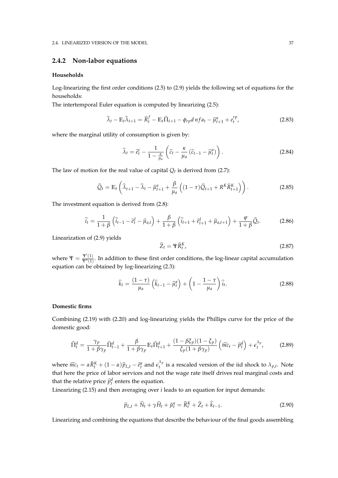## **2.4.2 Non-labor equations**

### **Households**

Log-linearizing the first order conditions (2.5) to (2.9) yields the following set of equations for the households:

The intertemporal Euler equation is computed by linearizing (2.5):

$$
\widehat{\lambda}_t - \mathbb{E}_t \widehat{\lambda}_{t+1} = \widehat{R}_t^f - \mathbb{E}_t \widehat{\Pi}_{t+1} - \phi_{rp} d n f a_t - \widehat{\mu}_{t+1}^a + e_t^{rp}, \tag{2.83}
$$

where the marginal utility of consumption is given by:

$$
\widehat{\lambda}_t = \widehat{e}_t^c - \frac{1}{1 - \frac{\kappa}{\mu_a}} \left( \widehat{c}_t - \frac{\kappa}{\mu_a} \left( \widehat{c}_{t-1} - \widehat{\mu}_t^a \right) \right). \tag{2.84}
$$

The law of motion for the real value of capital  $Q_t$  is derived from (2.7):

$$
\widehat{Q}_t = \mathbb{E}_t \left( \widehat{\lambda}_{t+1} - \widehat{\lambda}_t - \widehat{\mu}_{t+1}^a + \frac{\beta}{\mu_a} \left( (1 - \tau) \widehat{Q}_{t+1} + R^K \widehat{R}_{t+1}^K \right) \right). \tag{2.85}
$$

The investment equation is derived from (2.8):

$$
\hat{i}_t = \frac{1}{1+\beta} \left( \hat{i}_{t-1} - \hat{e}_t^I - \hat{\mu}_{a,t} \right) + \frac{\beta}{1+\beta} \left( \hat{i}_{t+1} + \hat{e}_{t+1}^I + \hat{\mu}_{a,t+1} \right) + \frac{\varphi}{1+\beta} \hat{Q}_t.
$$
 (2.86)

Linearization of (2.9) yields

$$
\widehat{Z}_t = \Psi \widehat{R}_t^K, \tag{2.87}
$$

where  $\Psi = \frac{\Psi'(1)}{\Psi''(1)}$  $\frac{1}{\Psi''(1)}$ . In addition to these first order conditions, the log-linear capital accumulation equation can be obtained by log-linearizing (2.3):

$$
\widehat{k}_t = \frac{(1-\tau)}{\mu_a} \left( \widehat{k}_{t-1} - \widehat{\mu}_t^a \right) + \left( 1 - \frac{1-\tau}{\mu_a} \right) \widehat{i}_t.
$$
\n(2.88)

### **Domestic firms**

Combining (2.19) with (2.20) and log-linearizing yields the Phillips curve for the price of the domestic good:

$$
\widehat{\Pi}_t^d = \frac{\gamma_p}{1 + \beta \gamma_p} \widehat{\Pi}_{t-1}^d + \frac{\beta}{1 + \beta \gamma_p} \mathbb{E}_t \widehat{\Pi}_{t+1}^d + \frac{(1 - \beta \xi_p)(1 - \xi_p)}{\xi_p (1 + \beta \gamma_p)} \left( \widehat{mc}_t - \widehat{p}_t^d \right) + \epsilon_t^{\lambda_p},\tag{2.89}
$$

where  $\widehat{mc}_t = \alpha \widehat{R}_t^K + (1 - \alpha) \widehat{p}_{L,t} - \widehat{e}_t^a$  and  $\epsilon_t^{\lambda_p}$  $\hat{a}^{\prime\prime}$  is a rescaled version of the iid shock to  $\lambda_{p,t}$ . Note that here the price of labor services and not the wage rate itself drives real marginal costs and that the relative price  $\hat{p}_t^d$  enters the equation.

Linearizing (2.15) and then averaging over *i* leads to an equation for input demands:

$$
\widehat{p}_{L,t} + \widehat{N}_t + \gamma \widehat{H}_t + \widehat{\mu}_t^a = \widehat{R}_t^K + \widehat{Z}_t + \widehat{k}_{t-1}.
$$
\n(2.90)

Linearizing and combining the equations that describe the behaviour of the final goods assembling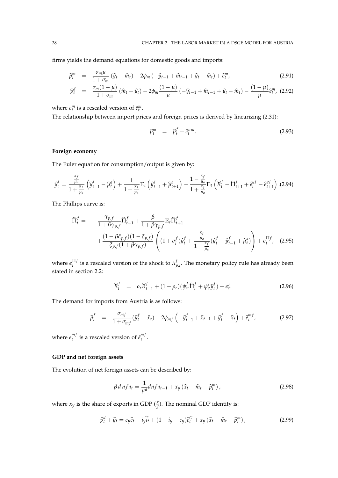firms yields the demand equations for domestic goods and imports:

$$
\widehat{p}_t^m = \frac{\sigma_m \mu}{1 + \sigma_m} \left( \widehat{y}_t - \widehat{m}_t \right) + 2\phi_m \left( -\widehat{y}_{t-1} + \widehat{m}_{t-1} + \widehat{y}_t - \widehat{m}_t \right) + \widehat{e}_t^m, \tag{2.91}
$$

$$
\widehat{p}_t^d = \frac{\sigma_m (1-\mu)}{1+\sigma_m} (\widehat{m}_t - \widehat{y}_t) - 2\phi_m \frac{(1-\mu)}{\mu} (-\widehat{y}_{t-1} + \widehat{m}_{t-1} + \widehat{y}_t - \widehat{m}_t) - \frac{(1-\mu)}{\mu} \widehat{e}_t^m, (2.92)
$$

where  $e_t^m$  is a rescaled version of  $\tilde{e}_t^m$ .

The relationship between import prices and foreign prices is derived by linearizing (2.31):

$$
\widehat{p}_t^m = \widehat{p}_t^f + \widehat{e}_t^{\pi m}.
$$
\n(2.93)

### **Foreign economy**

The Euler equation for consumption/output is given by:

$$
\widehat{y}_t^f = \frac{\frac{\kappa_f}{\mu_a}}{1 + \frac{\kappa_f}{\mu_a}} \left( \widehat{y}_{t-1}^f - \widehat{\mu}_t^a \right) + \frac{1}{1 + \frac{\kappa_f}{\mu_a}} \mathbb{E}_t \left( \widehat{y}_{t+1}^f + \widehat{\mu}_{t+1}^a \right) - \frac{1 - \frac{\kappa_f}{\mu_a}}{1 + \frac{\kappa_f}{\mu_a}} \mathbb{E}_t \left( \widehat{R}_t^f - \widehat{\Pi}_{t+1}^f + \widehat{e}_t^{yf} - \widehat{e}_{t+1}^{yf} \right). (2.94)
$$

The Phillips curve is:

$$
\hat{\Pi}_{t}^{f} = \frac{\gamma_{p,f}}{1 + \beta \gamma_{p,f}} \hat{\Pi}_{t-1}^{f} + \frac{\beta}{1 + \beta \gamma_{p,f}} \mathbb{E}_{t} \hat{\Pi}_{t+1}^{f} \n+ \frac{(1 - \beta \xi_{p,f})(1 - \xi_{p,f})}{\xi_{p,f}(1 + \beta \gamma_{p,f})} \left( (1 + \sigma_{t}^{f}) \hat{y}_{t}^{f} + \frac{\frac{\kappa_{f}}{\mu_{a}}}{1 - \frac{\kappa_{f}}{\mu_{a}}} (\hat{y}_{t}^{f} - \hat{y}_{t-1}^{f} + \hat{\mu}_{t}^{a}) \right) + \epsilon_{t}^{\Pi f}, \quad (2.95)
$$

where  $\epsilon_t^{\Pi f}$  $\mathcal{F}^{\text{II}f}_t$  is a rescaled version of the shock to  $\lambda^\text{I}_t$  $p_{p,t}^{\prime}$ . The monetary policy rule has already been stated in section 2.2:

$$
\widehat{R}_t^f = \rho_r \widehat{R}_{t-1}^f + (1 - \rho_r)(\psi_\pi^f \widehat{\Pi}_t^f + \psi_y^f \widehat{y}_t^f) + \epsilon_t^r. \tag{2.96}
$$

The demand for imports from Austria is as follows:

$$
\widehat{p}_t^f = \frac{\sigma_{mf}}{1 + \sigma_{mf}} (\widehat{y}_t^f - \widehat{x}_t) + 2\phi_{mf} \left( -\widehat{y}_{t-1}^f + \widehat{x}_{t-1} + \widehat{y}_t^f - \widehat{x}_t \right) + \widehat{e}_t^{mf}, \tag{2.97}
$$

where  $e_t^{mf}$  $t_t^{mf}$  is a rescaled version of  $\tilde{e}^{mf}_t$ *t* .

# **GDP and net foreign assets**

The evolution of net foreign assets can be described by:

$$
\beta \, d \, nfa_t = \frac{1}{\mu^a} dnfa_{t-1} + x_y \left(\hat{x}_t - \hat{m}_t - \hat{p}_t^m\right),\tag{2.98}
$$

where  $x_y$  is the share of exports in GDP  $(\frac{x}{y})$ . The nominal GDP identity is:

$$
\widehat{p}_t^d + \widehat{y}_t = c_y \widehat{c}_t + i_y \widehat{i}_t + (1 - i_y - c_y) \widehat{e}_t^G + x_y \left( \widehat{x}_t - \widehat{m}_t - \widehat{p}_t^m \right), \tag{2.99}
$$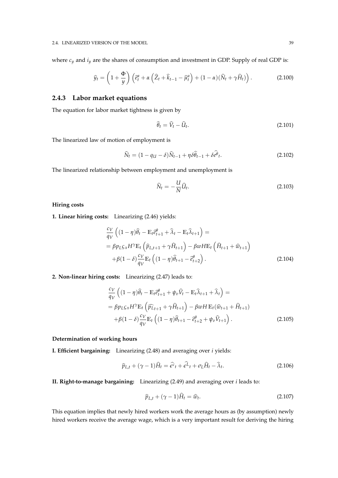where  $c_y$  and  $i_y$  are the shares of consumption and investment in GDP. Supply of real GDP is:

$$
\widehat{y}_t = \left(1 + \frac{\Phi}{y}\right) \left(\widehat{e}_t^a + \alpha \left(\widehat{Z}_t + \widehat{k}_{t-1} - \widehat{\mu}_t^a\right) + (1 - \alpha)(\widehat{N}_t + \gamma \widehat{H}_t)\right). \tag{2.100}
$$

## **2.4.3 Labor market equations**

The equation for labor market tightness is given by

$$
\widehat{\theta}_t = \widehat{V}_t - \widehat{U}_t. \tag{2.101}
$$

The linearized law of motion of employment is

$$
\widehat{N}_t = (1 - q_U - \delta)\widehat{N}_{t-1} + \eta \delta \widehat{\theta}_{t-1} + \delta \widehat{e^{\theta}}_t. \tag{2.102}
$$

The linearized relationship between employment and unemployment is

$$
\widehat{N}_t = -\frac{U}{N}\widehat{U}_t.
$$
\n(2.103)

### **Hiring costs**

**1. Linear hiring costs:** Linearizing (2.46) yields:

$$
\frac{c_V}{q_V} \left( (1 - \eta) \hat{\theta}_t - \mathbb{E}_t \hat{e}_{t+1}^\theta + \hat{\lambda}_t - \mathbb{E}_t \hat{\lambda}_{t+1} \right) =
$$
\n
$$
= \beta p_L \varsigma_x H^\gamma \mathbb{E}_t \left( \hat{p}_{L,t+1} + \gamma \hat{H}_{t+1} \right) - \beta w H \mathbb{E}_t \left( \hat{H}_{t+1} + \hat{w}_{t+1} \right)
$$
\n
$$
+ \beta (1 - \delta) \frac{c_V}{q_V} \mathbb{E}_t \left( (1 - \eta) \hat{\theta}_{t+1} - \hat{e}_{t+2}^\theta \right).
$$
\n(2.104)

**2. Non-linear hiring costs:** Linearizing (2.47) leads to:

$$
\frac{c_V}{q_V} \left( (1 - \eta) \hat{\theta}_t - \mathbb{E}_t \hat{e}_{t+1}^{\theta} + \psi_v \hat{V}_t - \mathbb{E}_t \hat{\lambda}_{t+1} + \hat{\lambda}_t \right) =
$$
\n
$$
= \beta p_L \varsigma_x H^\gamma \mathbb{E}_t \left( \widehat{p}_{Lt+1} + \gamma \hat{H}_{t+1} \right) - \beta w H \mathbb{E}_t (\widehat{w}_{t+1} + \widehat{H}_{t+1})
$$
\n
$$
+ \beta (1 - \delta) \frac{c_V}{q_V} \mathbb{E}_t \left( (1 - \eta) \widehat{\theta}_{t+1} - \widehat{e}_{t+2}^{\theta} + \psi_v \widehat{V}_{t+1} \right). \tag{2.105}
$$

### **Determination of working hours**

**I. Efficient bargaining:** Linearizing (2.48) and averaging over *i* yields:

$$
\widehat{p}_{L,t} + (\gamma - 1)\widehat{H}_t = \widehat{\epsilon^c}_t + \widehat{\epsilon^L}_t + \sigma_L \widehat{H}_t - \widehat{\lambda}_t.
$$
\n(2.106)

**II. Right-to-manage bargaining:** Linearizing (2.49) and averaging over *i* leads to:

$$
\widehat{p}_{L,t} + (\gamma - 1)\widehat{H}_t = \widehat{w}_t.
$$
\n(2.107)

This equation implies that newly hired workers work the average hours as (by assumption) newly hired workers receive the average wage, which is a very important result for deriving the hiring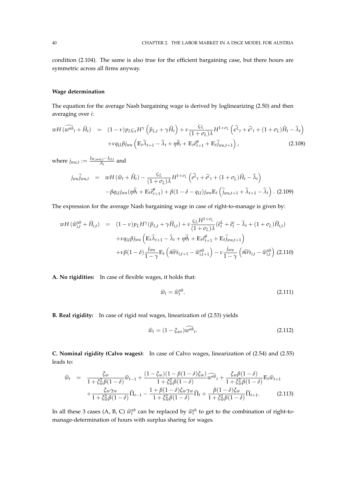condition (2.104). The same is also true for the efficient bargaining case, but there hours are symmetric across all firms anyway.

### **Wage determination**

The equation for the average Nash bargaining wage is derived by loglinearizing (2.50) and then averaging over *i*:

$$
wH(\widehat{w^{nb}}_t + \widehat{H}_t) = (1 - v)p_L \varsigma_x H^{\gamma}(\widehat{p}_{L,t} + \gamma \widehat{H}_t) + v \frac{\varsigma_L}{(1 + \sigma_L)\lambda} H^{1 + \sigma_L}(\widehat{\epsilon^L}_t + \widehat{\epsilon^c}_t + (1 + \sigma_L)\widehat{H}_t - \widehat{\lambda}_t) + vq_{LI}\beta j_{wu}(\mathbb{E}_t \widehat{\lambda}_{t+1} - \widehat{\lambda}_t + \eta \widehat{\theta}_t + \mathbb{E}_t \widehat{\epsilon}^{\theta}_{t+1} + \mathbb{E}_t \widehat{j}_{wu,t+1}),
$$
\n(2.108)

 $\text{where } j_{wu,t} := \frac{J_{W,new,t} - J_{U,t}}{A_t}$  $\frac{w,t-JU,t}{A_t}$  and

$$
j_{wu}\hat{j}_{wu,t} = wH(\hat{w}_t + \hat{H}_t) - \frac{\varsigma_L}{(1 + \sigma_L)\lambda}H^{1 + \sigma_L}(\hat{e^L}_t + \hat{e^c}_t + (1 + \sigma_L)\hat{H}_t - \hat{\lambda}_t) - \beta q_{U}j_{wu}(\eta\hat{\theta}_t + \mathbb{E}_t\hat{e}^{\theta}_{t+1}) + \beta(1 - \delta - q_U)j_{wu}\mathbb{E}_t(\hat{j}_{wu,t+1} + \hat{\lambda}_{t+1} - \hat{\lambda}_t).
$$
 (2.109)

The expression for the average Nash bargaining wage in case of right-to-manage is given by:

$$
wH(\widehat{w}_{i,t}^{nb} + \widehat{H}_{i,t}) = (1 - v)p_L H^{\gamma}(\widehat{p}_{L,t} + \gamma \widehat{H}_{i,t}) + v \frac{\varsigma_L H^{1+\sigma_L}}{(1 + \sigma_L)\lambda} (\widehat{e}_t^L + \widehat{e}_t^c - \widehat{\lambda}_t + (1 + \sigma_L)\widehat{H}_{i,t})
$$
  
+
$$
+ vq_U \beta j_{wu} \left( \mathbb{E}_t \widehat{\lambda}_{t+1} - \widehat{\lambda}_t + \eta \widehat{\theta}_t + \mathbb{E}_t \widehat{e}_{t+1}^{\theta} + \mathbb{E}_t j_{wu,t+1} \right)
$$
  
+
$$
+ v\beta (1 - \delta) \frac{j_{wu}}{1 - \gamma} \mathbb{E}_t \left( \widehat{mrs}_{i,t+1} - \widehat{w}_{i,t+1}^{nb} \right) - v \frac{j_{wu}}{1 - \gamma} \left( \widehat{mrs}_{i,t} - \widehat{w}_{i,t}^{nb} \right). (2.110)
$$

**A. No rigidities:** In case of flexible wages, it holds that:

$$
\widehat{w}_t = \widehat{w}_t^{nb}.\tag{2.111}
$$

**B. Real rigidity:** In case of rigid real wages, linearization of (2.53) yields

$$
\widehat{w}_t = (1 - \xi_{wr})w^{nb}t. \tag{2.112}
$$

**C. Nominal rigidity (Calvo wages):** In case of Calvo wages, linearization of (2.54) and (2.55) leads to:

$$
\widehat{w}_t = \frac{\xi_w}{1 + \xi_w^2 \beta (1 - \delta)} \widehat{w}_{t-1} + \frac{(1 - \xi_w)(1 - \beta(1 - \delta)\xi_w)}{1 + \xi_w^2 \beta (1 - \delta)} \widehat{w}^h_t + \frac{\xi_w \beta (1 - \delta)}{1 + \xi_w^2 \beta (1 - \delta)} \mathbb{E}_t \widehat{w}_{t+1} + \frac{\xi_w \gamma_w}{1 + \xi_w^2 \beta (1 - \delta)} \widehat{\Pi}_{t-1} - \frac{1 + \beta (1 - \delta)\xi_w \gamma_w}{1 + \xi_w^2 \beta (1 - \delta)} \widehat{\Pi}_t + \frac{\beta (1 - \delta)\xi_w}{1 + \xi_w^2 \beta (1 - \delta)} \widehat{\Pi}_{t+1}.
$$
\n(2.113)

In all these 3 cases (A, B, C)  $\hat{w}_t^{nb}$  can be replaced by  $\hat{w}_t^{sh}$  to get to the combination of right-tomanage-determination of hours with surplus sharing for wages.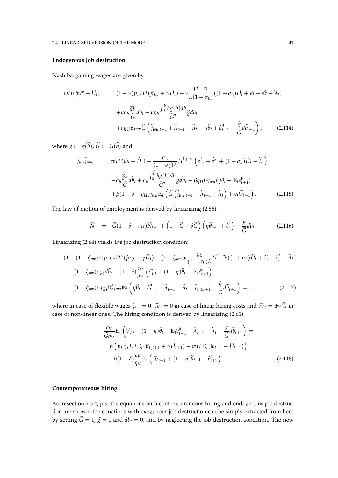#### 2.4. LINEARIZED VERSION OF THE MODEL 41

### **Endogenous job destruction**

Nash bargaining wages are given by

$$
wH(\widehat{w}_t^{nb} + \widehat{H}_t) = (1 - v)p_L H^{\gamma}(\widehat{p}_{L,t} + \gamma \widehat{H}_t) + v \frac{H^{1 + \sigma_L}}{\lambda(1 + \sigma_L)}((1 + \sigma_L)\widehat{H}_t + \widehat{\epsilon}_t^c + \widehat{\epsilon}_t^L - \widehat{\lambda}_t)
$$

$$
+ v \varsigma_b \frac{\widehat{g}\widetilde{b}}{\widetilde{G}} d\widetilde{b}_t - v \varsigma_b \frac{\int_0^{\widetilde{b}} bg(b)db}{\widetilde{G}^2} \widetilde{g} d\widetilde{b}_t
$$

$$
+ v q_U \beta j_{wu} \widetilde{G} \left( \widehat{j}_{wu, t+1} + \widehat{\lambda}_{t+1} - \widehat{\lambda}_t + \eta \widehat{\theta}_t + \widehat{\epsilon}_{t+1}^{\theta} + \frac{\widetilde{g}}{\widetilde{G}} d\widetilde{b}_{t+1} \right), \qquad (2.114)
$$

where  $\widetilde{g} := g(\widetilde{b})$ ,  $\widetilde{G} := G(\widetilde{b})$  and

$$
j_{w}\hat{j}_{wu,t} = wH(\hat{w}_t + \hat{H}_t) - \frac{\varsigma_L}{(1 + \sigma_L)\lambda}H^{1 + \sigma_L}(\hat{e^L}_t + \hat{e^c}_t + (1 + \sigma_L)\hat{H}_t - \hat{\lambda}_t)
$$

$$
- \varsigma_b \frac{\tilde{g}\tilde{b}}{\tilde{G}}d\tilde{b}_t + \varsigma_b \frac{\int_0^{\tilde{b}} bg(b)db}{\tilde{G}^2} \tilde{g}d\tilde{b}_t - \beta q_U \tilde{G}j_{wu}(\eta \hat{\theta}_t + \mathbb{E}_t \hat{e}^{\theta}_{t+1})
$$

$$
+ \beta(1 - \delta - q_U)j_{wu} \mathbb{E}_t(\tilde{G}(\hat{j}_{wu,t+1} + \hat{\lambda}_{t+1} - \hat{\lambda}_t) + \tilde{g}d\tilde{b}_{t+1}). \tag{2.115}
$$

The law of motion of employment is derived by linearizing (2.56):

$$
\widehat{N}_t = \widetilde{G}(1 - \delta - q_U)\widehat{N}_{t-1} + \left(1 - \widetilde{G} + \delta \widetilde{G}\right)\left(\eta \widehat{\theta}_{t-1} + \widehat{e}_t^{\theta}\right) + \frac{\widetilde{g}}{\widetilde{G}}d\widetilde{b}_t. \tag{2.116}
$$

Linearizing (2.64) yields the job destruction condition:

$$
(1 - (1 - \xi_{wr})\nu)p_{L\zeta x}H^{\gamma}(\hat{p}_{L,t} + \gamma \hat{H}_t) - (1 - \xi_{wr})\nu \frac{\zeta_L}{(1 + \sigma_L)\lambda}H^{1 + \sigma_L}((1 + \sigma_L)\hat{H}_t + \hat{\epsilon}_t^c + \hat{\epsilon}_t^L - \hat{\lambda}_t)
$$

$$
-(1 - \xi_{wr})\nu\zeta_b d\tilde{b}_t + (1 - \delta)\frac{c_V}{q_V}(\hat{c}_{Vt} + (1 - \eta)\hat{\theta}_t - \mathbb{E}_t\hat{e}_{t+1}^{\theta})
$$

$$
-(1 - \xi_{wr})\nu q_{U}\beta\tilde{G}j_{wu}\mathbb{E}_t(\eta\hat{\theta}_t + \hat{e}_{t+1}^{\theta} + \hat{\lambda}_{t+1} - \hat{\lambda}_t + \hat{j}_{wu,t+1} + \frac{\tilde{g}}{\tilde{G}}d\tilde{b}_{t+1}) = 0, \qquad (2.117)
$$

where in case of flexible wages  $\zeta_{wr} = 0$ ,  $\widehat{c_V}_t = 0$  in case of linear hiring costs and  $\widehat{c_V}_t = \psi_V \widehat{V}_t$  in case of non-linear ones. The hiring condition is derived by linearizing (2.61):

$$
\frac{c_V}{\tilde{G}q_V} \mathbb{E}_t \left( \widehat{c}_{Vt} + (1 - \eta)\widehat{\theta}_t - \mathbb{E}_t \widehat{e}_{t+1}^{\theta} - \widehat{\lambda}_{t+1} + \widehat{\lambda}_t - \frac{\widetilde{g}}{\tilde{G}} d\widetilde{b}_{t+1} \right) = \n= \beta \left( p_{LSx} H^{\gamma} \mathbb{E}_t (\widehat{p}_{L,t+1} + \gamma \widehat{H}_{t+1}) - wH \mathbb{E}_t (\widehat{w}_{t+1} + \widehat{H}_{t+1}) \right) \n+ \beta (1 - \delta) \frac{c_V}{q_V} \mathbb{E}_t \left( \widehat{c}_{Vt+1} + (1 - \eta)\widehat{\theta}_{t+1} - \widehat{e}_{t+2}^{\theta} \right).
$$
\n(2.118)

### **Contemporaneous hiring**

As in section 2.3.4, just the equations with contemporaneous hiring and endogenous job destruction are shown; the equations with exogenous job destruction can be simply extracted from here by setting  $\tilde{G} = 1$ ,  $\tilde{g} = 0$  and  $d\tilde{b}_t = 0$ , and by neglecting the job destruction condition. The new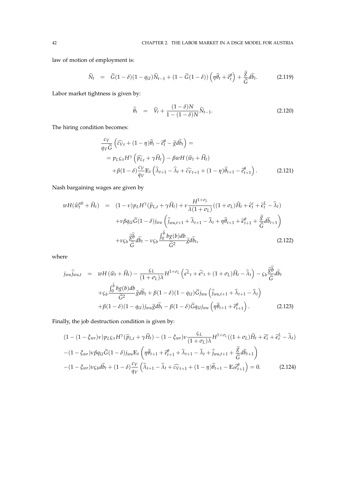law of motion of employment is:

$$
\widehat{N}_t = \widetilde{G}(1-\delta)(1-q_U)\widehat{N}_{t-1} + (1-\widetilde{G}(1-\delta))\left(\eta\widehat{\theta}_t + \widehat{e}_t^{\theta}\right) + \frac{\widetilde{\mathcal{S}}}{\widetilde{G}}d\widetilde{b}_t.
$$
\n(2.119)

Labor market tightness is given by:

$$
\widehat{\theta}_t = \widehat{V}_t + \frac{(1-\delta)N}{1-(1-\delta)N} \widehat{N}_{t-1}.
$$
\n(2.120)

The hiring condition becomes:

$$
\frac{c_V}{q_V \tilde{G}} \left( \widehat{c}_{Vt} + (1 - \eta) \widehat{\theta}_t - \widehat{e}_t^{\theta} - \widetilde{g} d\widetilde{b}_t \right) =
$$
\n
$$
= p_{L\mathcal{S}x} H^{\gamma} \left( \widehat{p}_{Lt} + \gamma \widehat{H}_t \right) - \beta w H \left( \widehat{w}_t + \widehat{H}_t \right)
$$
\n
$$
+ \beta (1 - \delta) \frac{c_V}{q_V} \mathbb{E}_t \left( \widehat{\lambda}_{t+1} - \widehat{\lambda}_t + \widehat{c}_{Vt+1} + (1 - \eta) \widehat{\theta}_{t+1} - \widehat{e}_{t+1}^{\theta} \right). \tag{2.121}
$$

Nash bargaining wages are given by

$$
wH(\widehat{w}_t^{nb} + \widehat{H}_t) = (1 - v)p_L H^{\gamma}(\widehat{p}_{L,t} + \gamma \widehat{H}_t) + v \frac{H^{1 + \sigma_L}}{\lambda(1 + \sigma_L)}((1 + \sigma_L)\widehat{H}_t + \widehat{\epsilon}_t^c + \widehat{\epsilon}_t^L - \widehat{\lambda}_t) + v\beta q_U \widetilde{G}(1 - \delta)j_{wu} \left(\widehat{j}_{wu,t+1} + \widehat{\lambda}_{t+1} - \widehat{\lambda}_t + \eta \widehat{\theta}_{t+1} + \widehat{\epsilon}_{t+1}^{\theta} + \frac{\widetilde{g}}{\widetilde{G}}d\widetilde{b}_{t+1}\right) + v\varsigma_b \frac{\widetilde{g}\widetilde{b}}{\widetilde{G}}d\widetilde{b}_t - v\varsigma_b \frac{\int_0^{\widetilde{b}}bg(b)db}{\widetilde{G}^2}\widetilde{g}d\widetilde{b}_t,
$$
\n(2.122)

where

$$
j_{wu} \hat{j}_{wu,t} = wH(\hat{w}_t + \hat{H}_t) - \frac{\varsigma_L}{(1 + \sigma_L)\lambda} H^{1 + \sigma_L} \left(\hat{\epsilon}^L_t + \hat{\epsilon}^c_t + (1 + \sigma_L)\hat{H}_t - \hat{\lambda}_t\right) - \varsigma_b \frac{\tilde{g}b}{\tilde{G}} d\tilde{b}_t
$$
  
+
$$
\varsigma_b \frac{\int_0^{\tilde{b}} b g(b) db}{\tilde{G}^2} \tilde{g} d\tilde{b}_t + \beta (1 - \delta)(1 - q_U) \tilde{G} j_{wu} \left(\hat{j}_{wu,t+1} + \hat{\lambda}_{t+1} - \hat{\lambda}_t\right)
$$
  
+
$$
\beta (1 - \delta)(1 - q_U) j_{wu} \tilde{g} d\tilde{b}_t - \beta (1 - \delta) \tilde{G} q_U j_{wu} \left(\eta \hat{\theta}_{t+1} + \tilde{\epsilon}^{\theta}_{t+1}\right).
$$
 (2.123)

Finally, the job destruction condition is given by:

$$
(1 - (1 - \xi_{wr})\nu)p_L\varsigma_x H^{\gamma}(\hat{p}_{L,t} + \gamma \hat{H}_t) - (1 - \xi_{wr})\nu \frac{\varsigma_L}{(1 + \sigma_L)\lambda} H^{1 + \sigma_L}((1 + \sigma_L)\hat{H}_t + \hat{\epsilon}_t^c + \hat{\epsilon}_t^L - \hat{\lambda}_t)
$$

$$
-(1 - \xi_{wr})\nu\beta q_U\tilde{G}(1 - \delta)j_{wu}\mathbb{E}_t\left(\eta\hat{\theta}_{t+1} + \hat{\epsilon}_{t+1}^{\theta} + \hat{\lambda}_{t+1} - \hat{\lambda}_t + j_{wu,t+1} + \frac{\tilde{g}}{\tilde{G}}d\tilde{b}_{t+1}\right)
$$

$$
-(1 - \xi_{wr})\nu\varsigma_b d\tilde{b}_t + (1 - \delta)\frac{c_V}{q_V}\left(\hat{\lambda}_{t+1} - \hat{\lambda}_t + \hat{c}_{Vt+1} + (1 - \eta)\hat{\theta}_{t+1} - \mathbb{E}_t\hat{\epsilon}_{t+1}^{\theta}\right) = 0. \tag{2.124}
$$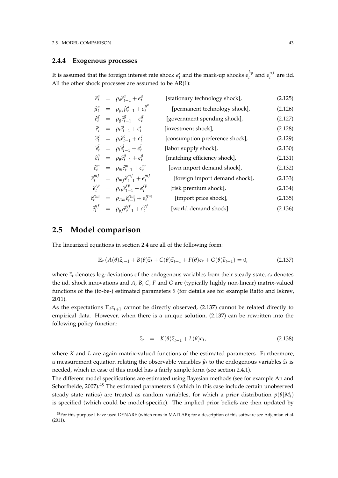### **2.4.4 Exogenous processes**

It is assumed that the foreign interest rate shock  $\epsilon_t^r$  and the mark-up shocks  $\epsilon_t^{\lambda_p}$  $\int_t^{\lambda_p}$  and  $\epsilon_t^{\pi f}$  are iid. All the other shock processes are assumed to be AR(1):

|  | $\widehat{e}^a_t = \rho_a \widehat{e}^a_{t-1} + \epsilon^a_t$                         | [stationary technology shock],  | (2.125) |
|--|---------------------------------------------------------------------------------------|---------------------------------|---------|
|  | $\widehat{\mu}_t^a = \rho_{\mu_a} \widehat{\mu}_{t-1}^a + \epsilon_t^{\mu^a}$         | [permanent technology shock],   | (2.126) |
|  | $\hat{e}^g_t = \rho_g \hat{e}^g_{t-1} + \epsilon^g_t$                                 | [government spending shock],    | (2.127) |
|  | $\hat{e}^i_t = \rho_i \hat{e}^i_{t-1} + \epsilon^i_t$                                 | [investment shock],             | (2.128) |
|  | $\hat{e}_{t}^{c} = \rho_{c} \hat{e}_{t-1}^{c} + \epsilon_{t}^{c}$                     | [consumption preference shock], | (2.129) |
|  | $\hat{e}^l_t = \rho_l \hat{e}^l_{t-1} + \epsilon^l_t$                                 | [labor supply shock],           | (2.130) |
|  | $\hat{e}^{\theta}_{t} = \rho_{\theta} \hat{e}^{\theta}_{t-1} + \epsilon^{\theta}_{t}$ | [matching efficiency shock],    | (2.131) |
|  | $\hat{e}^m_t = \rho_m \hat{e}^m_{t-1} + \epsilon^m_t$                                 | [own import demand shock],      | (2.132) |
|  | $\hat{e}^{mf}_{t} = \rho_{mf} \hat{e}^{mf}_{t-1} + \epsilon^{mf}_{t}$                 | [foreign import demand shock],  | (2.133) |
|  | $\hat{e}_t^{rp} = \rho_{rp} \hat{e}_{t-1}^{rp} + \epsilon_t^{rp}$                     | [risk premium shock],           | (2.134) |
|  | $\widehat{e}^{\pi m}_t = \rho_{\pi m} \widehat{e}^{\pi m}_{t-1} + \epsilon^{\pi m}_t$ | [import price shock],           | (2.135) |
|  | $\hat{e}^{y f}_{t} = \rho_{y f} \hat{e}^{y f}_{t-1} + \epsilon^{y f}_{t}$             | [world demand shock].           | (2.136) |
|  |                                                                                       |                                 |         |

# **2.5 Model comparison**

The linearized equations in section 2.4 are all of the following form:

$$
\mathbb{E}_t \left( A(\theta) \widehat{z}_{t-1} + B(\theta) \widehat{z}_t + C(\theta) \widehat{z}_{t+1} + F(\theta) \epsilon_t + G(\theta) \widehat{\epsilon}_{t+1} \right) = 0, \tag{2.137}
$$

where  $\hat{z}_t$  denotes log-deviations of the endogenous variables from their steady state,  $\epsilon_t$  denotes the iid. shock innovations and *A*, *B*, *C*, *F* and *G* are (typically highly non-linear) matrix-valued functions of the (to-be-) estimated parameters *θ* (for details see for example Ratto and Iskrev, 2011).

As the expectations  $E_t z_{t+1}$  cannot be directly observed, (2.137) cannot be related directly to empirical data. However, when there is a unique solution, (2.137) can be rewritten into the following policy function:

$$
\widehat{z}_t = K(\theta)\widehat{z}_{t-1} + L(\theta)\epsilon_t, \tag{2.138}
$$

where *K* and *L* are again matrix-valued functions of the estimated parameters. Furthermore, a measurement equation relating the observable variables  $\hat{y}_t$  to the endogenous variables  $\hat{z}_t$  is needed, which in case of this model has a fairly simple form (see section 2.4.1).

The different model specifications are estimated using Bayesian methods (see for example An and Schorfheide, 2007).<sup>48</sup> The estimated parameters  $\theta$  (which in this case include certain unobserved steady state ratios) are treated as random variables, for which a prior distribution  $p(\theta|M_i)$ is specified (which could be model-specific). The implied prior beliefs are then updated by

<sup>48</sup>For this purpose I have used DYNARE (which runs in MATLAB); for a description of this software see Adjemian et al. (2011).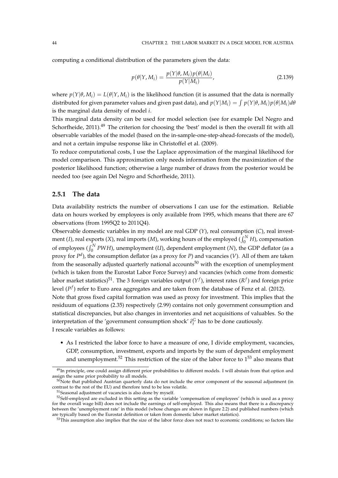computing a conditional distribution of the parameters given the data:

$$
p(\theta|Y, M_i) = \frac{p(Y|\theta, M_i)p(\theta|M_i)}{p(Y|M_i)},
$$
\n(2.139)

where  $p(Y|\theta, M_i) = L(\theta|Y, M_i)$  is the likelihood function (it is assumed that the data is normally distributed for given parameter values and given past data), and  $p(Y|M_i) = \int p(Y|\theta, M_i)p(\theta|M_i)d\theta$ is the marginal data density of model *i*.

This marginal data density can be used for model selection (see for example Del Negro and Schorfheide,  $2011$ <sup>49</sup>. The criterion for choosing the 'best' model is then the overall fit with all observable variables of the model (based on the in-sample-one-step-ahead-forecasts of the model), and not a certain impulse response like in Christoffel et al. (2009).

To reduce computational costs, I use the Laplace approximation of the marginal likelihood for model comparison. This approximation only needs information from the maximization of the posterior likelihood function; otherwise a large number of draws from the posterior would be needed too (see again Del Negro and Schorfheide, 2011).

### **2.5.1 The data**

Data availability restricts the number of observations I can use for the estimation. Reliable data on hours worked by employees is only available from 1995, which means that there are 67 observations (from 1995Q2 to 2011Q4).

Observable domestic variables in my model are real GDP (*Y*), real consumption (*C*), real investment (*I*), real exports (*X*), real imports (*M*), working hours of the employed ( $\int_0^N H$ ), compensation of employees  $(\int_0^N PWH)$ , unemployment (*U*), dependent employment (*N*), the GDP deflator (as a proxy for *P d* ), the consumption deflator (as a proxy for *P*) and vacancies (*V*). All of them are taken from the seasonally adjusted quarterly national accounts<sup>50</sup> with the exception of unemployment (which is taken from the Eurostat Labor Force Survey) and vacancies (which come from domestic labor market statistics)<sup>51</sup>. The 3 foreign variables output ( $Y^f$ ), interest rates ( $R^f$ ) and foreign price level (*P f* ) refer to Euro area aggregates and are taken from the database of Fenz et al. (2012). Note that gross fixed capital formation was used as proxy for investment. This implies that the residuum of equations (2.35) respectively (2.99) contains not only government consumption and statistical discrepancies, but also changes in inventories and net acquisitions of valuables. So the interpretation of the 'government consumption shock'  $\hat{e}^G_t$  has to be done cautiously. I rescale variables as follows:

• As I restricted the labor force to have a measure of one, I divide employment, vacancies, GDP, consumption, investment, exports and imports by the sum of dependent employment and unemployment.<sup>52</sup> This restriction of the size of the labor force to  $1^{53}$  also means that

 $49$ In principle, one could assign different prior probabilities to different models. I will abstain from that option and assign the same prior probability to all models.

<sup>50</sup>Note that published Austrian quarterly data do not include the error component of the seasonal adjustment (in contrast to the rest of the EU) and therefore tend to be less volatile.

<sup>51</sup>Seasonal adjustment of vacancies is also done by myself.

 $52$ Self-employed are excluded in this setting as the variable 'compensation of employees' (which is used as a proxy for the overall wage bill) does not include the earnings of self-employed. This also means that there is a discrepancy between the 'unemployment rate' in this model (whose changes are shown in figure 2.2) and published numbers (which are typically based on the Eurostat definition or taken from domestic labor market statistics).

 $53$ This assumption also implies that the size of the labor force does not react to economic conditions; so factors like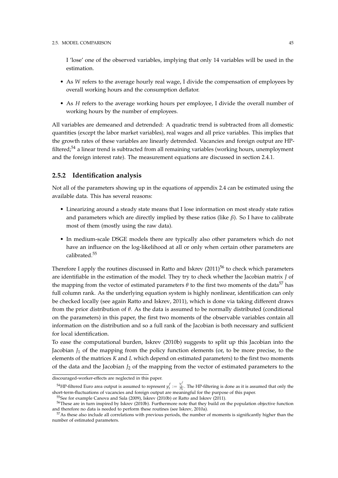#### 2.5. MODEL COMPARISON 45

I 'lose' one of the observed variables, implying that only 14 variables will be used in the estimation.

- As *W* refers to the average hourly real wage, I divide the compensation of employees by overall working hours and the consumption deflator.
- As *H* refers to the average working hours per employee, I divide the overall number of working hours by the number of employees.

All variables are demeaned and detrended: A quadratic trend is subtracted from all domestic quantities (except the labor market variables), real wages and all price variables. This implies that the growth rates of these variables are linearly detrended. Vacancies and foreign output are HPfiltered; $54$  a linear trend is subtracted from all remaining variables (working hours, unemployment and the foreign interest rate). The measurement equations are discussed in section 2.4.1.

### **2.5.2 Identification analysis**

Not all of the parameters showing up in the equations of appendix 2.4 can be estimated using the available data. This has several reasons:

- Linearizing around a steady state means that I lose information on most steady state ratios and parameters which are directly implied by these ratios (like *β*). So I have to calibrate most of them (mostly using the raw data).
- In medium-scale DSGE models there are typically also other parameters which do not have an influence on the log-likelihood at all or only when certain other parameters are calibrated.<sup>55</sup>

Therefore I apply the routines discussed in Ratto and Iskrev  $(2011)^{56}$  to check which parameters are identifiable in the estimation of the model. They try to check whether the Jacobian matrix *J* of the mapping from the vector of estimated parameters  $\theta$  to the first two moments of the data<sup>57</sup> has full column rank. As the underlying equation system is highly nonlinear, identification can only be checked locally (see again Ratto and Iskrev, 2011), which is done via taking different draws from the prior distribution of *θ*. As the data is assumed to be normally distributed (conditional on the parameters) in this paper, the first two moments of the observable variables contain all information on the distribution and so a full rank of the Jacobian is both necessary and sufficient for local identification.

To ease the computational burden, Iskrev (2010b) suggests to split up this Jacobian into the Jacobian  $J_1$  of the mapping from the policy function elements (or, to be more precise, to the elements of the matrices *K* and *L* which depend on estimated parameters) to the first two moments of the data and the Jacobian  $J_2$  of the mapping from the vector of estimated parameters to the

discouraged-worker-effects are neglected in this paper.

<sup>&</sup>lt;sup>54</sup>HP-filtered Euro area output is assumed to represent  $y_t^f := \frac{Y_t^f}{A_t}$ . The HP-filtering is done as it is assumed that only the short-term-fluctuations of vacancies and foreign output are meaningful for the purpose of this paper.

<sup>55</sup>See for example Canova and Sala (2009), Iskrev (2010b) or Ratto and Iskrev (2011).

<sup>56</sup>These are in turn inspired by Iskrev (2010b). Furthermore note that they build on the population objective function and therefore no data is needed to perform these routines (see Iskrev, 2010a).

<sup>57</sup>As these also include all correlations with previous periods, the number of moments is significantly higher than the number of estimated parameters.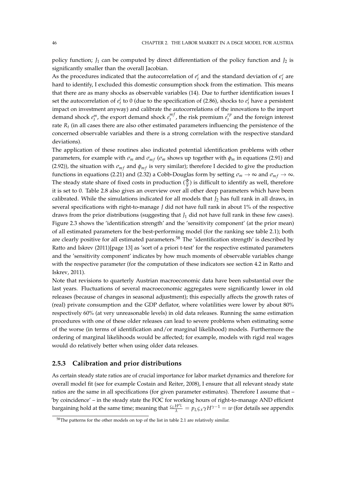policy function;  $J_1$  can be computed by direct differentiation of the policy function and  $J_2$  is significantly smaller than the overall Jacobian.

As the procedures indicated that the autocorrelation of  $e_t^c$  and the standard deviation of  $\epsilon_t^c$  are hard to identify, I excluded this domestic consumption shock from the estimation. This means that there are as many shocks as observable variables (14). Due to further identification issues I set the autocorrelation of  $e_t^i$  to 0 (due to the specification of (2.86), shocks to  $e_t^i$  have a persistent impact on investment anyway) and calibrate the autocorrelations of the innovations to the import demand shock  $e_t^m$ , the export demand shock  $e_t^{m}$  $t_t^{mf}$ , the risk premium  $e_t^{rp}$  $t_t^{\prime}$ <sup> $\mu$ </sup> and the foreign interest rate *R<sup>t</sup>* (in all cases there are also other estimated parameters influencing the persistence of the concerned observable variables and there is a strong correlation with the respective standard deviations).

The application of these routines also indicated potential identification problems with other parameters, for example with  $\sigma_m$  and  $\sigma_{mf}$  ( $\sigma_m$  shows up together with  $\phi_m$  in equations (2.91) and (2.92)), the situation with  $\sigma_{mf}$  and  $\phi_{mf}$  is very similar); therefore I decided to give the production functions in equations (2.21) and (2.32) a Cobb-Douglas form by setting  $\sigma_m \to \infty$  and  $\sigma_{mf} \to \infty$ . The steady state share of fixed costs in production  $(\frac{\Phi}{y})$  is difficult to identify as well, therefore it is set to 0. Table 2.8 also gives an overview over all other deep parameters which have been calibrated. While the simulations indicated for all models that  $J_2$  has full rank in all draws, in several specifications with right-to-manage *J* did not have full rank in about 1% of the respective draws from the prior distributions (suggesting that *J*<sup>1</sup> did not have full rank in these few cases). Figure 2.3 shows the 'identification strength' and the 'sensitivity component' (at the prior mean) of all estimated parameters for the best-performing model (for the ranking see table 2.1); both are clearly positive for all estimated parameters.<sup>58</sup> The 'identification strength' is described by Ratto and Iskrev (2011)[page 13] as 'sort of a priori t-test' for the respective estimated parameters and the 'sensitivity component' indicates by how much moments of observable variables change with the respective parameter (for the computation of these indicators see section 4.2 in Ratto and Iskrev, 2011).

Note that revisions to quarterly Austrian macroeconomic data have been substantial over the last years. Fluctuations of several macroeconomic aggregates were significantly lower in old releases (because of changes in seasonal adjustment); this especially affects the growth rates of (real) private consumption and the GDP deflator, where volatilities were lower by about 80% respectively 60% (at very unreasonable levels) in old data releases. Running the same estimation procedures with one of these older releases can lead to severe problems when estimating some of the worse (in terms of identification and/or marginal likelihood) models. Furthermore the ordering of marginal likelihoods would be affected; for example, models with rigid real wages would do relatively better when using older data releases.

# **2.5.3 Calibration and prior distributions**

As certain steady state ratios are of crucial importance for labor market dynamics and therefore for overall model fit (see for example Costain and Reiter, 2008), I ensure that all relevant steady state ratios are the same in all specifications (for given parameter estimates). Therefore I assume that – 'by coincidence' – in the steady state the FOC for working hours of right-to-manage AND efficient bargaining hold at the same time; meaning that  $\frac{c_L H^{\sigma_L}}{\lambda} = p_L c_x \gamma H^{\gamma-1} = w$  (for details see appendix

<sup>&</sup>lt;sup>58</sup>The patterns for the other models on top of the list in table 2.1 are relatively similar.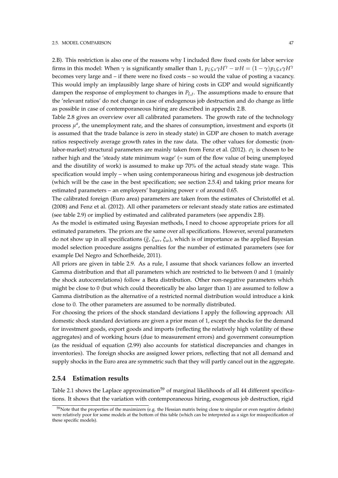2.B). This restriction is also one of the reasons why I included flow fixed costs for labor service firms in this model: When  $\gamma$  is significantly smaller than 1,  $p_L \zeta_x \gamma H^\gamma - wH = (1 - \gamma)p_L \zeta_x \gamma H^\gamma$ becomes very large and – if there were no fixed costs – so would the value of posting a vacancy. This would imply an implausibly large share of hiring costs in GDP and would significantly dampen the response of employment to changes in *PL*,*<sup>t</sup>* . The assumptions made to ensure that the 'relevant ratios' do not change in case of endogenous job destruction and do change as little as possible in case of contemporaneous hiring are described in appendix 2.B.

Table 2.8 gives an overview over all calibrated parameters. The growth rate of the technology process  $\mu^a$ , the unemployment rate, and the shares of consumption, investment and exports (it is assumed that the trade balance is zero in steady state) in GDP are chosen to match average ratios respectively average growth rates in the raw data. The other values for domestic (nonlabor-market) structural parameters are mainly taken from Fenz et al. (2012). *σ<sup>L</sup>* is chosen to be rather high and the 'steady state minimum wage' (= sum of the flow value of being unemployed and the disutility of work) is assumed to make up 70% of the actual steady state wage. This specification would imply – when using contemporaneous hiring and exogenous job destruction (which will be the case in the best specification; see section 2.5.4) and taking prior means for estimated parameters – an employers' bargaining power *ν* of around 0.65.

The calibrated foreign (Euro area) parameters are taken from the estimates of Christoffel et al. (2008) and Fenz et al. (2012). All other parameters or relevant steady state ratios are estimated (see table 2.9) or implied by estimated and calibrated parameters (see appendix 2.B).

As the model is estimated using Bayesian methods, I need to choose appropriate priors for all estimated parameters. The priors are the same over all specifications. However, several parameters do not show up in all specifications (*g*e, *<sup>ξ</sup>wr*, *<sup>ξ</sup>w*), which is of importance as the applied Bayesian model selection procedure assigns penalties for the number of estimated parameters (see for example Del Negro and Schorfheide, 2011).

All priors are given in table 2.9. As a rule, I assume that shock variances follow an inverted Gamma distribution and that all parameters which are restricted to lie between 0 and 1 (mainly the shock autocorrelations) follow a Beta distribution. Other non-negative parameters which might be close to 0 (but which could theoretically be also larger than 1) are assumed to follow a Gamma distribution as the alternative of a restricted normal distribution would introduce a kink close to 0. The other parameters are assumed to be normally distributed.

For choosing the priors of the shock standard deviations I apply the following approach: All domestic shock standard deviations are given a prior mean of 1, except the shocks for the demand for investment goods, export goods and imports (reflecting the relatively high volatility of these aggregates) and of working hours (due to measurement errors) and government consumption (as the residual of equation (2.99) also accounts for statistical discrepancies and changes in inventories). The foreign shocks are assigned lower priors, reflecting that not all demand and supply shocks in the Euro area are symmetric such that they will partly cancel out in the aggregate.

### **2.5.4 Estimation results**

Table 2.1 shows the Laplace approximation<sup>59</sup> of marginal likelihoods of all 44 different specifications. It shows that the variation with contemporaneous hiring, exogenous job destruction, rigid

 $59$ Note that the properties of the maximizers (e.g. the Hessian matrix being close to singular or even negative definite) were relatively poor for some models at the bottom of this table (which can be interpreted as a sign for misspecification of these specific models).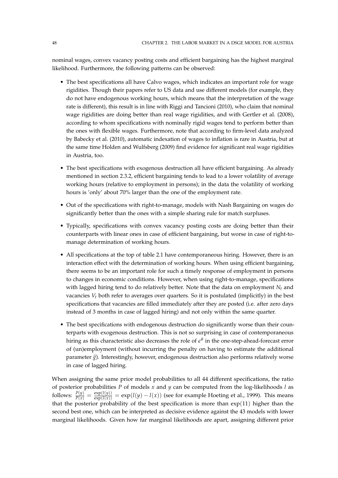nominal wages, convex vacancy posting costs and efficient bargaining has the highest marginal likelihood. Furthermore, the following patterns can be observed:

- The best specifications all have Calvo wages, which indicates an important role for wage rigidities. Though their papers refer to US data and use different models (for example, they do not have endogenous working hours, which means that the interpretation of the wage rate is different), this result is in line with Riggi and Tancioni (2010), who claim that nominal wage rigidities are doing better than real wage rigidities, and with Gertler et al. (2008), according to whom specifications with nominally rigid wages tend to perform better than the ones with flexible wages. Furthermore, note that according to firm-level data analyzed by Babecky et al. (2010), automatic indexation of wages to inflation is rare in Austria, but at the same time Holden and Wulfsberg (2009) find evidence for significant real wage rigidities in Austria, too.
- The best specifications with exogenous destruction all have efficient bargaining. As already mentioned in section 2.3.2, efficient bargaining tends to lead to a lower volatility of average working hours (relative to employment in persons); in the data the volatility of working hours is 'only' about 70% larger than the one of the employment rate.
- Out of the specifications with right-to-manage, models with Nash Bargaining on wages do significantly better than the ones with a simple sharing rule for match surpluses.
- Typically, specifications with convex vacancy posting costs are doing better than their counterparts with linear ones in case of efficient bargaining, but worse in case of right-tomanage determination of working hours.
- All specifications at the top of table 2.1 have contemporaneous hiring. However, there is an interaction effect with the determination of working hours. When using efficient bargaining, there seems to be an important role for such a timely response of employment in persons to changes in economic conditions. However, when using right-to-manage, specifications with lagged hiring tend to do relatively better. Note that the data on employment  $N_t$  and vacancies *V<sup>t</sup>* both refer to averages over quarters. So it is postulated (implicitly) in the best specifications that vacancies are filled immediately after they are posted (i.e. after zero days instead of 3 months in case of lagged hiring) and not only within the same quarter.
- The best specifications with endogenous destruction do significantly worse than their counterparts with exogenous destruction. This is not so surprising in case of contemporaneous hiring as this characteristic also decreases the role of *e θ* in the one-step-ahead-forecast error of (un)employment (without incurring the penalty on having to estimate the additional parameter  $\tilde{g}$ ). Interestingly, however, endogenous destruction also performs relatively worse in case of lagged hiring.

When assigning the same prior model probabilities to all 44 different specifications, the ratio of posterior probabilities *P* of models *x* and *y* can be computed from the log-likelihoods *l* as follows:  $\frac{P(y)}{P(x)} = \frac{\exp(l(y))}{\exp(l(x))} = \exp(l(y) - l(x))$  (see for example Hoeting et al., 1999). This means that the posterior probability of the best specification is more than exp(11) higher than the second best one, which can be interpreted as decisive evidence against the 43 models with lower marginal likelihoods. Given how far marginal likelihoods are apart, assigning different prior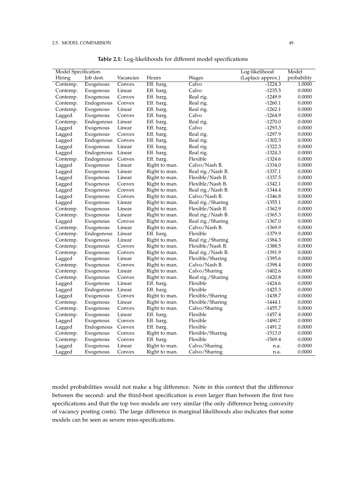#### 2.5. MODEL COMPARISON 49

| Model Specification |            |           |               |                   | Log-likelihood    | Model       |
|---------------------|------------|-----------|---------------|-------------------|-------------------|-------------|
| Hiring              | Job dest.  | Vacancies | Hours         | <b>Wages</b>      | (Laplace approx.) | probability |
| Contemp.            | Exogenous  | Convex    | Eff. barg.    | Calvo             | $-1224.3$         | 1.0000      |
| Contemp.            | Exogenous  | Linear    | Eff. barg.    | Calvo             | $-1235.5$         | 0.0000      |
| Contemp.            | Exogenous  | Convex    | Eff. barg.    | Real rig.         | $-1249.9$         | 0.0000      |
| Contemp.            | Endogenous | Convex    | Eff. barg.    | Real rig.         | $-1260.1$         | 0.0000      |
| Contemp.            | Exogenous  | Linear    | Eff. barg.    | Real rig.         | $-1262.1$         | 0.0000      |
| Lagged              | Exogenous  | Convex    | Eff. barg.    | Calvo             | $-1264.9$         | 0.0000      |
| Contemp.            | Endogenous | Linear    | Eff. barg.    | Real rig.         | $-1270.0$         | 0.0000      |
| Lagged              | Exogenous  | Linear    | Eff. barg.    | Calvo             | $-1293.3$         | 0.0000      |
| Lagged              | Exogenous  | Convex    | Eff. barg.    | Real rig.         | $-1297.9$         | 0.0000      |
| Lagged              | Endogenous | Convex    | Eff. barg.    | Real rig.         | $-1302.3$         | 0.0000      |
| Lagged              | Exogenous  | Linear    | Eff. barg.    | Real rig.         | $-1322.3$         | 0.0000      |
| Lagged              | Endogenous | Linear    | Eff. barg.    | Real rig.         | $-1324.3$         | 0.0000      |
| Contemp.            | Endogenous | Convex    | Eff. barg.    | Flexible          | $-1324.6$         | 0.0000      |
| Lagged              | Exogenous  | Linear    | Right to man. | Calvo/Nash B.     | $-1334.0$         | 0.0000      |
| Lagged              | Exogenous  | Linear    | Right to man. | Real rig./Nash B. | $-1337.1$         | 0.0000      |
| Lagged              | Exogenous  | Linear    | Right to man. | Flexible/Nash B.  | $-1337.5$         | 0.0000      |
| Lagged              | Exogenous  | Convex    | Right to man. | Flexible/Nash B.  | $-1342.1$         | 0.0000      |
| Lagged              | Exogenous  | Convex    | Right to man. | Real rig./Nash B. | $-1344.4$         | 0.0000      |
| Lagged              | Exogenous  | Convex    | Right to man. | Calvo/Nash B.     | $-1346.8$         | 0.0000      |
| Lagged              | Exogenous  | Linear    | Right to man. | Real rig./Sharing | $-1355.1$         | 0.0000      |
| Contemp.            | Exogenous  | Linear    | Right to man. | Flexible/Nash B.  | $-1362.9$         | 0.0000      |
| Contemp.            | Exogenous  | Linear    | Right to man. | Real rig./Nash B. | $-1365.3$         | 0.0000      |
| Lagged              | Exogenous  | Convex    | Right to man. | Real rig./Sharing | $-1367.0$         | 0.0000      |
| Contemp.            | Exogenous  | Linear    | Right to man. | Calvo/Nash B.     | $-1369.9$         | 0.0000      |
| Contemp.            | Endogenous | Linear    | Eff. barg.    | Flexible          | $-1379.9$         | 0.0000      |
| Contemp.            | Exogenous  | Linear    | Right to man. | Real rig./Sharing | $-1384.3$         | 0.0000      |
| Contemp.            | Exogenous  | Convex    | Right to man. | Flexible/Nash B.  | $-1388.5$         | 0.0000      |
| Contemp.            | Exogenous  | Convex    | Right to man. | Real rig./Nash B. | $-1391.9$         | 0.0000      |
| Lagged              | Exogenous  | Linear    | Right to man. | Flexible/Sharing  | $-1395.6$         | 0.0000      |
| Contemp.            | Exogenous  | Convex    | Right to man. | Calvo/Nash B.     | $-1398.4$         | 0.0000      |
| Contemp.            | Exogenous  | Linear    | Right to man. | Calvo/Sharing     | $-1402.6$         | 0.0000      |
| Contemp.            | Exogenous  | Convex    | Right to man. | Real rig./Sharing | $-1420.8$         | 0.0000      |
| Lagged              | Exogenous  | Linear    | Eff. barg.    | Flexible          | $-1424.6$         | 0.0000      |
| Lagged              | Endogenous | Linear    | Eff. barg.    | Flexible          | $-1425.3$         | 0.0000      |
| Lagged              | Exogenous  | Convex    | Right to man. | Flexible/Sharing  | $-1438.7$         | 0.0000      |
| Contemp.            | Exogenous  | Linear    | Right to man. | Flexible/Sharing  | $-1444.1$         | 0.0000      |
| Contemp.            | Exogenous  | Convex    | Right to man. | Calvo/Sharing     | $-1455.7$         | 0.0000      |
| Contemp.            | Exogenous  | Linear    | Eff. barg.    | Flexible          | $-1457.4$         | 0.0000      |
| Lagged              | Exogenous  | Convex    | Eff. barg.    | Flexible          | $-1490.7$         | 0.0000      |
| Lagged              | Endogenous | Convex    | Eff. barg.    | Flexible          | $-1491.2$         | 0.0000      |
| Contemp.            | Exogenous  | Convex    | Right to man. | Flexible/Sharing  | $-1513.0$         | 0.0000      |
| Contemp.            | Exogenous  | Convex    | Eff. barg.    | Flexible          | $-1569.4$         | 0.0000      |
| Lagged              | Exogenous  | Linear    | Right to man. | Calvo/Sharing     | n.a.              | 0.0000      |
| Lagged              | Exogenous  | Convex    | Right to man. | Calvo/Sharing     | n.a.              | 0.0000      |

**Table 2.1:** Log-likelihoods for different model specifications

model probabilities would not make a big difference. Note in this context that the difference between the second- and the third-best specification is even larger than between the first two specifications and that the top two models are very similar (the only difference being convexity of vacancy posting costs). The large difference in marginal likelihoods also indicates that some models can be seen as severe miss-specifications.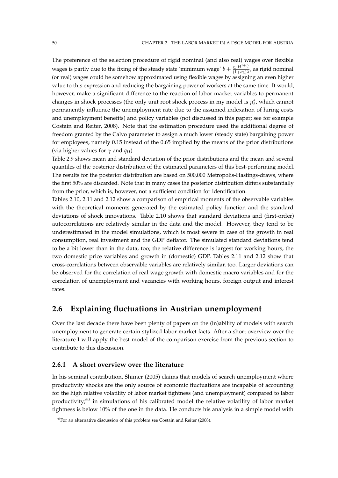The preference of the selection procedure of rigid nominal (and also real) wages over flexible wages is partly due to the fixing of the steady state 'minimum wage'  $b + \frac{\mathcal{L}L H^{1+\sigma_1}}{(1+\sigma_1)^2}$  $\frac{\xi L^{11}}{(1+\sigma_L)\lambda}$ , as rigid nominal (or real) wages could be somehow approximated using flexible wages by assigning an even higher value to this expression and reducing the bargaining power of workers at the same time. It would, however, make a significant difference to the reaction of labor market variables to permanent changes in shock processes (the only unit root shock process in my model is  $\mu_t^a$ , which cannot permanently influence the unemployment rate due to the assumed indexation of hiring costs and unemployment benefits) and policy variables (not discussed in this paper; see for example Costain and Reiter, 2008). Note that the estimation procedure used the additional degree of freedom granted by the Calvo parameter to assign a much lower (steady state) bargaining power for employees, namely 0.15 instead of the 0.65 implied by the means of the prior distributions (via higher values for  $\gamma$  and  $q_U$ ).

Table 2.9 shows mean and standard deviation of the prior distributions and the mean and several quantiles of the posterior distribution of the estimated parameters of this best-performing model. The results for the posterior distribution are based on 500,000 Metropolis-Hastings-draws, where the first 50% are discarded. Note that in many cases the posterior distribution differs substantially from the prior, which is, however, not a sufficient condition for identification.

Tables 2.10, 2.11 and 2.12 show a comparison of empirical moments of the observable variables with the theoretical moments generated by the estimated policy function and the standard deviations of shock innovations. Table 2.10 shows that standard deviations and (first-order) autocorrelations are relatively similar in the data and the model. However, they tend to be underestimated in the model simulations, which is most severe in case of the growth in real consumption, real investment and the GDP deflator. The simulated standard deviations tend to be a bit lower than in the data, too; the relative difference is largest for working hours, the two domestic price variables and growth in (domestic) GDP. Tables 2.11 and 2.12 show that cross-correlations between observable variables are relatively similar, too. Larger deviations can be observed for the correlation of real wage growth with domestic macro variables and for the correlation of unemployment and vacancies with working hours, foreign output and interest rates.

# **2.6 Explaining fluctuations in Austrian unemployment**

Over the last decade there have been plenty of papers on the (in)ability of models with search unemployment to generate certain stylized labor market facts. After a short overview over the literature I will apply the best model of the comparison exercise from the previous section to contribute to this discussion.

### **2.6.1 A short overview over the literature**

In his seminal contribution, Shimer (2005) claims that models of search unemployment where productivity shocks are the only source of economic fluctuations are incapable of accounting for the high relative volatility of labor market tightness (and unemployment) compared to labor productivity; $60$  in simulations of his calibrated model the relative volatility of labor market tightness is below 10% of the one in the data. He conducts his analysis in a simple model with

<sup>60</sup>For an alternative discussion of this problem see Costain and Reiter (2008).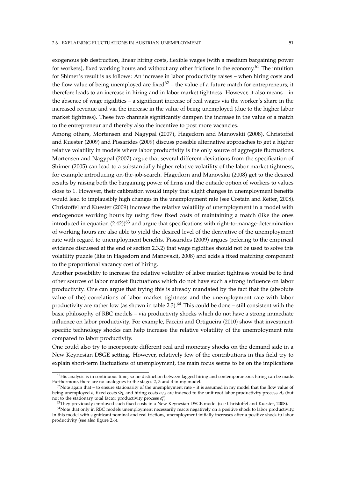exogenous job destruction, linear hiring costs, flexible wages (with a medium bargaining power for workers), fixed working hours and without any other frictions in the economy.<sup>61</sup> The intuition for Shimer's result is as follows: An increase in labor productivity raises – when hiring costs and the flow value of being unemployed are fixed<sup> $62$ </sup> – the value of a future match for entrepreneurs; it therefore leads to an increase in hiring and in labor market tightness. However, it also means – in the absence of wage rigidities – a significant increase of real wages via the worker's share in the increased revenue and via the increase in the value of being unemployed (due to the higher labor market tightness). These two channels significantly dampen the increase in the value of a match to the entrepreneur and thereby also the incentive to post more vacancies.

Among others, Mortensen and Nagypal (2007), Hagedorn and Manovskii (2008), Christoffel and Kuester (2009) and Pissarides (2009) discuss possible alternative approaches to get a higher relative volatility in models where labor productivity is the only source of aggregate fluctuations. Mortensen and Nagypal (2007) argue that several different deviations from the specification of Shimer (2005) can lead to a substantially higher relative volatility of the labor market tightness, for example introducing on-the-job-search. Hagedorn and Manovskii (2008) get to the desired results by raising both the bargaining power of firms and the outside option of workers to values close to 1. However, their calibration would imply that slight changes in unemployment benefits would lead to implausibly high changes in the unemployment rate (see Costain and Reiter, 2008). Christoffel and Kuester (2009) increase the relative volatility of unemployment in a model with endogenous working hours by using flow fixed costs of maintaining a match (like the ones introduced in equation  $(2.42)$ <sup>63</sup> and argue that specifications with right-to-manage-determination of working hours are also able to yield the desired level of the derivative of the unemployment rate with regard to unemployment benefits. Pissarides (2009) argues (refering to the empirical evidence discussed at the end of section 2.3.2) that wage rigidities should not be used to solve this volatility puzzle (like in Hagedorn and Manovskii, 2008) and adds a fixed matching component to the proportional vacancy cost of hiring.

Another possibility to increase the relative volatility of labor market tightness would be to find other sources of labor market fluctuations which do not have such a strong influence on labor productivity. One can argue that trying this is already mandated by the fact that the (absolute value of the) correlations of labor market tightness and the unemployment rate with labor productivity are rather low (as shown in table 2.3).<sup>64</sup> This could be done – still consistent with the basic philosophy of RBC models – via productivity shocks which do not have a strong immediate influence on labor productivity. For example, Faccini and Ortigueira (2010) show that investmentspecific technology shocks can help increase the relative volatility of the unemployment rate compared to labor productivity.

One could also try to incorporate different real and monetary shocks on the demand side in a New Keynesian DSGE setting. However, relatively few of the contributions in this field try to explain short-term fluctuations of unemployment, the main focus seems to be on the implications

 $<sup>61</sup>$ His analysis is in continuous time, so no distinction between lagged hiring and contemporaneous hiring can be made.</sup> Furthermore, there are no analogues to the stages 2, 3 and 4 in my model.

 $62$ Note again that – to ensure stationarity of the unemployment rate – it is assumed in my model that the flow value of being unemployed *b*, fixed costs Φ*<sup>L</sup>* and hiring costs *cV*,*<sup>t</sup>* are indexed to the unit-root labor productivity process *A<sup>t</sup>* (but not to the stationary total factor productivity process  $e_t^a$ ).

<sup>63</sup>They previously employed such fixed costs in a New Keynesian DSGE model (see Christoffel and Kuester, 2008).

 $64$ Note that only in RBC models unemployment necessarily reacts negatively on a positive shock to labor productivity. In this model with significant nominal and real frictions, unemployment initially increases after a positive shock to labor productivity (see also figure 2.6).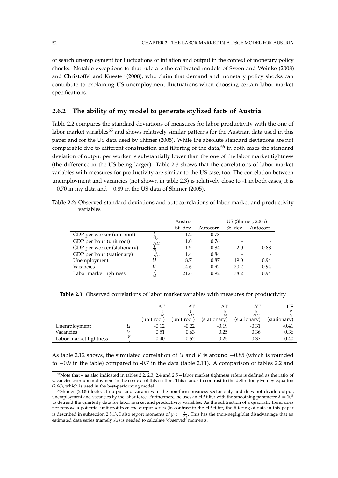of search unemployment for fluctuations of inflation and output in the context of monetary policy shocks. Notable exceptions to that rule are the calibrated models of Sveen and Weinke (2008) and Christoffel and Kuester (2008), who claim that demand and monetary policy shocks can contribute to explaining US unemployment fluctuations when choosing certain labor market specifications.

# **2.6.2 The ability of my model to generate stylized facts of Austria**

Table 2.2 compares the standard deviations of measures for labor productivity with the one of labor market variables<sup>65</sup> and shows relatively similar patterns for the Austrian data used in this paper and for the US data used by Shimer (2005). While the absolute standard deviations are not comparable due to different construction and filtering of the data, $66$  in both cases the standard deviation of output per worker is substantially lower than the one of the labor market tightness (the difference in the US being larger). Table 2.3 shows that the correlations of labor market variables with measures for productivity are similar to the US case, too. The correlation between unemployment and vacancies (not shown in table 2.3) is relatively close to -1 in both cases; it is  $-0.70$  in my data and  $-0.89$  in the US data of Shimer (2005).

**Table 2.2:** Observed standard deviations and autocorrelations of labor market and productivity variables

|                             |                     | Austria  |           |          | US (Shimer, 2005) |
|-----------------------------|---------------------|----------|-----------|----------|-------------------|
|                             |                     | St. dev. | Autocorr. | St. dev. | Autocorr.         |
| GDP per worker (unit root)  |                     | 1.2      | 0.78      |          |                   |
| GDP per hour (unit root)    | $\overline{\rm NH}$ | 1.0      | 0.76      |          |                   |
| GDP per worker (stationary) |                     | 1.9      | 0.84      | 2.0      | 0.88              |
| GDP per hour (stationary)   | $\overline{NH}$     | 1.4      | 0.84      |          |                   |
| Unemployment                | U                   | 8.7      | 0.87      | 19.0     | 0.94              |
| Vacancies                   |                     | 14.6     | 0.92      | 20.2     | 0.94              |
| Labor market tightness      |                     | 21.6     | 0.92      | 38.2     | 0.94              |

**Table 2.3:** Observed correlations of labor market variables with measures for productivity

|                        |             | AT              | AT           | AT              | US           |
|------------------------|-------------|-----------------|--------------|-----------------|--------------|
|                        |             | $\overline{NH}$ |              | $\overline{NH}$ |              |
|                        | (unit root) | (unit root)     | (stationary) | (stationary)    | (stationary) |
| Unemployment           | $-0.12$     | $-0.22$         | $-0.19$      | $-0.31$         | $-0.41$      |
| Vacancies              | 0.51        | 0.63            | 0.25         | 0.36            | 0.36         |
| Labor market tightness | 0.40        | 0.52            | 0.25         | 0.37            | 0.40         |

As table 2.12 shows, the simulated correlation of *U* and *V* is around −0.85 (which is rounded to −0.9 in the table) compared to -0.7 in the data (table 2.11). A comparison of tables 2.2 and

<sup>65</sup>Note that – as also indicated in tables 2.2, 2.3, 2.4 and 2.5 – labor market tightness refers is defined as the ratio of vacancies over unemployment in the context of this section. This stands in contrast to the definition given by equation (2.66), which is used in the best-performing model.

<sup>66</sup>Shimer (2005) looks at output and vacancies in the non-farm business sector only and does not divide output, unemployment and vacancies by the labor force. Furthermore, he uses an HP filter with the smoothing parameter  $\lambda = 10^5$ to detrend the quarterly data for labor market and productivity variables. As the subtraction of a quadratic trend does not remove a potential unit root from the output series (in contrast to the HP filter; the filtering of data in this paper is described in subsection 2.5.1), I also report moments of  $y_t := \frac{Y_t}{A_t}$ . This has the (non-negligible) disadvantage that an estimated data series (namely  $A_t$ ) is needed to calculate 'observed' moments.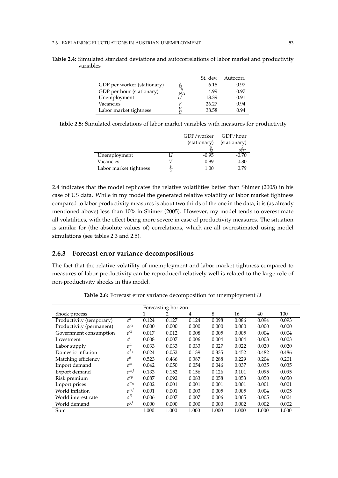|                             |                 | St. dev. | Autocorr. |
|-----------------------------|-----------------|----------|-----------|
| GDP per worker (stationary) |                 | 6.18     | 0.97      |
| GDP per hour (stationary)   | $\overline{NH}$ | 4.99     | 0.97      |
| Unemployment                |                 | 13.39    | 0.91      |
| Vacancies                   |                 | 26.27    | 0.94      |
| Labor market tightness      |                 | 38.58    | 0.94      |

**Table 2.4:** Simulated standard deviations and autocorrelations of labor market and productivity variables

|  | Table 2.5: Simulated correlations of labor market variables with measures for productivity |  |  |  |  |  |
|--|--------------------------------------------------------------------------------------------|--|--|--|--|--|
|  |                                                                                            |  |  |  |  |  |

|                        | GDP/worker   | GDP/hour     |
|------------------------|--------------|--------------|
|                        | (stationary) | (stationary) |
|                        |              | VН           |
| Unemployment           | $-0.95$      | $-0.70$      |
| Vacancies              | 0.99         | 0.80         |
| Labor market tightness | 1.00         | 0.79         |

2.4 indicates that the model replicates the relative volatilities better than Shimer (2005) in his case of US data. While in my model the generated relative volatility of labor market tightness compared to labor productivity measures is about two thirds of the one in the data, it is (as already mentioned above) less than 10% in Shimer (2005). However, my model tends to overestimate all volatilities, with the effect being more severe in case of productivity measures. The situation is similar for (the absolute values of) correlations, which are all overestimated using model simulations (see tables 2.3 and 2.5).

### **2.6.3 Forecast error variance decompositions**

The fact that the relative volatility of unemployment and labor market tightness compared to measures of labor productivity can be reproduced relatively well is related to the large role of non-productivity shocks in this model.

|                          |                        |       | Forecasting horizon |       |       |       |       |       |
|--------------------------|------------------------|-------|---------------------|-------|-------|-------|-------|-------|
| Shock process            |                        |       | 2                   | 4     | 8     | 16    | 40    | 100   |
| Productivity (temporary) | $\epsilon^a$           | 0.124 | 0.127               | 0.124 | 0.098 | 0.086 | 0.094 | 0.093 |
| Productivity (permanent) | $\epsilon^{\mu_a}$     | 0.000 | 0.000               | 0.000 | 0.000 | 0.000 | 0.000 | 0.000 |
| Government consumption   | $\epsilon^G$           | 0.017 | 0.012               | 0.008 | 0.005 | 0.005 | 0.004 | 0.004 |
| Investment               | $\epsilon^{\iota}$     | 0.008 | 0.007               | 0.006 | 0.004 | 0.004 | 0.003 | 0.003 |
| Labor supply             | $\epsilon^L$           | 0.033 | 0.033               | 0.033 | 0.027 | 0.022 | 0.020 | 0.020 |
| Domestic inflation       | $\epsilon^{\lambda_p}$ | 0.024 | 0.052               | 0.139 | 0.335 | 0.452 | 0.482 | 0.486 |
| Matching efficiency      | $\epsilon^{\theta}$    | 0.523 | 0.466               | 0.387 | 0.288 | 0.229 | 0.204 | 0.201 |
| Import demand            | $\varepsilon^m$        | 0.042 | 0.050               | 0.054 | 0.046 | 0.037 | 0.035 | 0.035 |
| Export demand            | $\epsilon^{mt}$        | 0.133 | 0.152               | 0.156 | 0.126 | 0.101 | 0.095 | 0.095 |
| Risk premium             | $\epsilon^{rp}$        | 0.087 | 0.092               | 0.083 | 0.058 | 0.053 | 0.050 | 0.050 |
| Import prices            | $\epsilon^{\pi_m}$     | 0.002 | 0.001               | 0.001 | 0.001 | 0.001 | 0.001 | 0.001 |
| World inflation          | $\epsilon^{\pi f}$     | 0.001 | 0.001               | 0.003 | 0.005 | 0.005 | 0.004 | 0.005 |
| World interest rate      | $\varepsilon^R$        | 0.006 | 0.007               | 0.007 | 0.006 | 0.005 | 0.005 | 0.004 |
| World demand             | $\epsilon^{yf}$        | 0.000 | 0.000               | 0.000 | 0.000 | 0.002 | 0.002 | 0.002 |
| Sum                      |                        | 1.000 | 1.000               | 1.000 | 1.000 | 1.000 | 1.000 | 1.000 |

**Table 2.6:** Forecast error variance decomposition for unemployment *U*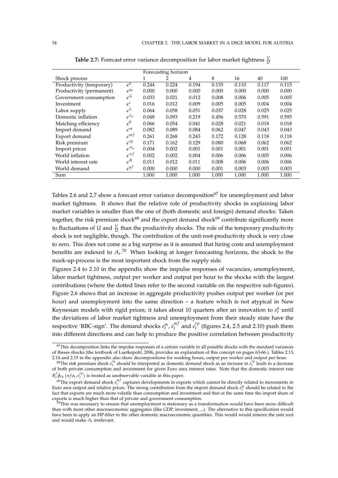|                          |                        | Forecasting horizon |       |                |       |       |       |       |  |
|--------------------------|------------------------|---------------------|-------|----------------|-------|-------|-------|-------|--|
| Shock process            |                        | 1                   | 2     | $\overline{4}$ | 8     | 16    | 40    | 100   |  |
| Productivity (temporary) | $\epsilon^a$           | 0.244               | 0.224 | 0.194          | 0.135 | 0.110 | 0.117 | 0.115 |  |
| Productivity (permanent) | $\epsilon^{\mu_a}$     | 0.000               | 0.000 | 0.000          | 0.000 | 0.000 | 0.000 | 0.000 |  |
| Government consumption   | $\epsilon^G$           | 0.033               | 0.021 | 0.012          | 0.008 | 0.006 | 0.005 | 0.005 |  |
| Investment               | $\epsilon^i$           | 0.016               | 0.012 | 0.009          | 0.005 | 0.005 | 0.004 | 0.004 |  |
| Labor supply             | $\epsilon^L$           | 0.064               | 0.058 | 0.051          | 0.037 | 0.028 | 0.025 | 0.025 |  |
| Domestic inflation       | $\epsilon^{\lambda_p}$ | 0.048               | 0.093 | 0.219          | 0.456 | 0.570 | 0.591 | 0.595 |  |
| Matching efficiency      | $\epsilon^{\theta}$    | 0.066               | 0.054 | 0.041          | 0.028 | 0.021 | 0.018 | 0.018 |  |
| Import demand            | $\varepsilon^m$        | 0.082               | 0.089 | 0.084          | 0.062 | 0.047 | 0.043 | 0.043 |  |
| Export demand            | $\epsilon^{mf}$        | 0.261               | 0.268 | 0.243          | 0.172 | 0.128 | 0.118 | 0.118 |  |
| Risk premium             | $\epsilon^{rp}$        | 0.171               | 0.162 | 0.129          | 0.080 | 0.068 | 0.062 | 0.062 |  |
| Import prices            | $e^{\pi_m}$            | 0.004               | 0.002 | 0.001          | 0.001 | 0.001 | 0.001 | 0.001 |  |
| World inflation          | $e^{\pi f}$            | 0.002               | 0.002 | 0.004          | 0.006 | 0.006 | 0.005 | 0.006 |  |
| World interest rate      | $\varepsilon^R$        | 0.011               | 0.012 | 0.011          | 0.008 | 0.006 | 0.006 | 0.006 |  |
| World demand             | $\epsilon^{y}$         | 0.000               | 0.000 | 0.000          | 0.001 | 0.003 | 0.003 | 0.003 |  |
| Sum                      |                        | 1.000               | 1.000 | 1.000          | 1.000 | 1.000 | 1.000 | 1.000 |  |

**Table 2.7:** Forecast error variance decomposition for labor market tightness  $\frac{V}{U}$ 

Tables 2.6 and 2.7 show a forecast error variance decomposition<sup>67</sup> for unemployment and labor market tightness. It shows that the relative role of productivity shocks in explaining labor market variables is smaller than the one of (both domestic and foreign) demand shocks: Taken together, the risk premium shock<sup>68</sup> and the export demand shock<sup>69</sup> contribute significantly more to fluctuations of *U* and  $\frac{V}{U}$  than the productivity shocks. The role of the temporary productivity shock is not negligible, though. The contribution of the unit-root-productivity shock is very close to zero. This does not come as a big surprise as it is assumed that hiring costs and unemployment benefits are indexed to *A<sup>t</sup>* . <sup>70</sup> When looking at longer forecasting horizons, the shock to the mark-up-process is the most important shock from the supply side.

Figures 2.4 to 2.10 in the appendix show the impulse responses of vacancies, unemployment, labor market tightness, output per worker and output per hour to the shocks with the largest contributions (where the dotted lines refer to the second variable on the respective sub-figures). Figure 2.6 shows that an increase in aggregate productivity pushes output per worker (or per hour) and unemployment into the same direction – a feature which is not atypical in New Keynesian models with rigid prices; it takes about 10 quarters after an innovation to  $e_t^a$  until the deviations of labor market tightness and unemployment from their steady state have the respective 'RBC-sign'. The demand shocks  $e_t^m$ ,  $e_t^{m}$  $e_t^{mf}$  and  $e_t^{rp}$  $t_t^{\prime}$ <sup> $\mu$ </sup> (figures 2.4, 2.5 and 2.10) push them into different directions and can help to produce the positive correlation between productivity

 $67$ This decomposition links the impulse responses of a certain variable to all possible shocks with the standard variances of theses shocks (the textbook of Luetkepohl, 2006, provides an explanation of this concept on pages 63-66.). Tables 2.13, 2.14 and 2.15 in the appendix also show decompositions for working hours, output per worker and output per hour.

<sup>&</sup>lt;sup>68</sup>The risk premium shock  $e_i^{rp}$  should be interpreted as domestic demand shock as an increase in  $e_i^{rp}$  leads to a decrease of both private consumption and investment for given Euro area interest rates. Note that the domestic interest rate  $R_t^f \tilde{\phi}_{rp}$  (*nfa*<sub>t</sub>,  $e_t^{rp}$ ) is treated as unobservable variable in this paper.

*t*  $\varphi_{rp}$  (*n*)  $u_t$ ,  $e_t$  *j* is treated as unobservable variable in this paper.<br><sup>69</sup>The export demand shock  $e_t^{nf}$  captures developments in exports which cannot be directly related to movements in Euro area output and relative prices. The strong contribution from the import demand shock *e m t* should be related to the fact that exports are much more volatile than consumption and investment and that at the same time the import share of exports is much higher than that of private and government consumption.

 $\frac{1}{20}$ This was necessary to ensure that unemployment is stationary as a transformation would have been more difficult than with most other macroeconomic aggregates (like GDP, investment, ...). The alternative to this specification would have been to apply an HP-filter to the other domestic macroeconomic quantities. This would would remove the unit root and would make *A<sup>t</sup>* irrelevant.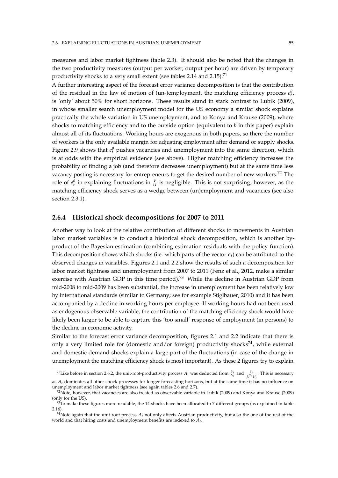measures and labor market tightness (table 2.3). It should also be noted that the changes in the two productivity measures (output per worker, output per hour) are driven by temporary productivity shocks to a very small extent (see tables 2.14 and 2.15).<sup>71</sup>

A further interesting aspect of the forecast error variance decomposition is that the contribution of the residual in the law of motion of (un-)employment, the matching efficiency process  $e_t^{\theta}$ , is 'only' about 50% for short horizons. These results stand in stark contrast to Lubik (2009), in whose smaller search unemployment model for the US economy a similar shock explains practically the whole variation in US unemployment, and to Konya and Krause (2009), where shocks to matching efficiency and to the outside option (equivalent to *b* in this paper) explain almost all of its fluctuations. Working hours are exogenous in both papers, so there the number of workers is the only available margin for adjusting employment after demand or supply shocks. Figure 2.9 shows that  $e_t^{\theta}$  pushes vacancies and unemployment into the same direction, which is at odds with the empirical evidence (see above). Higher matching efficiency increases the probability of finding a job (and therefore decreases unemployment) but at the same time less vacancy posting is necessary for entrepreneurs to get the desired number of new workers.<sup>72</sup> The role of  $e_t^{\theta}$  in explaining fluctuations in  $\frac{V}{U}$  is negligible. This is not surprising, however, as the matching efficiency shock serves as a wedge between (un)employment and vacancies (see also section 2.3.1).

### **2.6.4 Historical shock decompositions for 2007 to 2011**

Another way to look at the relative contribution of different shocks to movements in Austrian labor market variables is to conduct a historical shock decomposition, which is another byproduct of the Bayesian estimation (combining estimation residuals with the policy function). This decomposition shows which shocks (i.e. which parts of the vector  $\epsilon_t$ ) can be attributed to the observed changes in variables. Figures 2.1 and 2.2 show the results of such a decomposition for labor market tightness and unemployment from 2007 to 2011 (Fenz et al., 2012, make a similar exercise with Austrian GDP in this time period).<sup>73</sup> While the decline in Austrian GDP from mid-2008 to mid-2009 has been substantial, the increase in unemployment has been relatively low by international standards (similar to Germany; see for example Stiglbauer, 2010) and it has been accompanied by a decline in working hours per employee. If working hours had not been used as endogenous observable variable, the contribution of the matching efficiency shock would have likely been larger to be able to capture this 'too small' response of employment (in persons) to the decline in economic activity.

Similar to the forecast error variance decomposition, figures 2.1 and 2.2 indicate that there is only a very limited role for (domestic and/or foreign) productivity shocks<sup>74</sup>, while external and domestic demand shocks explain a large part of the fluctuations (in case of the change in unemployment the matching efficiency shock is most important). As these 2 figures try to explain

<sup>&</sup>lt;sup>71</sup>Like before in section 2.6.2, the unit-root-productivity process  $A_t$  was deducted from  $\frac{Y_t}{N_t}$  and  $\frac{Y_t}{\int_0^{N_t} H_t}$ . This is necessary as  $A_t$  dominates all other shock processes for longer forecasting horizons, but at the same time it has no influence on

unemployment and labor market tightness (see again tables 2.6 and 2.7).  $^{72}$ Note, however, that vacancies are also treated as observable variable in Lubik (2009) and Konya and Krause (2009) (only for the US).

 $73$ To make these figures more readable, the 14 shocks have been allocated to 7 different groups (as explained in table 2.16).

<sup>&</sup>lt;sup>74</sup>Note again that the unit-root process  $A_t$  not only affects Austrian productivity, but also the one of the rest of the world and that hiring costs and unemployment benefits are indexed to *A<sup>t</sup>* .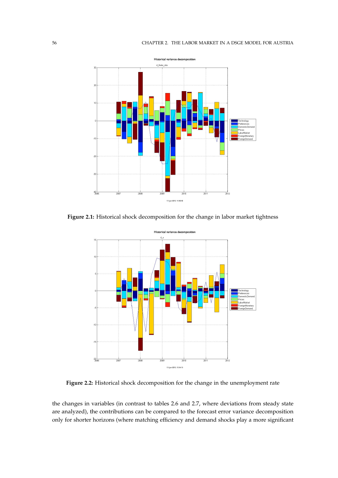

**Figure 2.1:** Historical shock decomposition for the change in labor market tightness



**Figure 2.2:** Historical shock decomposition for the change in the unemployment rate

the changes in variables (in contrast to tables 2.6 and 2.7, where deviations from steady state are analyzed), the contributions can be compared to the forecast error variance decomposition only for shorter horizons (where matching efficiency and demand shocks play a more significant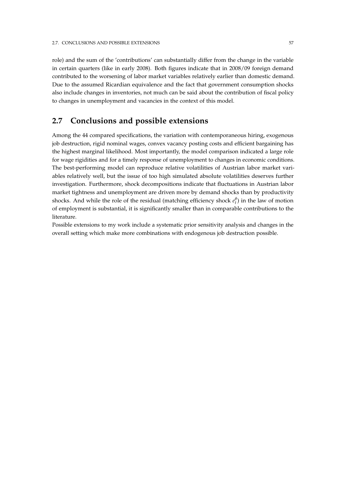role) and the sum of the 'contributions' can substantially differ from the change in the variable in certain quarters (like in early 2008). Both figures indicate that in 2008/09 foreign demand contributed to the worsening of labor market variables relatively earlier than domestic demand. Due to the assumed Ricardian equivalence and the fact that government consumption shocks also include changes in inventories, not much can be said about the contribution of fiscal policy to changes in unemployment and vacancies in the context of this model.

# **2.7 Conclusions and possible extensions**

Among the 44 compared specifications, the variation with contemporaneous hiring, exogenous job destruction, rigid nominal wages, convex vacancy posting costs and efficient bargaining has the highest marginal likelihood. Most importantly, the model comparison indicated a large role for wage rigidities and for a timely response of unemployment to changes in economic conditions. The best-performing model can reproduce relative volatilities of Austrian labor market variables relatively well, but the issue of too high simulated absolute volatilities deserves further investigation. Furthermore, shock decompositions indicate that fluctuations in Austrian labor market tightness and unemployment are driven more by demand shocks than by productivity shocks. And while the role of the residual (matching efficiency shock  $e_t^{\theta}$ ) in the law of motion of employment is substantial, it is significantly smaller than in comparable contributions to the literature.

Possible extensions to my work include a systematic prior sensitivity analysis and changes in the overall setting which make more combinations with endogenous job destruction possible.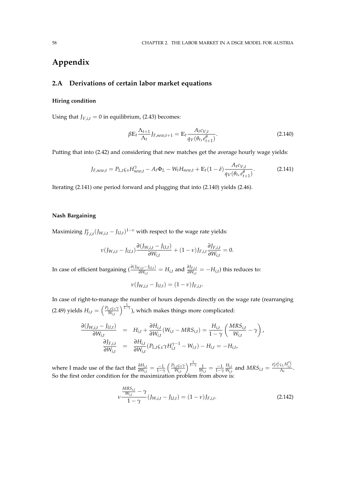# **Appendix**

## **2.A Derivations of certain labor market equations**

### **Hiring condition**

Using that  $J_{V,i,t} = 0$  in equilibrium, (2.43) becomes:

$$
\beta \mathbb{E}_t \frac{\Lambda_{t+1}}{\Lambda_t} J_{F,new,t+1} = \mathbb{E}_t \frac{A_t c_{V,t}}{q_V(\theta_t, e_{t+1}^{\theta})}.
$$
\n(2.140)

Putting that into (2.42) and considering that new matches get the average hourly wage yields:

$$
J_{F,new,t} = P_{L,t} \varsigma_x H_{new,t}^{\gamma} - A_t \Phi_L - W_t H_{new,t} + \mathbb{E}_t (1 - \delta) \frac{A_t c_{V,t}}{q_V(\theta_t, e_{t+1}^{\theta})}.
$$
 (2.141)

Iterating (2.141) one period forward and plugging that into (2.140) yields (2.46).

### **Nash Bargaining**

Maximizing  $J_{F,i,t}^{\nu}(J_{W,i,t}-J_{U,t})^{1-\nu}$  with respect to the wage rate yields:

$$
\nu(J_{W,i,t}-J_{U,t})\frac{\partial (J_{W,i,t}-J_{U,t})}{\partial W_{i,t}}+(1-\nu)J_{F,i,t}\frac{\partial J_{F,i,t}}{\partial W_{i,t}}=0.
$$

In case of efficient bargaining ( $\frac{\partial (J_{W,i,t}-J_{U,t})}{\partial W_{i,t}}=H_{i,t}$  and  $\frac{\partial J_{F,i,t}}{\partial W_{i,t}}=-H_{i,t})$  this reduces to:

$$
\nu(J_{W,i,t} - J_{U,t}) = (1 - \nu)J_{F,i,t}.
$$

In case of right-to-manage the number of hours depends directly on the wage rate (rearranging (2.49) yields  $H_{i,t} = \left(\frac{P_{L,t} \varsigma_x \gamma}{W_{i,t}}\right)$ *Wi*,*<sup>t</sup>*  $\int_{1-\gamma}^{\frac{1}{1-\gamma}}$ ), which makes things more complicated:

$$
\frac{\partial (J_{W,i,t} - J_{U,t})}{\partial W_{i,t}} = H_{i,t} + \frac{\partial H_{i,t}}{\partial W_{i,t}} (W_{i,t} - MRS_{i,t}) = \frac{H_{i,t}}{1 - \gamma} \left( \frac{MRS_{i,t}}{W_{i,t}} - \gamma \right),
$$
  

$$
\frac{\partial J_{F,i,t}}{\partial W_{i,t}} = \frac{\partial H_{i,t}}{\partial W_{i,t}} (P_{L,t}\varsigma_x \gamma H_{i,t}^{\gamma-1} - W_{i,t}) - H_{i,t} = -H_{i,t},
$$

where I made use of the fact that  $\frac{\partial H_{i,t}}{\partial W_{i,t}} = \frac{-1}{1-\gamma} \left( \frac{P_{L,t} \varsigma_x \gamma}{W_{i,t}} \right)$ *Wi*,*<sup>t</sup>*  $\frac{1}{1-\gamma}$  1  $\frac{1}{W_{i,t}} = \frac{-1}{1-\gamma}$ *Hi*,*<sup>t</sup>*  $\frac{H_{i,t}}{W_{i,t}}$  and  $MRS_{i,t} = \frac{e_t^c e_t^L \zeta_L H_{i,t}^{\sigma_L}}{\Lambda_t}$ . So the first order condition for the maximization problem from above is:

$$
\nu \frac{MRS_{i,t}}{1-\gamma} - \gamma (J_{W,i,t} - J_{U,t}) = (1-\nu)J_{F,i,t}.
$$
\n(2.142)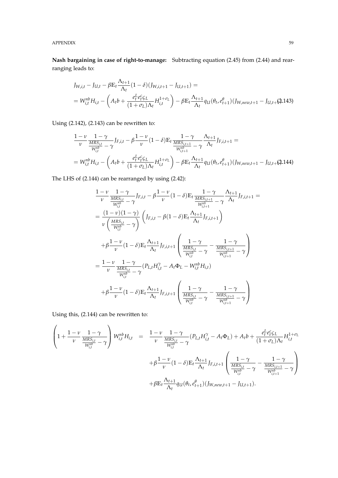APPENDIX 59

**Nash bargaining in case of right-to-manage:** Subtracting equation (2.45) from (2.44) and rearranging leads to:

$$
J_{W,i,t} - J_{U,t} - \beta \mathbb{E}_t \frac{\Lambda_{t+1}}{\Lambda_t} (1 - \delta) (J_{W,i,t+1} - J_{U,t+1}) =
$$
  
=  $W_{i,t}^{nb} H_{i,t} - \left( A_t b + \frac{e_t^L e_t^c \zeta_L}{(1 + \sigma_L) \Lambda_t} H_{i,t}^{1 + \sigma_L} \right) - \beta \mathbb{E}_t \frac{\Lambda_{t+1}}{\Lambda_t} q_U (\theta_t, e_{t+1}^{\theta}) (J_{W,new,t+1} - J_{U,t+1}(2.143))$ 

Using (2.142), (2.143) can be rewritten to:

$$
\frac{1-\nu}{\nu} \frac{1-\gamma}{\frac{MRS_{i,t}}{W_{i,t}^{nb}} - \gamma} J_{F,i,t} - \beta \frac{1-\nu}{\nu} (1-\delta) \mathbb{E}_t \frac{1-\gamma}{\frac{MRS_{i,t+1}}{W_{i,t+1}^{nb}} - \gamma} \frac{\Lambda_{t+1}}{\Lambda_t} J_{F,i,t+1} =
$$
\n
$$
= W_{i,t}^{nb} H_{i,t} - \left( A_t b + \frac{e_t^L e_t^c \zeta_L}{(1+\sigma_L)\Lambda_t} H_{i,t}^{1+\sigma_L} \right) - \beta \mathbb{E}_t \frac{\Lambda_{t+1}}{\Lambda_t} q_U(\theta_t, e_{t+1}^{\theta})(J_{W,new,t+1} - J_{U,t+}(2.144)
$$

The LHS of (2.144) can be rearranged by using (2.42):

$$
\frac{1-\nu}{\nu} \frac{1-\gamma}{\frac{MRS_{i,t}}{W_{i,t}^{nb}} - \gamma} J_{F,i,t} - \beta \frac{1-\nu}{\nu} (1-\delta) \mathbb{E}_{t} \frac{1-\gamma}{\frac{MRS_{i,t+1}}{W_{i,t+1}^{nb}} - \gamma} \frac{\Lambda_{t+1}}{\Lambda_{t}} J_{F,i,t+1} =
$$
\n
$$
= \frac{(1-\nu)(1-\gamma)}{\nu \left(\frac{MRS_{i,t}}{W_{i,t}^{nb}} - \gamma\right)} \left( J_{F,i,t} - \beta (1-\delta) \mathbb{E}_{t} \frac{\Lambda_{t+1}}{\Lambda_{t}} J_{F,i,t+1} \right)
$$
\n
$$
+ \beta \frac{1-\nu}{\nu} (1-\delta) \mathbb{E}_{t} \frac{\Lambda_{t+1}}{\Lambda_{t}} J_{F,i,t+1} \left( \frac{1-\gamma}{\frac{MRS_{i,t}}{W_{i,t}^{nb}} - \gamma} - \frac{1-\gamma}{\frac{MRS_{i,t+1}}{W_{i,t+1}^{nb}} - \gamma} \right)
$$
\n
$$
= \frac{1-\nu}{\nu} \frac{1-\gamma}{\frac{MRS_{i,t}}{W_{i,t}^{nb}} - \gamma} (P_{L,t} H_{i,t}^{\gamma} - A_{t} \Phi_{L} - W_{i,t}^{nb} H_{i,t})
$$
\n
$$
+ \beta \frac{1-\nu}{\nu} (1-\delta) \mathbb{E}_{t} \frac{\Lambda_{t+1}}{\Lambda_{t}} J_{F,i,t+1} \left( \frac{1-\gamma}{\frac{MRS_{i,t}}{W_{i,t}^{nb}} - \gamma} - \frac{1-\gamma}{\frac{MRS_{i,t+1}}{W_{i,t+1}^{nb}} - \gamma} \right)
$$

Using this, (2.144) can be rewritten to:

$$
\begin{array}{lcl} \left(1+\frac{1-\nu}{\nu}\frac{1-\gamma}{\frac{MRS_{i,t}}{W_{i,t}^{in}}} -\gamma\right) W_{i,t}^{nb}H_{i,t} & = & \frac{1-\nu}{\nu}\frac{1-\gamma}{\frac{MRS_{i,t}}{W_{i,t}^{in}}} -\gamma (P_{L,t}H_{i,t}^{\gamma} - A_t\Phi_L) + A_t b + \frac{e_t^L e_t^c \zeta_L}{(1+\sigma_L)\Lambda_t}H_{i,t}^{1+\sigma_L} \\ & & \qquad \qquad + \beta \frac{1-\nu}{\nu}(1-\delta)\mathbb{E}_t \frac{\Lambda_{t+1}}{\Lambda_t} J_{F,i,t+1} \left(\frac{1-\gamma}{\frac{MRS_{i,t}}{W_{i,t}^{nb}}} -\gamma - \frac{1-\gamma}{\frac{MRS_{i,t+1}}{W_{i,t+1}^{nb}}} -\gamma \right) \\ & & \qquad \qquad + \beta \mathbb{E}_t \frac{\Lambda_{t+1}}{\Lambda_t} q_U(\theta_t, e_{t+1}^{\theta})(J_{W,new,t+1} - J_{U,t+1}). \end{array}
$$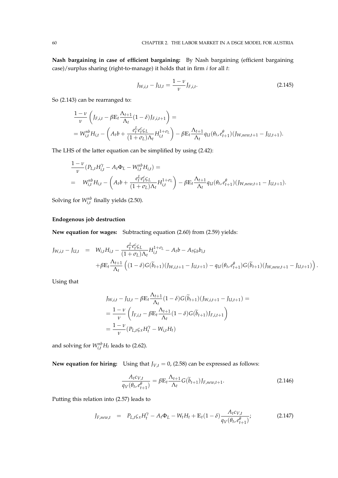**Nash bargaining in case of efficient bargaining:** By Nash bargaining (efficient bargaining case)/surplus sharing (right-to-manage) it holds that in firm *i* for all *t*:

$$
J_{W,i,t} - J_{U,t} = \frac{1 - \nu}{\nu} J_{F,i,t}.
$$
\n(2.145)

So (2.143) can be rearranged to:

$$
\frac{1-\nu}{\nu}\left(I_{F,i,t} - \beta \mathbb{E}_t \frac{\Lambda_{t+1}}{\Lambda_t} (1-\delta) J_{F,i,t+1}\right) =
$$
\n
$$
= W_{i,t}^{nb} H_{i,t} - \left(A_t b + \frac{e_t^L e_t^c \zeta_L}{(1+\sigma_L)\Lambda_t} H_{i,t}^{1+\sigma_L}\right) - \beta \mathbb{E}_t \frac{\Lambda_{t+1}}{\Lambda_t} q_U(\theta_t, e_{t+1}^{\theta})(J_{W,new,t+1} - J_{U,t+1}).
$$

The LHS of the latter equation can be simplified by using (2.42):

$$
\frac{1-\nu}{\nu}(P_{L,t}H_{i,t}^{\gamma}-A_t\Phi_L-W_{i,t}^{nb}H_{i,t}) =
$$
\n
$$
=W_{i,t}^{nb}H_{i,t} - \left(A_t b + \frac{e_t^L e_t^c \zeta_L}{(1+\sigma_L)\Lambda_t}H_{i,t}^{1+\sigma_L}\right) - \beta \mathbb{E}_t \frac{\Lambda_{t+1}}{\Lambda_t} q_U(\theta_t, e_{t+1}^{\theta})(J_{W,new,t+1} - J_{U,t+1}).
$$

Solving for  $W_{i,t}^{nb}$  finally yields (2.50).

### **Endogenous job destruction**

**New equation for wages:** Subtracting equation (2.60) from (2.59) yields:

$$
J_{W,i,t} - J_{U,t} = W_{i,t}H_{i,t} - \frac{e_t^L e_t^c \zeta_L}{(1 + \sigma_L)\Lambda_t} H_{i,t}^{1 + \sigma_L} - A_t b - A_t \zeta_b b_{i,t} + \beta \mathbb{E}_t \frac{\Lambda_{t+1}}{\Lambda_t} \left( (1 - \delta) G(\tilde{b}_{t+1}) (J_{W,i,t+1} - J_{U,t+1}) - q_U(\theta_t, e_{t+1}^{\theta}) G(\tilde{b}_{t+1}) (J_{W,new,t+1} - J_{U,t+1}) \right).
$$

Using that

$$
J_{W,i,t} - J_{U,t} - \beta \mathbb{E}_t \frac{\Lambda_{t+1}}{\Lambda_t} (1 - \delta) G(\widetilde{b}_{t+1}) (J_{W,i,t+1} - J_{U,t+1}) =
$$
  
=  $\frac{1 - \nu}{\nu} \left( J_{F,i,t} - \beta \mathbb{E}_t \frac{\Lambda_{t+1}}{\Lambda_t} (1 - \delta) G(\widetilde{b}_{t+1}) J_{F,i,t+1} \right)$   
=  $\frac{1 - \nu}{\nu} (P_{L,t} \varsigma_x H_t^{\gamma} - W_{i,t} H_t)$ 

and solving for  $W_{i,t}^{nb}H_t$  leads to (2.62).

**New equation for hiring:** Using that  $J_{V,t} = 0$ , (2.58) can be expressed as follows:

$$
\frac{A_t c_{V,t}}{q_V(\theta_t, e_{t+1}^{\theta})} = \beta \mathbb{E}_t \frac{\Lambda_{t+1}}{\Lambda_t} G(\widetilde{b}_{t+1}) J_{F,new,t+1}.
$$
\n(2.146)

Putting this relation into (2.57) leads to

$$
J_{F,new,t} = P_{L,t} \varsigma_x H_t^{\gamma} - A_t \Phi_L - W_t H_t + \mathbb{E}_t (1 - \delta) \frac{A_t c_{V,t}}{q_V(\theta_t, e_{t+1}^{\theta})};
$$
(2.147)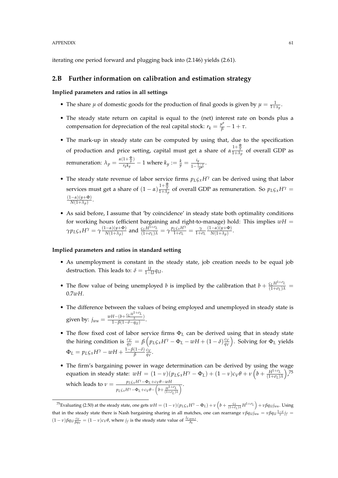#### APPENDIX 61

iterating one period forward and plugging back into (2.146) yields (2.61).

## **2.B Further information on calibration and estimation strategy**

**Implied parameters and ratios in all settings**

- The share  $\mu$  of domestic goods for the production of final goods is given by  $\mu = \frac{1}{1+x_y}$ .
- The steady state return on capital is equal to the (net) interest rate on bonds plus a compensation for depreciation of the real capital stock:  $r_k = \frac{\mu^a}{\beta} - 1 + \tau$ .
- The mark-up in steady state can be computed by using that, due to the specification of production and price setting, capital must get a share of  $\alpha \frac{1+\frac{\Phi}{y}}{1+\lambda_p}$  of overall GDP as remuneration:  $\lambda_p = \frac{\alpha(1+\frac{\Phi}{y})}{r_k k_y}$  $\frac{i_1 + \frac{x}{y}}{r_k k_y} - 1$  where  $k_y := \frac{k}{y} = \frac{i_y}{1 - \frac{1}{y}}$  $\frac{y}{1-\frac{1-\tau}{\mu^a}}$ .
- The steady state revenue of labor service firms  $p_L \zeta_x H^\gamma$  can be derived using that labor services must get a share of  $(1-\alpha)\frac{1+\frac{\Phi}{y}}{1+\lambda_p}$  of overall GDP as remuneration. So  $p_L\varsigma_x H^\gamma =$ (1−*α*)(*y*+Φ)  $N(1+\lambda_p)$ .
- As said before, I assume that 'by coincidence' in steady state both optimality conditions for working hours (efficient bargaining and right-to-manage) hold: This implies  $wH =$  $\gamma p_L \zeta_x H^\gamma = \gamma \frac{(1-\alpha)(y+\Phi)}{N(1+\lambda_n)}$ *n*<sub>(1+*λp*) and  $\frac{c_L H^{1+\sigma_L}}{(1+\sigma_L)\lambda} = \gamma \frac{p_L c_x H^{\gamma}}{1+\sigma_L}$ </sub>  $\frac{L\varsigma_x H^I}{1+\sigma_L} = \frac{\gamma}{1+\sigma_L}$ (1−*α*)(*y*+Φ)  $\frac{-\alpha y(y+\varphi)}{N(1+\lambda_p)}$ .

#### **Implied parameters and ratios in standard setting**

- As unemployment is constant in the steady state, job creation needs to be equal job destruction. This leads to:  $\delta = \frac{U}{1-U}q_U$ .
- The flow value of being unemployed *b* is implied by the calibration that  $b + \frac{\zeta_L H^{1+\sigma_L}}{(1+\sigma_L)\lambda}$ 0.7*wH*.
- The difference between the values of being employed and unemployed in steady state is given by:  $j_{wu} = \frac{wH-(b+\frac{c_LH^{1+\sigma_L}}{\lambda})}{1-\beta(1-\delta-a_{LL})}$ *λ* )  $\frac{1-(\delta+\lambda)}{1-\beta(1-\delta-q_U)}$ .
- The flow fixed cost of labor service firms Φ*<sup>L</sup>* can be derived using that in steady state the hiring condition is  $\frac{c_V}{q_V} = \beta \left( p_L \zeta_x H^\gamma - \Phi_L - w H + (1 - \delta) \frac{c_V}{q_V} \right)$ *qV* . Solving for Φ*<sup>L</sup>* yields  $\Phi_L = p_L \zeta_x H^\gamma - wH + \frac{1-\beta(1-\delta)}{\beta}$  $\frac{(1-\delta)}{\beta} \frac{c_V}{q_V}$  $\frac{c_V}{q_V}$ .
- The firm's bargaining power in wage determination can be derived by using the wage equation in steady state:  $wH = (1 - v)(p_L \zeta_x H^\gamma - \Phi_L) + (1 - v)c_V \theta + v\left(b + \frac{H^{1+\sigma_L}}{(1+\sigma_L)\lambda}\right)$  $\sum$ <sub>75</sub> which leads to  $\nu = \frac{p_L \zeta_x H^{\gamma} - \Phi_L + c_V \theta - wH}{\sqrt{1 + \frac{v^2}{c^2}}}$  $p_L \zeta_x H^{\gamma} - \Phi_L + c_V \theta - \left( b + \frac{H^{1+\sigma_L}}{(1+\sigma_L)} \right)$  $\overline{(1+\sigma_L)}\lambda$  $\overline{\wedge}$ .

<sup>&</sup>lt;sup>75</sup>Evaluating (2.50) at the steady state, one gets  $wH = (1 - v)(p_L \zeta_x H^\gamma - \Phi_L) + v \left( b + \frac{\zeta_L}{(1 + \sigma_L)\lambda} H^{1 + \sigma_L} \right) + v \beta q_U j_{wu}$ . Using that in the steady state there is Nash bargaining sharing in all matches, one can rearrange  $\nu \beta q_{U} j_{wu} = \nu \beta q_U \frac{1-\nu}{\nu} j_f =$  $(1-\nu)\beta q_U \frac{c_V}{\beta q_V} = (1-\nu)c_V\theta$ , where  $j_f$  is the steady state value of  $\frac{f_{F,new,t}}{A_t}$ .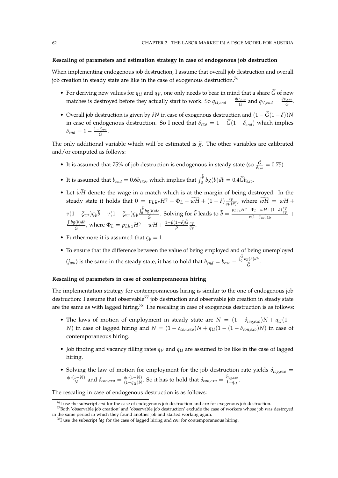### **Rescaling of parameters and estimation strategy in case of endogenous job destruction**

When implementing endogenous job destruction, I assume that overall job destruction and overall job creation in steady state are like in the case of exogenous destruction.<sup>76</sup>

- For deriving new values for  $q_U$  and  $q_V$ , one only needs to bear in mind that a share  $\tilde{G}$  of new matches is destroyed before they actually start to work. So  $q_{U,end} = \frac{q_{U,ex}}{\tilde{G}}$  $\frac{q_{V,exo}}{\tilde{G}}$  and  $q_{V,end} = \frac{q_{V,exo}}{\tilde{G}}$ *exo*.<br> $\tilde{\tilde{G}}$ .
- Overall job destruction is given by  $\delta N$  in case of exogenous destruction and  $(1 \tilde{G}(1 \delta))N$ in case of endogenous destruction. So I need that  $\delta_{exo} = 1 - \tilde{G}(1 - \delta_{end})$  which implies  $\delta_{end} = 1 - \frac{1-\delta_{exo}}{\widetilde{G}}$ <del>.</del><br> $\frac{\widetilde{G}}{\widetilde{G}}$  .

The only additional variable which will be estimated is  $\tilde{g}$ . The other variables are calibrated and/or computed as follows:

- It is assumed that 75% of job destruction is endogenous in steady state (so  $\frac{G}{\delta_{exo}} = 0.75$ ).
- It is assumed that  $b_{end} = 0.6b_{exo}$ , which implies that  $\int_0^b bg(b)db = 0.4\tilde{G}b_{exo}$ .
- Let  $\widetilde{wH}$  denote the wage in a match which is at the margin of being destroyed. In the steady state it holds that  $0 = p_L \zeta_x H^\gamma - \Phi_L - \widetilde{wH} + (1-\delta) \frac{c_V}{q_V}$  $\frac{c_V}{q_V(\theta)}$ , where  $wH = wH +$  $ν(1 - \xi_{wr}) \varsigma_b \widetilde{b} - ν(1 - \xi_{wr}) \varsigma_b \frac{\int_0^b bg(b)db}{\widetilde{G}}$  $\frac{g(b)db}{G}$ . Solving for  $\tilde{b}$  leads to  $\tilde{b} = \frac{p_{L\mathcal{G}x}H^{\gamma}-\Phi_L-wH+(1-\delta)\frac{c_V}{q_V}}{v(1-\xi_{wr})\varsigma_b}$  +  $\int bg(b)db$  $\frac{G(b)db}{G}$ , where  $\Phi_L = p_L \zeta_x H^\gamma - wH + \frac{1-\beta(1-\delta)\tilde{G}}{\beta} \frac{c_V}{q_V}$  $\frac{c_V}{q_V}$ .
- Furthermore it is assumed that  $\varsigma_b = 1$ .
- To ensure that the difference between the value of being employed and of being unemployed  $(j_{wu})$  is the same in the steady state, it has to hold that  $b_{end} = b_{exo} - \frac{\int_0^b b g(b) db}{\tilde{C}}$  $\frac{\widetilde{S}^{(v)uv}}{\widetilde{G}}$ .

### **Rescaling of parameters in case of contemporaneous hiring**

The implementation strategy for contemporaneous hiring is similar to the one of endogenous job destruction: I assume that observable<sup>77</sup> job destruction and observable job creation in steady state are the same as with lagged hiring.<sup>78</sup> The rescaling in case of exogenous destruction is as follows:

- The laws of motion of employment in steady state are  $N = (1 \delta_{lag, exp})N + q_U(1 \delta_{aug, exp})$ *N*) in case of lagged hiring and  $N = (1 - \delta_{con,exo})N + q_U(1 - (1 - \delta_{con,exo})N)$  in case of contemporaneous hiring.
- Job finding and vacancy filling rates  $q_V$  and  $q_U$  are assumed to be like in the case of lagged hiring.
- Solving the law of motion for employment for the job destruction rate yields  $\delta_{lag,exo}$  =  $\frac{q_U(1-N)}{N}$  and  $\delta_{con,exo} = \frac{q_U(1-N)}{(1-q_U)N}$  $\frac{q_U(1-N)}{(1-q_U)N}$ . So it has to hold that  $\delta_{con,exo} = \frac{\delta_{lag,exo}}{1-q_U}$  $rac{4}{1-qu}$ .

The rescaling in case of endogenous destruction is as follows:

<sup>76</sup>I use the subscript *end* for the case of endogenous job destruction and *exo* for exogenous job destruction.

<sup>77</sup>Both 'observable job creation' and 'observable job destruction' exclude the case of workers whose job was destroyed in the same period in which they found another job and started working again.

<sup>78</sup>I use the subscript *lag* for the case of lagged hiring and *con* for contemporaneous hiring.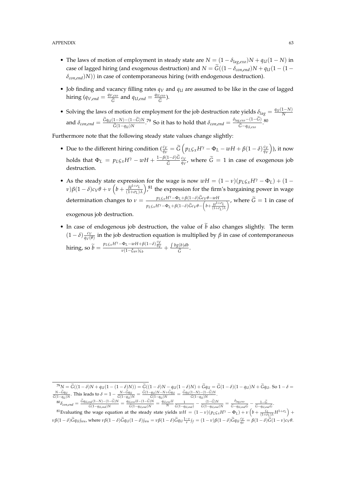- The laws of motion of employment in steady state are  $N = (1 \delta_{lag,exo})N + q_U(1 N)$  in case of lagged hiring (and exogenous destruction) and  $N = \tilde{G}((1 - \delta_{con, end})N + q_U(1 - (1$ *δcon*,*end*)*N*)) in case of contemporaneous hiring (with endogenous destruction).
- Job finding and vacancy filling rates *q<sup>V</sup>* and *q<sup>U</sup>* are assumed to be like in the case of lagged hiring ( $q_{V,end} = \frac{q_{V,exo}}{\tilde{G}}$  $\frac{q_{U,exo}}{\tilde{G}}$  and  $q_{U,end} = \frac{q_{U,exo}}{\tilde{G}}$ <sup>l,exo</sup>).<br><sup>Ĝ</sup>
- Solving the laws of motion for employment for the job destruction rate yields  $\delta_{lag} = \frac{q_U(1-N)}{N}$ and  $\delta_{con,end} = \frac{\tilde{G}q_U(1-N)-(1-\tilde{G})N}{\tilde{G}(1-q_U)N}$  $\frac{1-N-(1-\tilde{G})N}{\tilde{G}(1-q_U)N}$ .<sup>79</sup> So it has to hold that  $\delta_{con,end} = \frac{\delta_{lag,exo}-(1-G)}{\tilde{G}-q_{U,exo}}$  $\frac{\widetilde{G}-q_{U,exo}-(1-\mathbf{G})}{\widetilde{G}-q_{U,exo}}$ .<sup>80</sup>

Furthermore note that the following steady state values change slightly:

- Due to the different hiring condition  $\left(\frac{c_V}{q_V} \right) = \widetilde{G}\left(p_L \zeta_x H^\gamma \Phi_L wH + \beta(1-\delta)\frac{c_V}{q_V}\right)$ *qV*  $\big)$ , it now holds that  $\Phi_L = p_L \zeta_x H^\gamma - wH + \frac{1-\beta(1-\delta)G}{\tilde{G}}$ *G*e *cV*  $\frac{c_V}{q_V}$ , where  $G=1$  in case of exogenous job destruction.
- As the steady state expression for the wage is now  $wH = (1 v)(p_L c_x H^\gamma \Phi_L) + (1$ *ν*)*β*(1 – *δ*)*cV*</sub> $\theta$  + *ν* (*b* +  $\frac{H^{1+\sigma_L}}{(1+\sigma_L)\lambda}$ ),<sup>81</sup> the expression for the firm's bargaining power in wage determination changes to  $\nu = \frac{p_L \varsigma_x H^{\gamma} - \Phi_L + \beta (1 - \delta) \hat{G} c_V \theta - wH}{\sqrt{1 - \frac{p_L \varsigma_z H^{\gamma}}{c^2}}}$  $p_L \zeta_x H^{\gamma} - \Phi_L + \beta (1 - \delta) \widetilde{G} c_V \theta - \left( b + \frac{H^{1+\sigma_L}}{(1+\sigma_L)} \right)$  $\frac{WH}{H^{1+\sigma_L}}$ , where  $G = 1$  in case of  $\frac{H^{1+\sigma_L}}{(1+\sigma_L)\lambda}$ , exogenous job destruction.
- In case of endogenous job destruction, the value of  $\tilde{b}$  also changes slightly. The term  $(1-\delta)\frac{c_V}{a_V}$  $\frac{cV}{qV(\theta)}$  in the job destruction equation is multiplied by *β* in case of contemporaneous  $\lim_{\delta \to 0} \widetilde{b} = \frac{p_{L\varsigma x}H^{\gamma} - \Phi_L - wH + \beta(1-\delta)\frac{c_V}{q_V}}{v(1-\xi_{wr})\varsigma_b} + \frac{\int bg(b)db}{\widetilde{G}}$  $\frac{\widetilde{G}}{\widetilde{G}}$ .

 $\delta^{80}\delta_{con,end} = \frac{\tilde{G}q_{U,end}(1-N)-(1-\tilde{G})N}{\tilde{G}(1-a_{V},N)}$  $\frac{G_{rad}(1-N)-(1-G)N}{\tilde{G}(1-q_{U,end})N} = \frac{q_{U,exo}U-(1-G)N}{\tilde{G}(1-q_{U,end})N}$  $\frac{I_{exo}U - (1 - G)N}{\tilde{G}(1 - q_{U,end})N} = \frac{q_{U,exo}U}{N} \frac{1}{\tilde{G}(1 - q_{U,end})} - \frac{(1 - G)N}{\tilde{G}(1 - q_{U,end})}$  $\frac{(1-\hat{G})N}{\tilde{G}(1-q_{U,end})N} = \frac{\delta_{lag,exo}}{\tilde{G}-q_{U,end}\tilde{G}} - \frac{1-\tilde{G}}{\tilde{G}-q_{U,end}\tilde{G}}.$ 

<sup>81</sup>Evaluating the wage equation at the steady state yields  $wH = (1 - v)(p_L \zeta_x H^{\gamma} - \Phi_L) + v \left( b + \frac{\zeta_L}{(1 + \sigma_L)\lambda} H^{1 + \sigma_L} \right) +$  $\nu\beta(1-\delta)\tilde{G}q_{Ujwu}$ , where  $\nu\beta(1-\delta)\tilde{G}q_{U}(1-\delta)j_{wu} = \nu\beta(1-\delta)\tilde{G}q_{U}\frac{1-\nu}{\nu}j_{f} = (1-\nu)\beta(1-\delta)\tilde{G}q_{U}\frac{c_{V}}{q_{V}} = \beta(1-\delta)\tilde{G}(1-\nu)c_{V}\theta.$ 

 ${}^{\overline{r}9}N = \tilde{G}((1-\delta)N + q_U(1-(1-\delta)N)) = \tilde{G}((1-\delta)N - q_U(1-\delta)N) + \tilde{G}q_U = \tilde{G}(1-\delta)(1-q_U)N + \tilde{G}q_U$ . So  $1-\delta = \frac{N-\tilde{G}q_U}{N}$ . This leads to  $\delta = 1 - \frac{N-\tilde{G}q_U}{N} = \frac{\tilde{G}(1-q_U)N - N+\tilde{G}q_U}{N} = \frac{\tilde{G}q_U(1-N) - (1-\tilde{G})N}{N}$ .  $\frac{N - \tilde{G}q_U}{\tilde{G}(1 - q_U)N}$ . This leads to  $\delta = 1 - \frac{N - \tilde{G}q_U}{\tilde{G}(1 - q_U)}$  $\frac{N-Gq_U}{\tilde{G}(1-q_U)N} = \frac{\tilde{G}(1-q_U)N-N+\tilde{G}q_U}{\tilde{G}(1-q_U)N}$  $\frac{G_{qU}(N-N+G_{qU})}{\tilde{G}(1-q_U)N} = \frac{G_{qU}(1-N)-(1-G)N}{\tilde{G}(1-q_U)N}$  $\frac{\widetilde{G}(1-q_U)N}{\widetilde{G}(1-q_U)N}$ .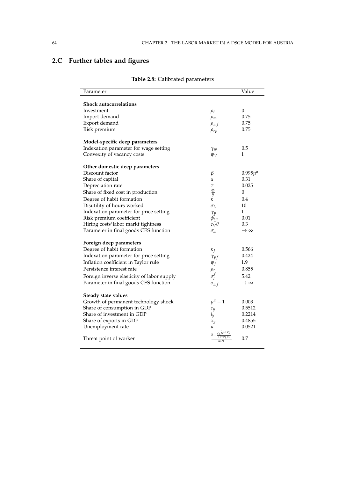# **2.C Further tables and figures**

|                                            |                     | Value                |
|--------------------------------------------|---------------------|----------------------|
| <b>Shock autocorrelations</b>              |                     |                      |
| Investment                                 | $\rho_i$            | 0                    |
| Import demand                              | $\rho_m$            | 0.75                 |
| Export demand                              | $\rho_{mf}$         | 0.75                 |
| Risk premium                               | $\rho_{rp}$         | 0.75                 |
| Model-specific deep parameters             |                     |                      |
| Indexation parameter for wage setting      | Yw                  | 0.5                  |
| Convexity of vacancy costs                 | $\psi_V$            | 1                    |
| Other domestic deep parameters             |                     |                      |
| Discount factor                            | β                   | $0.995\mu^{a}$       |
| Share of capital                           | α                   | 0.31                 |
| Depreciation rate                          | τ                   | 0.025                |
| Share of fixed cost in production          | Φ<br>$\overline{y}$ | 0                    |
| Degree of habit formation                  | κ                   | 0.4                  |
| Disutility of hours worked                 | $\sigma_L$          | 10                   |
| Indexation parameter for price setting     | $\gamma_p$          | 1                    |
| Risk premium coefficient                   | $\phi_{rp}$         | 0.01                 |
| Hiring costs*labor markt tightness         | $c_V\theta$         | 0.3                  |
| Parameter in final goods CES function      | $\sigma_m$          | $\rightarrow \infty$ |
| Foreign deep parameters                    |                     |                      |
| Degree of habit formation                  | $\kappa_f$          | 0.566                |
| Indexation parameter for price setting     | $\gamma_{pf}$       | 0.424                |
| Inflation coefficient in Taylor rule       | $\psi_f$            | 1.9                  |
| Persistence interest rate                  | $\rho_r$            | 0.855                |
| Foreign inverse elasticity of labor supply | $\sigma_l^f$        | 5.42                 |
| Parameter in final goods CES function      | $\sigma_{mf}$       | $\rightarrow \infty$ |
| Steady state values                        |                     |                      |
| Growth of permanent technology shock       | $\mu^a-1$           | 0.003                |
| Share of consumption in GDP                | $c_{y}$             | 0.5512               |
| Share of investment in GDP                 | $i_y$               | 0.2214               |
| Share of exports in GDP                    | $x_y$               | 0.4855               |
| Unemployment rate                          | и                   | 0.0521               |
| Threat point of worker                     | wΗ                  | 0.7                  |

# **Table 2.8:** Calibrated parameters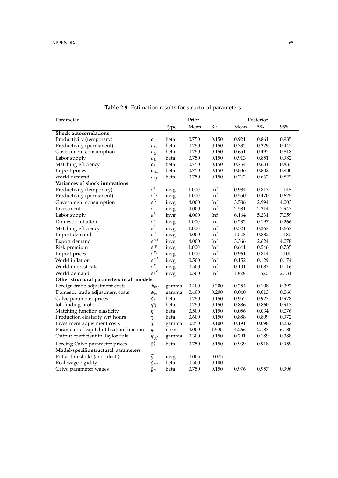| Parameter                                 |                                               |       | Prior |          |       | Posterior |        |
|-------------------------------------------|-----------------------------------------------|-------|-------|----------|-------|-----------|--------|
|                                           |                                               | Type  | Mean  | $\rm SE$ | Mean  | $5\%$     | $95\%$ |
| <b>Shock autocorrelations</b>             |                                               |       |       |          |       |           |        |
| Productivity (temporary)                  | $\rho_a$                                      | beta  | 0.750 | 0.150    | 0.921 | 0.861     | 0.985  |
| Productivity (permanent)                  | $\rho_{\mu_a}$                                | beta  | 0.750 | 0.150    | 0.332 | 0.229     | 0.442  |
| Government consumption                    | $\rho_G$                                      | beta  | 0.750 | 0.150    | 0.651 | 0.492     | 0.818  |
| Labor supply                              | $\rho_L$                                      | beta  | 0.750 | 0.150    | 0.913 | 0.851     | 0.982  |
| Matching efficiency                       | $\rho_{\theta}$                               | beta  | 0.750 | 0.150    | 0.754 | 0.631     | 0.883  |
| Import prices                             | $\rho_{\pi_m}$                                | beta  | 0.750 | 0.150    | 0.886 | 0.802     | 0.980  |
| World demand                              | $\rho_{yf}$                                   | beta  | 0.750 | 0.150    | 0.742 | 0.662     | 0.827  |
| Variances of shock innovations            |                                               |       |       |          |       |           |        |
| Productivity (temporary)                  | $\epsilon^a$                                  | invg  | 1.000 | Inf      | 0.984 | 0.813     | 1.148  |
| Productivity (permanent)                  | $\epsilon^{\mu_a}$                            | invg  | 1.000 | Inf      | 0.550 | 0.470     | 0.625  |
| Government consumption                    | $\epsilon^G$                                  | invg  | 4.000 | Inf      | 3.506 | 2.994     | 4.003  |
| Investment                                | $\epsilon^i$                                  | invg  | 4.000 | Inf      | 2.581 | 2.214     | 2.947  |
| Labor supply                              | $\epsilon^L$                                  | invg  | 4.000 | Inf      | 6.164 | 5.231     | 7.059  |
| Domestic inflation                        | $\epsilon^{\lambda_p}$                        | invg  | 1.000 | Inf      | 0.232 | 0.197     | 0.266  |
| Matching efficiency                       | $\epsilon^\theta$                             | invg  | 1.000 | Inf      | 0.521 | 0.367     | 0.667  |
| Import demand                             | $\varepsilon^m$                               | invg  | 4.000 | Inf      | 1.028 | 0.882     | 1.180  |
| Export demand                             | $\epsilon^{mf}$                               | invg  | 4.000 | Inf      | 3.366 | 2.624     | 4.078  |
| Risk premium                              | $\epsilon^{rp}$                               | invg  | 1.000 | Inf      | 0.641 | 0.546     | 0.735  |
| Import prices                             | $\epsilon^{\pi_m}$                            | invg  | 1.000 | Inf      | 0.961 | 0.814     | 1.100  |
| World inflation                           | $\epsilon^{\pi f}$                            | invg  | 0.500 | Inf      | 0.152 | 0.129     | 0.174  |
| World interest rate                       | $\epsilon^R$                                  | invg  | 0.500 | Inf      | 0.101 | 0.087     | 0.116  |
| World demand                              | $\epsilon^{yf}$                               | invg  | 0.500 | Inf      | 1.828 | 1.520     | 2.131  |
| Other structural parameters in all models |                                               |       |       |          |       |           |        |
| Foreign trade adjustment costs            | $\phi_{mf}$                                   | gamma | 0.400 | 0.200    | 0.254 | 0.108     | 0.392  |
| Domestic trade adjustment costs           | $\phi_m$                                      | gamma | 0.400 | 0.200    | 0.040 | 0.013     | 0.066  |
| Calvo parameter prices                    | $\zeta_p$                                     | beta  | 0.750 | 0.150    | 0.952 | 0.927     | 0.978  |
| Job finding prob.                         | $\bar{q}_U$                                   | beta  | 0.750 | 0.150    | 0.886 | 0.860     | 0.913  |
| Matching function elasticity              | $\eta$                                        | beta  | 0.500 | 0.150    | 0.056 | 0.034     | 0.076  |
| Production elasticity wrt hours           | $\gamma$                                      | beta  | 0.600 | 0.150    | 0.888 | 0.809     | 0.972  |
| Investment adjustment costs               | $\chi$                                        | gamma | 0.250 | 0.100    | 0.191 | 0.098     | 0.282  |
| Parameter of capital utilisation function | ψ                                             | norm  | 4.000 | 1.500    | 4.266 | 2.183     | 6.180  |
| Output coefficient in Taylor rule         | $\psi_{yf}$                                   | gamma | 0.300 | 0.150    | 0.291 | 0.189     | 0.388  |
| Foreing Calvo parameter prices            | $\xi_p^f$                                     | beta  | 0.750 | 0.150    | 0.939 | 0.918     | 0.959  |
| Model-specific structural parameters      |                                               |       |       |          |       |           |        |
| Pdf at threshold (end. dest.)             |                                               | invg  | 0.005 | 0.075    |       |           |        |
| Real wage rigidity                        | $\widetilde{\mathfrak{F}}\ \mathfrak{F}_{wr}$ | beta  | 0.500 | 0.100    |       |           |        |
| Calvo parameter wages                     | $\xi_w$                                       | beta  | 0.750 | 0.150    | 0.976 | 0.957     | 0.996  |

**Table 2.9:** Estimation results for structural parameters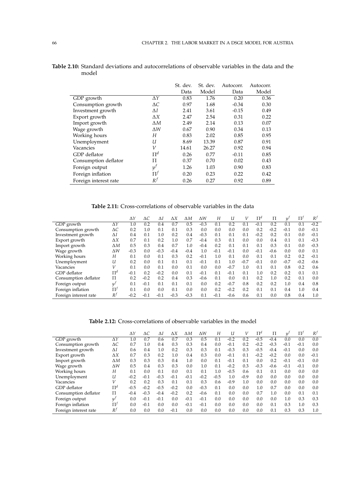|                       |             | St. dev. | St. dev. | Autocorr. | Autocorr. |
|-----------------------|-------------|----------|----------|-----------|-----------|
|                       |             | Data     | Model    | Data      | Model     |
| GDP growth            | $\Delta Y$  | 0.83     | 1.76     | 0.20      | 0.36      |
| Consumption growth    | $\Delta C$  | 0.97     | 1.68     | $-0.34$   | 0.30      |
| Investment growth     | ΔΙ          | 2.41     | 3.61     | $-0.15$   | 0.49      |
| Export growth         | $\Delta X$  | 2.47     | 2.54     | 0.31      | 0.22      |
| Import growth         | $\Delta M$  | 2.49     | 2.14     | 0.13      | 0.07      |
| Wage growth           | $\Lambda W$ | 0.67     | 0.90     | 0.34      | 0.13      |
| Working hours         | Н           | 0.83     | 2.02     | 0.85      | 0.95      |
| Unemployment          | U           | 8.69     | 13.39    | 0.87      | 0.91      |
| Vacancies             | V           | 14.61    | 26.27    | 0.92      | 0.94      |
| GDP deflator          | $\Pi^d$     | 0.26     | 0.77     | $-0.11$   | 0.85      |
| Consumption deflator  | П           | 0.37     | 0.70     | 0.02      | 0.43      |
| Foreign output        | $y^f$       | 1.26     | 1.03     | 0.90      | 0.83      |
| Foreign inflation     | $\Pi^f$     | 0.20     | 0.23     | 0.22      | 0.42      |
| Foreign interest rate | $R^f$       | 0.26     | 0.27     | 0.92      | 0.89      |

**Table 2.10:** Standard deviations and autocorrelations of observable variables in the data and the model

**Table 2.11:** Cross-correlations of observable variables in the data

|                       |            | $\Delta Y$ | ΔC     | Δl      | ΔΧ     | ΔΜ     | ΔW     | Н      | U      | V      | $\Pi^d$ | Π      | $u^j$  | $\Pi^f$ | $R^f$  |
|-----------------------|------------|------------|--------|---------|--------|--------|--------|--------|--------|--------|---------|--------|--------|---------|--------|
| GDP growth            | ΔΥ         | 1.0        | 0.2    | 0.4     | 0.7    | 0.5    | $-0.3$ | 0.1    | 0.2    | 0.1    | $-0.1$  | 0.2    | 0.1    | 0.1     | $-0.2$ |
| Consumption growth    | $\Delta C$ | 0.2        | 1.0    | 0.1     | 0.1    | 0.3    | 0.0    | 0.0    | 0.0    | 0.0    | 0.2     | $-0.2$ | $-0.1$ | 0.0     | $-0.1$ |
| Investment growth     | ΔΙ         | 0.4        | 0.1    | $1.0\,$ | 0.2    | 0.4    | $-0.3$ | 0.1    | 0.1    | 0.1    | $-0.2$  | 0.2    | 0.1    | 0.0     | $-0.1$ |
| Export growth         | ΔΧ         | 0.7        | 0.1    | 0.2     | 1.0    | 0.7    | $-0.4$ | 0.3    | 0.1    | 0.0    | 0.0     | 0.4    | 0.1    | 0.1     | $-0.3$ |
| Import growth         | ΔΜ         | 0.5        | 0.3    | 0.4     | 0.7    | 1.0    | $-0.4$ | 0.2    | 0.1    | 0.1    | 0.1     | 0.3    | 0.1    | 0.0     | $-0.3$ |
| Wage growth           | ΔW         | $-0.3$     | 0.0    | $-0.3$  | $-0.4$ | $-0.4$ | 1.0    | $-0.1$ | $-0.1$ | 0.0    | $-0.1$  | $-0.6$ | 0.0    | 0.0     | 0.1    |
| Working hours         | Н          | 0.1        | 0.0    | 0.1     | 0.3    | 0.2    | $-0.1$ | 1.0    | 0.1    | 0.0    | 0.1     | 0.1    | 0.2    | 0.2     | $-0.1$ |
| Unemployment          | U          | 0.2        | 0.0    | 0.1     | 0.1    | 0.1    | $-0.1$ | 0.1    | 1.0    | $-0.7$ | $-0.1$  | 0.0    | $-0.7$ | $-0.2$  | $-0.6$ |
| Vacancies             | V          | 0.1        | 0.0    | 0.1     | 0.0    | 0.1    | 0.0    | 0.0    | $-0.7$ | 1.0    | 0.1     | 0.1    | 0.8    | 0.2     | 0.6    |
| GDP deflator          | $\Pi^d$    | $-0.1$     | 0.2    | $-0.2$  | 0.0    | 0.1    | $-0.1$ | 0.1    | $-0.1$ | 0.1    | 1.0     | 0.2    | 0.2    | 0.1     | 0.1    |
| Consumption deflator  | П          | 0.2        | $-0.2$ | 0.2     | 0.4    | 0.3    | $-0.6$ | 0.1    | 0.0    | 0.1    | 0.2     | 1.0    | 0.2    | 0.1     | 0.0    |
| Foreign output        | yΙ         | 0.1        | $-0.1$ | 0.1     | 0.1    | 0.1    | 0.0    | 0.2    | $-0.7$ | 0.8    | 0.2     | 0.2    | 1.0    | 0.4     | 0.8    |
| Foreign inflation     | $\Pi^f$    | 0.1        | 0.0    | 0.0     | 0.1    | 0.0    | 0.0    | 0.2    | $-0.2$ | 0.2    | 0.1     | 0.1    | 0.4    | 1.0     | 0.4    |
| Foreign interest rate | $R^f$      | $-0.2$     | $-0.1$ | $-0.1$  | $-0.3$ | $-0.3$ | 0.1    | $-0.1$ | $-0.6$ | 0.6    | 0.1     | 0.0    | 0.8    | 0.4     | 1.0    |

**Table 2.12:** Cross-correlations of observable variables in the model

|                       |            | $\Delta Y$ | $\Delta C$ | ΔΙ     | ΔΧ     | $\Delta M$ | ΔW     | Н      | U      | V      | $\Pi^d$ | $\Pi$  | $u^j$  | $\Pi^f$ | $R^f$  |
|-----------------------|------------|------------|------------|--------|--------|------------|--------|--------|--------|--------|---------|--------|--------|---------|--------|
| GDP growth            | $\Delta Y$ | 1.0        | 0.7        | 0.6    | 0.7    | 0.3        | 0.5    | 0.1    | $-0.2$ | 0.2    | $-0.5$  | $-0.4$ | 0.0    | 0.0     | 0.0    |
| Consumption growth    | $\Delta C$ | 0.7        | 1.0        | 0.4    | 0.3    | 0.3        | 0.4    | 0.0    | $-0.1$ | 0.2    | $-0.2$  | $-0.3$ | $-0.1$ | $-0.1$  | 0.0    |
| Investment growth     | ΔΙ         | 0.6        | 0.4        | 1.0    | 0.2    | 0.3        | 0.3    | 0.1    | $-0.3$ | 0.3    | $-0.5$  | $-0.4$ | $-0.1$ | 0.0     | 0.0    |
| Export growth         | ΔΧ         | 0.7        | 0.3        | 0.2    | 1.0    | 0.4        | 0.3    | 0.0    | $-0.1$ | 0.1    | $-0.2$  | $-0.2$ | 0.0    | 0.0     | $-0.1$ |
| Import growth         | ΔΜ         | 0.3        | 0.3        | 0.3    | 0.4    | 1.0        | 0.0    | 0.1    | $-0.1$ | 0.1    | 0.0     | 0.2    | $-0.1$ | $-0.1$  | 0.0    |
| Wage growth           | ΔW         | 0.5        | 0.4        | 0.3    | 0.3    | 0.0        | 1.0    | 0.1    | $-0.2$ | 0.3    | $-0.3$  | $-0.6$ | $-0.1$ | $-0.1$  | 0.0    |
| Working hours         | Η          | 0.1        | 0.0        | 0.1    | 0.0    | 0.1        | 0.1    | 1.0    | $-0.5$ | 0.6    | 0.1     | 0.1    | 0.0    | 0.0     | 0.0    |
| Unemployment          | U          | $-0.2$     | $-0.1$     | $-0.3$ | $-0.1$ | $-0.1$     | $-0.2$ | $-0.5$ | 1.0    | $-0.9$ | 0.0     | 0.0    | 0.0    | 0.0     | 0.0    |
| Vacancies             | V          | 0.2        | 0.2        | 0.3    | 0.1    | 0.1        | 0.3    | 0.6    | $-0.9$ | 1.0    | 0.0     | 0.0    | 0.0    | 0.0     | 0.0    |
| GDP deflator          | $\Pi^d$    | $-0.5$     | $-0.2$     | $-0.5$ | $-0.2$ | 0.0        | $-0.3$ | 0.1    | 0.0    | 0.0    | 1.0     | 0.7    | 0.0    | 0.0     | 0.0    |
| Consumption deflator  | П          | $-0.4$     | $-0.3$     | $-0.4$ | $-0.2$ | 0.2        | $-0.6$ | 0.1    | 0.0    | 0.0    | 0.7     | 1.0    | 0.0    | 0.1     | 0.1    |
| Foreign output        | $\nu$      | 0.0        | $-0.1$     | $-0.1$ | 0.0    | $-0.1$     | $-0.1$ | 0.0    | 0.0    | 0.0    | 0.0     | 0.0    | 1.0    | 0.3     | 0.3    |
| Foreign inflation     | $\Pi^f$    | 0.0        | $-0.1$     | 0.0    | 0.0    | $-0.1$     | $-0.1$ | 0.0    | 0.0    | 0.0    | 0.0     | 0.1    | 0.3    | 1.0     | 0.3    |
| Foreign interest rate | $R^f$      | 0.0        | 0.0        | 0.0    | $-0.1$ | 0.0        | 0.0    | 0.0    | 0.0    | 0.0    | 0.0     | 0.1    | 0.3    | 0.3     | 1.0    |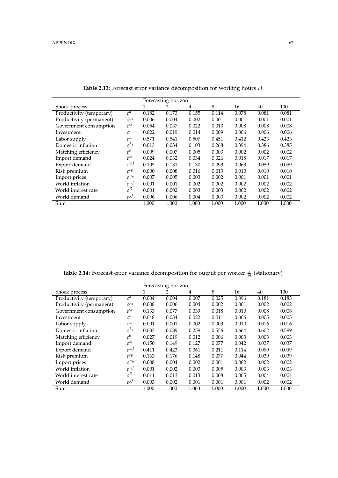|                          |                        |       | Forecasting horizon |       |       |       |       |       |
|--------------------------|------------------------|-------|---------------------|-------|-------|-------|-------|-------|
| Shock process            |                        | 1     | 2                   | 4     | 8     | 16    | 40    | 100   |
| Productivity (temporary) | $\epsilon^a$           | 0.182 | 0.173               | 0.155 | 0.114 | 0.078 | 0.081 | 0.081 |
| Productivity (permanent) | $\epsilon^{\mu_a}$     | 0.006 | 0.004               | 0.002 | 0.001 | 0.001 | 0.001 | 0.001 |
| Government consumption   | $\epsilon^G$           | 0.054 | 0.037               | 0.022 | 0.013 | 0.008 | 0.008 | 0.008 |
| Investment               | $\epsilon^i$           | 0.022 | 0.019               | 0.014 | 0.009 | 0.006 | 0.006 | 0.006 |
| Labor supply             | $\epsilon^L$           | 0.571 | 0.541               | 0.507 | 0.451 | 0.412 | 0.423 | 0.423 |
| Domestic inflation       | $\epsilon^{\lambda_p}$ | 0.013 | 0.034               | 0.103 | 0.268 | 0.394 | 0.386 | 0.385 |
| Matching efficiency      | $\epsilon^{\theta}$    | 0.009 | 0.007               | 0.005 | 0.003 | 0.002 | 0.002 | 0.002 |
| Import demand            | $\varepsilon^m$        | 0.024 | 0.032               | 0.034 | 0.026 | 0.018 | 0.017 | 0.017 |
| Export demand            | $\epsilon^{mf}$        | 0.105 | 0.131               | 0.130 | 0.093 | 0.063 | 0.059 | 0.059 |
| Risk premium             | $\epsilon^{rp}$        | 0.000 | 0.008               | 0.016 | 0.013 | 0.010 | 0.010 | 0.010 |
| Import prices            | $e^{\pi_m}$            | 0.007 | 0.005               | 0.003 | 0.002 | 0.001 | 0.001 | 0.001 |
| World inflation          | $e^{\pi f}$            | 0.001 | 0.001               | 0.002 | 0.002 | 0.002 | 0.002 | 0.002 |
| World interest rate      | $\varepsilon^R$        | 0.001 | 0.002               | 0.003 | 0.003 | 0.002 | 0.002 | 0.002 |
| World demand             | $\epsilon^{yf}$        | 0.006 | 0.006               | 0.004 | 0.003 | 0.002 | 0.002 | 0.002 |
| Sum                      |                        | 1.000 | 1.000               | 1.000 | 1.000 | 1.000 | 1.000 | 1.000 |

**Table 2.13:** Forecast error variance decomposition for working hours *H*

**Table 2.14:** Forecast error variance decomposition for output per worker  $\frac{y}{N}$  (stationary)

|                          |                        |       | Forecasting horizon |       |       |       |       |       |
|--------------------------|------------------------|-------|---------------------|-------|-------|-------|-------|-------|
| Shock process            |                        |       | 2                   | 4     | 8     | 16    | 40    | 100   |
| Productivity (temporary) | $\epsilon^a$           | 0.004 | 0.004               | 0.007 | 0.025 | 0.096 | 0.181 | 0.183 |
| Productivity (permanent) | $\epsilon^{\mu_a}$     | 0.008 | 0.006               | 0.004 | 0.002 | 0.001 | 0.002 | 0.002 |
| Government consumption   | $\epsilon^G$           | 0.133 | 0.077               | 0.039 | 0.018 | 0.010 | 0.008 | 0.008 |
| Investment               | $\epsilon^i$           | 0.048 | 0.034               | 0.022 | 0.011 | 0.006 | 0.005 | 0.005 |
| Labor supply             | $\epsilon^L$           | 0.001 | 0.001               | 0.002 | 0.003 | 0.010 | 0.016 | 0.016 |
| Domestic inflation       | $\epsilon^{\lambda_p}$ | 0.033 | 0.089               | 0.259 | 0.556 | 0.664 | 0.602 | 0.599 |
| Matching efficiency      | $\epsilon^{\theta}$    | 0.027 | 0.019               | 0.012 | 0.006 | 0.003 | 0.003 | 0.003 |
| Import demand            | $\varepsilon^m$        | 0.150 | 0.149               | 0.127 | 0.077 | 0.042 | 0.037 | 0.037 |
| Export demand            | $\epsilon^{mt}$        | 0.411 | 0.423               | 0.361 | 0.211 | 0.114 | 0.099 | 0.099 |
| Risk premium             | $\epsilon^{rp}$        | 0.163 | 0.176               | 0.148 | 0.077 | 0.044 | 0.039 | 0.039 |
| Import prices            | $e^{\pi_m}$            | 0.008 | 0.004               | 0.002 | 0.001 | 0.002 | 0.002 | 0.002 |
| World inflation          | $\epsilon^{\pi f}$     | 0.001 | 0.002               | 0.003 | 0.005 | 0.003 | 0.003 | 0.003 |
| World interest rate      | $\varepsilon^R$        | 0.011 | 0.013               | 0.013 | 0.008 | 0.005 | 0.004 | 0.004 |
| World demand             | $\epsilon^{y}$         | 0.003 | 0.002               | 0.001 | 0.001 | 0.001 | 0.002 | 0.002 |
| Sum                      |                        | 1.000 | 1.000               | 1.000 | 1.000 | 1.000 | 1.000 | 1.000 |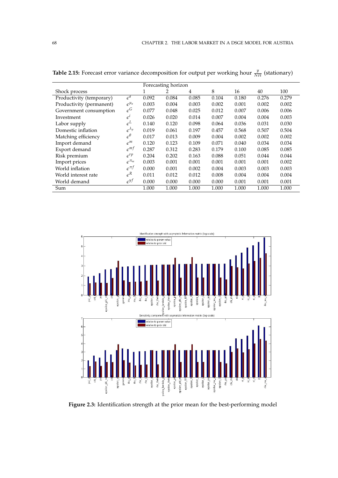|                          |                        | Forecasting horizon |       |       |       |       |       |       |
|--------------------------|------------------------|---------------------|-------|-------|-------|-------|-------|-------|
| Shock process            |                        | 1                   | 2     | 4     | 8     | 16    | 40    | 100   |
| Productivity (temporary) | $\epsilon^a$           | 0.092               | 0.084 | 0.085 | 0.104 | 0.180 | 0.276 | 0.279 |
| Productivity (permanent) | $\epsilon^{\mu_a}$     | 0.003               | 0.004 | 0.003 | 0.002 | 0.001 | 0.002 | 0.002 |
| Government consumption   | $\epsilon^G$           | 0.077               | 0.048 | 0.025 | 0.012 | 0.007 | 0.006 | 0.006 |
| Investment               | $\epsilon^i$           | 0.026               | 0.020 | 0.014 | 0.007 | 0.004 | 0.004 | 0.003 |
| Labor supply             | $\epsilon^L$           | 0.140               | 0.120 | 0.098 | 0.064 | 0.036 | 0.031 | 0.030 |
| Domestic inflation       | $\epsilon^{\lambda_p}$ | 0.019               | 0.061 | 0.197 | 0.457 | 0.568 | 0.507 | 0.504 |
| Matching efficiency      | $\epsilon^{\theta}$    | 0.017               | 0.013 | 0.009 | 0.004 | 0.002 | 0.002 | 0.002 |
| Import demand            | $\varepsilon^m$        | 0.120               | 0.123 | 0.109 | 0.071 | 0.040 | 0.034 | 0.034 |
| Export demand            | $\epsilon^{mf}$        | 0.287               | 0.312 | 0.283 | 0.179 | 0.100 | 0.085 | 0.085 |
| Risk premium             | $\epsilon^{rp}$        | 0.204               | 0.202 | 0.163 | 0.088 | 0.051 | 0.044 | 0.044 |
| Import prices            | $e^{\pi_m}$            | 0.003               | 0.001 | 0.001 | 0.001 | 0.001 | 0.001 | 0.002 |
| World inflation          | $\epsilon^{\pi f}$     | 0.000               | 0.001 | 0.002 | 0.004 | 0.003 | 0.003 | 0.003 |
| World interest rate      | $\varepsilon^R$        | 0.011               | 0.012 | 0.012 | 0.008 | 0.004 | 0.004 | 0.004 |
| World demand             | $\epsilon^{y}$         | 0.000               | 0.000 | 0.000 | 0.000 | 0.001 | 0.001 | 0.001 |
| Sum                      |                        | 1.000               | 1.000 | 1.000 | 1.000 | 1.000 | 1.000 | 1.000 |

**Table 2.15:** Forecast error variance decomposition for output per working hour  $\frac{y}{NH}$  (stationary)



**Figure 2.3:** Identification strength at the prior mean for the best-performing model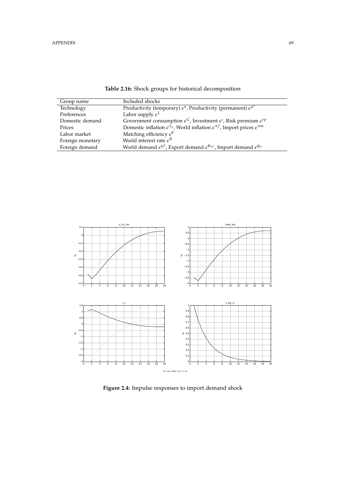| Group name       | Included shocks                                                                                                   |
|------------------|-------------------------------------------------------------------------------------------------------------------|
| Technology       | Productivity (temporary) $\epsilon^a$ , Productivity (permanent) $\epsilon^{\mu^a}$                               |
| Preferences      | Labor supply $\epsilon^L$                                                                                         |
| Domestic demand  | Government consumption $\epsilon^G$ , Investment $\epsilon^i$ , Risk premium $\epsilon^{rp}$                      |
| Prices           | Domestic inflation $\epsilon^{\lambda_p}$ , World inflation $\epsilon^{\pi f}$ , Import prices $\epsilon^{\pi m}$ |
| Labor market     | Matching efficiency $\epsilon^{\theta}$                                                                           |
| Foreign monetary | World interest rate $\epsilon^R$                                                                                  |
| Foreign demand   | World demand $\epsilon^{yf}$ , Export demand $\epsilon^{\phi_{mf}}$ , Import demand $\epsilon^{\phi_m}$           |



**Figure 2.4:** Impulse responses to import demand shock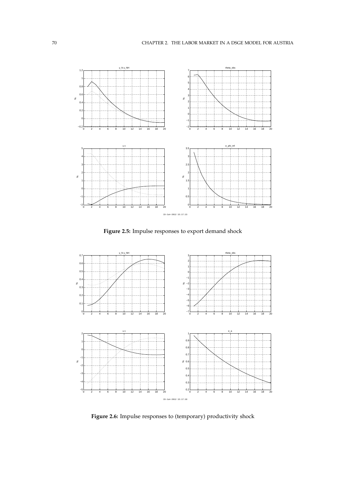

**Figure 2.5:** Impulse responses to export demand shock



Figure 2.6: Impulse responses to (temporary) productivity shock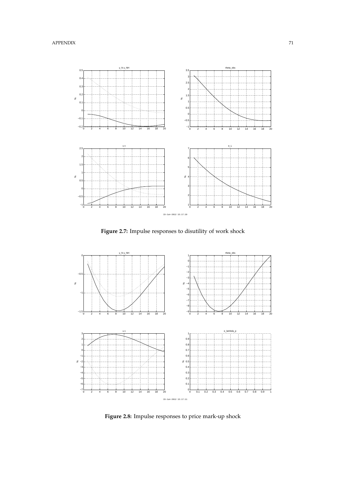

**Figure 2.7:** Impulse responses to disutility of work shock



**Figure 2.8:** Impulse responses to price mark-up shock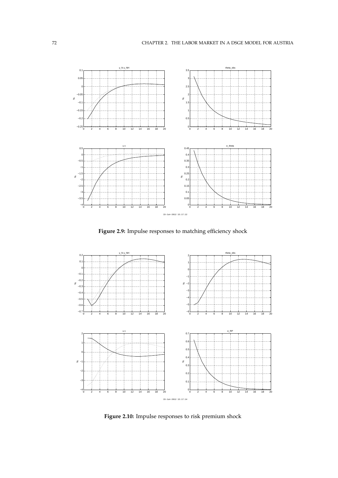

Figure 2.9: Impulse responses to matching efficiency shock



**Figure 2.10:** Impulse responses to risk premium shock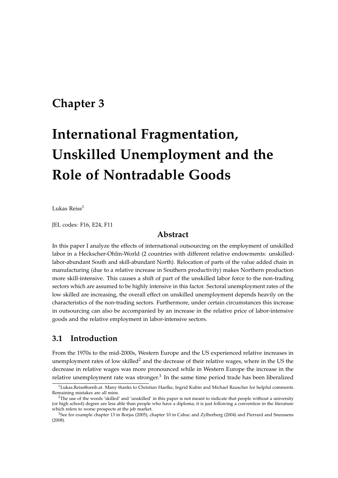## **Chapter 3**

# **International Fragmentation, Unskilled Unemployment and the Role of Nontradable Goods**

Lukas Reiss $1$ 

JEL codes: F16, E24, F11

## **Abstract**

In this paper I analyze the effects of international outsourcing on the employment of unskilled labor in a Heckscher-Ohlin-World (2 countries with different relative endowments: unskilledlabor-abundant South and skill-abundant North). Relocation of parts of the value added chain in manufacturing (due to a relative increase in Southern productivity) makes Northern production more skill-intensive. This causes a shift of part of the unskilled labor force to the non-trading sectors which are assumed to be highly intensive in this factor. Sectoral unemployment rates of the low skilled are increasing, the overall effect on unskilled unemployment depends heavily on the characteristics of the non-trading sectors. Furthermore, under certain circumstances this increase in outsourcing can also be accompanied by an increase in the relative price of labor-intensive goods and the relative employment in labor-intensive sectors.

## **3.1 Introduction**

From the 1970s to the mid-2000s, Western Europe and the US experienced relative increases in unemployment rates of low skilled<sup>2</sup> and the decrease of their relative wages, where in the US the decrease in relative wages was more pronounced while in Western Europe the increase in the relative unemployment rate was stronger.<sup>3</sup> In the same time period trade has been liberalized

<sup>&</sup>lt;sup>1</sup>Lukas.Reiss@oenb.at. Many thanks to Christian Haefke, Ingrid Kubin and Michael Rauscher for helpful comments. Remaining mistakes are all mine.

 $2$ The use of the words 'skilled' and 'unskilled' in this paper is not meant to indicate that people without a university (or high school) degree are less able than people who have a diploma; it is just following a convention in the literature which refers to worse prospects at the job market.

<sup>3</sup>See for example chapter 13 in Borjas (2005), chapter 10 in Cahuc and Zylberberg (2004) and Pierrard and Sneessens (2008).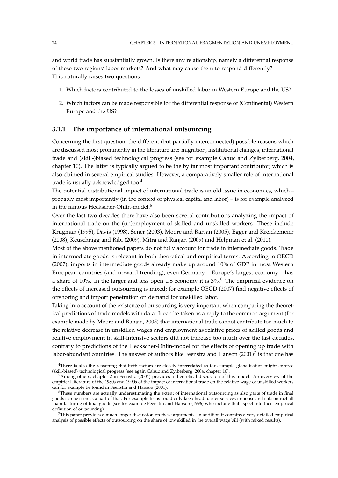and world trade has substantially grown. Is there any relationship, namely a differential response of these two regions' labor markets? And what may cause them to respond differently? This naturally raises two questions:

- 1. Which factors contributed to the losses of unskilled labor in Western Europe and the US?
- 2. Which factors can be made responsible for the differential response of (Continental) Western Europe and the US?

#### **3.1.1 The importance of international outsourcing**

Concerning the first question, the different (but partially interconnected) possible reasons which are discussed most prominently in the literature are: migration, institutional changes, international trade and (skill-)biased technological progress (see for example Cahuc and Zylberberg, 2004, chapter 10). The latter is typically argued to be the by far most important contributor, which is also claimed in several empirical studies. However, a comparatively smaller role of international trade is usually acknowledged too.<sup>4</sup>

The potential distributional impact of international trade is an old issue in economics, which – probably most importantly (in the context of physical capital and labor) – is for example analyzed in the famous Heckscher-Ohlin-model.<sup>5</sup>

Over the last two decades there have also been several contributions analyzing the impact of international trade on the (un)employment of skilled and unskilled workers: These include Krugman (1995), Davis (1998), Sener (2003), Moore and Ranjan (2005), Egger and Kreickemeier (2008), Keuschnigg and Ribi (2009), Mitra and Ranjan (2009) and Helpman et al. (2010).

Most of the above mentioned papers do not fully account for trade in intermediate goods. Trade in intermediate goods is relevant in both theoretical and empirical terms. According to OECD (2007), imports in intermediate goods already make up around 10% of GDP in most Western European countries (and upward trending), even Germany – Europe's largest economy – has a share of 10%. In the larger and less open US economy it is 3%.<sup>6</sup> The empirical evidence on the effects of increased outsourcing is mixed; for example OECD (2007) find negative effects of offshoring and import penetration on demand for unskilled labor.

Taking into account of the existence of outsourcing is very important when comparing the theoretical predictions of trade models with data: It can be taken as a reply to the common argument (for example made by Moore and Ranjan, 2005) that international trade cannot contribute too much to the relative decrease in unskilled wages and employment as relative prices of skilled goods and relative employment in skill-intensive sectors did not increase too much over the last decades, contrary to predictions of the Heckscher-Ohlin-model for the effects of opening up trade with labor-abundant countries. The answer of authors like Feenstra and Hanson (2001)<sup>7</sup> is that one has

<sup>&</sup>lt;sup>4</sup>There is also the reasoning that both factors are closely interrelated as for example globalization might enforce (skill-biased) technological progress (see again Cahuc and Zylberberg, 2004, chapter 10).

<sup>5</sup>Among others, chapter 2 in Feenstra (2004) provides a theoretical discussion of this model. An overview of the empirical literature of the 1980s and 1990s of the impact of international trade on the relative wage of unskilled workers can for example be found in Feenstra and Hanson (2001).

<sup>6</sup>These numbers are actually underestimating the extent of international outsourcing as also parts of trade in final goods can be seen as a part of that. For example firms could only keep headquarter services in-house and subcontract all manufacturing of final goods (see for example Feenstra and Hanson (1996) who include that aspect into their empirical definition of outsourcing).

 $7$ This paper provides a much longer discussion on these arguments. In addition it contains a very detailed empirical analysis of possible effects of outsourcing on the share of low skilled in the overall wage bill (with mixed results).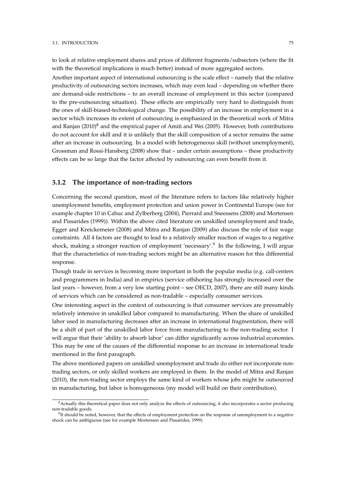to look at relative employment shares and prices of different fragments/subsectors (where the fit with the theoretical implications is much better) instead of more aggregated sectors.

Another important aspect of international outsourcing is the scale effect – namely that the relative productivity of outsourcing sectors increases, which may even lead – depending on whether there are demand-side restrictions – to an overall increase of employment in this sector (compared to the pre-outsourcing situation). These effects are empirically very hard to distinguish from the ones of skill-biased-technological change. The possibility of an increase in employment in a sector which increases its extent of outsourcing is emphasized in the theoretical work of Mitra and Ranjan  $(2010)^8$  and the empirical paper of Amiti and Wei (2005). However, both contributions do not account for skill and it is unlikely that the skill composition of a sector remains the same after an increase in outsourcing. In a model with heterogeneous skill (without unemployment), Grossman and Rossi-Hansberg (2008) show that – under certain assumptions – these productivity effects can be so large that the factor affected by outsourcing can even benefit from it.

## **3.1.2 The importance of non-trading sectors**

Concerning the second question, most of the literature refers to factors like relatively higher unemployment benefits, employment protection and union power in Continental Europe (see for example chapter 10 in Cahuc and Zylberberg (2004), Pierrard and Sneessens (2008) and Mortensen and Pissarides (1999)). Within the above cited literature on unskilled unemployment and trade, Egger and Kreickemeier (2008) and Mitra and Ranjan (2009) also discuss the role of fair wage constraints. All 4 factors are thought to lead to a relatively smaller reaction of wages to a negative shock, making a stronger reaction of employment 'necessary'.<sup>9</sup> In the following, I will argue that the characteristics of non-trading sectors might be an alternative reason for this differential response.

Though trade in services is becoming more important in both the popular media (e.g. call-centers and programmers in India) and in empirics (service offshoring has strongly increased over the last years – however, from a very low starting point – see OECD, 2007), there are still many kinds of services which can be considered as non-tradable – especially consumer services.

One interesting aspect in the context of outsourcing is that consumer services are presumably relatively intensive in unskilled labor compared to manufacturing. When the share of unskilled labor used in manufacturing decreases after an increase in international fragmentation, there will be a shift of part of the unskilled labor force from manufacturing to the non-trading sector. I will argue that their 'ability to absorb labor' can differ significantly across industrial economies. This may be one of the causes of the differential response to an increase in international trade mentioned in the first paragraph.

The above mentioned papers on unskilled unemployment and trade do either not incorporate nontrading sectors, or only skilled workers are employed in them. In the model of Mitra and Ranjan (2010), the non-trading sector employs the same kind of workers whose jobs might be outsourced in manufacturing, but labor is homogeneous (my model will build on their contribution).

<sup>8</sup>Actually this theoretical paper does not only analyze the effects of outsourcing, it also incorporates a sector producing non-tradable goods.

<sup>&</sup>lt;sup>9</sup>It should be noted, however, that the effects of employment protection on the response of unemployment to a negative shock can be ambiguous (see for example Mortensen and Pissarides, 1999).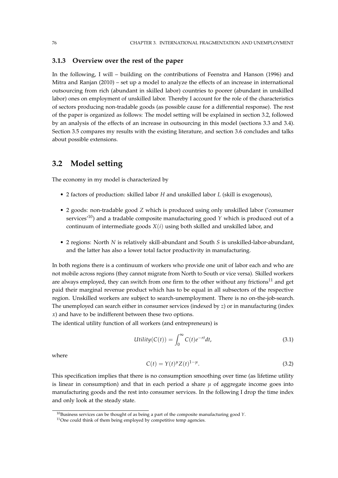## **3.1.3 Overview over the rest of the paper**

In the following, I will – building on the contributions of Feenstra and Hanson (1996) and Mitra and Ranjan (2010) – set up a model to analyze the effects of an increase in international outsourcing from rich (abundant in skilled labor) countries to poorer (abundant in unskilled labor) ones on employment of unskilled labor. Thereby I account for the role of the characteristics of sectors producing non-tradable goods (as possible cause for a differential response). The rest of the paper is organized as follows: The model setting will be explained in section 3.2, followed by an analysis of the effects of an increase in outsourcing in this model (sections 3.3 and 3.4). Section 3.5 compares my results with the existing literature, and section 3.6 concludes and talks about possible extensions.

## **3.2 Model setting**

The economy in my model is characterized by

- 2 factors of production: skilled labor *H* and unskilled labor *L* (skill is exogenous),
- 2 goods: non-tradable good *Z* which is produced using only unskilled labor ('consumer services'10) and a tradable composite manufacturing good *Y* which is produced out of a continuum of intermediate goods *X*(*i*) using both skilled and unskilled labor, and
- 2 regions: North *N* is relatively skill-abundant and South *S* is unskilled-labor-abundant, and the latter has also a lower total factor productivity in manufacturing.

In both regions there is a continuum of workers who provide one unit of labor each and who are not mobile across regions (they cannot migrate from North to South or vice versa). Skilled workers are always employed, they can switch from one firm to the other without any frictions<sup>11</sup> and get paid their marginal revenue product which has to be equal in all subsectors of the respective region. Unskilled workers are subject to search-unemployment. There is no on-the-job-search. The unemployed can search either in consumer services (indexed by *z*) or in manufacturing (index *x*) and have to be indifferent between these two options.

The identical utility function of all workers (and entrepreneurs) is

$$
Utility(C(t)) = \int_0^\infty C(t)e^{-rt}dt,
$$
\n(3.1)

where

$$
C(t) = Y(t)^{\mu} Z(t)^{1-\mu}.
$$
\n(3.2)

This specification implies that there is no consumption smoothing over time (as lifetime utility is linear in consumption) and that in each period a share  $\mu$  of aggregate income goes into manufacturing goods and the rest into consumer services. In the following I drop the time index and only look at the steady state.

 $10B$ usiness services can be thought of as being a part of the composite manufacturing good *Y*.

<sup>&</sup>lt;sup>11</sup>One could think of them being employed by competitive temp agencies.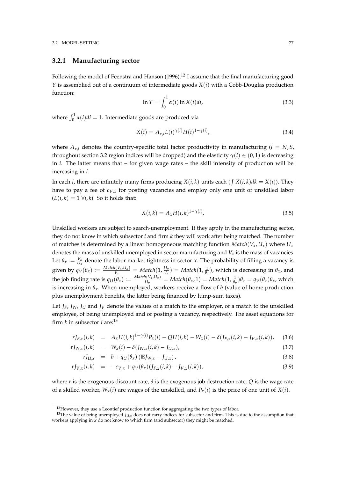## **3.2.1 Manufacturing sector**

Following the model of Feenstra and Hanson  $(1996)$ ,<sup>12</sup> I assume that the final manufacturing good *Y* is assemblied out of a continuum of intermediate goods *X*(*i*) with a Cobb-Douglas production function:

$$
\ln Y = \int_0^1 \alpha(i) \ln X(i) di,
$$
\n(3.3)

where  $\int_0^1 \alpha(i)di = 1$ . Intermediate goods are produced via

$$
X(i) = A_{x,l} L(i)^{\gamma(i)} H(i)^{1 - \gamma(i)},
$$
\n(3.4)

where  $A_{x,l}$  denotes the country-specific total factor productivity in manufacturing  $(l = N, S, S)$ throughout section 3.2 region indices will be dropped) and the elasticity  $\gamma(i) \in (0,1)$  is decreasing in *i*. The latter means that – for given wage rates – the skill intensity of production will be increasing in *i*.

In each *i*, there are infinitely many firms producing  $X(i,k)$  units each ( $\int X(i,k)dk = X(i)$ ). They have to pay a fee of *cV*,*<sup>x</sup>* for posting vacancies and employ only one unit of unskilled labor  $(L(i, k) = 1 \ \forall i, k)$ . So it holds that:

$$
X(i,k) = A_x H(i,k)^{1-\gamma(i)}.
$$
\n(3.5)

Unskilled workers are subject to search-unemployment. If they apply in the manufacturing sector, they do not know in which subsector *i* and firm *k* they will work after being matched. The number of matches is determined by a linear homogeneous matching function  $Match(V_x, U_x)$  where  $U_x$ denotes the mass of unskilled unemployed in sector manufacturing and *V<sup>x</sup>* is the mass of vacancies. Let  $\theta_x := \frac{V_x}{U_x}$  denote the labor market tightness in sector *x*. The probability of filling a vacancy is given by  $q_V(\theta_x) := \frac{Match(V_x, U_x)}{V_x}$  $\frac{\partial I(V_x, U_x)}{V_x} = Match(1, \frac{U_x}{V_x}) = Match(1, \frac{1}{\theta_x})$ , which is decreasing in  $\theta_x$ , and the job finding rate is  $q_U(\theta_x) := \frac{Match(V_x, U_x)}{U_x}$  $\frac{u(V_x, U_x)}{U_x}$  = *Match*( $\theta_x$ , 1) = *Match*( $1$ ,  $\frac{1}{\theta_x}$ ) $\theta_x$  =  $q_V(\theta_x)\theta_x$ , which is increasing in  $\theta_x$ . When unemployed, workers receive a flow of *b* (value of home production plus unemployment benefits, the latter being financed by lump-sum taxes).

Let  $J_F$ ,  $J_W$ ,  $J_U$  and  $J_V$  denote the values of a match to the employer, of a match to the unskilled employee, of being unemployed and of posting a vacancy, respectively. The asset equations for firm *k* in subsector *i* are:<sup>13</sup>

$$
rJ_{F,x}(i,k) = A_x H(i,k)^{1-\gamma(i)} P_x(i) - QH(i,k) - W_x(i) - \delta(J_{F,x}(i,k) - J_{V,x}(i,k)), \quad (3.6)
$$

$$
rJ_{W,x}(i,k) = W_x(i) - \delta(J_{W,x}(i,k) - J_{U,x}), \qquad (3.7)
$$

$$
rJ_{U,x} = b + q_U(\theta_x) (\mathbb{E}J_{W,x} - J_{U,x}), \qquad (3.8)
$$

$$
rJ_{V,x}(i,k) = -c_{V,x} + q_V(\theta_x)(J_{F,x}(i,k) - J_{V,x}(i,k)),
$$
\n(3.9)

where *r* is the exogenous discount rate,  $\delta$  is the exogenous job destruction rate,  $Q$  is the wage rate of a skilled worker,  $W_x(i)$  are wages of the unskilled, and  $P_x(i)$  is the price of one unit of  $X(i)$ .

<sup>&</sup>lt;sup>12</sup>However, they use a Leontief production function for aggregating the two types of labor.

<sup>&</sup>lt;sup>13</sup>The value of being unemployed  $J_{U,x}$  does not carry indices for subsector and firm. This is due to the assumption that workers applying in *x* do not know to which firm (and subsector) they might be matched.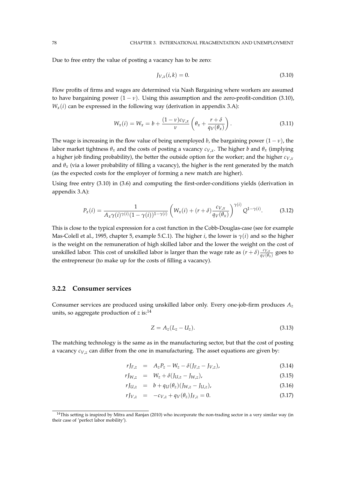Due to free entry the value of posting a vacancy has to be zero:

$$
J_{V,x}(i,k) = 0.
$$
\n(3.10)

Flow profits of firms and wages are determined via Nash Bargaining where workers are assumed to have bargaining power  $(1 - v)$ . Using this assumption and the zero-profit-condition (3.10),  $W_x(i)$  can be expressed in the following way (derivation in appendix 3.A):

$$
W_x(i) = W_x = b + \frac{(1 - v)c_{V,x}}{v} \left( \theta_x + \frac{r + \delta}{q_V(\theta_x)} \right).
$$
 (3.11)

The wage is increasing in the flow value of being unemployed *b*, the bargaining power  $(1 - v)$ , the labor market tightness  $\theta_x$  and the costs of posting a vacancy  $c_{V,x}$ . The higher *b* and  $\theta_x$  (implying a higher job finding probability), the better the outside option for the worker; and the higher *cV*,*<sup>x</sup>* and  $\theta$ <sub>*x*</sub> (via a lower probability of filling a vacancy), the higher is the rent generated by the match (as the expected costs for the employer of forming a new match are higher).

Using free entry (3.10) in (3.6) and computing the first-order-conditions yields (derivation in appendix 3.A):

$$
P_x(i) = \frac{1}{A_x \gamma(i)^{\gamma(i)} (1 - \gamma(i))^{1 - \gamma(i)}} \left( W_x(i) + (r + \delta) \frac{c_{V,x}}{q_V(\theta_x)} \right)^{\gamma(i)} Q^{1 - \gamma(i)}.
$$
 (3.12)

This is close to the typical expression for a cost function in the Cobb-Douglas-case (see for example Mas-Colell et al., 1995, chapter 5, example 5.C.1). The higher *i*, the lower is *γ*(*i*) and so the higher is the weight on the remuneration of high skilled labor and the lower the weight on the cost of unskilled labor. This cost of unskilled labor is larger than the wage rate as  $(r + \delta) \frac{c_{V,x}}{a_V(\theta)}$  $\frac{c_{V,x}}{q_V(\theta_x)}$  goes to the entrepreneur (to make up for the costs of filling a vacancy).

#### **3.2.2 Consumer services**

Consumer services are produced using unskilled labor only. Every one-job-firm produces *A<sup>z</sup>* units, so aggregate production of *z* is:<sup>14</sup>

$$
Z = A_z (L_z - U_z). \t\t(3.13)
$$

The matching technology is the same as in the manufacturing sector, but that the cost of posting a vacancy *cV*,*<sup>z</sup>* can differ from the one in manufacturing. The asset equations are given by:

$$
rJ_{F,z} = A_z P_z - W_z - \delta(J_{F,z} - J_{V,z}), \tag{3.14}
$$

$$
rJ_{W,z} = W_z + \delta(J_{U,z} - J_{W,z}), \tag{3.15}
$$

$$
rJ_{U,z} = b + q_U(\theta_z)(J_{W,z} - J_{U,z}), \qquad (3.16)
$$

$$
rJ_{V,z} = -c_{V,z} + q_V(\theta_z)J_{F,z} = 0.
$$
\n(3.17)

 $14$ This setting is inspired by Mitra and Ranjan (2010) who incorporate the non-trading sector in a very similar way (in their case of 'perfect labor mobility').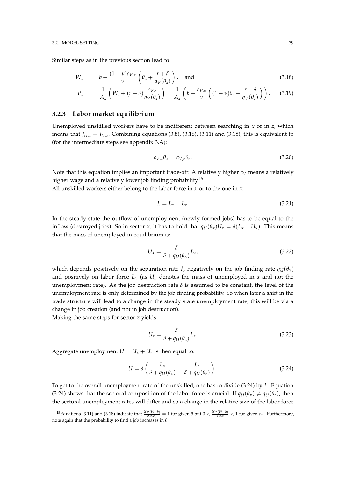Similar steps as in the previous section lead to

$$
W_z = b + \frac{(1 - v)c_{V,z}}{v} \left( \theta_z + \frac{r + \delta}{q_V(\theta_z)} \right), \text{ and}
$$
 (3.18)

$$
P_z = \frac{1}{A_z} \left( W_z + (r + \delta) \frac{c_{V,z}}{q_V(\theta_z)} \right) = \frac{1}{A_z} \left( b + \frac{c_{V,z}}{\nu} \left( (1 - \nu) \theta_z + \frac{r + \delta}{q_V(\theta_z)} \right) \right). \tag{3.19}
$$

## **3.2.3 Labor market equilibrium**

Unemployed unskilled workers have to be indifferent between searching in *x* or in *z*, which means that  $J_{U,x} = J_{U,z}$ . Combining equations (3.8), (3.16), (3.11) and (3.18), this is equivalent to (for the intermediate steps see appendix 3.A):

$$
c_{V,x}\theta_x = c_{V,z}\theta_z. \tag{3.20}
$$

Note that this equation implies an important trade-off: A relatively higher  $c_V$  means a relatively higher wage and a relatively lower job finding probability.<sup>15</sup>

All unskilled workers either belong to the labor force in *x* or to the one in *z*:

$$
L = L_x + L_z. \tag{3.21}
$$

In the steady state the outflow of unemployment (newly formed jobs) has to be equal to the inflow (destroyed jobs). So in sector *x*, it has to hold that  $q_U(\theta_x)U_x = \delta(L_x - U_x)$ . This means that the mass of unemployed in equilibrium is:

$$
U_x = \frac{\delta}{\delta + q_U(\theta_x)} L_x, \tag{3.22}
$$

which depends positively on the separation rate  $\delta$ , negatively on the job finding rate  $q_U(\theta_x)$ and positively on labor force  $L_x$  (as  $U_x$  denotes the mass of unemployed in  $x$  and not the unemployment rate). As the job destruction rate  $\delta$  is assumed to be constant, the level of the unemployment rate is only determined by the job finding probability. So when later a shift in the trade structure will lead to a change in the steady state unemployment rate, this will be via a change in job creation (and not in job destruction).

Making the same steps for sector *z* yields:

$$
U_z = \frac{\delta}{\delta + q_U(\theta_z)} L_z.
$$
\n(3.23)

Aggregate unemployment  $U = U_x + U_z$  is then equal to:

$$
U = \delta \left( \frac{L_x}{\delta + q_U(\theta_x)} + \frac{L_z}{\delta + q_U(\theta_z)} \right). \tag{3.24}
$$

To get to the overall unemployment rate of the unskilled, one has to divide (3.24) by *L*. Equation (3.24) shows that the sectoral composition of the labor force is crucial. If  $q_U(\theta_x) \neq q_U(\theta_z)$ , then the sectoral unemployment rates will differ and so a change in the relative size of the labor force

<sup>&</sup>lt;sup>15</sup>Equations (3.11) and (3.18) indicate that  $\frac{\partial \ln(W-b)}{\partial \ln c_V} = 1$  for given  $\theta$  but  $0 < \frac{\partial \ln(W-b)}{\partial \ln \theta} < 1$  for given  $c_V$ . Furthermore, note again that the probability to find a job increases in *θ*.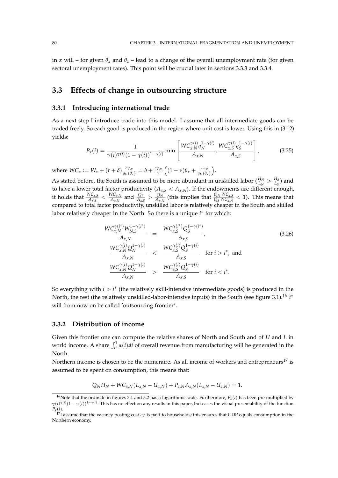in *x* will – for given  $\theta_x$  and  $\theta_z$  – lead to a change of the overall unemployment rate (for given sectoral unemployment rates). This point will be crucial later in sections 3.3.3 and 3.3.4.

## **3.3 Effects of change in outsourcing structure**

## **3.3.1 Introducing international trade**

As a next step I introduce trade into this model. I assume that all intermediate goods can be traded freely. So each good is produced in the region where unit cost is lower. Using this in (3.12) yields: 1−*γ*(*i*) *WCγ*(*i*)

$$
P_x(i) = \frac{1}{\gamma(i)^{\gamma(i)}(1 - \gamma(i))^{1 - \gamma(i)}} \min \left[ \frac{WC_{x,N}^{\gamma(i)} q_N^{1 - \gamma(i)}}{A_{x,N}}, \frac{WC_{x,S}^{\gamma(i)} q_S^{1 - \gamma(i)}}{A_{x,S}} \right],
$$
(3.25)

where  $WC_x := W_x + (r + \delta) \frac{c_{V,x}}{q_V(\theta_x)} = b + \frac{c_{V,x}}{v}$  $\frac{V_{,X}}{V}\left((1-\nu)\theta_x+\frac{r+\delta}{q_V(\theta_x)}\right)$ .

As stated before, the South is assumed to be more abundant in unskilled labor  $(\frac{H_N}{I_M} > \frac{H_S}{I_c})$  and  $L_N$   $L_S$ to have a lower total factor productivity  $(A_{x,S} < A_{x,N})$ . If the endowments are different enough, it holds that  $\frac{WC_{x,S}}{A_{x,S}} < \frac{WC_{x,N}}{A_{x,N}}$  $\frac{N C_{x,N}}{A_{x,N}}$  and  $\frac{Q_S}{A_{x,S}} > \frac{Q_N}{A_{x,l}}$  $\frac{Q_N}{A_{x,N}}$  (this implies that  $\frac{Q_N}{Q_S} \frac{W C_{x,S}}{W C_{x,N}} < 1$ ). This means that compared to total factor productivity, unskilled labor is relatively cheaper in the South and skilled labor relatively cheaper in the North. So there is a unique *i*<sup>∗</sup> for which:

$$
\frac{WC_{x,N}^{\gamma(i^*)}W_{N,S}^{1-\gamma(i^*)}}{A_{x,N}} = \frac{WC_{x,S}^{\gamma(i^*)}Q_{S}^{1-\gamma(i^*)}}{A_{x,S}},
$$
\n
$$
\frac{WC_{x,N}^{\gamma(i)}Q_{N}^{1-\gamma(i)}}{A_{x,N}} < \frac{WC_{x,S}^{\gamma(i)}Q_{S}^{1-\gamma(i)}}{A_{x,S}} \quad \text{for } i > i^*, \text{ and}
$$
\n
$$
\frac{WC_{x,N}^{\gamma(i)}Q_{N}^{1-\gamma(i)}}{A_{x,N}} > \frac{WC_{x,S}^{\gamma(i)}Q_{S}^{1-\gamma(i)}}{A_{x,S}} \quad \text{for } i < i^*.
$$
\n(3.26)

So everything with *i* > *i*<sup>\*</sup> (the relatively skill-intensive intermediate goods) is produced in the North, the rest (the relatively unskilled-labor-intensive inputs) in the South (see figure 3.1).<sup>16</sup> *i*<sup>\*</sup> will from now on be called 'outsourcing frontier'.

## **3.3.2 Distribution of income**

Given this frontier one can compute the relative shares of North and South and of *H* and *L* in world income. A share  $\int_{i^*}^1 \alpha(i) di$  of overall revenue from manufacturing will be generated in the North.

Northern income is chosen to be the numeraire. As all income of workers and entrepreneurs<sup>17</sup> is assumed to be spent on consumption, this means that:

$$
Q_N H_N + W C_{x,N} (L_{x,N} - U_{x,N}) + P_{z,N} A_{z,N} (L_{z,N} - U_{z,N}) = 1.
$$

<sup>&</sup>lt;sup>16</sup>Note that the ordinate in figures 3.1 and 3.2 has a logarithmic scale. Furthermore,  $P_x(i)$  has been pre-multiplied by  $\gamma(i)\gamma(i)(1-\gamma(i))^{1-\gamma(i)}$ . This has no effect on any results in this paper, but eases the visual presentability of the function *Px*(*i*).

 $^{17}$ I assume that the vacancy posting cost  $c_V$  is paid to households; this ensures that GDP equals consumption in the Northern economy.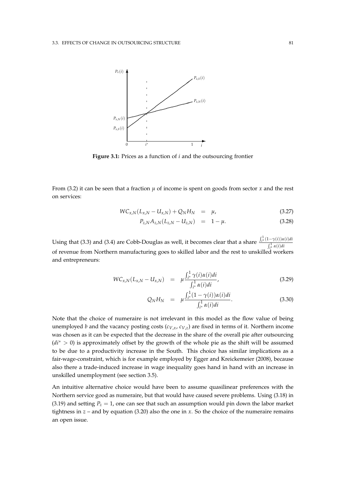

**Figure 3.1:** Prices as a function of *i* and the outsourcing frontier

From (3.2) it can be seen that a fraction  $\mu$  of income is spent on goods from sector  $x$  and the rest on services:

$$
WC_{x,N}(L_{x,N} - U_{x,N}) + Q_N H_N = \mu, \qquad (3.27)
$$

$$
P_{z,N}A_{z,N}(L_{z,N}-U_{z,N}) = 1 - \mu. \tag{3.28}
$$

Using that (3.3) and (3.4) are Cobb-Douglas as well, it becomes clear that a share  $\frac{\int_{i^*}^1 (1-\gamma(i))\alpha(i)di}{\gamma^1}$  $\int_{i^*}^1 \alpha(i) \, dt$ of revenue from Northern manufacturing goes to skilled labor and the rest to unskilled workers and entrepreneurs:

$$
WC_{x,N}(L_{x,N} - U_{x,N}) = \mu \frac{\int_{i^*}^1 \gamma(i) \alpha(i) di}{\int_{i^*}^1 \alpha(i) di}, \qquad (3.29)
$$

$$
Q_N H_N = \mu \frac{\int_{i^*}^1 (1 - \gamma(i)) \alpha(i) di}{\int_{i^*}^1 \alpha(i) di}.
$$
 (3.30)

Note that the choice of numeraire is not irrelevant in this model as the flow value of being unemployed *b* and the vacancy posting costs (*cV*,*x*, *cV*,*<sup>z</sup>* ) are fixed in terms of it. Northern income was chosen as it can be expected that the decrease in the share of the overall pie after outsourcing (*di*<sup>∗</sup> > 0) is approximately offset by the growth of the whole pie as the shift will be assumed to be due to a productivity increase in the South. This choice has similar implications as a fair-wage-constraint, which is for example employed by Egger and Kreickemeier (2008), because also there a trade-induced increase in wage inequality goes hand in hand with an increase in unskilled unemployment (see section 3.5).

An intuitive alternative choice would have been to assume quasilinear preferences with the Northern service good as numeraire, but that would have caused severe problems. Using (3.18) in (3.19) and setting  $P_z = 1$ , one can see that such an assumption would pin down the labor market tightness in  $z$  – and by equation (3.20) also the one in  $x$ . So the choice of the numeraire remains an open issue.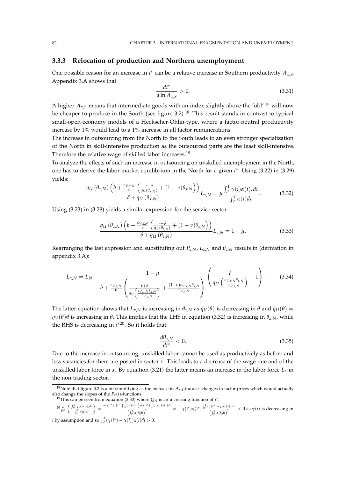## **3.3.3 Relocation of production and Northern unemployment**

One possible reason for an increase in  $i^*$  can be a relative increase in Southern productivity  $A_{x,S}$ . Appendix 3.A shows that

$$
\frac{di^*}{d\ln A_{x,S}} > 0.
$$
\n(3.31)

A higher *Ax*,*<sup>S</sup>* means that intermediate goods with an index slightly above the 'old' *i* <sup>∗</sup> will now be cheaper to produce in the South (see figure  $3.2$ ).<sup>18</sup> This result stands in contrast to typical small-open-economy models of a Heckscher-Ohlin-type, where a factor-neutral productivity increase by 1% would lead to a 1% increase in all factor remunerations.

The increase in outsourcing from the North to the South leads to an even stronger specialization of the North in skill-intensive production as the outsourced parts are the least skill-intensive. Therefore the relative wage of skilled labor increases.<sup>19</sup>

To analyze the effects of such an increase in outsourcing on unskilled unemployment in the North, one has to derive the labor market equilibrium in the North for a given *i* ∗ . Using (3.22) in (3.29) yields:

$$
\frac{q_{U}\left(\theta_{x,N}\right)\left(b+\frac{c_{V,x,N}}{\nu}\left(\frac{r+\delta}{q_{V}(\theta_{x,N})}+(1-\nu)\theta_{x,N}\right)\right)}{\delta+q_{U}\left(\theta_{x,N}\right)}L_{x,N}=\mu\frac{\int_{i^{*}}^{1}\gamma(i)\alpha(i),di}{\int_{i^{*}}^{1}\alpha(i)di}.
$$
\n(3.32)

Using (3.23) in (3.28) yields a similar expression for the service sector:

$$
\frac{q_U(\theta_{z,N})\left(b+\frac{c_{V,z,N}}{\nu}\left(\frac{r+\delta}{q_V(\theta_{z,N})}+(1-\nu)\theta_{z,N}\right)\right)}{\delta+q_U(\theta_{z,N})}L_{z,N}=1-\mu.
$$
\n(3.33)

Rearranging the last expression and substituting out  $P_{z,N}$ ,  $L_{z,N}$  and  $\theta_{z,N}$  results in (derivation in appendix 3.A):

$$
L_{x,N} = L_N - \frac{1 - \mu}{b + \frac{c_{V,z,N}}{\nu} \left( \frac{r + \delta}{q_V \left( \frac{c_{V,x,N} \theta_{x,N}}{c_{V,z,N}} \right)} + \frac{(1 - \nu)c_{V,x,N} \theta_{x,N}}{c_{V,z,N}} \right)} \left( \frac{\delta}{q_U \left( \frac{c_{V,x,N} \theta_{x,N}}{c_{V,z,N}} \right)} + 1 \right). \tag{3.34}
$$

The latter equation shows that  $L_{x,N}$  is increasing in  $\theta_{x,N}$  as  $q_V(\theta)$  is decreasing in  $\theta$  and  $q_U(\theta)$  = *qV*(*θ*)*θ* is increasing in *θ*. This implies that the LHS in equation (3.32) is increasing in  $θ$ *x*,*N*, while the RHS is decreasing in *i*<sup>∗20</sup>. So it holds that:

$$
\frac{d\theta_{x,N}}{di^*} < 0. \tag{3.35}
$$

Due to the increase in outsourcing, unskilled labor cannot be used as productively as before and less vacancies for them are posted in sector *x*. This leads to a decrease of the wage rate and of the unskilled labor force in *x*. By equation (3.21) the latter means an increase in the labor force  $L_z$  in the non-trading sector.

$$
{}^{20}\tfrac{\partial}{\partial i^*}\left(\tfrac{\int_{i^*}^1\gamma(i)\alpha(i),di}{\int_{i^*}^1\alpha(i)di}\right)=\tfrac{-\gamma(i^*)\alpha(i^*)\left(\int_{i^*}^1\alpha(i)di\right)+\alpha(i^*)\int_{i^*}^1\gamma(i)\alpha(i)di}{\left(\int_{i^*}^1\alpha(i)di\right)^2}=-\gamma(i^*)\alpha(i^*)\tfrac{\int_{i^*}^1(\gamma(i^*)-\gamma(i))\alpha(i)di}{\left(\int_{i^*}^1\alpha(i)di\right)^2}<0\text{ as }\gamma(i)\text{ is decreasing in}
$$
  
*i* by assumption and so 
$$
\int_{i^*}^1(\gamma(i^*)-\gamma(i))\alpha(i)di>0.
$$

<sup>&</sup>lt;sup>18</sup>Note that figure 3.2 is a bit simplifying as the increase in  $A_{x,S}$  induces changes in factor prices which would actually also change the slopes of the  $P_x(i)$ -functions.

<sup>&</sup>lt;sup>19</sup>This can be seen from equation (3.30) where  $Q_N$  is an increasing function of  $i^*$ .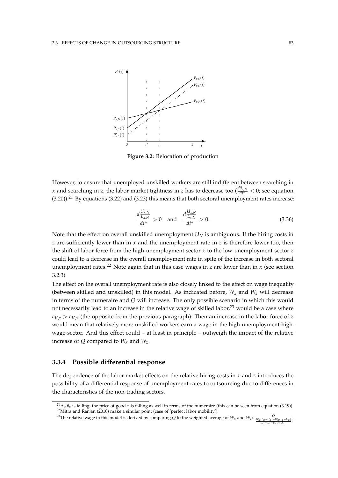

**Figure 3.2:** Relocation of production

However, to ensure that unemployed unskilled workers are still indifferent between searching in *x* and searching in *z*, the labor market tightness in *z* has to decrease too ( $\frac{d\theta_{z,N}}{dt^*} < 0$ ; see equation  $(3.20)$ .<sup>21</sup> By equations (3.22) and (3.23) this means that both sectoral unemployment rates increase:

$$
\frac{d\frac{U_{x,N}}{L_{x,N}}}{di^*} > 0 \quad \text{and} \quad \frac{d\frac{U_{x,N}}{L_{x,N}}}{di^*} > 0. \tag{3.36}
$$

Note that the effect on overall unskilled unemployment  $U_N$  is ambiguous. If the hiring costs in *z* are sufficiently lower than in *x* and the unemployment rate in *z* is therefore lower too, then the shift of labor force from the high-unemployment sector *x* to the low-unemployment-sector *z* could lead to a decrease in the overall unemployment rate in spite of the increase in both sectoral unemployment rates.<sup>22</sup> Note again that in this case wages in  $z$  are lower than in  $x$  (see section 3.2.3).

The effect on the overall unemployment rate is also closely linked to the effect on wage inequality (between skilled and unskilled) in this model. As indicated before,  $W_x$  and  $W_z$  will decrease in terms of the numeraire and *Q* will increase. The only possible scenario in which this would not necessarily lead to an increase in the relative wage of skilled labor,<sup>23</sup> would be a case where  $c_{V,z} > c_{V,x}$  (the opposite from the previous paragraph): Then an increase in the labor force of *z* would mean that relatively more unskilled workers earn a wage in the high-unemployment-highwage-sector. And this effect could – at least in principle – outweigh the impact of the relative increase of *Q* compared to *W<sup>x</sup>* and *Wz*.

#### **3.3.4 Possible differential response**

The dependence of the labor market effects on the relative hiring costs in *x* and *z* introduces the possibility of a differential response of unemployment rates to outsourcing due to differences in the characteristics of the non-trading sectors.

<sup>&</sup>lt;sup>21</sup>As  $\theta$ <sub>z</sub> is falling, the price of good *z* is falling as well in terms of the numeraire (this can be seen from equation (3.19)). <sup>22</sup>Mitra and Ranjan (2010) make a similar point (case of 'perfect labor mobility').

<sup>&</sup>lt;sup>23</sup>The relative wage in this model is derived by comparing Q to the weighted average of  $W_x$  and  $W_z$ :  $\frac{Q}{W_x(L_x-U_x)+W_z(L_z-U_z)}$ .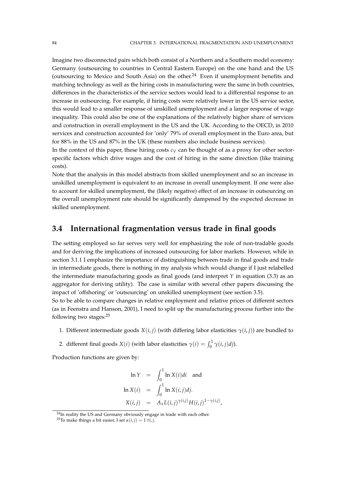Imagine two disconnected pairs which both consist of a Northern and a Southern model economy: Germany (outsourcing to countries in Central Eastern Europe) on the one hand and the US (outsourcing to Mexico and South Asia) on the other.<sup>24</sup> Even if unemployment benefits and matching technology as well as the hiring costs in manufacturing were the same in both countries, differences in the characteristics of the service sectors would lead to a differential response to an increase in outsourcing. For example, if hiring costs were relatively lower in the US service sector, this would lead to a smaller response of unskilled unemployment and a larger response of wage inequality. This could also be one of the explanations of the relatively higher share of services and construction in overall employment in the US and the UK. According to the OECD, in 2010 services and construction accounted for 'only' 79% of overall employment in the Euro area, but for 88% in the US and 87% in the UK (these numbers also include business services).

In the context of this paper, these hiring costs  $c_V$  can be thought of as a proxy for other sectorspecific factors which drive wages and the cost of hiring in the same direction (like training costs).

Note that the analysis in this model abstracts from skilled unemployment and so an increase in unskilled unemployment is equivalent to an increase in overall unemployment. If one were also to account for skilled unemployment, the (likely negative) effect of an increase in outsourcing on the overall unemployment rate should be significantly dampened by the expected decrease in skilled unemployment.

## **3.4 International fragmentation versus trade in final goods**

The setting employed so far serves very well for emphasizing the role of non-tradable goods and for deriving the implications of increased outsourcing for labor markets. However, while in section 3.1.1 I emphasize the importance of distinguishing between trade in final goods and trade in intermediate goods, there is nothing in my analysis which would change if I just relabelled the intermediate manufacturing goods as final goods (and interpret *Y* in equation (3.3) as an aggregator for deriving utility). The case is similar with several other papers discussing the impact of 'offshoring' or 'outsourcing' on unskilled unemployment (see section 3.5).

So to be able to compare changes in relative employment and relative prices of different sectors (as in Feenstra and Hanson, 2001), I need to split up the manufacturing process further into the following two stages:<sup>25</sup>

- 1. Different intermediate goods  $X(i, j)$  (with differing labor elasticities  $\gamma(i, j)$ ) are bundled to
- 2. different final goods  $X(i)$  (with labor elasticities  $\gamma(i) = \int_0^1 \gamma(i, j) d j$ ).

Production functions are given by:

$$
\ln Y = \int_0^1 \ln X(i)di \text{ and}
$$
  
\n
$$
\ln X(i) = \int_0^1 \ln X(i,j)di.
$$
  
\n
$$
X(i,j) = A_x L(i,j)^{\gamma(i,j)} H(i,j)^{1-\gamma(i,j)},
$$

 $^{24}$ In reality the US and Germany obviously engage in trade with each other.

<sup>&</sup>lt;sup>25</sup>To make things a bit easier, I set  $\alpha(i, j) = 1 \forall i, j$ .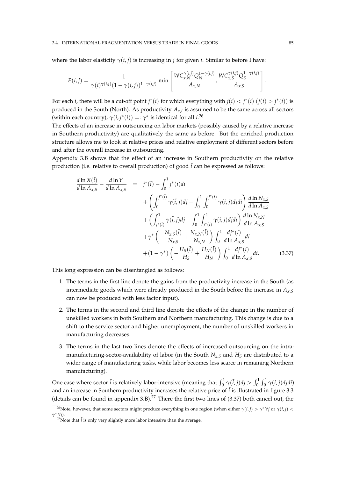#### 3.4. INTERNATIONAL FRAGMENTATION VERSUS TRADE IN FINAL GOODS 85

where the labor elasticity  $\gamma(i, j)$  is increasing in *j* for given *i*. Similar to before I have:

$$
P(i,j) = \frac{1}{\gamma(i)\gamma(i,j)(1-\gamma(i,j))^{1-\gamma(i,j)}} \min \left[ \frac{WC_{x,N}^{\gamma(i,j)}Q_N^{1-\gamma(i,j)}}{A_{x,N}}, \frac{WC_{x,S}^{\gamma(i,j)}Q_S^{1-\gamma(i,j)}}{A_{x,S}} \right].
$$

For each *i*, there will be a cut-off point *j*<sup>\*</sup>(*i*) for which everything with  $j(i) < j^*(i)$  ( $j(i) > j^*(i)$ ) is produced in the South (North). As productivity *Ax*,*<sup>l</sup>* is assumed to be the same across all sectors (within each country),  $\gamma(i, j^*(i)) =: \gamma^*$  is identical for all  $i$ <sup>26</sup>

The effects of an increase in outsourcing on labor markets (possibly caused by a relative increase in Southern productivity) are qualitatively the same as before. But the enriched production structure allows me to look at relative prices and relative employment of different sectors before and after the overall increase in outsourcing.

Appendix 3.B shows that the effect of an increase in Southern productivity on the relative production (i.e. relative to overall production) of good  $\tilde{i}$  can be expressed as follows:

$$
\frac{d \ln X(\tilde{i})}{d \ln A_{x,S}} - \frac{d \ln Y}{d \ln A_{x,S}} = j^*(\tilde{i}) - \int_0^1 j^*(i)di \n+ \left( \int_0^{j^*(\tilde{i})} \gamma(\tilde{i},j)dj - \int_0^1 \int_0^{j^*(i)} \gamma(i,j)djdi \right) \frac{d \ln N_{x,S}}{d \ln A_{x,S}} \n+ \left( \int_{j^*(\tilde{i})}^1 \gamma(\tilde{i},j)dj - \int_0^1 \int_{j^*(i)}^1 \gamma(i,j)djdi \right) \frac{d \ln N_{x,N}}{d \ln A_{x,S}} \n+ \gamma^* \left( -\frac{N_{x,S}(\tilde{i})}{N_{x,S}} + \frac{N_{x,N}(\tilde{i})}{N_{x,N}} \right) \int_0^1 \frac{dj^*(i)}{d \ln A_{x,S}} di \n+ (1 - \gamma^*) \left( -\frac{H_S(\tilde{i})}{H_S} + \frac{H_N(\tilde{i})}{H_N} \right) \int_0^1 \frac{dj^*(i)}{d \ln A_{x,S}} di. \tag{3.37}
$$

This long expression can be disentangled as follows:

- 1. The terms in the first line denote the gains from the productivity increase in the South (as intermediate goods which were already produced in the South before the increase in *Ax*,*<sup>S</sup>* can now be produced with less factor input).
- 2. The terms in the second and third line denote the effects of the change in the number of unskilled workers in both Southern and Northern manufacturing. This change is due to a shift to the service sector and higher unemployment, the number of unskilled workers in manufacturing decreases.
- 3. The terms in the last two lines denote the effects of increased outsourcing on the intramanufacturing-sector-availability of labor (in the South  $N_{x,S}$  and  $H_S$  are distributed to a wider range of manufacturing tasks, while labor becomes less scarce in remaining Northern manufacturing).

One case where sector  $\tilde{i}$  is relatively labor-intensive (meaning that  $\int_0^1 \gamma(\tilde{i}, j)dj > \int_0^1 \int_0^1 \gamma(i, j)djdi$ ) and an increase in Southern productivity increases the relative price of  $\tilde{i}$  is illustrated in figure 3.3 (details can be found in appendix 3.B).<sup>27</sup> There the first two lines of  $(3.37)$  both cancel out, the

<sup>&</sup>lt;sup>26</sup>Note, however, that some sectors might produce everything in one region (when either  $\gamma(i,j) > \gamma^* \forall j$  or  $\gamma(i,j) <$ *γ* <sup>∗</sup> ∀*j*).

 $^{27}$ Note that  $\tilde{i}$  is only very slightly more labor intensive than the average.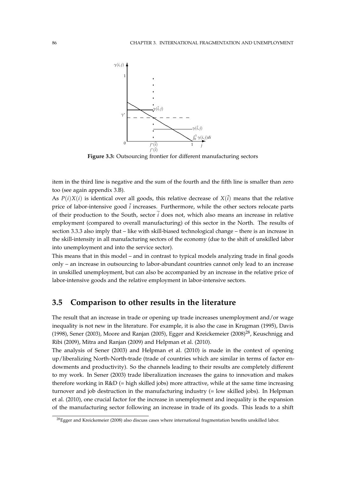

**Figure 3.3:** Outsourcing frontier for different manufacturing sectors

item in the third line is negative and the sum of the fourth and the fifth line is smaller than zero too (see again appendix 3.B).

As  $P(i)X(i)$  is identical over all goods, this relative decrease of  $X(i)$  means that the relative price of labor-intensive good  $\tilde{i}$  increases. Furthermore, while the other sectors relocate parts of their production to the South, sector  $\tilde{i}$  does not, which also means an increase in relative employment (compared to overall manufacturing) of this sector in the North. The results of section 3.3.3 also imply that – like with skill-biased technological change – there is an increase in the skill-intensity in all manufacturing sectors of the economy (due to the shift of unskilled labor into unemployment and into the service sector).

This means that in this model – and in contrast to typical models analyzing trade in final goods only – an increase in outsourcing to labor-abundant countries cannot only lead to an increase in unskilled unemployment, but can also be accompanied by an increase in the relative price of labor-intensive goods and the relative employment in labor-intensive sectors.

## **3.5 Comparison to other results in the literature**

The result that an increase in trade or opening up trade increases unemployment and/or wage inequality is not new in the literature. For example, it is also the case in Krugman (1995), Davis (1998), Sener (2003), Moore and Ranjan (2005), Egger and Kreickemeier (2008)<sup>28</sup>, Keuschnigg and Ribi (2009), Mitra and Ranjan (2009) and Helpman et al. (2010).

The analysis of Sener (2003) and Helpman et al. (2010) is made in the context of opening up/liberalizing North-North-trade (trade of countries which are similar in terms of factor endowments and productivity). So the channels leading to their results are completely different to my work. In Sener (2003) trade liberalization increases the gains to innovation and makes therefore working in R&D (= high skilled jobs) more attractive, while at the same time increasing turnover and job destruction in the manufacturing industry (= low skilled jobs). In Helpman et al. (2010), one crucial factor for the increase in unemployment and inequality is the expansion of the manufacturing sector following an increase in trade of its goods. This leads to a shift

<sup>28</sup>Egger and Kreickemeier (2008) also discuss cases where international fragmentation benefits unskilled labor.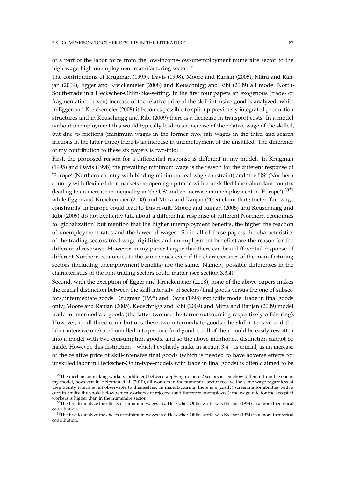#### 3.5. COMPARISON TO OTHER RESULTS IN THE LITERATURE 87

of a part of the labor force from the low-income-low-unemployment numeraire sector to the high-wage-high-unemployment manufacturing sector.<sup>29</sup>

The contributions of Krugman (1995), Davis (1998), Moore and Ranjan (2005), Mitra and Ranjan (2009), Egger and Kreickemeier (2008) and Keuschnigg and Ribi (2009) all model North-South-trade in a Heckscher-Ohlin-like-setting. In the first four papers an exogenous (trade- or fragmentation-driven) increase of the relative price of the skill-intensive good is analyzed, while in Egger and Kreickemeier (2008) it becomes possible to split up previously integrated production structures and in Keuschnigg and Ribi (2009) there is a decrease in transport costs. In a model without unemployment this would typically lead to an increase of the relative wage of the skilled, but due to frictions (minimum wages in the former two, fair wages in the third and search frictions in the latter three) there is an increase in unemployment of the unskilled. The difference of my contribution to these six papers is two-fold:

First, the proposed reason for a differential response is different in my model. In Krugman (1995) and Davis (1998) the prevailing minimum wage is the reason for the different response of 'Europe' (Northern country with binding minimum real wage constraint) and 'the US' (Northern country with flexible labor markets) to opening up trade with a unskilled-labor-abundant country (leading to an increase in inequality in 'the US' and an increase in unemployment in 'Europe'), $3031$ while Egger and Kreickemeier (2008) and Mitra and Ranjan (2009) claim that stricter 'fair wage constraints' in Europe could lead to this result. Moore and Ranjan (2005) and Keuschnigg and Ribi (2009) do not explicitly talk about a differential response of different Northern economies to 'globalization' but mention that the higher unemployment benefits, the higher the reaction of unemployment rates and the lower of wages. So in all of these papers the characteristics of the trading sectors (real wage rigidities and unemployment benefits) are the reason for the differential response. However, in my paper I argue that there can be a differential response of different Northern economies to the same shock even if the characteristics of the manufacturing sectors (including unemployment benefits) are the same. Namely, possible differences in the characteristics of the non-trading sectors could matter (see section 3.3.4).

Second, with the exception of Egger and Kreickemeier (2008), none of the above papers makes the crucial distinction between the skill-intensity of sectors/final goods versus the one of subsectors/intermediate goods. Krugman (1995) and Davis (1998) explicitly model trade in final goods only; Moore and Ranjan (2005), Keuschnigg and Ribi (2009) and Mitra and Ranjan (2009) model trade in intermediate goods (the latter two use the terms outsourcing respectively offshoring). However, in all three contributions these two intermediate goods (the skill-intensive and the labor-intensive one) are boundled into just one final good, so all of them could be easily rewritten into a model with two consumption goods, and so the above mentioned distinction cannot be made. However, this distinction – which I explicitly make in section 3.4 – is crucial, as an increase of the relative price of skill-intensive final goods (which is needed to have adverse effects for unskilled labor in Heckscher-Ohlin-type-models with trade in final goods) is often claimed to be

<sup>&</sup>lt;sup>29</sup>The mechanism making workers indifferent between applying in these 2 sectors is somehow different from the one in my model, however: In Helpman et al. (2010), all workers in the numeraire sector receive the same wage regardless of their ability which is not observable to themselves. In manufacturing, there is a (costly) screening for abilities with a certain ability threshold below which workers are rejected (and therefore unemployed); the wage rate for the accepted workers is higher than in the numeraire sector.

 $30$ The first to analyze the effects of minimum wages in a Heckscher-Ohlin-world was Brecher (1974) in a more theoretical contribution.

 $31$ The first to analyze the effects of minimum wages in a Heckscher-Ohlin-world was Brecher (1974) in a more theoretical contribution.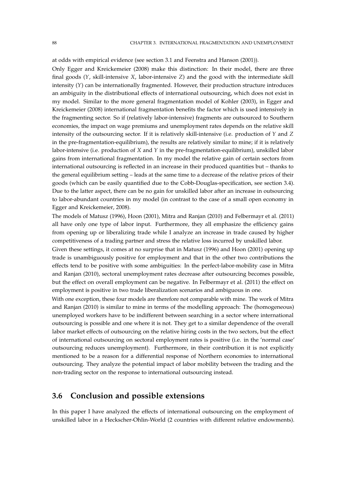at odds with empirical evidence (see section 3.1 and Feenstra and Hanson (2001)).

Only Egger and Kreickemeier (2008) make this distinction: In their model, there are three final goods (*Y*, skill-intensive *X*, labor-intensive *Z*) and the good with the intermediate skill intensity (*Y*) can be internationally fragmented. However, their production structure introduces an ambiguity in the distributional effects of international outsourcing, which does not exist in my model. Similar to the more general fragmentation model of Kohler (2003), in Egger and Kreickemeier (2008) international fragmentation benefits the factor which is used intensively in the fragmenting sector. So if (relatively labor-intensive) fragments are outsourced to Southern economies, the impact on wage premiums and unemployment rates depends on the relative skill intensity of the outsourcing sector. If it is relatively skill-intensive (i.e. production of *Y* and *Z* in the pre-fragmentation-equilibrium), the results are relatively similar to mine; if it is relatively labor-intensive (i.e. production of *X* and *Y* in the pre-fragmentation-equilibrium), unskilled labor gains from international fragmentation. In my model the relative gain of certain sectors from international outsourcing is reflected in an increase in their produced quantities but – thanks to the general equilibrium setting – leads at the same time to a decrease of the relative prices of their goods (which can be easily quantified due to the Cobb-Douglas-specification, see section 3.4). Due to the latter aspect, there can be no gain for unskilled labor after an increase in outsourcing to labor-abundant countries in my model (in contrast to the case of a small open economy in Egger and Kreickemeier, 2008).

The models of Matusz (1996), Hoon (2001), Mitra and Ranjan (2010) and Felbermayr et al. (2011) all have only one type of labor input. Furthermore, they all emphasize the efficiency gains from opening up or liberalizing trade while I analyze an increase in trade caused by higher competitiveness of a trading partner and stress the relative loss incurred by unskilled labor.

Given these settings, it comes at no surprise that in Matusz (1996) and Hoon (2001) opening up trade is unambiguously positive for employment and that in the other two contributions the effects tend to be positive with some ambiguities: In the perfect-labor-mobility case in Mitra and Ranjan (2010), sectoral unemployment rates decrease after outsourcing becomes possible, but the effect on overall employment can be negative. In Felbermayr et al. (2011) the effect on employment is positive in two trade liberalization scenarios and ambiguous in one.

With one exception, these four models are therefore not comparable with mine. The work of Mitra and Ranjan (2010) is similar to mine in terms of the modelling approach: The (homogeneous) unemployed workers have to be indifferent between searching in a sector where international outsourcing is possible and one where it is not. They get to a similar dependence of the overall labor market effects of outsourcing on the relative hiring costs in the two sectors, but the effect of international outsourcing on sectoral employment rates is positive (i.e. in the 'normal case' outsourcing reduces unemployment). Furthermore, in their contribution it is not explicitly mentioned to be a reason for a differential response of Northern economies to international outsourcing. They analyze the potential impact of labor mobility between the trading and the non-trading sector on the response to international outsourcing instead.

## **3.6 Conclusion and possible extensions**

In this paper I have analyzed the effects of international outsourcing on the employment of unskilled labor in a Heckscher-Ohlin-World (2 countries with different relative endowments).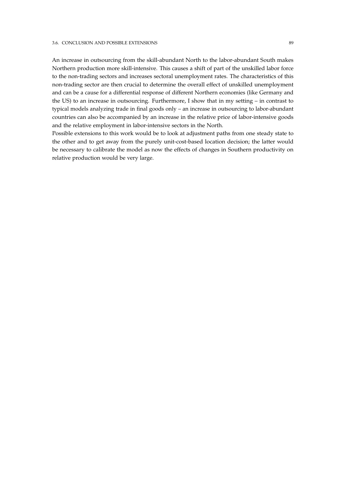#### 3.6. CONCLUSION AND POSSIBLE EXTENSIONS 89

An increase in outsourcing from the skill-abundant North to the labor-abundant South makes Northern production more skill-intensive. This causes a shift of part of the unskilled labor force to the non-trading sectors and increases sectoral unemployment rates. The characteristics of this non-trading sector are then crucial to determine the overall effect of unskilled unemployment and can be a cause for a differential response of different Northern economies (like Germany and the US) to an increase in outsourcing. Furthermore, I show that in my setting – in contrast to typical models analyzing trade in final goods only – an increase in outsourcing to labor-abundant countries can also be accompanied by an increase in the relative price of labor-intensive goods and the relative employment in labor-intensive sectors in the North.

Possible extensions to this work would be to look at adjustment paths from one steady state to the other and to get away from the purely unit-cost-based location decision; the latter would be necessary to calibrate the model as now the effects of changes in Southern productivity on relative production would be very large.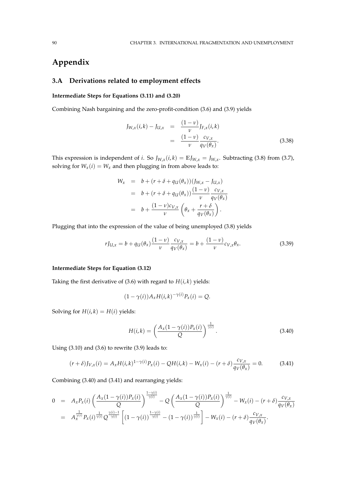## **Appendix**

## **3.A Derivations related to employment effects**

#### **Intermediate Steps for Equations (3.11) and (3.20)**

Combining Nash bargaining and the zero-profit-condition (3.6) and (3.9) yields

$$
J_{W,x}(i,k) - J_{U,x} = \frac{(1-\nu)}{\nu} J_{F,x}(i,k)
$$
  
= 
$$
\frac{(1-\nu)}{\nu} \frac{c_{V,x}}{q_V(\theta_x)}.
$$
 (3.38)

This expression is independent of *i*. So  $J_{W,x}(i,k) = \mathbb{E} J_{W,x} = J_{W,x}$ . Subtracting (3.8) from (3.7), solving for  $W_x(i) = W_x$  and then plugging in from above leads to:

$$
W_x = b + (r + \delta + q_U(\theta_x))(J_{W,x} - J_{U,x})
$$
  
=  $b + (r + \delta + q_U(\theta_x)) \frac{(1 - v)}{v} \frac{c_{V,x}}{q_V(\theta_x)}$   
=  $b + \frac{(1 - v)c_{V,x}}{v} \left(\theta_x + \frac{r + \delta}{q_V(\theta_x)}\right).$ 

Plugging that into the expression of the value of being unemployed (3.8) yields

$$
rJ_{U,x} = b + q_U(\theta_x) \frac{(1-\nu)}{\nu} \frac{c_{V,x}}{q_V(\theta_x)} = b + \frac{(1-\nu)}{\nu} c_{V,x} \theta_x.
$$
 (3.39)

#### **Intermediate Steps for Equation (3.12)**

Taking the first derivative of (3.6) with regard to  $H(i, k)$  yields:

$$
(1 - \gamma(i))A_x H(i,k)^{-\gamma(i)} P_x(i) = Q.
$$

Solving for  $H(i, k) = H(i)$  yields:

$$
H(i,k) = \left(\frac{A_x(1-\gamma(i))P_x(i)}{Q}\right)^{\frac{1}{\gamma(i)}}.
$$
\n(3.40)

Using (3.10) and (3.6) to rewrite (3.9) leads to:

$$
(r+\delta)J_{V,x}(i) = A_x H(i,k)^{1-\gamma(i)} P_x(i) - QH(i,k) - W_x(i) - (r+\delta)\frac{c_{V,x}}{q_V(\theta_x)} = 0.
$$
 (3.41)

Combining (3.40) and (3.41) and rearranging yields:

$$
0 = A_x P_x(i) \left( \frac{A_x(1-\gamma(i))P_x(i)}{Q} \right)^{\frac{1-\gamma(i)}{\gamma(i)}} - Q \left( \frac{A_x(1-\gamma(i))P_x(i)}{Q} \right)^{\frac{1}{\gamma(i)}} - W_x(i) - (r+\delta) \frac{c_{V,x}}{q_V(\theta_x)}
$$
  
=  $A_x^{\frac{1}{\gamma(i)}} P_x(i)^{\frac{1}{\gamma(i)}} Q^{\frac{\gamma(i)-1}{\gamma(i)}} \left[ (1-\gamma(i))^{\frac{1-\gamma(i)}{\gamma(i)}} - (1-\gamma(i))^{\frac{1}{\gamma(i)}} \right] - W_x(i) - (r+\delta) \frac{c_{V,x}}{q_V(\theta_x)}.$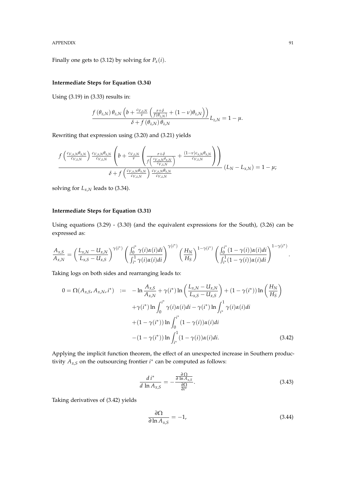APPENDIX 91

Finally one gets to (3.12) by solving for  $P_x(i)$ .

## **Intermediate Steps for Equation (3.34)**

Using (3.19) in (3.33) results in:

$$
\frac{f(\theta_{z,N})\,\theta_{z,N}\left(b+\frac{c_{V,z,N}}{\nu}\left(\frac{r+\delta}{f(\theta_{z,N})}+(1-\nu)\theta_{z,N}\right)\right)}{\delta+f(\theta_{z,N})\,\theta_{z,N}}L_{z,N}=1-\mu.
$$

Rewriting that expression using (3.20) and (3.21) yields

$$
\frac{f\left(\frac{c_{V,x,N}\theta_{x,N}}{c_{V,z,N}}\right)\frac{c_{V,x,N}\theta_{x,N}}{c_{V,z,N}}\left(b+\frac{c_{V,z,N}}{\nu}\left(\frac{r+\delta}{f\left(\frac{c_{V,x,N}\theta_{x,N}}{c_{V,z,N}}\right)}+\frac{(1-\nu)c_{x,N}\theta_{x,N}}{c_{V,z,N}}\right)\right)}{\delta+f\left(\frac{c_{V,x,N}\theta_{x,N}}{c_{V,z,N}}\right)\frac{c_{V,x,N}\theta_{x,N}}{c_{V,z,N}}}\left(L_N-L_{x,N}\right)=1-\mu;
$$

solving for  $L_{x,N}$  leads to (3.34).

## **Intermediate Steps for Equation (3.31)**

Using equations (3.29) - (3.30) (and the equivalent expressions for the South), (3.26) can be expressed as:

$$
\frac{A_{x,S}}{A_{x,N}} = \left(\frac{L_{x,N} - U_{x,N}}{L_{x,S} - U_{x,S}}\right)^{\gamma(i^*)} \left(\frac{\int_0^{i^*} \gamma(i) \alpha(i) di}{\int_{i^*}^1 \gamma(i) \alpha(i) di}\right)^{\gamma(i^*)} \left(\frac{H_N}{H_S}\right)^{1 - \gamma(i^*)} \left(\frac{\int_0^{i^*} (1 - \gamma(i)) \alpha(i) di}{\int_{i^*}^1 (1 - \gamma(i)) \alpha(i) di}\right)^{1 - \gamma(i^*)}
$$

Taking logs on both sides and rearranging leads to:

$$
0 = \Omega(A_{x,S}, A_{x,N}, i^*) := -\ln \frac{A_{x,S}}{A_{x,N}} + \gamma(i^*) \ln \left( \frac{L_{x,N} - U_{x,N}}{L_{x,S} - U_{x,S}} \right) + (1 - \gamma(i^*)) \ln \left( \frac{H_N}{H_S} \right) + \gamma(i^*) \ln \int_0^{i^*} \gamma(i) \alpha(i) di - \gamma(i^*) \ln \int_{i^*}^1 \gamma(i) \alpha(i) di + (1 - \gamma(i^*)) \ln \int_0^{i^*} (1 - \gamma(i)) \alpha(i) di - (1 - \gamma(i^*)) \ln \int_{i^*}^1 (1 - \gamma(i)) \alpha(i) di.
$$
 (3.42)

Applying the implicit function theorem, the effect of an unexpected increase in Southern productivity  $A_{x,s}$  on the outsourcing frontier  $i^*$  can be computed as follows:

$$
\frac{d\,i^*}{d\,\ln A_{x,S}} = -\frac{\frac{\partial\,\Omega}{\partial\,\ln A_{x,S}}}{\frac{\partial\Omega}{\partial i^*}}.\tag{3.43}
$$

Taking derivatives of (3.42) yields

$$
\frac{\partial \Omega}{\partial \ln A_{x, S}} = -1,\tag{3.44}
$$

.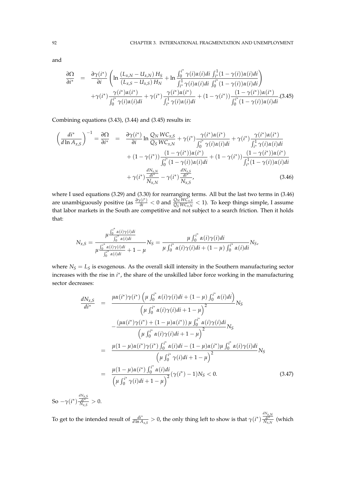and

$$
\frac{\partial \Omega}{\partial i^*} = \frac{\partial \gamma(i^*)}{\partial i} \left( \ln \frac{(L_{x,N} - U_{x,N}) H_S}{(L_{x,S} - U_{x,S}) H_N} + \ln \frac{\int_0^{i^*} \gamma(i) \alpha(i) di \int_{i^*}^1 (1 - \gamma(i)) \alpha(i) di}{\int_{i^*}^1 \gamma(i) \alpha(i) di \int_0^{i^*} (1 - \gamma(i)) \alpha(i) di} \right) + \gamma(i^*) \frac{\gamma(i^*) \alpha(i^*)}{\int_0^{i^*} \gamma(i) \alpha(i) di} + \gamma(i^*) \frac{\gamma(i^*) \alpha(i^*)}{\int_{i^*}^1 \gamma(i) \alpha(i) di} + (1 - \gamma(i^*)) \frac{(1 - \gamma(i^*)) \alpha(i^*)}{\int_0^{i^*} (1 - \gamma(i)) \alpha(i) di} \cdot (3.45)
$$

Combining equations (3.43), (3.44) and (3.45) results in:

$$
\left(\frac{di^{*}}{d\ln A_{x,S}}\right)^{-1} = \frac{\partial\Omega}{\partial i^{*}} = \frac{\partial\gamma(i^{*})}{\partial i}\ln\frac{Q_{N}WC_{x,S}}{Q_{S}WC_{x,N}} + \gamma(i^{*})\frac{\gamma(i^{*})\alpha(i^{*})}{\int_{0}^{i^{*}} \gamma(i)\alpha(i)di} + (1 - \gamma(i^{*}))\frac{(1 - \gamma(i^{*}))\alpha(i^{*})}{\int_{0}^{i^{*}} (1 - \gamma(i))\alpha(i)di} + (1 - \gamma(i^{*}))\frac{(1 - \gamma(i^{*}))\alpha(i^{*})}{\int_{0}^{i^{*}} (1 - \gamma(i))\alpha(i)di} + \gamma(i^{*})\frac{dN_{x,N}}{N_{x,N}} - \gamma(i^{*})\frac{\frac{dN_{x,S}}{di^{*}}}{N_{x,S}},
$$
\n(3.46)

where I used equations (3.29) and (3.30) for rearranging terms. All but the last two terms in (3.46) are unambiguously positive (as  $\frac{\partial \gamma(i^*)}{\partial i} < 0$  and  $\frac{Q_N W C_{X,S}^C}{Q_S W C_{X,N}} < 1$ ). To keep things simple, I assume that labor markets in the South are competitive and not subject to a search friction. Then it holds that:

$$
N_{x,S} = \frac{\mu \frac{\int_0^{i^*} \alpha(i)\gamma(i)di}{\int_0^{i^*} \alpha(i)di}}{\mu \frac{\int_0^{i^*} \alpha(i)\gamma(i)di}{\int_0^{i^*} \alpha(i)di}} + 1 - \mu} N_S = \frac{\mu \int_0^{i^*} \alpha(i)\gamma(i)di}{\mu \int_0^{i^*} \alpha(i)\gamma(i)di + (1 - \mu) \int_0^{i^*} \alpha(i)di} N_S,
$$

where  $N_S = L_S$  is exogenous. As the overall skill intensity in the Southern manufacturing sector increases with the rise in *i*<sup>\*</sup>, the share of the unskilled labor force working in the manufacturing sector decreases:

$$
\frac{dN_{x,S}}{di^{*}} = \frac{\mu\alpha(i^{*})\gamma(i^{*}) \left(\mu \int_{0}^{i^{*}} \alpha(i)\gamma(i)di + (1 - \mu) \int_{0}^{i^{*}} \alpha(i)di\right)}{\left(\mu \int_{0}^{i^{*}} \alpha(i)\gamma(i)di + 1 - \mu\right)^{2}} N_{S}
$$
\n
$$
-\frac{(\mu\alpha(i^{*})\gamma(i^{*}) + (1 - \mu)\alpha(i^{*})) \mu \int_{0}^{i^{*}} \alpha(i)\gamma(i)di}{\left(\mu \int_{0}^{i^{*}} \alpha(i)\gamma(i)di + 1 - \mu\right)^{2}} N_{S}
$$
\n
$$
= \frac{\mu(1 - \mu)\alpha(i^{*})\gamma(i^{*}) \int_{0}^{i^{*}} \alpha(i)di - (1 - \mu)\alpha(i^{*})\mu \int_{0}^{i^{*}} \alpha(i)\gamma(i)di}{\left(\mu \int_{0}^{i^{*}} \gamma(i)di + 1 - \mu\right)^{2}} N_{S}
$$
\n
$$
= \frac{\mu(1 - \mu)\alpha(i^{*}) \int_{0}^{i^{*}} \alpha(i)di}{\left(\mu \int_{0}^{i^{*}} \gamma(i)di + 1 - \mu\right)^{2}} (\gamma(i^{*}) - 1)N_{S} < 0. \qquad (3.47)
$$

So  $-\gamma(i^*)$  $\frac{\frac{dN_{x,S}}{di^*}}{N_{x,S}} > 0.$ 

To get to the intended result of  $\frac{di^*}{d \ln A_{x,s}} > 0$ , the only thing left to show is that  $\gamma(i^*) \frac{\frac{dN_{x,N}}{di^*}}{N_{x,N}}$  (which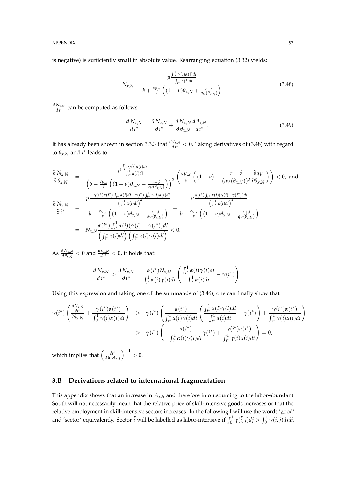is negative) is sufficiently small in absolute value. Rearranging equation (3.32) yields:

$$
N_{x,N} = \frac{\mu \frac{\int_{i^{*}}^{1} \gamma(i)\alpha(i)di}{\int_{i^{*}}^{1} \alpha(i)di}}{b + \frac{c_{V,x}}{v} \left( (1 - v)\theta_{x,N} + \frac{r + \delta}{q_{V}(\theta_{x,N})} \right)}.
$$
(3.48)

 $\frac{dN_{x,N}}{dt^*}$  can be computed as follows:

$$
\frac{d\,N_{x,N}}{d\,i^*} = \frac{\partial\,N_{x,N}}{\partial\,i^*} + \frac{\partial\,N_{x,N}}{\partial\,\theta_{x,N}}\frac{d\,\theta_{x,N}}{d\,i^*}.\tag{3.49}
$$

It has already been shown in section 3.3.3 that  $\frac{d\theta_{x,N}}{dt^*} < 0$ . Taking derivatives of (3.48) with regard to  $\theta_{x,N}$  and  $i^*$  leads to:

$$
\frac{\partial N_{x,N}}{\partial \theta_{x,N}} = \frac{-\mu \frac{\int_{i^*}^{1} \gamma(i)\alpha(i)di}{\int_{i^*}^{1} \alpha(i)di}}{\left(b + \frac{c_{V,x}}{v}\left((1 - v)\theta_{x,N} - \frac{r + \delta}{q_V(\theta_{x,N})}\right)\right)^2} \left(\frac{c_{V,x}}{v}\left((1 - v) - \frac{r + \delta}{(q_V(\theta_{x,N}))^2}\frac{\partial q_V}{\partial \theta_{x,N}}\right)\right) < 0, \text{ and}
$$
\n
$$
\frac{\partial N_{x,N}}{\partial i^*} = \frac{\mu \frac{-\gamma(i^*)\alpha(i^*)\int_{i^*}^{1} \alpha(i)di + \alpha(i^*)\int_{i^*}^{1} \gamma(i)\alpha(i)di}{\left(\int_{i^*}^{1} \alpha(i)di\right)^2}}{\frac{\left(\int_{i^*}^{1} \alpha(i)di\right)^2}{b + \frac{c_{V,x}}{v}\left((1 - v)\theta_{x,N} + \frac{r + \delta}{q_V(\theta_{x,N})}\right)}} = \frac{\mu \frac{\alpha(i^*)\int_{i^*}^{1} \alpha(i)(\gamma(i) - \gamma(i^*))di}{\left(\int_{i^*}^{1} \alpha(i)di\right)^2}}{\left(\int_{i^*}^{1} \alpha(i)di\right)^2} = N_{x,N} \frac{\alpha(i^*)\int_{i^*}^{1} \alpha(i)(\gamma(i) - \gamma(i^*))di}{\left(\int_{i^*}^{1} \alpha(i)\gamma(i)di\right)} < 0.
$$

 $\text{As } \frac{\partial \, N_{x,N}}{\partial \, \theta_{x,N}} < 0 \text{ and } \frac{d \, \theta_{x,N}}{d \, i^{*}} < 0 \text{, it holds that:}$ 

$$
\frac{d\,N_{x,N}}{d\,i^*} > \frac{\partial\,N_{x,N}}{\partial\,i^*} = \frac{\alpha(i^*)N_{x,N}}{\int_{i^*}^1 \alpha(i)\gamma(i)di} \left( \frac{\int_{i^*}^1 \alpha(i)\gamma(i)di}{\int_{i^*}^1 \alpha(i)di} - \gamma(i^*) \right).
$$

Using this expression and taking one of the summands of (3.46), one can finally show that

$$
\gamma(i^*)\left(\frac{\frac{dN_{x,N}}{di^*}}{N_{x,N}}+\frac{\gamma(i^*)\alpha(i^*)}{\int_{i^*}^1 \gamma(i)\alpha(i)di}\right) > \gamma(i^*)\left(\frac{\alpha(i^*)}{\int_{i^*}^1 \alpha(i)\gamma(i)di}\left(\frac{\int_{i^*}^1 \alpha(i)\gamma(i)di}{\int_{i^*}^1 \alpha(i)di}-\gamma(i^*)\right)+\frac{\gamma(i^*)\alpha(i^*)}{\int_{i^*}^1 \gamma(i)\alpha(i)di}\right) > \gamma(i^*)\left(-\frac{\alpha(i^*)}{\int_{i^*}^1 \alpha(i)\gamma(i)di}\gamma(i^*)+\frac{\gamma(i^*)\alpha(i^*)}{\int_{i^*}^1 \gamma(i)\alpha(i)di}\right) = 0,
$$

which implies that *di*∗ *d* ln *Ax*,*<sup>S</sup>*  $=$  $\big)^{-1} > 0.$ 

## **3.B Derivations related to international fragmentation**

This appendix shows that an increase in *Ax*,*<sup>S</sup>* and therefore in outsourcing to the labor-abundant South will not necessarily mean that the relative price of skill-intensive goods increases or that the relative employment in skill-intensive sectors increases. In the following I will use the words 'good' and 'sector' equivalently. Sector  $\tilde{i}$  will be labelled as labor-intensive if  $\int_0^1 \gamma(\tilde{i}, j)dj > \int_0^1 \gamma(i, j)djdi$ .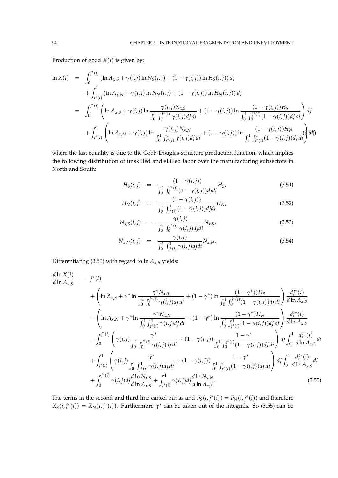Production of good  $X(i)$  is given by:

$$
\ln X(i) = \int_{0}^{j^{*}(i)} (\ln A_{x,S} + \gamma(i,j) \ln N_{S}(i,j) + (1 - \gamma(i,j)) \ln H_{S}(i,j)) \, dj \n+ \int_{j^{*}(i)}^{1} (\ln A_{x,N} + \gamma(i,j) \ln N_{N}(i,j) + (1 - \gamma(i,j)) \ln H_{N}(i,j)) \, dj \n= \int_{0}^{j^{*}(i)} \left( \ln A_{x,S} + \gamma(i,j) \ln \frac{\gamma(i,j)N_{x,S}}{\int_{0}^{1} \int_{0}^{j^{*}(i)} \gamma(i,j) \, dj \, di} + (1 - \gamma(i,j)) \ln \frac{(1 - \gamma(i,j))H_{S}}{\int_{0}^{1} \int_{0}^{j^{*}(i)} (1 - \gamma(i,j)) \, dj \, di} \right) \, dj \n+ \int_{j^{*}(i)}^{1} \left( \ln A_{x,N} + \gamma(i,j) \ln \frac{\gamma(i,j)N_{x,N}}{\int_{0}^{1} \int_{j^{*}(i)}^{1} \gamma(i,j) \, dj \, di} + (1 - \gamma(i,j)) \ln \frac{(1 - \gamma(i,j))H_{N}}{\int_{0}^{1} \int_{j^{*}(i)}^{1} (1 - \gamma(i,j)) \, dj \, di} \right)
$$

where the last equality is due to the Cobb-Douglas-structure production function, which implies the following distribution of unskilled and skilled labor over the manufacturing subsectors in North and South:

$$
H_S(i,j) = \frac{(1-\gamma(i,j))}{\int_0^1 \int_0^{j^*(i)} (1-\gamma(i,j))d\mu} H_S,
$$
\n(3.51)

$$
H_N(i,j) = \frac{(1 - \gamma(i,j))}{\int_0^1 \int_{j^*(i)}^1 (1 - \gamma(i,j)) d\mu} H_N,
$$
\n(3.52)

$$
N_{x,S}(i,j) = \frac{\gamma(i,j)}{\int_0^1 \int_0^{j^*(i)} \gamma(i,j) d\mu} N_{x,S},
$$
\n(3.53)

$$
N_{x,N}(i,j) = \frac{\gamma(i,j)}{\int_0^1 \int_{j^*(i)}^1 \gamma(i,j) d j d i} N_{x,N}.
$$
\n(3.54)

Differentiating (3.50) with regard to  $\ln A_{x,S}$  yields:

$$
\frac{d \ln X(i)}{d \ln A_{x,S}} = j^*(i)
$$
\n
$$
+ \left( \ln A_{x,S} + \gamma^* \ln \frac{\gamma^* N_{x,S}}{\int_0^1 \int_0^{j^*(i)} \gamma(i,j) d j d i} + (1 - \gamma^*) \ln \frac{(1 - \gamma^*) H_S}{\int_0^1 \int_0^{j^*(i)} (1 - \gamma(i,j)) d j d i} \right) \frac{d j^*(i)}{d \ln A_{x,S}}
$$
\n
$$
- \left( \ln A_{x,N} + \gamma^* \ln \frac{\gamma^* N_{x,N}}{\int_0^1 \int_{j^*(i)}^{1} \gamma(i,j) d j d i} + (1 - \gamma^*) \ln \frac{(1 - \gamma^*) H_N}{\int_0^1 \int_{j^*(i)}^{1} (1 - \gamma(i,j)) d j d i} \right) \frac{d j^*(i)}{d \ln A_{x,S}}
$$
\n
$$
- \int_0^{j^*(i)} \left( \gamma(i,j) \frac{\gamma^*}{\int_0^1 \int_0^{j^*(i)} \gamma(i,j) d j d i} + (1 - \gamma(i,j)) \frac{1 - \gamma^*}{\int_0^1 \int_0^{j^*(i)} (1 - \gamma(i,j)) d j d i} \right) dj \int_0^1 \frac{d j^*(i)}{d \ln A_{x,S}} dt
$$
\n
$$
+ \int_{j^*(i)}^1 \left( \gamma(i,j) \frac{\gamma^*}{\int_0^1 \int_0^{j^*(i)} \gamma(i,j) d j d i} + (1 - \gamma(i,j)) \frac{1 - \gamma^*}{\int_0^1 \int_{j^*(i)}^{1} (1 - \gamma(i,j)) d j d i} \right) dj \int_0^1 \frac{d j^*(i)}{d \ln A_{x,S}} dt
$$
\n
$$
+ \int_0^{j^*(i)} \gamma(i,j) dj \frac{d \ln N_{x,S}}{d \ln A_{x,S}} + \int_{j^*(i)}^1 \gamma(i,j) dj \frac{d \ln N_{x,N}}{d \ln A_{x,S}}.
$$
\n(3.55)

The terms in the second and third line cancel out as and  $P_S(i, j^*(i)) = P_N(i, j^*(i))$  and therefore  $X_S(i,j^*(i)) = X_N(i,j^*(i))$ . Furthermore  $\gamma^*$  can be taken out of the integrals. So (3.55) can be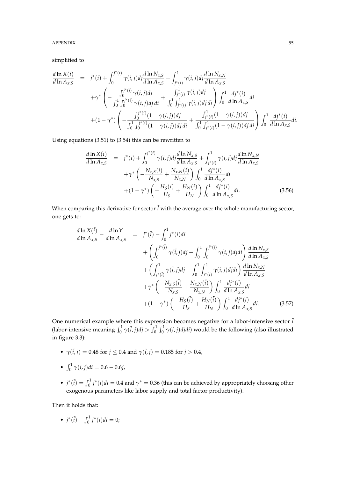APPENDIX 35

simplified to

$$
\frac{d \ln X(i)}{d \ln A_{x,S}} = j^*(i) + \int_0^{j^*(i)} \gamma(i,j)dj \frac{d \ln N_{x,S}}{d \ln A_{x,S}} + \int_{j^*(i)}^{1} \gamma(i,j)dj \frac{d \ln N_{x,N}}{d \ln A_{x,S}} \n+ \gamma^* \left( -\frac{\int_0^{j^*(i)} \gamma(i,j)dj}{\int_0^1 \int_0^{j^*(i)} \gamma(i,j)dj \, di} + \frac{\int_{j^*(i)}^{1} \gamma(i,j)dj}{\int_0^1 \int_{j^*(i)}^{1} \gamma(i,j)dj \, di} \right) \int_0^1 \frac{dj^*(i)}{d \ln A_{x,S}} di \n+ (1 - \gamma^*) \left( -\frac{\int_0^{j^*(i)} (1 - \gamma(i,j))dj}{\int_0^1 \int_0^{j^*(i)} (1 - \gamma(i,j))dj \, di} + \frac{\int_{j^*(i)}^{1} (1 - \gamma(i,j))dj}{\int_0^1 \int_{j^*(i)}^{1} (1 - \gamma(i,j))dj \, di} \right) \int_0^1 \frac{dj^*(i)}{d \ln A_{x,S}} di.
$$

Using equations (3.51) to (3.54) this can be rewritten to

$$
\frac{d \ln X(i)}{d \ln A_{x,S}} = j^*(i) + \int_0^{j^*(i)} \gamma(i,j)dj \frac{d \ln N_{x,S}}{d \ln A_{x,S}} + \int_{j^*(i)}^1 \gamma(i,j)dj \frac{d \ln N_{x,N}}{d \ln A_{x,S}} + \gamma^* \left( -\frac{N_{x,S}(i)}{N_{x,S}} + \frac{N_{x,N}(i)}{N_{x,N}} \right) \int_0^1 \frac{dj^*(i)}{d \ln A_{x,S}} di + (1 - \gamma^*) \left( -\frac{H_S(i)}{H_S} + \frac{H_N(i)}{H_N} \right) \int_0^1 \frac{dj^*(i)}{d \ln A_{x,S}} di.
$$
\n(3.56)

When comparing this derivative for sector  $\tilde{i}$  with the average over the whole manufacturing sector, one gets to:

$$
\frac{d \ln X(\tilde{i})}{d \ln A_{x,S}} - \frac{d \ln Y}{d \ln A_{x,S}} = j^*(\tilde{i}) - \int_0^1 j^*(i)di \n+ \left( \int_0^{j^*(\tilde{i})} \gamma(\tilde{i},j)dj - \int_0^1 \int_0^{j^*(i)} \gamma(i,j)djdi \right) \frac{d \ln N_{x,S}}{d \ln A_{x,S}} \n+ \left( \int_{j^*(\tilde{i})}^1 \gamma(\tilde{i},j)dj - \int_0^1 \int_{j^*(i)}^1 \gamma(i,j)djdi \right) \frac{d \ln N_{x,N}}{d \ln A_{x,S}} \n+ \gamma^* \left( -\frac{N_{x,S}(\tilde{i})}{N_{x,S}} + \frac{N_{x,N}(\tilde{i})}{N_{x,N}} \right) \int_0^1 \frac{dj^*(i)}{d \ln A_{x,S}} di \n+ (1 - \gamma^*) \left( -\frac{H_S(\tilde{i})}{H_S} + \frac{H_N(\tilde{i})}{H_N} \right) \int_0^1 \frac{dj^*(i)}{d \ln A_{x,S}} di.
$$
\n(3.57)

One numerical example where this expression becomes negative for a labor-intensive sector  $\tilde{i}$ (labor-intensive meaning  $\int_0^1 \gamma(\tilde{i},j)dj > \int_0^1 \int_0^1 \gamma(i,j)djdi$ ) would be the following (also illustrated in figure 3.3):

- $\gamma(\tilde{i}, j) = 0.48$  for  $j \le 0.4$  and  $\gamma(\tilde{i}, j) = 0.185$  for  $j > 0.4$ ,
- $\int_0^1 \gamma(i, j)di = 0.6 0.6j$ ,
- $j^*(\tilde{i}) = \int_0^1 j^*(i)di = 0.4$  and  $\gamma^* = 0.36$  (this can be achieved by appropriately choosing other exogenous parameters like labor supply and total factor productivity).

Then it holds that:

• 
$$
j^*(\tilde{i}) - \int_0^1 j^*(i)di = 0;
$$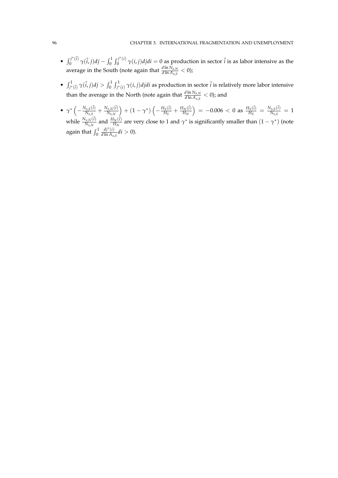- $\int_0^{j^*(i)}$  $\int_0^{j^*(i)} \gamma(i,j) \, dj - \int_0^1 \int_0^{j^*(i)}$  $\hat{q}_0^{\gamma^*(t)}$   $\gamma(i, j)$ *djdi* = 0 as production in sector  $\tilde{i}$  is as labor intensive as the average in the South (note again that  $\frac{d \ln N_{x,N}}{d \ln A_{x,S}} < 0$ );
- $\int_{j^*(\tilde{i})}^1 \gamma(\tilde{i},j)dj > \int_0^1 \int_{j^*(i)}^1 \gamma(i,j)djdi$  as production in sector  $\tilde{i}$  is relatively more labor intensive than the average in the North (note again that  $\frac{d \ln N_{x,N}}{d \ln A_{x,S}} < 0$ ); and
- $\gamma^* \left( \frac{N_{x,S}(\tilde{i})}{N_{x,S}} \right)$  $\frac{N_{x,S}(\tilde{i})}{N_{x,S}} + \frac{N_{x,N}(\tilde{i})}{N_{x,N}}$ *Nx*,*<sup>N</sup>*  $\left(1-\gamma^*\right)\left(-\frac{H_S(\tilde{i})}{H_S}\right)$  $\frac{H_S(\tilde{i})}{H_S} + \frac{H_N(\tilde{i})}{H_N}$  $H_N$  $= -0.006 < 0$  as  $\frac{H_S(\tilde{i})}{H_S}$  $\frac{H_S(\tilde{i})}{H_S} = \frac{N_{x,S}(\tilde{i})}{N_{x,S}}$  $\frac{N_{x,S}(t)}{N_{x,S}} = 1$ while  $\frac{N_{x,N}(\tilde{i})}{N_{x,N}}$  $\frac{N_{x,N}(\tilde{i})}{N_{x,N}}$  and  $\frac{H_N(\tilde{i})}{H_N}$ *H<sub>N</sub>*<sup>(*i*)</sup> are very close to 1 and  $\gamma^*$  is significantly smaller than  $(1 - \gamma^*)$  (note again that  $\int_0^1$ *dj*∗ (*i*)  $\frac{df'(t)}{d \ln A_{x,S}}di > 0.$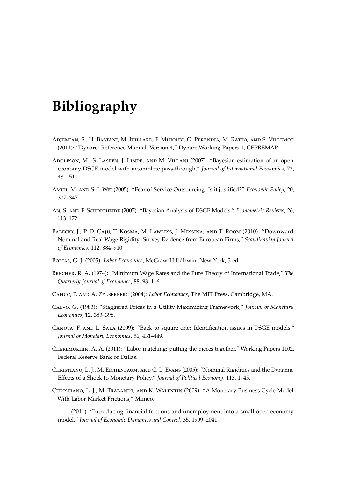## **Bibliography**

- Adjemian, S., H. Bastani, M. Juillard, F. Mihoubi, G. Perendia, M. Ratto, and S. Villemot (2011): "Dynare: Reference Manual, Version 4," Dynare Working Papers 1, CEPREMAP.
- Adolfson, M., S. Laseen, J. Linde, and M. Villani (2007): "Bayesian estimation of an open economy DSGE model with incomplete pass-through," *Journal of International Economics*, 72, 481–511.
- Amiti, M. and S.-J. Wei (2005): "Fear of Service Outsourcing: Is it justified?" *Economic Policy*, 20, 307–347.
- An, S. and F. Schorfheide (2007): "Bayesian Analysis of DSGE Models," *Econometric Reviews*, 26, 113–172.
- Babecky, J., P. D. Caju, T. Kosma, M. Lawless, J. Messina, and T. Room (2010): "Downward Nominal and Real Wage Rigidity: Survey Evidence from European Firms," *Scandinavian Journal of Economics*, 112, 884–910.
- Borjas, G. J. (2005): *Labor Economics*, McGraw-Hill/Irwin, New York, 3 ed.
- Brecher, R. A. (1974): "Minimum Wage Rates and the Pure Theory of International Trade," *The Quarterly Journal of Economics*, 88, 98–116.
- Cahuc, P. and A. Zylberberg (2004): *Labor Economics*, The MIT Press, Cambridge, MA.
- Calvo, G. (1983): "Staggered Prices in a Utility Maximizing Framework," *Journal of Monetary Economics*, 12, 383–398.
- Canova, F. and L. Sala (2009): "Back to square one: Identification issues in DSGE models," *Journal of Monetary Economics*, 56, 431–449.
- Cheremukhin, A. A. (2011): "Labor matching: putting the pieces together," Working Papers 1102, Federal Reserve Bank of Dallas.
- Christiano, L. J., M. Eichenbaum, and C. L. Evans (2005): "Nominal Rigidities and the Dynamic Effects of a Shock to Monetary Policy," *Journal of Political Economy*, 113, 1–45.
- Christiano, L. J., M. Trabandt, and K. Walentin (2009): "A Monetary Business Cycle Model With Labor Market Frictions," Mimeo.

——— (2011): "Introducing financial frictions and unemployment into a small open economy model," *Journal of Economic Dynamics and Control*, 35, 1999–2041.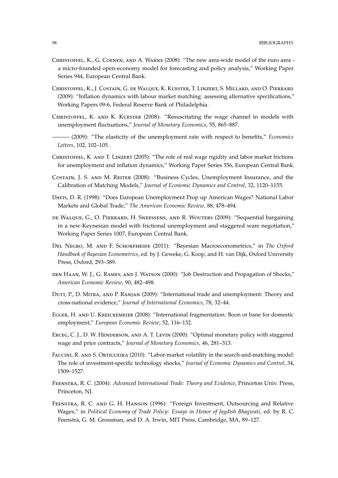- Christoffel, K., G. Coenen, and A. Warne (2008): "The new area-wide model of the euro area a micro-founded open-economy model for forecasting and policy analysis," Working Paper Series 944, European Central Bank.
- Christoffel, K., J. Costain, G. de Walque, K. Kuester, T. Linzert, S. Millard, and O. Pierrard (2009): "Inflation dynamics with labour market matching: assessing alternative specifications," Working Papers 09-6, Federal Reserve Bank of Philadelphia.
- CHRISTOFFEL, K. AND K. KUESTER (2008): "Resuscitating the wage channel in models with unemployment fluctuations," *Journal of Monetary Economics*, 55, 865–887.
- ——— (2009): "The elasticity of the unemployment rate with respect to benefits," *Economics Letters*, 102, 102–105.
- Christoffel, K. and T. Linzert (2005): "The role of real wage rigidity and labor market frictions for unemployment and inflation dynamics," Working Paper Series 556, European Central Bank.
- Costain, J. S. and M. Reiter (2008): "Business Cycles, Unemployment Insurance, and the Calibration of Matching Models," *Journal of Economic Dynamics and Control*, 32, 1120–1155.
- Davis, D. R. (1998): "Does European Unemployment Prop up American Wages? National Labor Markets and Global Trade," *The American Economic Review*, 88, 478–494.
- de Walque, G., O. Pierrard, H. Sneessens, and R. Wouters (2009): "Sequential bargaining in a new-Keynesian model with frictional unemployment and staggered ware negotiation," Working Paper Series 1007, European Central Bank.
- Del Negro, M. and F. Schorfheide (2011): "Bayesian Macroeconometrics," in *The Oxford Handbook of Bayesian Econometrics*, ed. by J. Geweke, G. Koop, and H. van Dijk, Oxford University Press, Oxford, 293–389.
- den Haan, W. J., G. Ramey, and J. Watson (2000): "Job Destruction and Propagation of Shocks," *American Economic Review*, 90, 482–498.
- Dutt, P., D. Mitra, and P. Ranjan (2009): "International trade and unemployment: Theory and cross-national evidence," *Journal of International Economics*, 78, 32–44.
- Egger, H. and U. Kreickemeier (2008): "International fragmentation: Boon or bane for domestic employment," *European Economic Review*, 52, 116–132.
- Erceg, C. J., D. W. Henderson, and A. T. Levin (2000): "Optimal monetary policy with staggered wage and price contracts," *Journal of Monetary Economics*, 46, 281–313.
- Faccini, R. and S. Ortigueira (2010): "Labor-market volatility in the search-and-matching model: The role of investment-specific technology shocks," *Journal of Economic Dynamics and Control*, 34, 1509–1527.
- Feenstra, R. C. (2004): *Advanced International Trade: Theory and Evidence*, Princeton Univ. Press, Princeton, NJ.
- Feenstra, R. C. and G. H. Hanson (1996): "Foreign Investment, Outsourcing and Relative Wages," in *Political Economy of Trade Policy: Essays in Honor of Jagdish Bhagwati*, ed. by R. C. Feenstra, G. M. Grossman, and D. A. Irwin, MIT Press, Cambridge, MA, 89–127.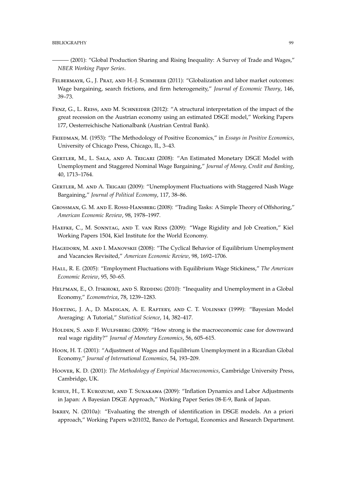- ——— (2001): "Global Production Sharing and Rising Inequality: A Survey of Trade and Wages," *NBER Working Paper Series*.
- FELBERMAYR, G., J. PRAT, AND H.-J. SCHMERER (2011): "Globalization and labor market outcomes: Wage bargaining, search frictions, and firm heterogeneity," *Journal of Economic Theory*, 146, 39–73.
- FENZ, G., L. REISS, AND M. SCHNEIDER (2012): "A structural interpretation of the impact of the great recession on the Austrian economy using an estimated DSGE model," Working Papers 177, Oesterreichische Nationalbank (Austrian Central Bank).
- Friedman, M. (1953): "The Methodology of Positive Economics," in *Essays in Positive Economics*, University of Chicago Press, Chicago, IL, 3–43.
- GERTLER, M., L. SALA, AND A. TRIGARI (2008): "An Estimated Monetary DSGE Model with Unemployment and Staggered Nominal Wage Bargaining," *Journal of Money, Credit and Banking*, 40, 1713–1764.
- Gertler, M. and A. Trigari (2009): "Unemployment Fluctuations with Staggered Nash Wage Bargaining," *Journal of Political Economy*, 117, 38–86.
- Grossman, G. M. and E. Rossi-Hansberg (2008): "Trading Tasks: A Simple Theory of Offshoring," *American Economic Review*, 98, 1978–1997.
- Haefke, C., M. Sonntag, and T. van Rens (2009): "Wage Rigidity and Job Creation," Kiel Working Papers 1504, Kiel Institute for the World Economy.
- HAGEDORN, M. AND I. MANOVSKII (2008): "The Cyclical Behavior of Equilibrium Unemployment and Vacancies Revisited," *American Economic Review*, 98, 1692–1706.
- Hall, R. E. (2005): "Employment Fluctuations with Equilibrium Wage Stickiness," *The American Economic Review*, 95, 50–65.
- HELPMAN, E., O. ITSKHOKI, AND S. REDDING (2010): "Inequality and Unemployment in a Global Economy," *Econometrica*, 78, 1239–1283.
- Hoeting, J. A., D. Madigan, A. E. Raftery, and C. T. Volinsky (1999): "Bayesian Model Averaging: A Tutorial," *Statistical Science*, 14, 382–417.
- Holden, S. and F. Wulfsberg (2009): "How strong is the macroeconomic case for downward real wage rigidity?" *Journal of Monetary Economics*, 56, 605–615.
- Hoon, H. T. (2001): "Adjustment of Wages and Equilibrium Unemployment in a Ricardian Global Economy," *Journal of International Economics*, 54, 193–209.
- Hoover, K. D. (2001): *The Methodology of Empirical Macroeconomics*, Cambridge University Press, Cambridge, UK.
- Ichiue, H., T. Kurozumi, and T. Sunakawa (2009): "Inflation Dynamics and Labor Adjustments in Japan: A Bayesian DSGE Approach," Working Paper Series 08-E-9, Bank of Japan.
- Iskrev, N. (2010a): "Evaluating the strength of identification in DSGE models. An a priori approach," Working Papers w201032, Banco de Portugal, Economics and Research Department.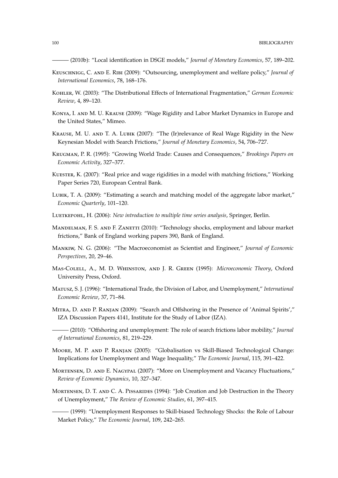- ——— (2010b): "Local identification in DSGE models," *Journal of Monetary Economics*, 57, 189–202.
- Keuschnigg, C. and E. Ribi (2009): "Outsourcing, unemployment and welfare policy," *Journal of International Economics*, 78, 168–176.
- Kohler, W. (2003): "The Distributional Effects of International Fragmentation," *German Economic Review*, 4, 89–120.
- Konya, I. and M. U. Krause (2009): "Wage Rigidity and Labor Market Dynamics in Europe and the United States," Mimeo.
- Krause, M. U. and T. A. Lubik (2007): "The (Ir)relevance of Real Wage Rigidity in the New Keynesian Model with Search Frictions," *Journal of Monetary Economics*, 54, 706–727.
- Krugman, P. R. (1995): "Growing World Trade: Causes and Consequences," *Brookings Papers on Economic Activity*, 327–377.
- Kuester, K. (2007): "Real price and wage rigidities in a model with matching frictions," Working Paper Series 720, European Central Bank.
- LUBIK, T. A. (2009): "Estimating a search and matching model of the aggregate labor market," *Economic Quarterly*, 101–120.
- Luetkepohl, H. (2006): *New introduction to multiple time series analysis*, Springer, Berlin.
- MANDELMAN, F. S. AND F. ZANETTI (2010): "Technology shocks, employment and labour market frictions," Bank of England working papers 390, Bank of England.
- Mankiw, N. G. (2006): "The Macroeconomist as Scientist and Engineer," *Journal of Economic Perspectives*, 20, 29–46.
- Mas-Colell, A., M. D. Whinston, and J. R. Green (1995): *Microeconomic Theory*, Oxford University Press, Oxford.
- Matusz, S. J. (1996): "International Trade, the Division of Labor, and Unemployment," *International Economic Review*, 37, 71–84.
- Mitra, D. and P. Ranjan (2009): "Search and Offshoring in the Presence of 'Animal Spirits'," IZA Discussion Papers 4141, Institute for the Study of Labor (IZA).
- ——— (2010): "Offshoring and unemployment: The role of search frictions labor mobility," *Journal of International Economics*, 81, 219–229.
- Moore, M. P. and P. Ranjan (2005): "Globalisation vs Skill-Biased Technological Change: Implications for Unemployment and Wage Inequality," *The Economic Journal*, 115, 391–422.
- Mortensen, D. and E. Nagypal (2007): "More on Unemployment and Vacancy Fluctuations," *Review of Economic Dynamics*, 10, 327–347.
- MORTENSEN, D. T. AND C. A. PISSARIDES (1994): "Job Creation and Job Destruction in the Theory of Unemployment," *The Review of Economic Studies*, 61, 397–415.

——— (1999): "Unemployment Responses to Skill-biased Technology Shocks: the Role of Labour Market Policy," *The Economic Journal*, 109, 242–265.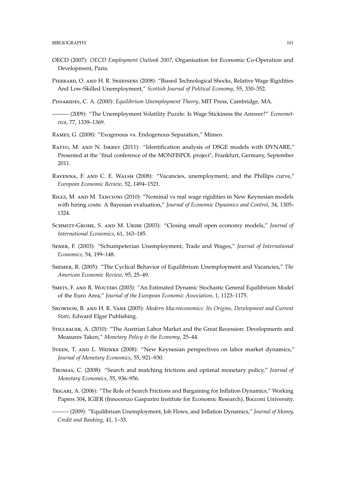- OECD (2007): OECD Employment Outlook 2007, Organisation for Economic Co-Operation and Development, Paris.
- PIERRARD, O. AND H. R. SNEESSENS (2008): "Biased Technological Shocks, Relative Wage Rigidities And Low-Skilled Unemployment," Scottish Journal of Political Economy, 55, 330-352.

PISSARIDES, C. A. (2000): Equilibrium Unemployment Theory, MIT Press, Cambridge, MA.

- (2009): "The Unemployment Volatility Puzzle: Is Wage Stickiness the Answer?" Econometrica. 77. 1339-1369.
- RAMEY, G. (2008): "Exogenous vs. Endogenous Separation," Mimeo.
- RATTO, M. AND N. ISKREV (2011): "Identification analysis of DSGE models with DYNARE," Presented at the "final conference of the MONFISPOL project", Frankfurt, Germany, September 2011.
- RAVENNA, F. AND C. E. WALSH (2008): "Vacancies, unemployment, and the Phillips curve," European Economic Review, 52, 1494-1521.
- RIGGI, M. AND M. TANCIONI (2010): "Nominal vs real wage rigidities in New Keynesian models with hiring costs: A Bayesian evaluation," Journal of Economic Dynamics and Control, 34, 1305-1324.
- SCHMITT-GROHE, S. AND M. URIBE (2003): "Closing small open economy models," Journal of International Economics, 61, 163-185.
- SENER, F. (2003): "Schumpeterian Unemployment, Trade and Wages," Journal of International Economics, 54, 199-148.
- SHIMER, R. (2005): "The Cyclical Behavior of Equilibrium Unemployment and Vacancies," The American Economic Review, 95, 25-49.
- SMETS, F. AND R. WOUTERS (2003): "An Estimated Dynamic Stochastic General Equilibrium Model of the Euro Area," Journal of the European Economic Association, 1, 1123-1175.
- SNOWDON, B. AND H. R. VANE (2005): Modern Macroeconomics: Its Origins, Development and Current State, Edward Elgar Publishing.
- STIGLBAUER, A. (2010): "The Austrian Labor Market and the Great Recession: Developments and Measures Taken," Monetary Policy & the Economy, 25-44.
- SVEEN, T. AND L. WEINKE (2008): "New Keynesian perspectives on labor market dynamics," Journal of Monetary Economics, 55, 921-930.
- THOMAS, C. (2008): "Search and matching frictions and optimal monetary policy," Journal of Monetary Economics, 55, 936-956.
- TRIGARI, A. (2006): "The Role of Search Frictions and Bargaining for Inflation Dynamics," Working Papers 304, IGIER (Innocenzo Gasparini Institute for Economic Research), Bocconi University.

- (2009): "Equilibrium Unemployment, Job Flows, and Inflation Dynamics," Journal of Money, Credit and Banking, 41, 1-33.